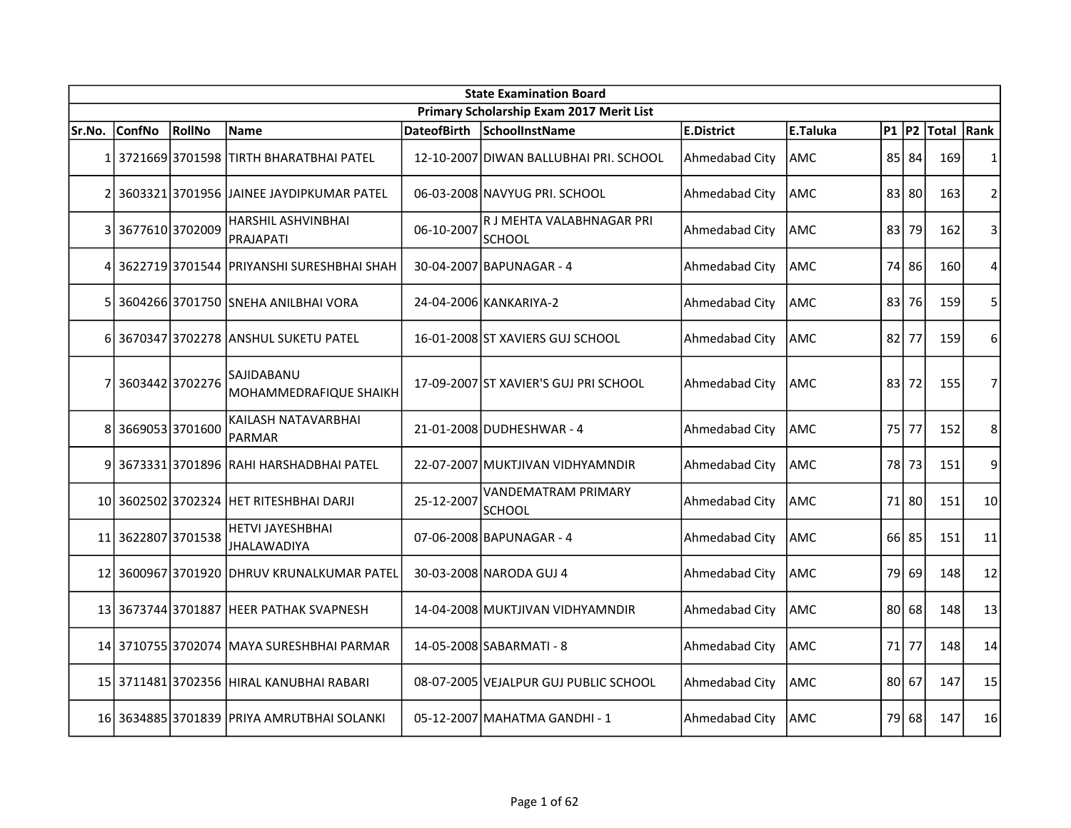|        |                    |        |                                               |                    | <b>State Examination Board</b>             |                |                 |           |       |            |                |
|--------|--------------------|--------|-----------------------------------------------|--------------------|--------------------------------------------|----------------|-----------------|-----------|-------|------------|----------------|
|        |                    |        |                                               |                    | Primary Scholarship Exam 2017 Merit List   |                |                 |           |       |            |                |
| Sr.No. | <b>ConfNo</b>      | RollNo | <b>Name</b>                                   | <b>DateofBirth</b> | SchoolInstName                             | E.District     | <b>E.Taluka</b> | $P1$ $P2$ |       | Total Rank |                |
|        |                    |        | 1 3721669 3701598 TIRTH BHARATBHAI PATEL      |                    | 12-10-2007 DIWAN BALLUBHAI PRI. SCHOOL     | Ahmedabad City | AMC             |           | 85 84 | 169        | $\mathbf{1}$   |
|        |                    |        | 2 3603321 3701956 JAINEE JAYDIPKUMAR PATEL    |                    | 06-03-2008 NAVYUG PRI. SCHOOL              | Ahmedabad City | lamc            | 83        | 80    | 163        | $\overline{2}$ |
|        | 3 3677610 3702009  |        | <b>HARSHIL ASHVINBHAI</b><br>PRAJAPATI        | 06-10-2007         | R J MEHTA VALABHNAGAR PRI<br><b>SCHOOL</b> | Ahmedabad City | <b>AMC</b>      | 83 l      | 79    | 162        | 3              |
|        |                    |        | 3622719 3701544 PRIYANSHI SURESHBHAI SHAH     |                    | 30-04-2007 BAPUNAGAR - 4                   | Ahmedabad City | <b>AMC</b>      | 74        | 86    | 160        | 4              |
|        |                    |        | 360426613701750 ISNEHA ANILBHAI VORA          |                    | 24-04-2006 KANKARIYA-2                     | Ahmedabad City | AMC             | 83        | 76    | 159        | 5              |
|        |                    |        | 6 3670347 3702278 ANSHUL SUKETU PATEL         |                    | 16-01-2008 ST XAVIERS GUJ SCHOOL           | Ahmedabad City | <b>AMC</b>      | 82        | 77    | 159        | 6              |
|        | 3603442 3702276    |        | SAJIDABANU<br>MOHAMMEDRAFIQUE SHAIKH          |                    | 17-09-2007 ST XAVIER'S GUJ PRI SCHOOL      | Ahmedabad City | AMC             | 83        | 72    | 155        | 7              |
| 8      | 36690533701600     |        | KAILASH NATAVARBHAI<br><b>PARMAR</b>          |                    | 21-01-2008 DUDHESHWAR - 4                  | Ahmedabad City | <b>AMC</b>      | 75        | 77    | 152        | 8              |
|        |                    |        | 9 3673331 3701896 RAHI HARSHADBHAI PATEL      |                    | 22-07-2007 MUKTJIVAN VIDHYAMNDIR           | Ahmedabad City | <b>AMC</b>      | 78 I      | 73    | 151        | 9              |
|        |                    |        | 10 3602502 3702324 HET RITESHBHAI DARJI       | 25-12-2007         | VANDEMATRAM PRIMARY<br><b>SCHOOL</b>       | Ahmedabad City | <b>AMC</b>      |           | 71 80 | 151        | 10             |
|        | 11 3622807 3701538 |        | <b>HETVI JAYESHBHAI</b><br><b>JHALAWADIYA</b> |                    | 07-06-2008 BAPUNAGAR - 4                   | Ahmedabad City | <b>AMC</b>      |           | 66 85 | 151        | 11             |
| 12     |                    |        | 3600967 3701920 DHRUV KRUNALKUMAR PATEL       |                    | 30-03-2008 NARODA GUJ 4                    | Ahmedabad City | AMC             | 79        | 69    | 148        | 12             |
|        |                    |        | 13 3673744 3701887 HEER PATHAK SVAPNESH       |                    | 14-04-2008 MUKTJIVAN VIDHYAMNDIR           | Ahmedabad City | AMC             | 80 l      | 68    | 148        | 13             |
|        |                    |        | 14 3710755 3702074 IMAYA SURESHBHAI PARMAR    |                    | 14-05-2008 SABARMATI - 8                   | Ahmedabad City | AMC             | 71 I      | 77    | 148        | 14             |
|        |                    |        | 15 3711481 3702356 HIRAL KANUBHAI RABARI      |                    | 08-07-2005 VEJALPUR GUJ PUBLIC SCHOOL      | Ahmedabad City | AMC             | 80        | 67    | 147        | 15             |
|        |                    |        | 16 3634885 3701839 PRIYA AMRUTBHAI SOLANKI    |                    | 05-12-2007 MAHATMA GANDHI - 1              | Ahmedabad City | AMC             | 79        | 68    | 147        | 16             |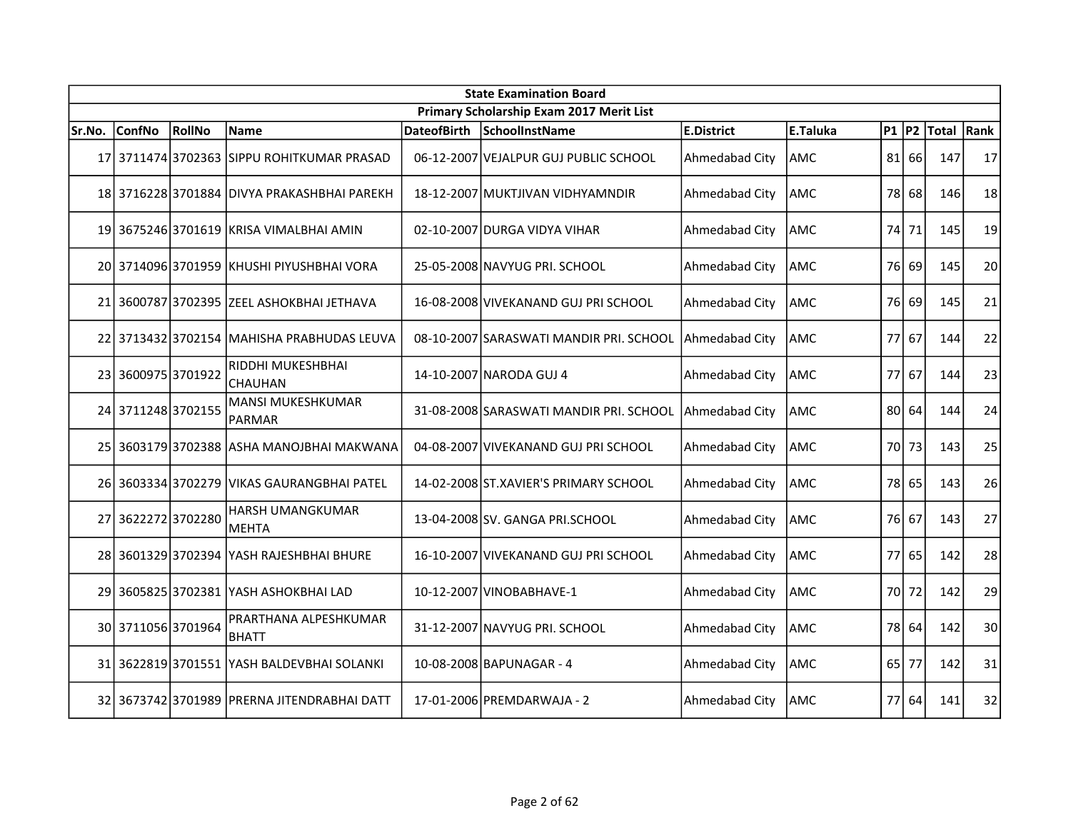|        | <b>State Examination Board</b> |               |                                             |                    |                                          |                   |          |  |         |             |      |  |
|--------|--------------------------------|---------------|---------------------------------------------|--------------------|------------------------------------------|-------------------|----------|--|---------|-------------|------|--|
|        |                                |               |                                             |                    | Primary Scholarship Exam 2017 Merit List |                   |          |  |         |             |      |  |
| Sr.No. | <b>ConfNo</b>                  | <b>RollNo</b> | Name                                        | <b>DateofBirth</b> | SchoolInstName                           | <b>E.District</b> | E.Taluka |  |         | P1 P2 Total | Rank |  |
|        |                                |               | 17 3711474 3702363 SIPPU ROHITKUMAR PRASAD  |                    | 06-12-2007 VEJALPUR GUJ PUBLIC SCHOOL    | Ahmedabad City    | AMC      |  | 81 66   | 147         | 17   |  |
|        |                                |               | 18 3716228 3701884 DIVYA PRAKASHBHAI PAREKH |                    | 18-12-2007 MUKTJIVAN VIDHYAMNDIR         | Ahmedabad City    | AMC      |  | 78 68   | 146         | 18   |  |
|        |                                |               | 19 3675246 3701619 KRISA VIMALBHAI AMIN     |                    | 02-10-2007 DURGA VIDYA VIHAR             | Ahmedabad City    | AMC      |  | 74 71   | 145         | 19   |  |
|        |                                |               | 20 3714096 3701959 KHUSHI PIYUSHBHAI VORA   |                    | 25-05-2008 NAVYUG PRI. SCHOOL            | Ahmedabad City    | AMC      |  | 76 69   | 145         | 20   |  |
|        |                                |               | 21 3600787 3702395 ZEEL ASHOKBHAI JETHAVA   |                    | 16-08-2008 VIVEKANAND GUJ PRI SCHOOL     | Ahmedabad City    | AMC      |  | 76 69   | 145         | 21   |  |
| 22     |                                |               | 3713432 3702154 MAHISHA PRABHUDAS LEUVA     |                    | 08-10-2007 SARASWATI MANDIR PRI. SCHOOL  | Ahmedabad City    | AMC      |  | 77 67   | 144         | 22   |  |
|        | 23 3600975 3701922             |               | RIDDHI MUKESHBHAI<br><b>CHAUHAN</b>         |                    | 14-10-2007 NARODA GUJ 4                  | Ahmedabad City    | AMC      |  | 77 67   | 144         | 23   |  |
|        | 24 3711248 3702155             |               | MANSI MUKESHKUMAR<br>PARMAR                 |                    | 31-08-2008 SARASWATI MANDIR PRI. SCHOOL  | Ahmedabad City    | AMC      |  | $80$ 64 | 144         | 24   |  |
|        |                                |               | 25 3603179 3702388 ASHA MANOJBHAI MAKWANA   |                    | 04-08-2007 VIVEKANAND GUJ PRI SCHOOL     | Ahmedabad City    | AMC      |  | 70 73   | 143         | 25   |  |
|        | 26 3603334 3702279             |               | <b>VIKAS GAURANGBHAI PATEL</b>              |                    | 14-02-2008 ST.XAVIER'S PRIMARY SCHOOL    | Ahmedabad City    | AMC      |  | 78 65   | 143         | 26   |  |
| 27     | 36222723702280                 |               | <b>HARSH UMANGKUMAR</b><br>MEHTA            |                    | 13-04-2008 SV. GANGA PRI.SCHOOL          | Ahmedabad City    | AMC      |  | 76 67   | 143         | 27   |  |
|        |                                |               | 28 3601329 3702394 YASH RAJESHBHAI BHURE    |                    | 16-10-2007 VIVEKANAND GUJ PRI SCHOOL     | Ahmedabad City    | AMC      |  | $77$ 65 | 142         | 28   |  |
|        |                                |               | 29 3605825 3702381 YASH ASHOKBHAI LAD       |                    | 10-12-2007 VINOBABHAVE-1                 | Ahmedabad City    | AMC      |  | 70 72   | 142         | 29   |  |
|        | 30 3711056 3701964             |               | PRARTHANA ALPESHKUMAR<br><b>BHATT</b>       |                    | 31-12-2007 NAVYUG PRI. SCHOOL            | Ahmedabad City    | AMC      |  | 78 64   | 142         | 30   |  |
|        |                                |               | 31 3622819 3701551 YASH BALDEVBHAI SOLANKI  |                    | 10-08-2008 BAPUNAGAR - 4                 | Ahmedabad City    | AMC      |  | 65 77   | 142         | 31   |  |
|        |                                |               | 32 3673742 3701989 PRERNA JITENDRABHAI DATT |                    | 17-01-2006 PREMDARWAJA - 2               | Ahmedabad City    | AMC      |  | 77 64   | 141         | 32   |  |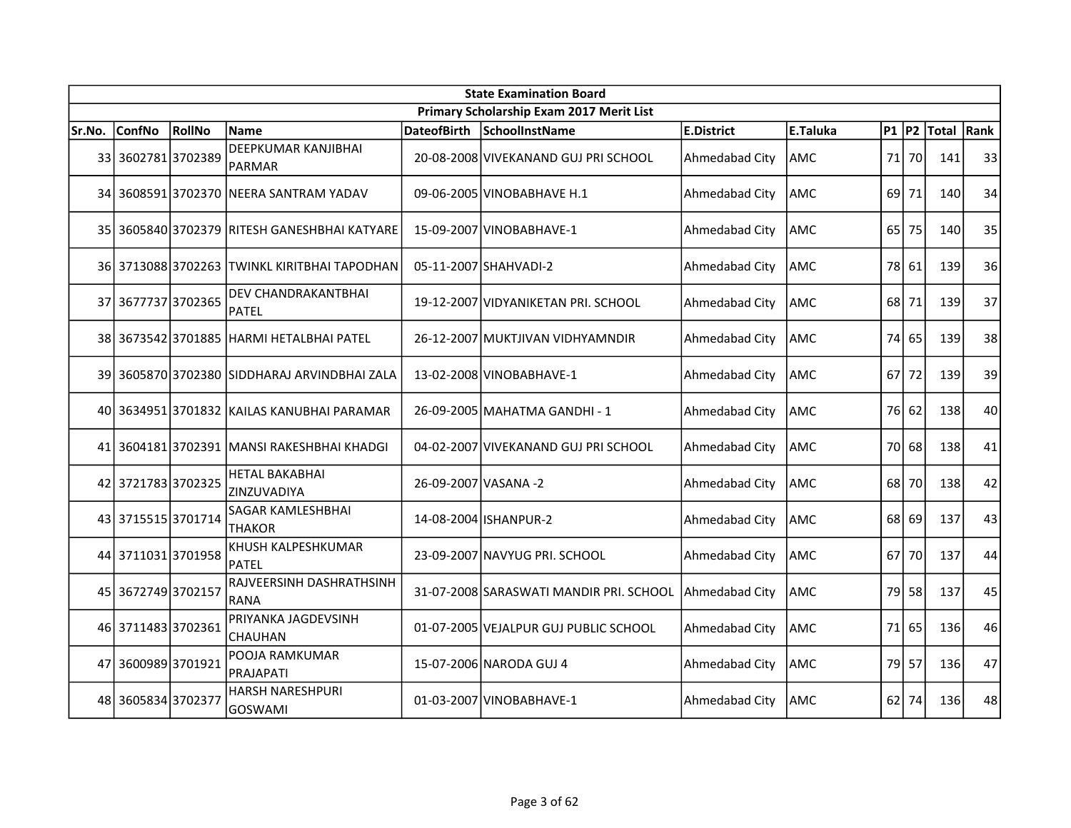|        | <b>State Examination Board</b><br>Primary Scholarship Exam 2017 Merit List |        |                                              |                      |                                                        |                   |                 |        |       |            |    |  |  |
|--------|----------------------------------------------------------------------------|--------|----------------------------------------------|----------------------|--------------------------------------------------------|-------------------|-----------------|--------|-------|------------|----|--|--|
|        |                                                                            |        |                                              |                      |                                                        |                   |                 |        |       |            |    |  |  |
| Sr.No. | <b>ConfNo</b>                                                              | RollNo | <b>Name</b>                                  | <b>DateofBirth</b>   | SchoolInstName                                         | <b>E.District</b> | <b>E.Taluka</b> | P1  P2 |       | Total Rank |    |  |  |
|        | 33 3602781 3702389                                                         |        | <b>DEEPKUMAR KANJIBHAI</b><br><b>PARMAR</b>  |                      | 20-08-2008 VIVEKANAND GUJ PRI SCHOOL                   | Ahmedabad City    | lAMC            | 71     | 70    | 141        | 33 |  |  |
| 34     |                                                                            |        | 3608591 3702370  NEERA SANTRAM YADAV         |                      | 09-06-2005 VINOBABHAVE H.1                             | Ahmedabad City    | AMC             | 69     | 71    | 140        | 34 |  |  |
|        |                                                                            |        | 35 3605840 3702379 RITESH GANESHBHAI KATYARE |                      | 15-09-2007 VINOBABHAVE-1                               | Ahmedabad City    | AMC             | 65     | 75    | 140        | 35 |  |  |
|        |                                                                            |        | 36 3713088 3702263 TWINKL KIRITBHAI TAPODHAN |                      | 05-11-2007 SHAHVADI-2                                  | Ahmedabad City    | AMC             |        | 78 61 | 139        | 36 |  |  |
|        | 37 3677737 3702365                                                         |        | DEV CHANDRAKANTBHAI<br><b>PATEL</b>          |                      | 19-12-2007 VIDYANIKETAN PRI. SCHOOL                    | Ahmedabad City    | AMC             |        | 68 71 | 139        | 37 |  |  |
|        |                                                                            |        | 38 3673542 3701885 HARMI HETALBHAI PATEL     |                      | 26-12-2007 MUKTJIVAN VIDHYAMNDIR                       | Ahmedabad City    | <b>AMC</b>      |        | 74 65 | 139        | 38 |  |  |
|        |                                                                            |        | 39 3605870 3702380 SIDDHARAJ ARVINDBHAI ZALA |                      | 13-02-2008 VINOBABHAVE-1                               | Ahmedabad City    | lAMC            | 67     | 72    | 139        | 39 |  |  |
|        |                                                                            |        | 40 3634951 3701832 KAILAS KANUBHAI PARAMAR   |                      | 26-09-2005 MAHATMA GANDHI - 1                          | Ahmedabad City    | lAMC            |        | 76 62 | 138        | 40 |  |  |
|        |                                                                            |        | 41 3604181 3702391 MANSI RAKESHBHAI KHADGI   |                      | 04-02-2007 VIVEKANAND GUJ PRI SCHOOL                   | Ahmedabad City    | AMC             |        | 70 68 | 138        | 41 |  |  |
|        | 42 3721783 3702325                                                         |        | <b>HETAL BAKABHAI</b><br>ZINZUVADIYA         | 26-09-2007 VASANA -2 |                                                        | Ahmedabad City    | AMC             | 68     | 70    | 138        | 42 |  |  |
|        | 43 3715515 3701714                                                         |        | <b>SAGAR KAMLESHBHAI</b><br><b>THAKOR</b>    |                      | 14-08-2004 ISHANPUR-2                                  | Ahmedabad City    | AMC             | 68     | 69    | 137        | 43 |  |  |
|        | 44 3711031 3701958                                                         |        | KHUSH KALPESHKUMAR<br><b>PATEL</b>           |                      | 23-09-2007 NAVYUG PRI. SCHOOL                          | Ahmedabad City    | AMC             | 67     | 70    | 137        | 44 |  |  |
|        | 45 3672749 3702157                                                         |        | RAJVEERSINH DASHRATHSINH<br><b>RANA</b>      |                      | 31-07-2008 SARASWATI MANDIR PRI. SCHOOL Ahmedabad City |                   | AMC             |        | 79 58 | 137        | 45 |  |  |
|        | 46 3711483 3702361                                                         |        | PRIYANKA JAGDEVSINH<br>CHAUHAN               |                      | 01-07-2005 VEJALPUR GUJ PUBLIC SCHOOL                  | Ahmedabad City    | <b>AMC</b>      |        | 71 65 | 136        | 46 |  |  |
| 47     | 36009893701921                                                             |        | POOJA RAMKUMAR<br><b>PRAJAPATI</b>           |                      | 15-07-2006 NARODA GUJ 4                                | Ahmedabad City    | <b>AMC</b>      | 79     | 57    | 136        | 47 |  |  |
|        | 48 3605834 3702377                                                         |        | <b>HARSH NARESHPURI</b><br><b>GOSWAMI</b>    |                      | 01-03-2007 VINOBABHAVE-1                               | Ahmedabad City    | AMC             |        | 62 74 | 136        | 48 |  |  |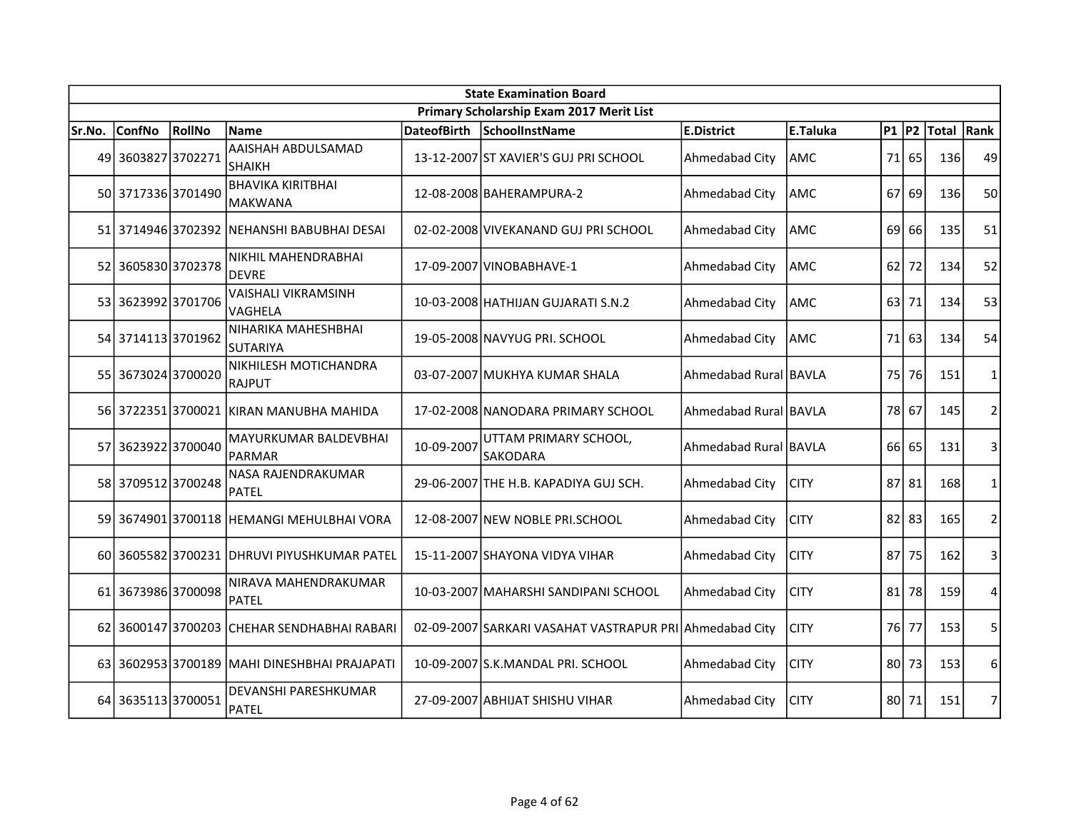| <b>State Examination Board</b> |                    |        |                                             |                    |                                                         |                       |             |           |    |            |                |  |
|--------------------------------|--------------------|--------|---------------------------------------------|--------------------|---------------------------------------------------------|-----------------------|-------------|-----------|----|------------|----------------|--|
|                                |                    |        |                                             |                    | Primary Scholarship Exam 2017 Merit List                |                       |             |           |    |            |                |  |
| Sr.No.                         | <b>ConfNo</b>      | RollNo | Name                                        | <b>DateofBirth</b> | SchoolInstName                                          | <b>E.District</b>     | E.Taluka    | <b>P1</b> | P2 | Total Rank |                |  |
| 49                             | 3603827 3702271    |        | AAISHAH ABDULSAMAD<br><b>SHAIKH</b>         |                    | 13-12-2007 ST XAVIER'S GUJ PRI SCHOOL                   | Ahmedabad City        | AMC         | 71        | 65 | 136        | 49             |  |
|                                | 50 3717336 3701490 |        | <b>BHAVIKA KIRITBHAI</b><br>MAKWANA         |                    | 12-08-2008 BAHERAMPURA-2                                | Ahmedabad City        | AMC         | 67        | 69 | 136        | 50             |  |
|                                |                    |        | 51 3714946 3702392 NEHANSHI BABUBHAI DESAI  |                    | 02-02-2008 VIVEKANAND GUJ PRI SCHOOL                    | Ahmedabad City        | AMC         | 69        | 66 | 135        | 51             |  |
|                                | 52 3605830 3702378 |        | NIKHIL MAHENDRABHAI<br><b>DEVRE</b>         |                    | 17-09-2007 VINOBABHAVE-1                                | Ahmedabad City        | <b>AMC</b>  | 62        | 72 | 134        | 52             |  |
|                                | 53 3623992 3701706 |        | <b>VAISHALI VIKRAMSINH</b><br>VAGHELA       |                    | 10-03-2008 HATHIJAN GUJARATI S.N.2                      | Ahmedabad City        | AMC         | 63        | 71 | 134        | 53             |  |
|                                | 54 3714113 3701962 |        | NIHARIKA MAHESHBHAI<br><b>SUTARIYA</b>      |                    | 19-05-2008 NAVYUG PRI. SCHOOL                           | Ahmedabad City        | AMC         | 71        | 63 | 134        | 54             |  |
|                                | 55 3673024 3700020 |        | NIKHILESH MOTICHANDRA<br>RAJPUT             |                    | 03-07-2007 MUKHYA KUMAR SHALA                           | Ahmedabad Rural BAVLA |             | 75        | 76 | 151        | $\mathbf{1}$   |  |
|                                |                    |        | 56 3722351 3700021 KIRAN MANUBHA MAHIDA     |                    | 17-02-2008 NANODARA PRIMARY SCHOOL                      | Ahmedabad Rural BAVLA |             | 78        | 67 | 145        | $\overline{2}$ |  |
|                                | 57 3623922 3700040 |        | MAYURKUMAR BALDEVBHAI<br><b>PARMAR</b>      | 10-09-2007         | UTTAM PRIMARY SCHOOL,<br>SAKODARA                       | Ahmedabad Rural BAVLA |             | 66        | 65 | 131        | 3              |  |
|                                | 58 3709512 3700248 |        | NASA RAJENDRAKUMAR<br><b>PATEL</b>          |                    | 29-06-2007 THE H.B. KAPADIYA GUJ SCH.                   | Ahmedabad City        | <b>CITY</b> | 87        | 81 | 168        | 1              |  |
| 59                             |                    |        | 3674901 3700118 HEMANGI MEHULBHAI VORA      |                    | 12-08-2007 NEW NOBLE PRI.SCHOOL                         | Ahmedabad City        | <b>CITY</b> | 82        | 83 | 165        | $\overline{2}$ |  |
|                                |                    |        | 60 3605582 3700231 DHRUVI PIYUSHKUMAR PATEL |                    | 15-11-2007 SHAYONA VIDYA VIHAR                          | Ahmedabad City        | <b>CITY</b> | 87        | 75 | 162        | 3              |  |
|                                | 61 3673986 3700098 |        | NIRAVA MAHENDRAKUMAR<br><b>PATEL</b>        |                    | 10-03-2007 MAHARSHI SANDIPANI SCHOOL                    | Ahmedabad City        | <b>CITY</b> | 81        | 78 | 159        | 4              |  |
|                                |                    |        | 62 3600147 3700203 CHEHAR SENDHABHAI RABARI |                    | 02-09-2007 SARKARI VASAHAT VASTRAPUR PRI Ahmedabad City |                       | <b>CITY</b> | 76I       | 77 | 153        | 5              |  |
| 63                             |                    |        | 3602953 3700189 MAHI DINESHBHAI PRAJAPATI   |                    | 10-09-2007 S.K.MANDAL PRI. SCHOOL                       | Ahmedabad City        | <b>CITY</b> | 801       | 73 | 153        | 6              |  |
|                                | 64 3635113 3700051 |        | DEVANSHI PARESHKUMAR<br>PATEL               |                    | 27-09-2007 ABHIJAT SHISHU VIHAR                         | Ahmedabad City        | <b>CITY</b> | 80        | 71 | 151        | $\overline{7}$ |  |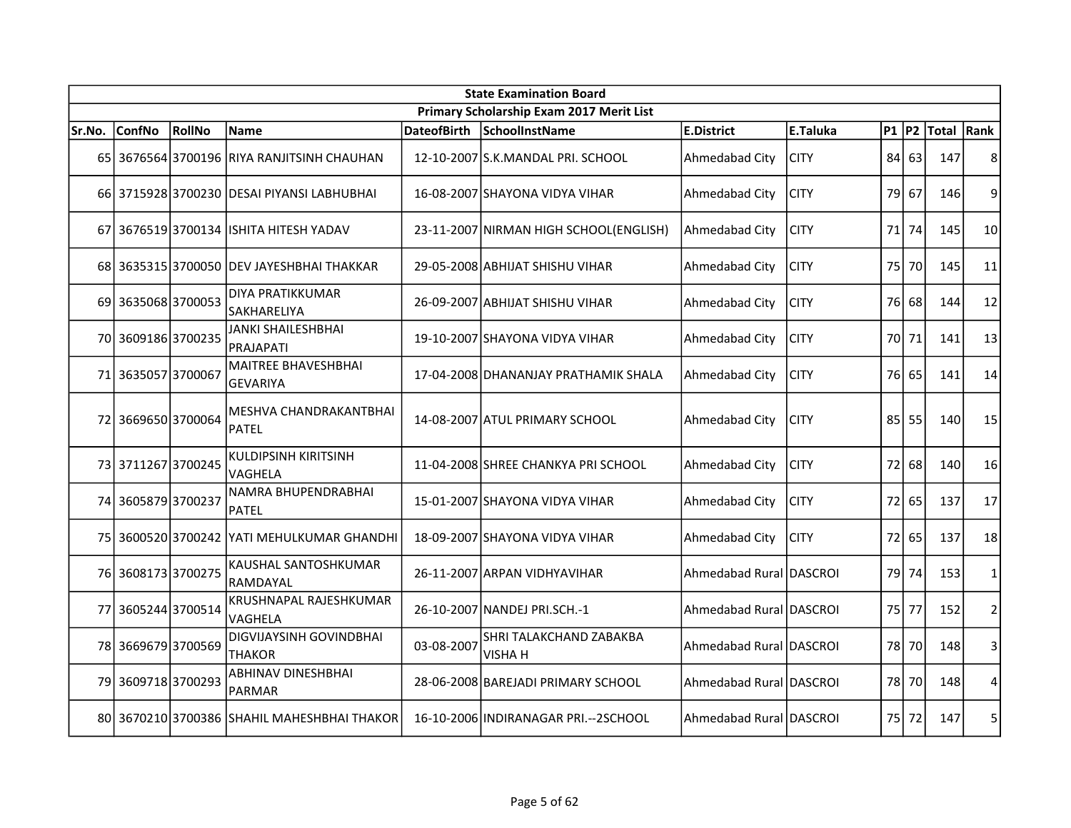|        | <b>State Examination Board</b> |               |                                                 |                    |                                          |                         |             |           |       |            |                |  |  |
|--------|--------------------------------|---------------|-------------------------------------------------|--------------------|------------------------------------------|-------------------------|-------------|-----------|-------|------------|----------------|--|--|
|        |                                |               |                                                 |                    | Primary Scholarship Exam 2017 Merit List |                         |             |           |       |            |                |  |  |
| Sr.No. | <b>ConfNo</b>                  | <b>RollNo</b> | <b>Name</b>                                     | <b>DateofBirth</b> | SchoolInstName                           | <b>E.District</b>       | E.Taluka    | $P1$ $P2$ |       | Total Rank |                |  |  |
|        |                                |               | 65 3676564 3700196 RIYA RANJITSINH CHAUHAN      |                    | 12-10-2007 S.K.MANDAL PRI. SCHOOL        | Ahmedabad City          | <b>CITY</b> | 84 l      | 63    | 147        | 8              |  |  |
|        |                                |               | 66 3715928 3700230 DESAI PIYANSI LABHUBHAI      |                    | 16-08-2007 SHAYONA VIDYA VIHAR           | Ahmedabad City          | <b>CITY</b> | 79        | 67    | 146        | 9              |  |  |
|        |                                |               | 67 3676519 3700134 ISHITA HITESH YADAV          |                    | 23-11-2007 NIRMAN HIGH SCHOOL(ENGLISH)   | Ahmedabad City          | <b>CITY</b> | 71 I      | 74    | 145        | 10             |  |  |
|        |                                |               | 68 3635315 3700050 DEV JAYESHBHAI THAKKAR       |                    | 29-05-2008 ABHIJAT SHISHU VIHAR          | Ahmedabad City          | <b>CITY</b> | 75        | 70    | 145        | 11             |  |  |
| 69     | 36350683700053                 |               | DIYA PRATIKKUMAR<br>SAKHARELIYA                 |                    | 26-09-2007 ABHIJAT SHISHU VIHAR          | Ahmedabad City          | <b>CITY</b> | 76        | 68    | 144        | 12             |  |  |
|        | 70 3609186 3700235             |               | JANKI SHAILESHBHAI<br><b>PRAJAPATI</b>          |                    | 19-10-2007 SHAYONA VIDYA VIHAR           | Ahmedabad City          | <b>CITY</b> | 70 l      | 71    | 141        | 13             |  |  |
|        | 71 3635057 3700067             |               | <b>MAITREE BHAVESHBHAI</b><br><b>GEVARIYA</b>   |                    | 17-04-2008 DHANANJAY PRATHAMIK SHALA     | Ahmedabad City          | <b>CITY</b> | 76        | 65    | 141        | 14             |  |  |
| 72     | 3669650 3700064                |               | MESHVA CHANDRAKANTBHAI<br>PATEL                 |                    | 14-08-2007 ATUL PRIMARY SCHOOL           | Ahmedabad City          | <b>CITY</b> | 85 l      | 55    | 140        | 15             |  |  |
|        | 73 3711267 3700245             |               | <b>KULDIPSINH KIRITSINH</b><br>VAGHELA          |                    | 11-04-2008 SHREE CHANKYA PRI SCHOOL      | Ahmedabad City          | <b>CITY</b> | 72        | 68    | 140        | 16             |  |  |
|        | 74 3605879 3700237             |               | NAMRA BHUPENDRABHAI<br><b>PATEL</b>             |                    | 15-01-2007 SHAYONA VIDYA VIHAR           | Ahmedabad City          | <b>CITY</b> |           | 72 65 | 137        | 17             |  |  |
|        |                                |               | 75 3600520 3700242 YATI MEHULKUMAR GHANDHI      |                    | 18-09-2007 SHAYONA VIDYA VIHAR           | Ahmedabad City          | <b>CITY</b> | 72        | 65    | 137        | 18             |  |  |
|        | 76 3608173 3700275             |               | KAUSHAL SANTOSHKUMAR<br>RAMDAYAL                |                    | 26-11-2007 ARPAN VIDHYAVIHAR             | Ahmedabad Rural DASCROI |             | 79 l      | 74    | 153        | 1              |  |  |
| 77     | 3605244 3700514                |               | KRUSHNAPAL RAJESHKUMAR<br>VAGHELA               |                    | 26-10-2007 NANDEJ PRI.SCH.-1             | Ahmedabad Rural DASCROI |             | 75 l      | 77    | 152        | $\overline{2}$ |  |  |
| 78     | 36696793700569                 |               | <b>DIGVIJAYSINH GOVINDBHAI</b><br><b>THAKOR</b> | 03-08-2007         | SHRI TALAKCHAND ZABAKBA<br>VISHA H       | Ahmedabad Rural DASCROI |             | 78 I      | 70    | 148        | 3              |  |  |
| 79     | 36097183700293                 |               | <b>ABHINAV DINESHBHAI</b><br><b>PARMAR</b>      |                    | 28-06-2008 BAREJADI PRIMARY SCHOOL       | Ahmedabad Rural DASCROI |             | 78        | 70    | 148        | 4              |  |  |
|        |                                |               | 80 3670210 3700386 SHAHIL MAHESHBHAI THAKOR     |                    | 16-10-2006 INDIRANAGAR PRI .-- 2SCHOOL   | Ahmedabad Rural DASCROI |             | 75 I      | 72    | 147        | 5              |  |  |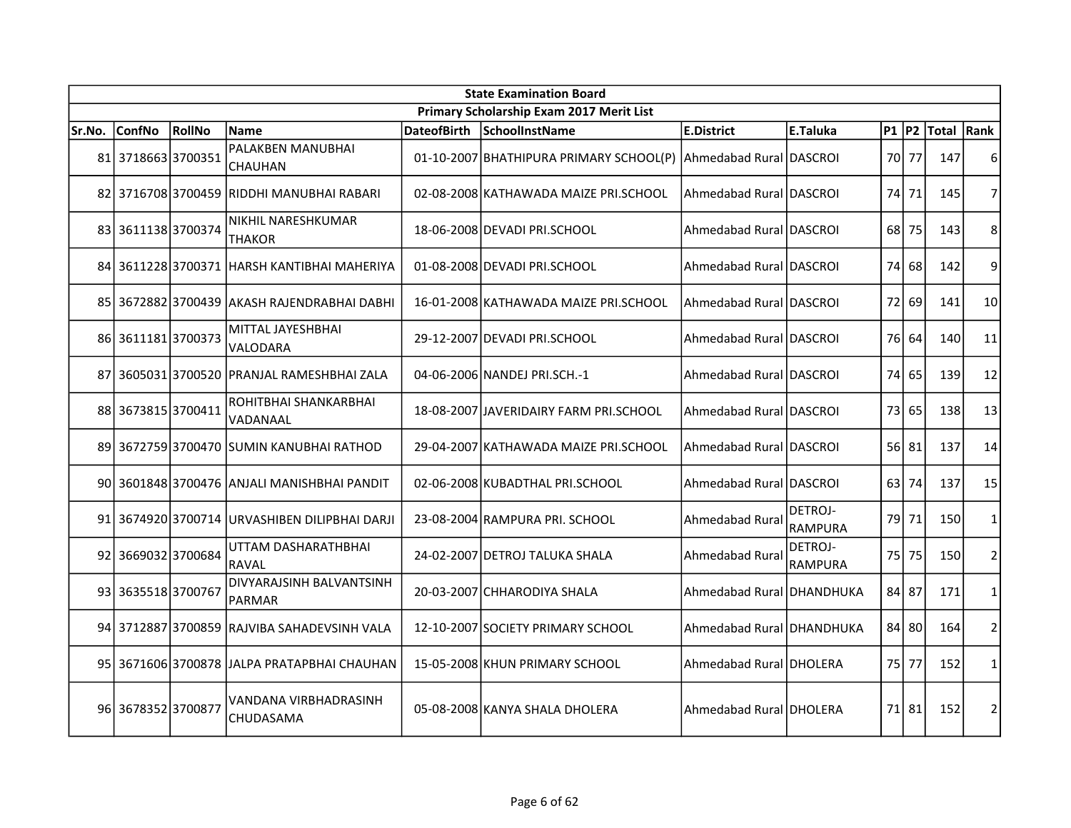| <b>State Examination Board</b> |                    |        |                                               |  |                                                                 |                           |                           |           |       |            |                |  |
|--------------------------------|--------------------|--------|-----------------------------------------------|--|-----------------------------------------------------------------|---------------------------|---------------------------|-----------|-------|------------|----------------|--|
|                                |                    |        |                                               |  | Primary Scholarship Exam 2017 Merit List                        |                           |                           |           |       |            |                |  |
| Sr.No.                         | <b>ConfNo</b>      | RollNo | <b>Name</b>                                   |  | DateofBirth SchoolInstName                                      | <b>E.District</b>         | <b>E.Taluka</b>           | $P1$ $P2$ |       | Total Rank |                |  |
|                                | 81 3718663 3700351 |        | PALAKBEN MANUBHAI<br><b>CHAUHAN</b>           |  | 01-10-2007 BHATHIPURA PRIMARY SCHOOL(P) Ahmedabad Rural DASCROI |                           |                           | 70 77     |       | 147        | 6              |  |
|                                |                    |        | 82 3716708 3700459 RIDDHI MANUBHAI RABARI     |  | 02-08-2008 KATHAWADA MAIZE PRI.SCHOOL                           | lAhmedabad Rural IDASCROI |                           | 74        | 71    | 145        | $\overline{7}$ |  |
|                                | 83 3611138 3700374 |        | NIKHIL NARESHKUMAR<br><b>THAKOR</b>           |  | 18-06-2008 DEVADI PRI.SCHOOL                                    | Ahmedabad Rural DASCROI   |                           | 68 l      | 75    | 143        | 8              |  |
|                                |                    |        | 84 3611228 3700371 HARSH KANTIBHAI MAHERIYA   |  | 01-08-2008 DEVADI PRI.SCHOOL                                    | Ahmedabad Rural IDASCROI  |                           | 74        | 68    | 142        | 9              |  |
|                                |                    |        | 85 3672882 3700439 AKASH RAJENDRABHAI DABHI   |  | 16-01-2008 KATHAWADA MAIZE PRI.SCHOOL                           | Ahmedabad Rural IDASCROI  |                           | 72        | 69    | 141        | 10             |  |
|                                | 86 3611181 3700373 |        | MITTAL JAYESHBHAI<br>VALODARA                 |  | 29-12-2007 DEVADI PRI.SCHOOL                                    | Ahmedabad Rural DASCROI   |                           | 76        | 64    | 140        | 11             |  |
|                                |                    |        | 87 3605031 3700520 PRANJAL RAMESHBHAI ZALA    |  | 04-06-2006 NANDEJ PRI.SCH.-1                                    | Ahmedabad Rural DASCROI   |                           | 74        | 65    | 139        | 12             |  |
|                                | 88 3673815 3700411 |        | ROHITBHAI SHANKARBHAI<br>VADANAAL             |  | 18-08-2007 JJAVERIDAIRY FARM PRI.SCHOOL                         | Ahmedabad Rural DASCROI   |                           | 73        | 65    | 138        | 13             |  |
|                                |                    |        | 89 3672759 3700470 SUMIN KANUBHAI RATHOD      |  | 29-04-2007 KATHAWADA MAIZE PRI.SCHOOL                           | Ahmedabad Rural DASCROI   |                           |           | 56 81 | 137        | 14             |  |
|                                |                    |        | 90 3601848 3700476 ANJALI MANISHBHAI PANDIT   |  | 02-06-2008 KUBADTHAL PRI.SCHOOL                                 | Ahmedabad Rural DASCROI   |                           | 63        | 74    | 137        | 15             |  |
|                                |                    |        | 91 3674920 3700714 URVASHIBEN DILIPBHAI DARJI |  | 23-08-2004 RAMPURA PRI. SCHOOL                                  | Ahmedabad Rural           | DETROJ-<br><b>RAMPURA</b> | 79        | 71    | 150        | $\mathbf{1}$   |  |
|                                | 92 3669032 3700684 |        | UTTAM DASHARATHBHAI<br>RAVAL                  |  | 24-02-2007 DETROJ TALUKA SHALA                                  | Ahmedabad Rural           | DETROJ-<br>RAMPURA        | 75 I      | 75    | 150        | $\overline{2}$ |  |
|                                | 93 3635518 3700767 |        | DIVYARAJSINH BALVANTSINH<br>PARMAR            |  | 20-03-2007 CHHARODIYA SHALA                                     | Ahmedabad Rural DHANDHUKA |                           | 84 l      | 87    | 171        | 1              |  |
|                                |                    |        | 94 3712887 3700859 RAJVIBA SAHADEVSINH VALA   |  | 12-10-2007 SOCIETY PRIMARY SCHOOL                               | Ahmedabad Rural DHANDHUKA |                           | 84        | 80    | 164        | $\overline{2}$ |  |
|                                |                    |        | 95 3671606 3700878 JALPA PRATAPBHAI CHAUHAN   |  | 15-05-2008 KHUN PRIMARY SCHOOL                                  | Ahmedabad Rural DHOLERA   |                           | 75 I      | 77    | 152        | $\mathbf{1}$   |  |
|                                | 96 3678352 3700877 |        | VANDANA VIRBHADRASINH<br>CHUDASAMA            |  | 05-08-2008 KANYA SHALA DHOLERA                                  | Ahmedabad Rural IDHOLERA  |                           |           | 71 81 | 152        | $\overline{2}$ |  |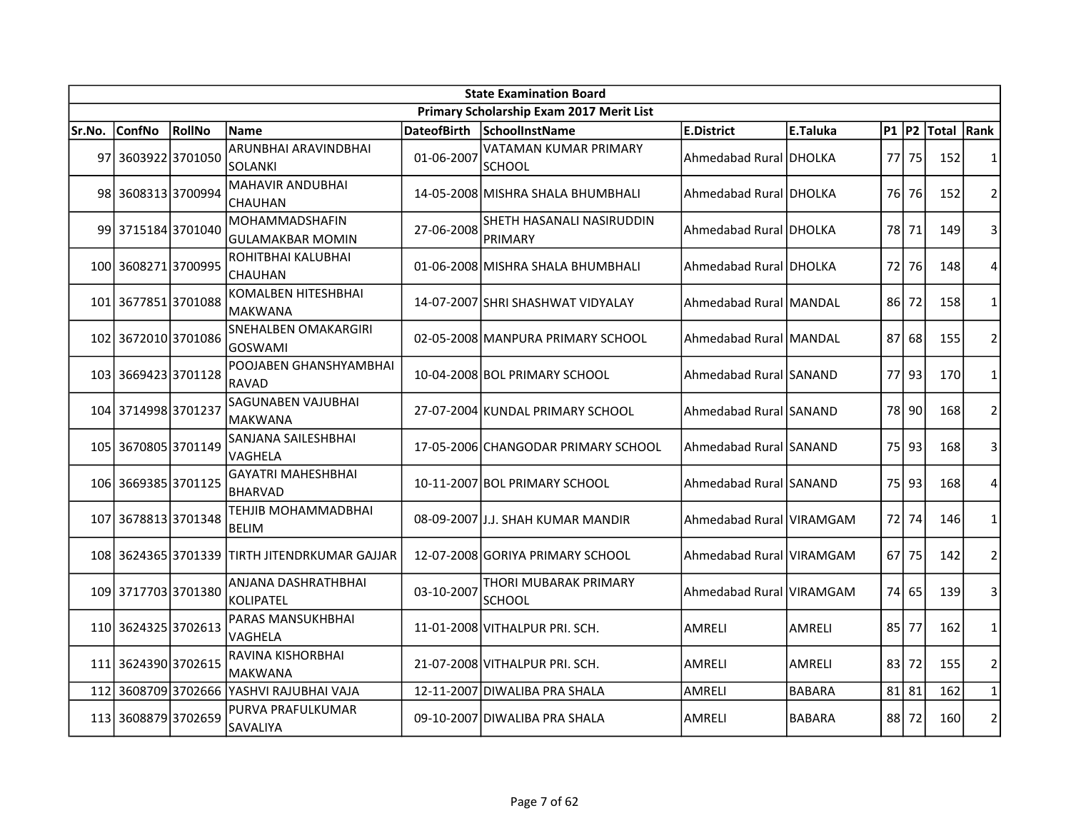|        | <b>State Examination Board</b> |        |                                                  |                    |                                          |                          |               |           |         |            |                |  |  |
|--------|--------------------------------|--------|--------------------------------------------------|--------------------|------------------------------------------|--------------------------|---------------|-----------|---------|------------|----------------|--|--|
|        |                                |        |                                                  |                    | Primary Scholarship Exam 2017 Merit List |                          |               |           |         |            |                |  |  |
| Sr.No. | <b>ConfNo</b>                  | RollNo | <b>Name</b>                                      | <b>DateofBirth</b> | SchoolInstName                           | E.District               | E.Taluka      | $P1$ $P2$ |         | Total Rank |                |  |  |
|        | 97 3603922 3701050             |        | ARUNBHAI ARAVINDBHAI<br><b>SOLANKI</b>           | 01-06-2007         | VATAMAN KUMAR PRIMARY<br><b>SCHOOL</b>   | Ahmedabad Rural DHOLKA   |               | 77 I      | 75      | 152        | 1              |  |  |
|        | 98 3608313 3700994             |        | <b>MAHAVIR ANDUBHAI</b><br><b>CHAUHAN</b>        |                    | 14-05-2008 MISHRA SHALA BHUMBHALI        | Ahmedabad Rural DHOLKA   |               | 76I       | 76      | 152        | $\overline{2}$ |  |  |
|        | 99 3715184 3701040             |        | <b>MOHAMMADSHAFIN</b><br><b>GULAMAKBAR MOMIN</b> | 27-06-2008         | SHETH HASANALI NASIRUDDIN<br>PRIMARY     | Ahmedabad Rural DHOLKA   |               | 78 l      | 71      | 149        | 3              |  |  |
|        | 100 3608271 3700995            |        | ROHITBHAI KALUBHAI<br><b>CHAUHAN</b>             |                    | 01-06-2008 MISHRA SHALA BHUMBHALI        | Ahmedabad Rural DHOLKA   |               | 72        | 76      | 148        | 4              |  |  |
|        | 101 3677851 3701088            |        | <b>KOMALBEN HITESHBHAI</b><br><b>MAKWANA</b>     |                    | 14-07-2007 SHRI SHASHWAT VIDYALAY        | Ahmedabad Rural MANDAL   |               | 86        | 72      | 158        | $\mathbf{1}$   |  |  |
|        | 102 3672010 3701086            |        | SNEHALBEN OMAKARGIRI<br><b>GOSWAMI</b>           |                    | 02-05-2008 MANPURA PRIMARY SCHOOL        | Ahmedabad Rural MANDAL   |               | 87        | 68      | 155        | $\overline{2}$ |  |  |
|        | 103 3669423 3701128            |        | POOJABEN GHANSHYAMBHAI<br><b>RAVAD</b>           |                    | 10-04-2008 BOL PRIMARY SCHOOL            | Ahmedabad Rural SANAND   |               | 77        | 93      | 170        | $\mathbf{1}$   |  |  |
|        | 104 3714998 3701237            |        | SAGUNABEN VAJUBHAI<br><b>MAKWANA</b>             |                    | 27-07-2004 KUNDAL PRIMARY SCHOOL         | Ahmedabad Rural SANAND   |               |           | 78 90   | 168        | $\overline{2}$ |  |  |
|        | 105 3670805 3701149            |        | SANJANA SAILESHBHAI<br>VAGHELA                   |                    | 17-05-2006 CHANGODAR PRIMARY SCHOOL      | Ahmedabad Rural SANAND   |               | 75 l      | 93      | 168        | 3              |  |  |
|        | 106 3669385 3701125            |        | <b>GAYATRI MAHESHBHAI</b><br><b>BHARVAD</b>      |                    | 10-11-2007 BOL PRIMARY SCHOOL            | Ahmedabad Rural SANAND   |               | 75 I      | 93      | 168        | $\overline{4}$ |  |  |
|        | 107 3678813 3701348            |        | TEHJIB MOHAMMADBHAI<br><b>BELIM</b>              |                    | 08-09-2007 J.J. SHAH KUMAR MANDIR        | Ahmedabad Rural VIRAMGAM |               |           | 72 74   | 146        | $\mathbf{1}$   |  |  |
|        |                                |        | 108 3624365 3701339 TIRTH JITENDRKUMAR GAJJAR    |                    | 12-07-2008 GORIYA PRIMARY SCHOOL         | Ahmedabad Rural VIRAMGAM |               | 671       | 75      | 142        | $\overline{2}$ |  |  |
|        | 109 3717703 3701380            |        | ANJANA DASHRATHBHAI<br><b>KOLIPATEL</b>          | 03-10-2007         | THORI MUBARAK PRIMARY<br><b>SCHOOL</b>   | Ahmedabad Rural VIRAMGAM |               | 74        | 65      | 139        | 3              |  |  |
|        | 110 3624325 3702613            |        | <b>PARAS MANSUKHBHAI</b><br>VAGHELA              |                    | 11-01-2008 VITHALPUR PRI. SCH.           | <b>AMRELI</b>            | AMRELI        | 85 I      | 77      | 162        | 1              |  |  |
|        | 111 3624390 3702615            |        | RAVINA KISHORBHAI<br>MAKWANA                     |                    | 21-07-2008 VITHALPUR PRI. SCH.           | <b>AMRELI</b>            | AMRELI        | 83        | 72      | 155        | $\overline{2}$ |  |  |
|        | 112 3608709 3702666            |        | YASHVI RAJUBHAI VAJA                             |                    | 12-11-2007 DIWALIBA PRA SHALA            | AMRELI                   | <b>BABARA</b> |           | $81$ 81 | 162        | $\mathbf{1}$   |  |  |
|        | 113 3608879 3702659            |        | PURVA PRAFULKUMAR<br>SAVALIYA                    |                    | 09-10-2007 DIWALIBA PRA SHALA            | AMRELI                   | <b>BABARA</b> | 881       | 72      | 160        | $\overline{2}$ |  |  |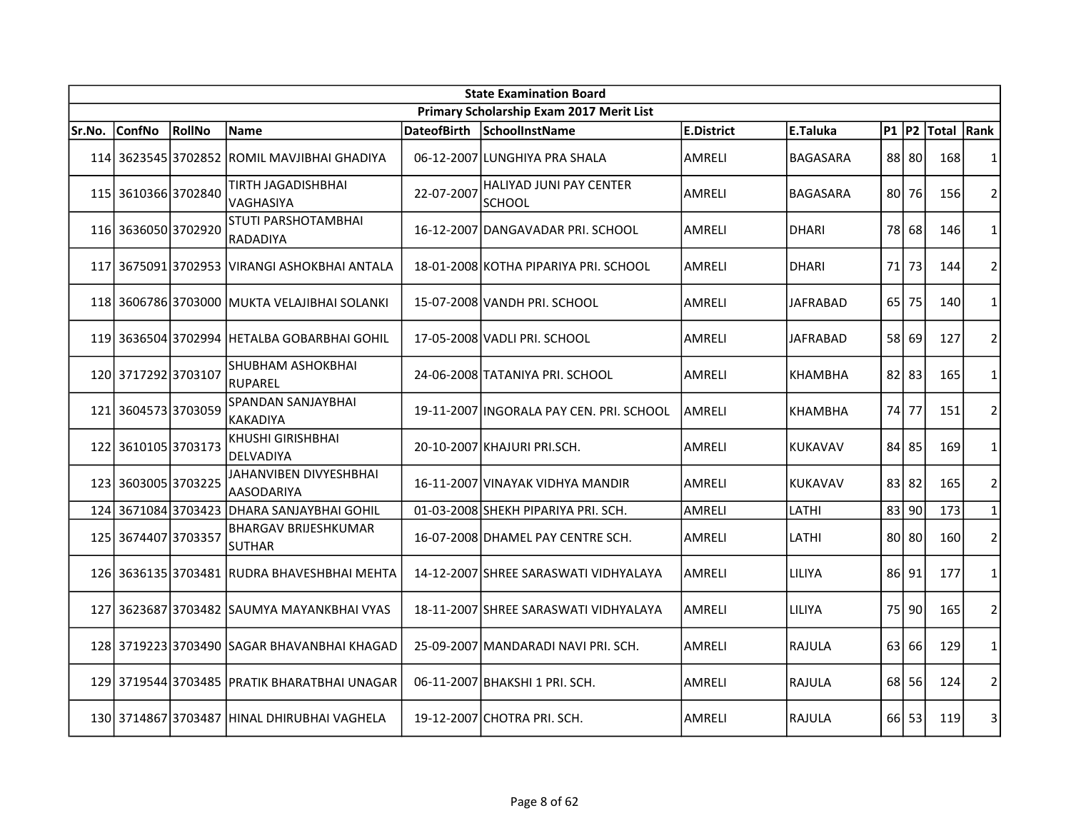|        | <b>State Examination Board</b> |        |                                              |                    |                                                 |               |                 |           |       |             |                |  |  |
|--------|--------------------------------|--------|----------------------------------------------|--------------------|-------------------------------------------------|---------------|-----------------|-----------|-------|-------------|----------------|--|--|
|        |                                |        |                                              |                    | Primary Scholarship Exam 2017 Merit List        |               |                 |           |       |             |                |  |  |
| Sr.No. | <b>ConfNo</b>                  | RollNo | Name                                         | <b>DateofBirth</b> | SchoolInstName                                  | E.District    | E.Taluka        | $P1$ $P2$ |       | Total  Rank |                |  |  |
|        |                                |        | 114 3623545 3702852 ROMIL MAVJIBHAI GHADIYA  |                    | 06-12-2007 LUNGHIYA PRA SHALA                   | AMRELI        | <b>BAGASARA</b> |           | 88 80 | 168         | $\mathbf{1}$   |  |  |
|        | 115 3610366 3702840            |        | <b>TIRTH JAGADISHBHAI</b><br>VAGHASIYA       | 22-07-2007         | <b>HALIYAD JUNI PAY CENTER</b><br><b>SCHOOL</b> | AMRELI        | BAGASARA        | 801       | 76    | 156         | $\overline{2}$ |  |  |
|        | 116 3636050 3702920            |        | STUTI PARSHOTAMBHAI<br>RADADIYA              |                    | 16-12-2007 DANGAVADAR PRI. SCHOOL               | AMRELI        | <b>DHARI</b>    | 78 l      | 68    | 146         | $\mathbf{1}$   |  |  |
| 117    |                                |        | 3675091 3702953  VIRANGI ASHOKBHAI ANTALA    |                    | 18-01-2008 KOTHA PIPARIYA PRI. SCHOOL           | <b>AMRELI</b> | <b>DHARI</b>    | 71        | 73    | 144         | $\overline{2}$ |  |  |
|        |                                |        | 118 3606786 3703000 MUKTA VELAJIBHAI SOLANKI |                    | 15-07-2008 VANDH PRI. SCHOOL                    | <b>AMRELI</b> | JAFRABAD        | 65        | 75    | 140         | $\mathbf{1}$   |  |  |
|        |                                |        | 119 3636504 3702994 HETALBA GOBARBHAI GOHIL  |                    | 17-05-2008 VADLI PRI. SCHOOL                    | AMRELI        | JAFRABAD        | 58        | 69    | 127         | $\overline{2}$ |  |  |
|        | 120 3717292 3703107            |        | SHUBHAM ASHOKBHAI<br><b>RUPAREL</b>          |                    | 24-06-2008 TATANIYA PRI. SCHOOL                 | AMRELI        | <b>KHAMBHA</b>  | $82$ 83   |       | 165         | $\mathbf{1}$   |  |  |
|        | 121 3604573 3703059            |        | SPANDAN SANJAYBHAI<br><b>KAKADIYA</b>        |                    | 19-11-2007 INGORALA PAY CEN. PRI. SCHOOL        | <b>AMRELI</b> | KHAMBHA         | 74        | 77    | 151         | $\overline{2}$ |  |  |
|        | 122 3610105 3703173            |        | <b>KHUSHI GIRISHBHAI</b><br><b>DELVADIYA</b> |                    | 20-10-2007 KHAJURI PRI.SCH.                     | AMRELI        | <b>KUKAVAV</b>  |           | 84 85 | 169         | $\mathbf{1}$   |  |  |
|        | 123 3603005 3703225            |        | JAHANVIBEN DIVYESHBHAI<br><b>AASODARIYA</b>  |                    | 16-11-2007 VINAYAK VIDHYA MANDIR                | <b>AMRELI</b> | <b>KUKAVAV</b>  | 83 82     |       | 165         | $\overline{2}$ |  |  |
| 124    | 36710843703423                 |        | <b>DHARA SANJAYBHAI GOHIL</b>                |                    | 01-03-2008 SHEKH PIPARIYA PRI. SCH.             | <b>AMRELI</b> | LATHI           | 83        | 90    | 173         | $\mathbf{1}$   |  |  |
|        | 125 3674407 3703357            |        | <b>BHARGAV BRIJESHKUMAR</b><br><b>SUTHAR</b> |                    | 16-07-2008 DHAMEL PAY CENTRE SCH.               | <b>AMRELI</b> | LATHI           |           | 80 80 | 160         | 2              |  |  |
|        |                                |        | 126 3636135 3703481 RUDRA BHAVESHBHAI MEHTA  |                    | 14-12-2007 SHREE SARASWATI VIDHYALAYA           | <b>AMRELI</b> | LILIYA          | 86 91     |       | 177         | $\mathbf{1}$   |  |  |
| 127    |                                |        | 362368713703482 ISAUMYA MAYANKBHAI VYAS      |                    | 18-11-2007 SHREE SARASWATI VIDHYALAYA           | AMRELI        | LILIYA          | 75        | 90    | 165         | $\overline{2}$ |  |  |
|        |                                |        | 128 3719223 3703490 SAGAR BHAVANBHAI KHAGAD  |                    | 25-09-2007 MANDARADI NAVI PRI. SCH.             | <b>AMRELI</b> | <b>RAJULA</b>   | 63        | 66    | 129         | $\mathbf{1}$   |  |  |
|        |                                |        | 129 3719544 3703485 PRATIK BHARATBHAI UNAGAR |                    | 06-11-2007 BHAKSHI 1 PRI. SCH.                  | <b>AMRELI</b> | RAJULA          | 68        | 56    | 124         | $\overline{2}$ |  |  |
|        |                                |        | 130 3714867 3703487 HINAL DHIRUBHAI VAGHELA  |                    | 19-12-2007 CHOTRA PRI. SCH.                     | AMRELI        | RAJULA          | 66 I      | 53    | 119         | 3              |  |  |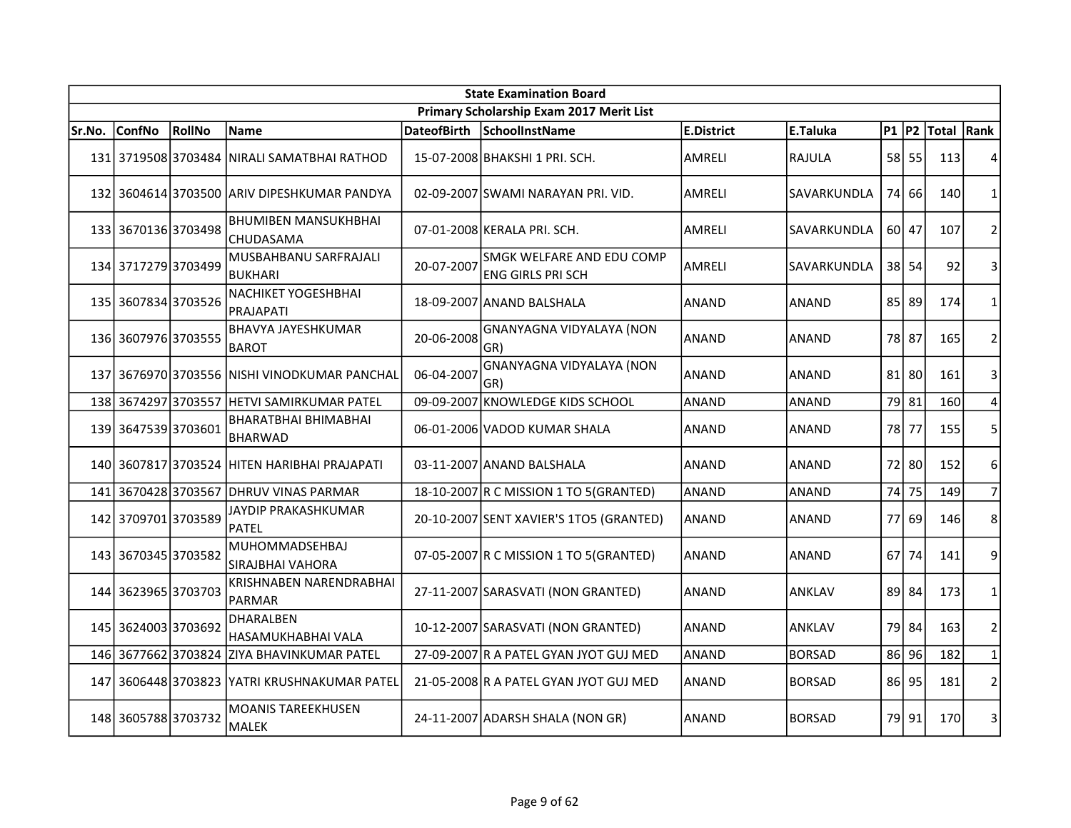|        | <b>State Examination Board</b> |               |                                               |                    |                                                |                   |               |           |           |            |                |  |  |
|--------|--------------------------------|---------------|-----------------------------------------------|--------------------|------------------------------------------------|-------------------|---------------|-----------|-----------|------------|----------------|--|--|
|        |                                |               |                                               |                    | Primary Scholarship Exam 2017 Merit List       |                   |               |           |           |            |                |  |  |
| Sr.No. | <b>ConfNo</b>                  | <b>RollNo</b> | <b>Name</b>                                   | <b>DateofBirth</b> | <b>SchoolInstName</b>                          | <b>E.District</b> | E.Taluka      | $P1$ $P2$ |           | Total Rank |                |  |  |
|        |                                |               | 131 3719508 3703484 NIRALI SAMATBHAI RATHOD   |                    | 15-07-2008 BHAKSHI 1 PRI. SCH.                 | AMRELI            | RAJULA        |           | 58 55     | 113        | 4              |  |  |
|        |                                |               | 132 3604614 3703500 ARIV DIPESHKUMAR PANDYA   |                    | 02-09-2007 SWAMI NARAYAN PRI. VID.             | AMRELI            | SAVARKUNDLA   |           | 74 66     | 140        | $\mathbf{1}$   |  |  |
|        | 133 3670136 3703498            |               | <b>BHUMIBEN MANSUKHBHAI</b><br>CHUDASAMA      |                    | 07-01-2008 KERALA PRI. SCH.                    | AMRELI            | SAVARKUNDLA   |           | 60 47     | 107        | $\overline{2}$ |  |  |
|        | 134 3717279 3703499            |               | MUSBAHBANU SARFRAJALI<br><b>BUKHARI</b>       | 20-07-2007         | SMGK WELFARE AND EDU COMP<br>ENG GIRLS PRI SCH | AMRELI            | SAVARKUNDLA   |           | $38$ 54   | 92         | 3              |  |  |
|        | 135 3607834 3703526            |               | <b>NACHIKET YOGESHBHAI</b><br>PRAJAPATI       |                    | 18-09-2007 ANAND BALSHALA                      | <b>ANAND</b>      | <b>ANAND</b>  |           | 85 89     | 174        | $\mathbf{1}$   |  |  |
|        | 136 3607976 3703555            |               | <b>BHAVYA JAYESHKUMAR</b><br><b>BAROT</b>     | 20-06-2008         | <b>GNANYAGNA VIDYALAYA (NON</b><br>GR)         | ANAND             | <b>ANAND</b>  | 78        | 87        | 165        | $\overline{2}$ |  |  |
|        |                                |               | 137 3676970 3703556 NISHI VINODKUMAR PANCHAL  | 06-04-2007         | <b>GNANYAGNA VIDYALAYA (NON</b><br>GR)         | ANAND             | <b>ANAND</b>  |           | $81$   80 | 161        | 3              |  |  |
|        | 138 3674297 3703557            |               | HETVI SAMIRKUMAR PATEL                        |                    | 09-09-2007 KNOWLEDGE KIDS SCHOOL               | <b>ANAND</b>      | <b>ANAND</b>  |           | 79 81     | 160        | 4              |  |  |
|        | 139 3647539 3703601            |               | <b>BHARATBHAI BHIMABHAI</b><br><b>BHARWAD</b> |                    | 06-01-2006 VADOD KUMAR SHALA                   | <b>ANAND</b>      | <b>ANAND</b>  |           | 78 77     | 155        | 5              |  |  |
|        |                                |               | 140 3607817 3703524 HITEN HARIBHAI PRAJAPATI  |                    | 03-11-2007 ANAND BALSHALA                      | ANAND             | <b>ANAND</b>  |           | 72 80     | 152        | 6              |  |  |
|        |                                |               | 141 3670428 3703567 DHRUV VINAS PARMAR        |                    | 18-10-2007 R C MISSION 1 TO 5 (GRANTED)        | ANAND             | <b>ANAND</b>  | 74        | 75        | 149        | $\overline{7}$ |  |  |
|        | 142 3709701 3703589            |               | JAYDIP PRAKASHKUMAR<br><b>PATEL</b>           |                    | 20-10-2007 SENT XAVIER'S 1TO5 (GRANTED)        | ANAND             | <b>ANAND</b>  | 77        | 69        | 146        | 8              |  |  |
|        | 143 3670345 3703582            |               | <b>MUHOMMADSEHBAJ</b><br>SIRAJBHAI VAHORA     |                    | 07-05-2007 R C MISSION 1 TO 5 (GRANTED)        | <b>ANAND</b>      | <b>ANAND</b>  |           | 67 74     | 141        | 9              |  |  |
|        | 144 3623965 3703703            |               | KRISHNABEN NARENDRABHAI<br><b>PARMAR</b>      |                    | 27-11-2007 SARASVATI (NON GRANTED)             | ANAND             | <b>ANKLAV</b> |           | 89 84     | 173        | $\mathbf{1}$   |  |  |
|        | 145 3624003 3703692            |               | DHARALBEN<br>HASAMUKHABHAI VALA               |                    | 10-12-2007 SARASVATI (NON GRANTED)             | ANAND             | <b>ANKLAV</b> |           | 79 84     | 163        | $\overline{2}$ |  |  |
|        | 146 3677662 3703824            |               | ZIYA BHAVINKUMAR PATEL                        |                    | 27-09-2007 R A PATEL GYAN JYOT GUJ MED         | ANAND             | <b>BORSAD</b> |           | 86 96     | 182        | $\mathbf{1}$   |  |  |
|        | 147 3606448 3703823            |               | YATRI KRUSHNAKUMAR PATEL                      |                    | 21-05-2008 R A PATEL GYAN JYOT GUJ MED         | <b>ANAND</b>      | <b>BORSAD</b> |           | 86 95     | 181        | $\overline{2}$ |  |  |
|        | 148 3605788 3703732            |               | <b>MOANIS TAREEKHUSEN</b><br><b>MALEK</b>     |                    | 24-11-2007 ADARSH SHALA (NON GR)               | <b>ANAND</b>      | <b>BORSAD</b> |           | 79 91     | 170        | 3              |  |  |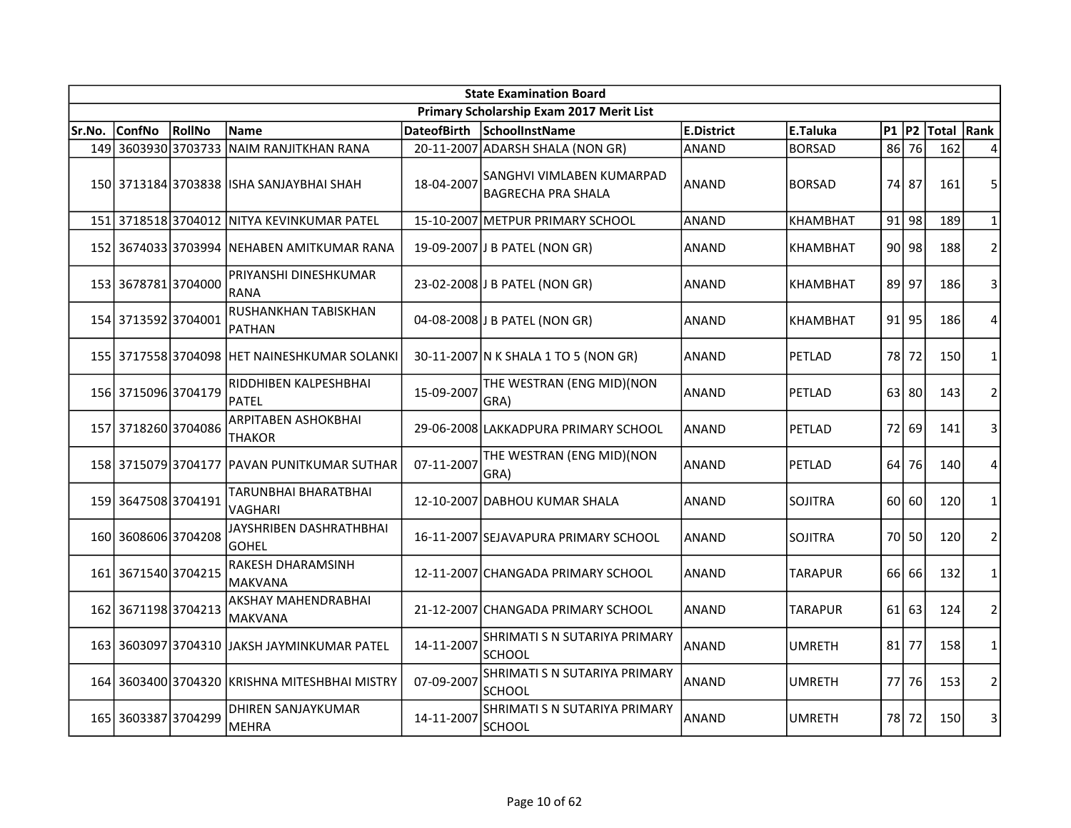|        | <b>State Examination Board</b><br>Primary Scholarship Exam 2017 Merit List |               |                                               |                    |                                                        |                   |                 |           |           |            |                |  |  |  |
|--------|----------------------------------------------------------------------------|---------------|-----------------------------------------------|--------------------|--------------------------------------------------------|-------------------|-----------------|-----------|-----------|------------|----------------|--|--|--|
|        |                                                                            |               |                                               |                    |                                                        |                   |                 |           |           |            |                |  |  |  |
| Sr.No. | ConfNo                                                                     | <b>RollNo</b> | <b>Name</b>                                   | <b>DateofBirth</b> | <b>SchoolInstName</b>                                  | <b>E.District</b> | E.Taluka        | <b>P1</b> | P2        | Total Rank |                |  |  |  |
|        | 149 3603930 3703733                                                        |               | NAIM RANJITKHAN RANA                          |                    | 20-11-2007 ADARSH SHALA (NON GR)                       | <b>ANAND</b>      | <b>BORSAD</b>   | 86        | 76        | 162        | Δ              |  |  |  |
|        |                                                                            |               | 150 3713184 3703838 ISHA SANJAYBHAI SHAH      | 18-04-2007         | SANGHVI VIMLABEN KUMARPAD<br><b>BAGRECHA PRA SHALA</b> | <b>ANAND</b>      | <b>BORSAD</b>   | 74        | 87        | 161        | 5              |  |  |  |
|        | 151 3718518 3704012                                                        |               | NITYA KEVINKUMAR PATEL                        |                    | 15-10-2007 METPUR PRIMARY SCHOOL                       | <b>ANAND</b>      | <b>KHAMBHAT</b> | 91        | 98        | 189        | $\mathbf{1}$   |  |  |  |
|        |                                                                            |               | 152 3674033 3703994 NEHABEN AMITKUMAR RANA    |                    | 19-09-2007 J B PATEL (NON GR)                          | <b>ANAND</b>      | <b>KHAMBHAT</b> | 90 l      | 98        | 188        | $\overline{2}$ |  |  |  |
|        | 153 3678781 3704000                                                        |               | PRIYANSHI DINESHKUMAR<br><b>RANA</b>          |                    | 23-02-2008 J B PATEL (NON GR)                          | ANAND             | KHAMBHAT        | 89        | 97        | 186        | 3              |  |  |  |
|        | 154 3713592 3704001                                                        |               | RUSHANKHAN TABISKHAN<br><b>PATHAN</b>         |                    | 04-08-2008 J B PATEL (NON GR)                          | <b>ANAND</b>      | <b>KHAMBHAT</b> | 91        | 95        | 186        | 4              |  |  |  |
|        |                                                                            |               | 155 3717558 3704098 HET NAINESHKUMAR SOLANKI  |                    | 30-11-2007 N K SHALA 1 TO 5 (NON GR)                   | ANAND             | PETLAD          | 78        | 72        | 150        | $\mathbf{1}$   |  |  |  |
|        | 156 3715096 3704179                                                        |               | RIDDHIBEN KALPESHBHAI<br><b>PATEL</b>         | 15-09-2007         | THE WESTRAN (ENG MID)(NON<br>GRA)                      | ANAND             | PETLAD          |           | $63$   80 | 143        | $\overline{2}$ |  |  |  |
|        | 157 3718260 3704086                                                        |               | ARPITABEN ASHOKBHAI<br><b>THAKOR</b>          |                    | 29-06-2008 LAKKADPURA PRIMARY SCHOOL                   | ANAND             | PETLAD          | 72        | 69        | 141        | 3              |  |  |  |
|        |                                                                            |               | 158 3715079 3704177 PAVAN PUNITKUMAR SUTHAR   | 07-11-2007         | THE WESTRAN (ENG MID)(NON<br>GRA)                      | ANAND             | PETLAD          | 64        | 76        | 140        | 4              |  |  |  |
|        | 159 3647508 3704191                                                        |               | TARUNBHAI BHARATBHAI<br><b>VAGHARI</b>        |                    | 12-10-2007 DABHOU KUMAR SHALA                          | <b>ANAND</b>      | <b>SOJITRA</b>  | 60        | 60        | 120        | $\mathbf{1}$   |  |  |  |
|        | 160 3608606 3704208                                                        |               | JAYSHRIBEN DASHRATHBHAI<br><b>GOHEL</b>       |                    | 16-11-2007 SEJAVAPURA PRIMARY SCHOOL                   | <b>ANAND</b>      | <b>SOJITRA</b>  | 70        | 50        | 120        | $\overline{2}$ |  |  |  |
| 161    | 3671540 3704215                                                            |               | RAKESH DHARAMSINH<br><b>MAKVANA</b>           |                    | 12-11-2007 CHANGADA PRIMARY SCHOOL                     | <b>ANAND</b>      | <b>TARAPUR</b>  | 66 I      | 66        | 132        | 1              |  |  |  |
|        | 162 3671198 3704213                                                        |               | <b>AKSHAY MAHENDRABHAI</b><br><b>MAKVANA</b>  |                    | 21-12-2007 CHANGADA PRIMARY SCHOOL                     | <b>ANAND</b>      | TARAPUR         |           | 61 63     | 124        | $\overline{2}$ |  |  |  |
|        |                                                                            |               | 163 3603097 3704310 JAKSH JAYMINKUMAR PATEL   | 14-11-2007         | SHRIMATI S N SUTARIYA PRIMARY<br><b>SCHOOL</b>         | IANAND            | <b>UMRETH</b>   | 81        | 77        | 158        | $\mathbf{1}$   |  |  |  |
|        |                                                                            |               | 164 3603400 3704320 KRISHNA MITESHBHAI MISTRY | 07-09-2007         | SHRIMATI S N SUTARIYA PRIMARY<br><b>SCHOOL</b>         | ANAND             | <b>UMRETH</b>   | 77        | 76        | 153        | $\overline{2}$ |  |  |  |
|        | 165 3603387 3704299                                                        |               | DHIREN SANJAYKUMAR<br>MEHRA                   | 14-11-2007         | SHRIMATI S N SUTARIYA PRIMARY<br>SCHOOL                | ANAND             | UMRETH          | 78        | 72        | 150        | 3              |  |  |  |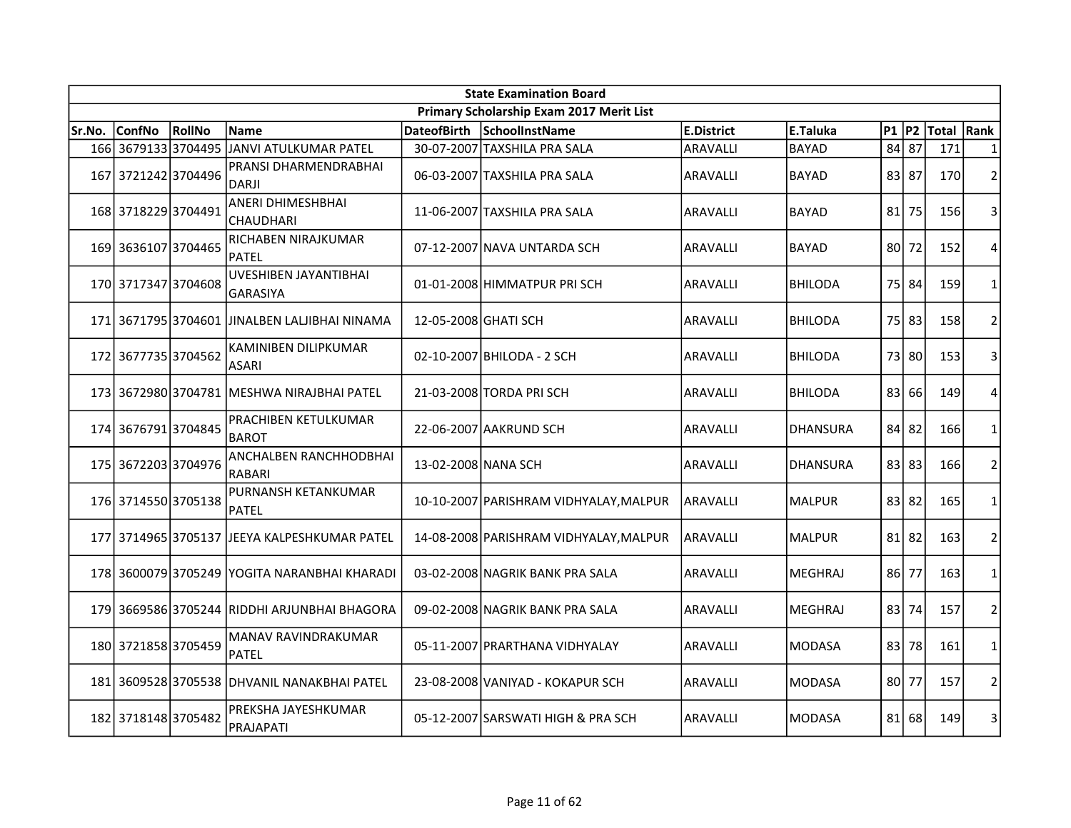|        | <b>State Examination Board</b> |        |                                               |                      |                                          |                   |                 |           |         |            |                |  |  |
|--------|--------------------------------|--------|-----------------------------------------------|----------------------|------------------------------------------|-------------------|-----------------|-----------|---------|------------|----------------|--|--|
|        |                                |        |                                               |                      | Primary Scholarship Exam 2017 Merit List |                   |                 |           |         |            |                |  |  |
| Sr.No. | <b>ConfNo</b>                  | RollNo | <b>Name</b>                                   | <b>DateofBirth</b>   | SchoolInstName                           | <b>E.District</b> | E.Taluka        | $P1$ $P2$ |         | Total Rank |                |  |  |
|        | 166 3679133 3704495            |        | JANVI ATULKUMAR PATEL                         |                      | 30-07-2007 TAXSHILA PRA SALA             | <b>ARAVALLI</b>   | <b>BAYAD</b>    | 84        | 87      | 171        | $\mathbf{1}$   |  |  |
|        | 167 3721242 3704496            |        | PRANSI DHARMENDRABHAI<br><b>DARJI</b>         |                      | 06-03-2007 TAXSHILA PRA SALA             | <b>ARAVALLI</b>   | <b>BAYAD</b>    |           | 83 87   | 170        | $\overline{2}$ |  |  |
|        | 168 3718229 3704491            |        | <b>ANERI DHIMESHBHAI</b><br><b>CHAUDHARI</b>  |                      | 11-06-2007 TAXSHILA PRA SALA             | ARAVALLI          | <b>BAYAD</b>    | 81        | 75      | 156        | 3              |  |  |
|        | 169 3636107 3704465            |        | RICHABEN NIRAJKUMAR<br><b>PATEL</b>           |                      | 07-12-2007 NAVA UNTARDA SCH              | <b>ARAVALLI</b>   | <b>BAYAD</b>    | 80 l      | 72      | 152        | 4              |  |  |
|        | 170 3717347 3704608            |        | UVESHIBEN JAYANTIBHAI<br><b>GARASIYA</b>      |                      | 01-01-2008 HIMMATPUR PRISCH              | ARAVALLI          | <b>BHILODA</b>  | 75        | 84      | 159        | $\mathbf{1}$   |  |  |
|        | 171 3671795 3704601            |        | JINALBEN LALJIBHAI NINAMA                     | 12-05-2008 GHATI SCH |                                          | ARAVALLI          | <b>BHILODA</b>  | 75        | 83      | 158        | $\mathbf 2$    |  |  |
|        | 172 3677735 3704562            |        | KAMINIBEN DILIPKUMAR<br>ASARI                 |                      | 02-10-2007 BHILODA - 2 SCH               | <b>ARAVALLI</b>   | <b>BHILODA</b>  | 73        | 80      | 153        | 3              |  |  |
|        |                                |        | 173 3672980 3704781 MESHWA NIRAJBHAI PATEL    |                      | 21-03-2008 TORDA PRI SCH                 | <b>ARAVALLI</b>   | <b>BHILODA</b>  | 83        | 66      | 149        | 4              |  |  |
|        | 174 3676791 3704845            |        | PRACHIBEN KETULKUMAR<br><b>BAROT</b>          |                      | 22-06-2007 AAKRUND SCH                   | <b>ARAVALLI</b>   | <b>DHANSURA</b> |           | $84$ 82 | 166        | $\mathbf{1}$   |  |  |
|        | 175 3672203 3704976            |        | ANCHALBEN RANCHHODBHAI<br><b>RABARI</b>       | 13-02-2008 NANA SCH  |                                          | <b>ARAVALLI</b>   | <b>DHANSURA</b> |           | 83 83   | 166        | $\overline{2}$ |  |  |
|        | 176 3714550 3705138            |        | PURNANSH KETANKUMAR<br><b>PATEL</b>           |                      | 10-10-2007 PARISHRAM VIDHYALAY, MALPUR   | <b>ARAVALLI</b>   | <b>MALPUR</b>   |           | 83 82   | 165        | $\mathbf{1}$   |  |  |
|        |                                |        | 177 3714965 3705137 JJEEYA KALPESHKUMAR PATEL |                      | 14-08-2008 PARISHRAM VIDHYALAY, MALPUR   | laravallı         | <b>MALPUR</b>   |           | $81$ 82 | 163        | $\overline{2}$ |  |  |
|        |                                |        | 178 3600079 3705249 YOGITA NARANBHAI KHARADI  |                      | 03-02-2008 NAGRIK BANK PRA SALA          | <b>ARAVALLI</b>   | <b>MEGHRAJ</b>  |           | 86 77   | 163        | $\mathbf{1}$   |  |  |
|        |                                |        | 179 3669586 3705244 RIDDHI ARJUNBHAI BHAGORA  |                      | 09-02-2008 NAGRIK BANK PRA SALA          | <b>ARAVALLI</b>   | <b>MEGHRAJ</b>  |           | 83 74   | 157        | $\overline{2}$ |  |  |
|        | 180 3721858 3705459            |        | MANAV RAVINDRAKUMAR<br><b>PATEL</b>           |                      | 05-11-2007 PRARTHANA VIDHYALAY           | <b>ARAVALLI</b>   | <b>MODASA</b>   | 83        | 78      | 161        | $\mathbf{1}$   |  |  |
|        |                                |        | 181 3609528 3705538 DHVANIL NANAKBHAI PATEL   |                      | 23-08-2008 VANIYAD - KOKAPUR SCH         | <b>ARAVALLI</b>   | <b>MODASA</b>   | 801       | 77      | 157        | $\overline{2}$ |  |  |
|        | 182 3718148 3705482            |        | PREKSHA JAYESHKUMAR<br>PRAJAPATI              |                      | 05-12-2007 SARSWATI HIGH & PRA SCH       | <b>ARAVALLI</b>   | <b>MODASA</b>   | 81        | 68      | 149        | 3              |  |  |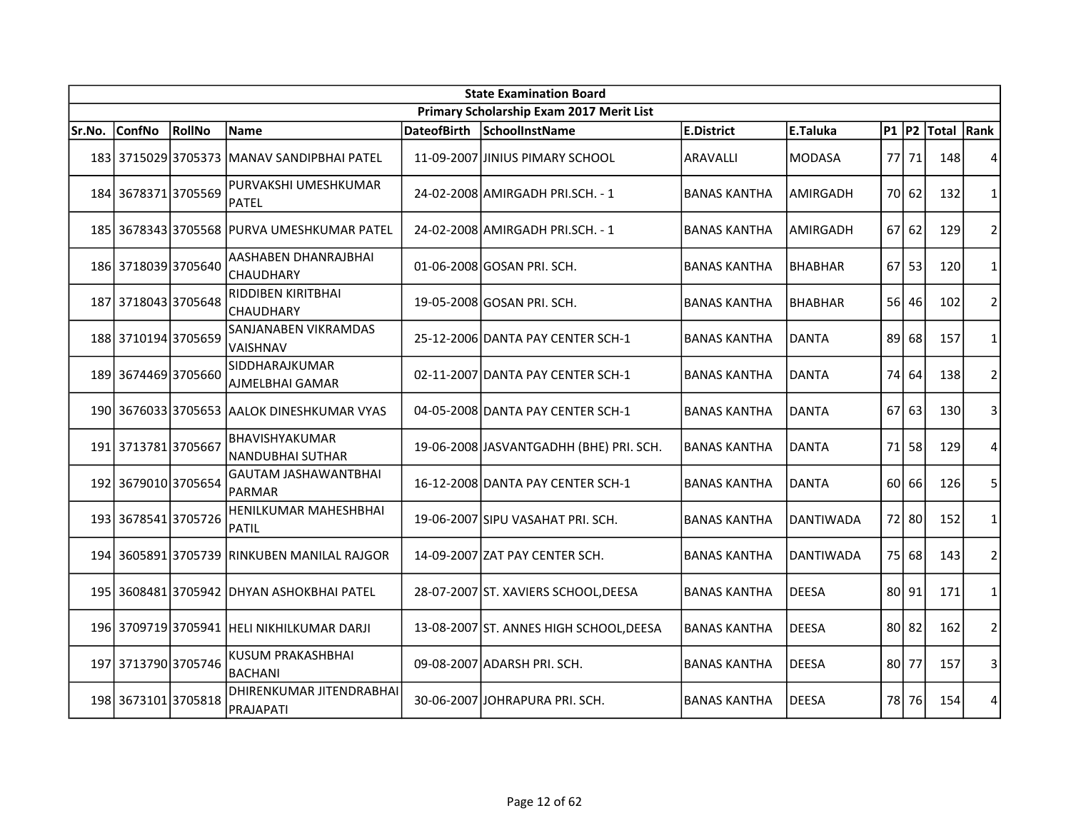|        | <b>State Examination Board</b> |        |                                                  |                    |                                          |                     |                  |           |       |            |                |  |
|--------|--------------------------------|--------|--------------------------------------------------|--------------------|------------------------------------------|---------------------|------------------|-----------|-------|------------|----------------|--|
|        |                                |        |                                                  |                    | Primary Scholarship Exam 2017 Merit List |                     |                  |           |       |            |                |  |
| Sr.No. | <b>ConfNo</b>                  | RollNo | Name                                             | <b>DateofBirth</b> | SchoolInstName                           | E.District          | E.Taluka         | $P1$ $P2$ |       | Total Rank |                |  |
|        |                                |        | 183 3715029 3705373 MANAV SANDIPBHAI PATEL       |                    | 11-09-2007 JINIUS PIMARY SCHOOL          | ARAVALLI            | <b>MODASA</b>    | 77        | 71    | 148        | 4              |  |
|        | 184 3678371 3705569            |        | PURVAKSHI UMESHKUMAR<br><b>PATEL</b>             |                    | 24-02-2008 AMIRGADH PRI.SCH. - 1         | <b>BANAS KANTHA</b> | AMIRGADH         | 70 I      | 62    | 132        | $\mathbf{1}$   |  |
|        |                                |        | 185 3678343 3705568 PURVA UMESHKUMAR PATEL       |                    | 24-02-2008 AMIRGADH PRI.SCH. - 1         | <b>BANAS KANTHA</b> | <b>AMIRGADH</b>  | 67        | 62    | 129        | $\overline{2}$ |  |
|        | 186 3718039 3705640            |        | AASHABEN DHANRAJBHAI<br><b>CHAUDHARY</b>         |                    | 01-06-2008 GOSAN PRI. SCH.               | <b>BANAS KANTHA</b> | <b>BHABHAR</b>   | 67        | 53    | 120        | $\mathbf{1}$   |  |
|        | 187 3718043 3705648            |        | RIDDIBEN KIRITBHAI<br><b>CHAUDHARY</b>           |                    | 19-05-2008 GOSAN PRI. SCH.               | <b>BANAS KANTHA</b> | <b>BHABHAR</b>   |           | 56 46 | 102        | $\overline{2}$ |  |
|        | 188 3710194 3705659            |        | SANJANABEN VIKRAMDAS<br>VAISHNAV                 |                    | 25-12-2006 DANTA PAY CENTER SCH-1        | <b>BANAS KANTHA</b> | <b>DANTA</b>     | 89        | 68    | 157        | 1              |  |
|        | 189 3674469 3705660            |        | SIDDHARAJKUMAR<br><b>AJMELBHAI GAMAR</b>         |                    | 02-11-2007 DANTA PAY CENTER SCH-1        | <b>BANAS KANTHA</b> | <b>DANTA</b>     | 74        | 64    | 138        | $\overline{2}$ |  |
|        | 190 3676033 3705653            |        | <b>AALOK DINESHKUMAR VYAS</b>                    |                    | 04-05-2008 DANTA PAY CENTER SCH-1        | <b>BANAS KANTHA</b> | <b>DANTA</b>     | 67        | 63    | 130        | 3              |  |
|        | 191 3713781 3705667            |        | <b>BHAVISHYAKUMAR</b><br><b>NANDUBHAI SUTHAR</b> |                    | 19-06-2008 JASVANTGADHH (BHE) PRI. SCH.  | <b>BANAS KANTHA</b> | <b>DANTA</b>     | 71        | 58    | 129        | 4              |  |
|        | 192 3679010 3705654            |        | <b>GAUTAM JASHAWANTBHAI</b><br><b>PARMAR</b>     |                    | 16-12-2008 DANTA PAY CENTER SCH-1        | <b>BANAS KANTHA</b> | <b>DANTA</b>     | 60 l      | 66    | 126        | 5              |  |
|        | 193 3678541 3705726            |        | HENILKUMAR MAHESHBHAI<br><b>PATIL</b>            |                    | 19-06-2007 SIPU VASAHAT PRI. SCH.        | <b>BANAS KANTHA</b> | <b>DANTIWADA</b> |           | 72 80 | 152        | $\mathbf{1}$   |  |
|        |                                |        | 194 3605891 3705739 RINKUBEN MANILAL RAJGOR      |                    | 14-09-2007 ZAT PAY CENTER SCH.           | <b>BANAS KANTHA</b> | <b>DANTIWADA</b> |           | 75 68 | 143        | $\overline{2}$ |  |
|        |                                |        | 195 3608481 3705942 DHYAN ASHOKBHAI PATEL        |                    | 28-07-2007 ST. XAVIERS SCHOOL, DEESA     | <b>BANAS KANTHA</b> | <b>DEESA</b>     |           | 80 91 | 171        | 1              |  |
|        |                                |        | 196 3709719 3705941 HELI NIKHILKUMAR DARJI       |                    | 13-08-2007 ST. ANNES HIGH SCHOOL, DEESA  | <b>BANAS KANTHA</b> | <b>DEESA</b>     |           | 80 82 | 162        | $\overline{2}$ |  |
|        | 197 3713790 3705746            |        | <b>KUSUM PRAKASHBHAI</b><br><b>BACHANI</b>       |                    | 09-08-2007 ADARSH PRI. SCH.              | <b>BANAS KANTHA</b> | <b>DEESA</b>     | 801       | 77    | 157        | 3              |  |
|        | 198 3673101 3705818            |        | DHIRENKUMAR JITENDRABHAI<br>PRAJAPATI            |                    | 30-06-2007 JOHRAPURA PRI. SCH.           | <b>BANAS KANTHA</b> | <b>DEESA</b>     |           | 78 76 | 154        | 4              |  |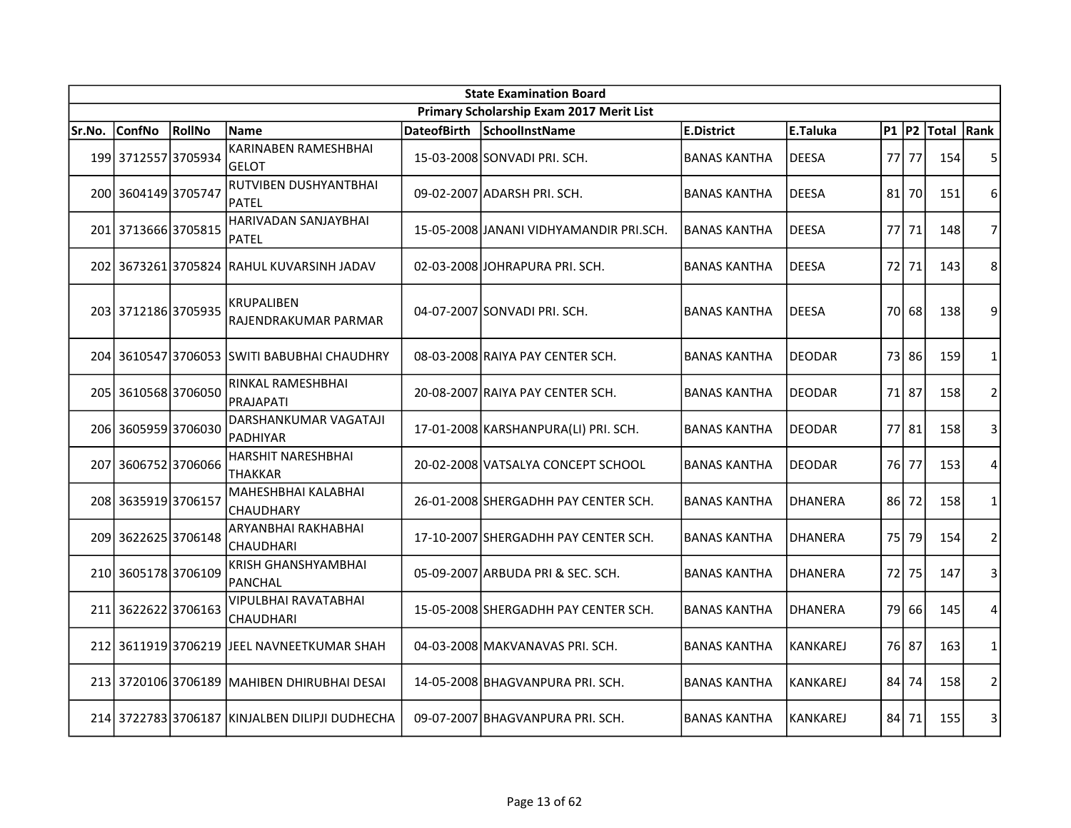|        | <b>State Examination Board</b> |        |                                                |                    |                                          |                     |                 |           |       |            |                |  |  |  |
|--------|--------------------------------|--------|------------------------------------------------|--------------------|------------------------------------------|---------------------|-----------------|-----------|-------|------------|----------------|--|--|--|
|        |                                |        |                                                |                    | Primary Scholarship Exam 2017 Merit List |                     |                 |           |       |            |                |  |  |  |
| Sr.No. | <b>ConfNo</b>                  | RollNo | <b>Name</b>                                    | <b>DateofBirth</b> | SchoolInstName                           | E.District          | E.Taluka        | $P1$ $P2$ |       | Total Rank |                |  |  |  |
|        | 199 3712557 3705934            |        | <b>KARINABEN RAMESHBHAI</b><br><b>GELOT</b>    |                    | 15-03-2008 SONVADI PRI. SCH.             | <b>BANAS KANTHA</b> | <b>DEESA</b>    |           | 77 77 | 154        | 5              |  |  |  |
|        | 200 3604149 3705747            |        | RUTVIBEN DUSHYANTBHAI<br><b>PATEL</b>          |                    | 09-02-2007 ADARSH PRI. SCH.              | <b>BANAS KANTHA</b> | <b>DEESA</b>    | 81        | 70    | 151        | 6              |  |  |  |
|        | 201 3713666 3705815            |        | HARIVADAN SANJAYBHAI<br><b>PATEL</b>           |                    | 15-05-2008 JJANANI VIDHYAMANDIR PRI.SCH. | <b>BANAS KANTHA</b> | <b>DEESA</b>    | 77 I      | 71    | 148        | 7              |  |  |  |
|        |                                |        | 202 3673261 3705824 RAHUL KUVARSINH JADAV      |                    | 02-03-2008 JOHRAPURA PRI. SCH.           | <b>BANAS KANTHA</b> | <b>DEESA</b>    | 72        | 71    | 143        | 8              |  |  |  |
|        | 203 3712186 3705935            |        | <b>KRUPALIBEN</b><br>RAJENDRAKUMAR PARMAR      |                    | 04-07-2007 SONVADI PRI. SCH.             | <b>BANAS KANTHA</b> | <b>DEESA</b>    | 70 l      | 68    | 138        | 9              |  |  |  |
|        |                                |        | 204 3610547 3706053 SWITI BABUBHAI CHAUDHRY    |                    | 08-03-2008 RAIYA PAY CENTER SCH.         | <b>BANAS KANTHA</b> | <b>DEODAR</b>   | 73        | 86    | 159        | $\mathbf{1}$   |  |  |  |
|        | 205 3610568 3706050            |        | RINKAL RAMESHBHAI<br>PRAJAPATI                 |                    | 20-08-2007 RAIYA PAY CENTER SCH.         | <b>BANAS KANTHA</b> | <b>DEODAR</b>   |           | 71 87 | 158        | $\overline{2}$ |  |  |  |
|        | 206 3605959 3706030            |        | DARSHANKUMAR VAGATAJI<br>PADHIYAR              |                    | 17-01-2008 KARSHANPURA(LI) PRI. SCH.     | <b>BANAS KANTHA</b> | <b>DEODAR</b>   | 77        | 81    | 158        | 3              |  |  |  |
|        | 207 3606752 3706066            |        | HARSHIT NARESHBHAI<br><b>THAKKAR</b>           |                    | 20-02-2008 VATSALYA CONCEPT SCHOOL       | <b>BANAS KANTHA</b> | <b>DEODAR</b>   |           | 76 77 | 153        | 4              |  |  |  |
|        | 208 3635919 3706157            |        | MAHESHBHAI KALABHAI<br><b>CHAUDHARY</b>        |                    | 26-01-2008 SHERGADHH PAY CENTER SCH.     | <b>BANAS KANTHA</b> | <b>DHANERA</b>  |           | 86 72 | 158        | $\mathbf{1}$   |  |  |  |
|        | 209 3622625 3706148            |        | ARYANBHAI RAKHABHAI<br><b>CHAUDHARI</b>        |                    | 17-10-2007 SHERGADHH PAY CENTER SCH.     | <b>BANAS KANTHA</b> | <b>DHANERA</b>  | 75 l      | 79    | 154        | 2              |  |  |  |
|        | 210 3605178 3706109            |        | <b>KRISH GHANSHYAMBHAI</b><br><b>PANCHAL</b>   |                    | 05-09-2007 ARBUDA PRI & SEC. SCH.        | <b>BANAS KANTHA</b> | <b>DHANERA</b>  | 72        | 75    | 147        | 3              |  |  |  |
|        | 211 3622622 3706163            |        | VIPULBHAI RAVATABHAI<br>CHAUDHARI              |                    | 15-05-2008 SHERGADHH PAY CENTER SCH.     | <b>BANAS KANTHA</b> | <b>DHANERA</b>  | 79        | 66    | 145        | 4              |  |  |  |
|        |                                |        | 212 3611919 3706219 JEEL NAVNEETKUMAR SHAH     |                    | 04-03-2008 MAKVANAVAS PRI. SCH.          | <b>BANAS KANTHA</b> | <b>KANKAREJ</b> |           | 76 87 | 163        | 1              |  |  |  |
|        |                                |        | 213 3720106 3706189 MAHIBEN DHIRUBHAI DESAI    |                    | 14-05-2008 BHAGVANPURA PRI. SCH.         | <b>BANAS KANTHA</b> | KANKAREJ        | 84        | 74    | 158        | $\mathbf 2$    |  |  |  |
|        |                                |        | 214 3722783 3706187 KINJALBEN DILIPJI DUDHECHA |                    | 09-07-2007 BHAGVANPURA PRI. SCH.         | <b>BANAS KANTHA</b> | <b>KANKAREJ</b> | 84 l      | 71    | 155        | 3              |  |  |  |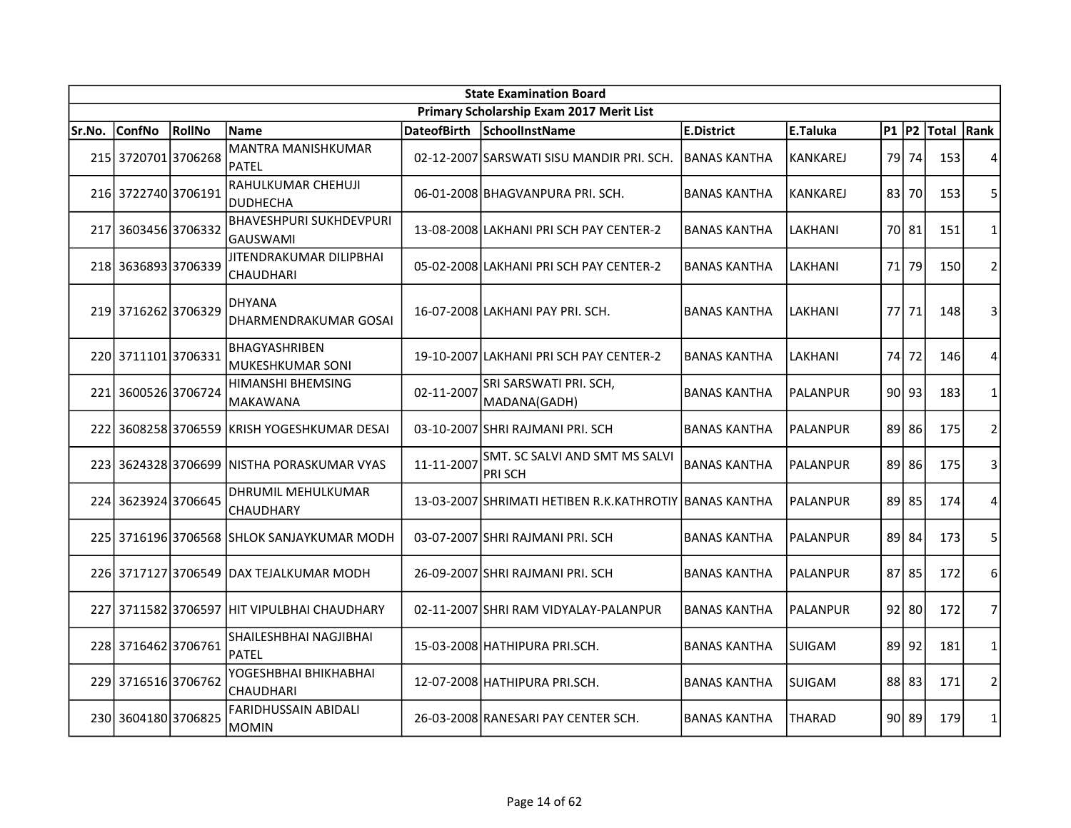|        | <b>State Examination Board</b> |        |                                                   |                    |                                                        |                      |                 |           |           |            |                |  |  |
|--------|--------------------------------|--------|---------------------------------------------------|--------------------|--------------------------------------------------------|----------------------|-----------------|-----------|-----------|------------|----------------|--|--|
|        |                                |        |                                                   |                    | Primary Scholarship Exam 2017 Merit List               |                      |                 |           |           |            |                |  |  |
| Sr.No. | <b>ConfNo</b>                  | RollNo | <b>Name</b>                                       | <b>DateofBirth</b> | SchoolInstName                                         | E.District           | E.Taluka        | $P1$ $P2$ |           | Total Rank |                |  |  |
|        | 215 3720701 3706268            |        | <b>MANTRA MANISHKUMAR</b><br><b>PATEL</b>         |                    | 02-12-2007 SARSWATI SISU MANDIR PRI. SCH.              | <b>IBANAS KANTHA</b> | <b>KANKAREJ</b> | 79        | 74        | 153        | 4              |  |  |
|        | 216 3722740 3706191            |        | RAHULKUMAR CHEHUJI<br><b>DUDHECHA</b>             |                    | 06-01-2008 BHAGVANPURA PRI. SCH.                       | <b>BANAS KANTHA</b>  | KANKAREJ        | 83        | 70        | 153        | 5              |  |  |
|        | 217 3603456 3706332            |        | <b>BHAVESHPURI SUKHDEVPURI</b><br><b>GAUSWAMI</b> |                    | 13-08-2008 LAKHANI PRI SCH PAY CENTER-2                | <b>BANAS KANTHA</b>  | LAKHANI         |           | 70 81     | 151        | 1              |  |  |
|        | 218 3636893 3706339            |        | JITENDRAKUMAR DILIPBHAI<br><b>CHAUDHARI</b>       |                    | 05-02-2008 LAKHANI PRI SCH PAY CENTER-2                | <b>BANAS KANTHA</b>  | LAKHANI         | 71        | 79        | 150        | $\overline{2}$ |  |  |
|        | 219 3716262 3706329            |        | <b>DHYANA</b><br>DHARMENDRAKUMAR GOSAI            |                    | 16-07-2008 LAKHANI PAY PRI. SCH.                       | <b>BANAS KANTHA</b>  | LAKHANI         |           | 77 71     | 148        | 3              |  |  |
|        | 220 3711101 3706331            |        | <b>BHAGYASHRIBEN</b><br><b>MUKESHKUMAR SONI</b>   |                    | 19-10-2007 LAKHANI PRI SCH PAY CENTER-2                | <b>BANAS KANTHA</b>  | LAKHANI         | 74        | 72        | 146        | 4              |  |  |
|        | 221 3600526 3706724            |        | <b>HIMANSHI BHEMSING</b><br><b>MAKAWANA</b>       | 02-11-2007         | SRI SARSWATI PRI. SCH,<br>MADANA(GADH)                 | <b>BANAS KANTHA</b>  | IPALANPUR       | 90 l      | 93        | 183        | 1              |  |  |
|        |                                |        | 222 3608258 3706559 KRISH YOGESHKUMAR DESAI       |                    | 03-10-2007 SHRI RAJMANI PRI. SCH                       | <b>BANAS KANTHA</b>  | PALANPUR        |           | 89 86     | 175        | $\overline{2}$ |  |  |
|        |                                |        | 223 3624328 3706699 NISTHA PORASKUMAR VYAS        | 11-11-2007         | SMT. SC SALVI AND SMT MS SALVI<br>PRI SCH              | <b>BANAS KANTHA</b>  | IPALANPUR       |           | 89 86     | 175        | 3              |  |  |
|        | 224 3623924 3706645            |        | DHRUMIL MEHULKUMAR<br>CHAUDHARY                   |                    | 13-03-2007 SHRIMATI HETIBEN R.K.KATHROTIY BANAS KANTHA |                      | <b>PALANPUR</b> |           | 89 85     | 174        | $\overline{4}$ |  |  |
|        |                                |        | 225 3716196 3706568 SHLOK SANJAYKUMAR MODH        |                    | 03-07-2007 SHRI RAJMANI PRI. SCH                       | <b>BANAS KANTHA</b>  | <b>PALANPUR</b> |           | 89 84     | 173        | 5              |  |  |
|        |                                |        | 226 3717127 3706549 DAX TEJALKUMAR MODH           |                    | 26-09-2007 SHRI RAJMANI PRI. SCH                       | <b>BANAS KANTHA</b>  | <b>PALANPUR</b> |           | 87 85     | 172        | 6              |  |  |
|        |                                |        | 227 3711582 3706597 HIT VIPULBHAI CHAUDHARY       |                    | 02-11-2007 SHRI RAM VIDYALAY-PALANPUR                  | <b>BANAS KANTHA</b>  | <b>PALANPUR</b> |           | $92$   80 | 172        | $\overline{7}$ |  |  |
|        | 228 3716462 3706761            |        | SHAILESHBHAI NAGJIBHAI<br><b>PATEL</b>            |                    | 15-03-2008 HATHIPURA PRI.SCH.                          | IBANAS KANTHA        | <b>SUIGAM</b>   | 89        | 92        | 181        | 1              |  |  |
|        | 229 3716516 3706762            |        | YOGESHBHAI BHIKHABHAI<br><b>CHAUDHARI</b>         |                    | 12-07-2008 HATHIPURA PRI.SCH.                          | <b>BANAS KANTHA</b>  | SUIGAM          | 88        | 83        | 171        | $\overline{2}$ |  |  |
|        | 230 3604180 3706825            |        | <b>FARIDHUSSAIN ABIDALI</b><br>MOMIN              |                    | 26-03-2008 RANESARI PAY CENTER SCH.                    | <b>BANAS KANTHA</b>  | <b>THARAD</b>   |           | 90 89     | 179        | 1              |  |  |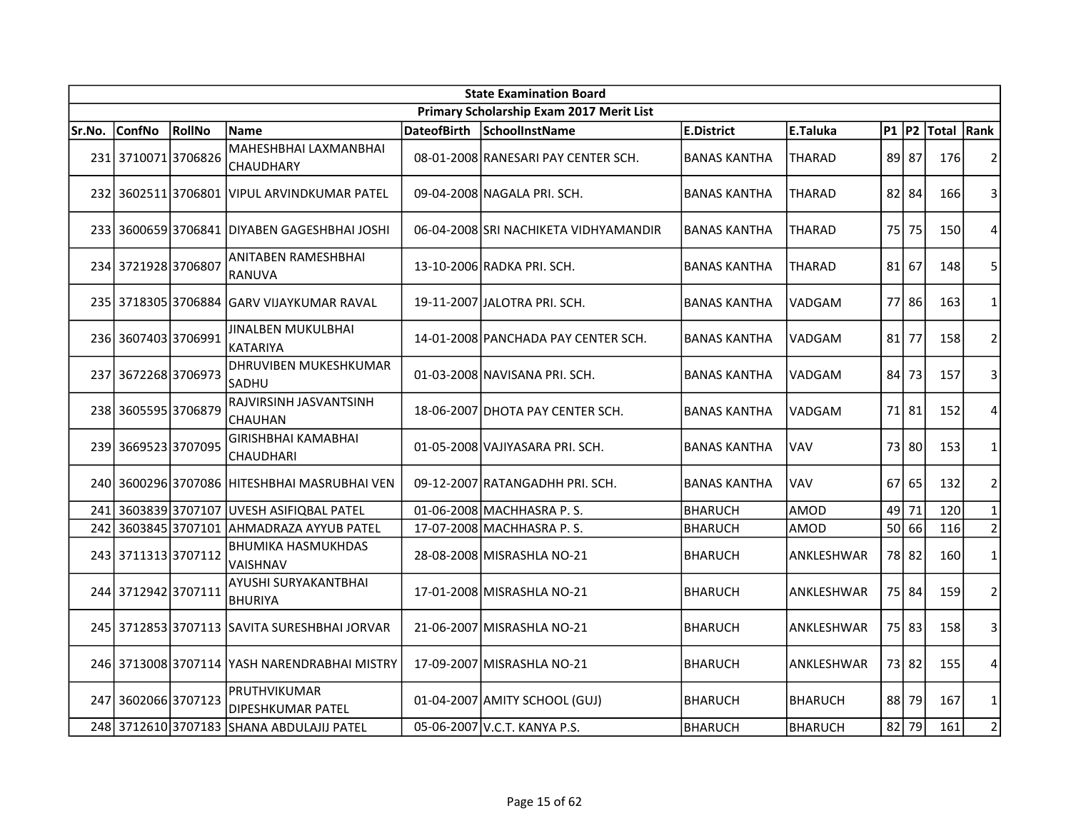| <b>State Examination Board</b> |                     |        |                                              |                    |                                          |                     |                |           |       |            |                |  |
|--------------------------------|---------------------|--------|----------------------------------------------|--------------------|------------------------------------------|---------------------|----------------|-----------|-------|------------|----------------|--|
|                                |                     |        |                                              |                    | Primary Scholarship Exam 2017 Merit List |                     |                |           |       |            |                |  |
| Sr.No.                         | <b>ConfNo</b>       | RollNo | Name                                         | <b>DateofBirth</b> | SchoolInstName                           | <b>E.District</b>   | E.Taluka       | $P1$ $P2$ |       | Total Rank |                |  |
|                                | 231 3710071 3706826 |        | MAHESHBHAI LAXMANBHAI<br>CHAUDHARY           |                    | 08-01-2008 RANESARI PAY CENTER SCH.      | <b>BANAS KANTHA</b> | <b>THARAD</b>  | 89        | 87    | 176        | $\overline{2}$ |  |
|                                |                     |        | 232 3602511 3706801 VIPUL ARVINDKUMAR PATEL  |                    | 09-04-2008 NAGALA PRI. SCH.              | <b>BANAS KANTHA</b> | <b>THARAD</b>  |           | 82 84 | 166        | 3              |  |
|                                |                     |        | 233 3600659 3706841 DIYABEN GAGESHBHAI JOSHI |                    | 06-04-2008 SRI NACHIKETA VIDHYAMANDIR    | <b>BANAS KANTHA</b> | THARAD         | 75        | 75    | 150        | 4              |  |
|                                | 234 3721928 3706807 |        | ANITABEN RAMESHBHAI<br><b>RANUVA</b>         |                    | 13-10-2006 RADKA PRI. SCH.               | <b>BANAS KANTHA</b> | THARAD         | 81        | 67    | 148        | 5              |  |
|                                |                     |        | 235 3718305 3706884 GARV VIJAYKUMAR RAVAL    |                    | 19-11-2007 JJALOTRA PRI. SCH.            | <b>BANAS KANTHA</b> | VADGAM         | 77        | 86    | 163        | $\mathbf{1}$   |  |
|                                | 236 3607403 3706991 |        | <b>JINALBEN MUKULBHAI</b><br>KATARIYA        |                    | 14-01-2008 PANCHADA PAY CENTER SCH.      | <b>BANAS KANTHA</b> | VADGAM         | 81        | 77    | 158        | $\overline{2}$ |  |
| 237                            | 36722683706973      |        | DHRUVIBEN MUKESHKUMAR<br>SADHU               |                    | 01-03-2008 NAVISANA PRI. SCH.            | <b>BANAS KANTHA</b> | VADGAM         | 84        | 73    | 157        | 3              |  |
|                                | 238 3605595 3706879 |        | RAJVIRSINH JASVANTSINH<br>CHAUHAN            |                    | 18-06-2007 DHOTA PAY CENTER SCH.         | <b>BANAS KANTHA</b> | VADGAM         |           | 71 81 | 152        | 4              |  |
|                                | 239 3669523 3707095 |        | <b>GIRISHBHAI KAMABHAI</b><br>CHAUDHARI      |                    | 01-05-2008 VAJIYASARA PRI. SCH.          | <b>BANAS KANTHA</b> | VAV            | 73        | 80    | 153        | $\mathbf{1}$   |  |
|                                |                     |        | 240 3600296 3707086 HITESHBHAI MASRUBHAI VEN |                    | 09-12-2007 RATANGADHH PRI. SCH.          | <b>BANAS KANTHA</b> | VAV            | 67        | 65    | 132        | $\overline{2}$ |  |
| 241                            | 36038393707107      |        | <b>UVESH ASIFIQBAL PATEL</b>                 |                    | 01-06-2008 MACHHASRA P.S.                | BHARUCH             | <b>AMOD</b>    | 49        | 71    | 120        | $\mathbf{1}$   |  |
| 242                            | 3603845 3707101     |        | AHMADRAZA AYYUB PATEL                        |                    | 17-07-2008 MACHHASRA P.S.                | <b>BHARUCH</b>      | AMOD           | 50        | 66    | 116        | $\overline{2}$ |  |
| 243                            | 37113133707112      |        | <b>BHUMIKA HASMUKHDAS</b><br>VAISHNAV        |                    | 28-08-2008 MISRASHLA NO-21               | <b>BHARUCH</b>      | ANKLESHWAR     |           | 78 82 | 160        | $\mathbf{1}$   |  |
|                                | 244 3712942 3707111 |        | AYUSHI SURYAKANTBHAI<br><b>BHURIYA</b>       |                    | 17-01-2008 MISRASHLA NO-21               | <b>BHARUCH</b>      | ANKLESHWAR     |           | 75 84 | 159        | $\overline{2}$ |  |
|                                |                     |        | 245 3712853 3707113 SAVITA SURESHBHAI JORVAR |                    | 21-06-2007 MISRASHLA NO-21               | <b>BHARUCH</b>      | ANKLESHWAR     |           | 75 83 | 158        | 3              |  |
|                                |                     |        | 246 3713008 3707114 YASH NARENDRABHAI MISTRY |                    | 17-09-2007 MISRASHLA NO-21               | <b>BHARUCH</b>      | ANKLESHWAR     |           | 73 82 | 155        | 4              |  |
| 247                            | 36020663707123      |        | PRUTHVIKUMAR<br>DIPESHKUMAR PATEL            |                    | 01-04-2007 AMITY SCHOOL (GUJ)            | BHARUCH             | <b>BHARUCH</b> | 88        | 79    | 167        | $\mathbf{1}$   |  |
|                                |                     |        | 248 3712610 3707183 SHANA ABDULAJIJ PATEL    |                    | 05-06-2007 V.C.T. KANYA P.S.             | BHARUCH             | <b>BHARUCH</b> | 82        | 79    | 161        | $\overline{2}$ |  |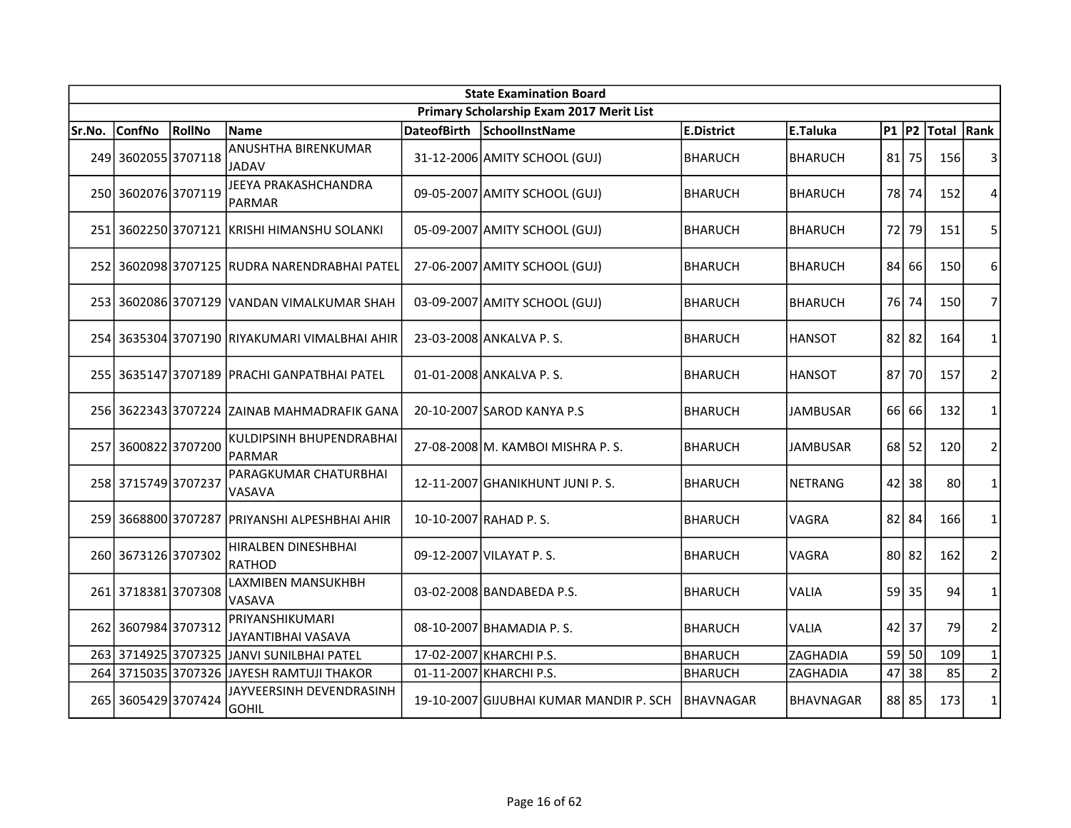| <b>State Examination Board</b> |                     |        |                                               |                    |                                          |                   |                  |                 |           |            |                |  |
|--------------------------------|---------------------|--------|-----------------------------------------------|--------------------|------------------------------------------|-------------------|------------------|-----------------|-----------|------------|----------------|--|
|                                |                     |        |                                               |                    | Primary Scholarship Exam 2017 Merit List |                   |                  |                 |           |            |                |  |
| Sr.No.                         | <b>ConfNo</b>       | RollNo | Name                                          | <b>DateofBirth</b> | SchoolInstName                           | <b>E.District</b> | E.Taluka         | $P1$ $P2$       |           | Total Rank |                |  |
|                                | 249 3602055 3707118 |        | ANUSHTHA BIRENKUMAR<br><b>JADAV</b>           |                    | 31-12-2006 AMITY SCHOOL (GUJ)            | BHARUCH           | <b>BHARUCH</b>   | 81              | 75        | 156        | 3              |  |
|                                | 250 3602076 3707119 |        | JEEYA PRAKASHCHANDRA<br>PARMAR                |                    | 09-05-2007 AMITY SCHOOL (GUJ)            | <b>BHARUCH</b>    | <b>BHARUCH</b>   | 78              | 74        | 152        | 4              |  |
|                                |                     |        | 251 3602250 3707121 KRISHI HIMANSHU SOLANKI   |                    | 05-09-2007 AMITY SCHOOL (GUJ)            | BHARUCH           | <b>BHARUCH</b>   | 72              | 79        | 151        | 5              |  |
|                                |                     |        | 252 3602098 3707125 RUDRA NARENDRABHAI PATEL  |                    | 27-06-2007 AMITY SCHOOL (GUJ)            | BHARUCH           | <b>BHARUCH</b>   | 84              | 66        | 150        | 6              |  |
|                                |                     |        | 253 3602086 3707129 VANDAN VIMALKUMAR SHAH    |                    | 03-09-2007 AMITY SCHOOL (GUJ)            | <b>BHARUCH</b>    | <b>BHARUCH</b>   | 76 I            | 74        | 150        | $\overline{7}$ |  |
|                                |                     |        | 254 3635304 3707190 RIYAKUMARI VIMALBHAI AHIR |                    | 23-03-2008 ANKALVA P.S.                  | <b>BHARUCH</b>    | <b>HANSOT</b>    |                 | $82$   82 | 164        | 1              |  |
|                                |                     |        | 255 3635147 3707189 PRACHI GANPATBHAI PATEL   |                    | 01-01-2008 ANKALVA P.S.                  | BHARUCH           | <b>HANSOT</b>    | 87 <sup>1</sup> | 70        | 157        | $\overline{2}$ |  |
|                                |                     |        | 256 3622343 3707224 ZAINAB MAHMADRAFIK GANA   |                    | 20-10-2007 SAROD KANYA P.S               | <b>BHARUCH</b>    | JAMBUSAR         |                 | 66 66     | 132        | $\mathbf{1}$   |  |
|                                | 257 3600822 3707200 |        | KULDIPSINH BHUPENDRABHAI<br><b>PARMAR</b>     |                    | 27-08-2008 M. KAMBOI MISHRA P.S.         | <b>BHARUCH</b>    | JAMBUSAR         |                 | $68$ 52   | 120        | $\overline{2}$ |  |
|                                | 258 3715749 3707237 |        | PARAGKUMAR CHATURBHAI<br>VASAVA               |                    | 12-11-2007 GHANIKHUNT JUNI P.S.          | <b>BHARUCH</b>    | <b>NETRANG</b>   | 42              | 38        | 80         | $\mathbf{1}$   |  |
|                                |                     |        | 259 3668800 3707287 PRIYANSHI ALPESHBHAI AHIR |                    | 10-10-2007 RAHAD P.S.                    | BHARUCH           | VAGRA            | 82              | 84        | 166        | $\mathbf{1}$   |  |
|                                | 260 3673126 3707302 |        | HIRALBEN DINESHBHAI<br>RATHOD                 |                    | 09-12-2007 VILAYAT P.S.                  | BHARUCH           | VAGRA            |                 | $80$   82 | 162        | $\overline{2}$ |  |
|                                | 261 3718381 3707308 |        | LAXMIBEN MANSUKHBH<br>VASAVA                  |                    | 03-02-2008 BANDABEDA P.S.                | BHARUCH           | <b>VALIA</b>     | 59              | 35        | 94         | $\mathbf{1}$   |  |
|                                | 262 3607984 3707312 |        | PRIYANSHIKUMARI<br>JAYANTIBHAI VASAVA         |                    | 08-10-2007 BHAMADIA P.S.                 | BHARUCH           | VALIA            | 42              | 37        | 79         | $\overline{2}$ |  |
|                                | 263 3714925 3707325 |        | JANVI SUNILBHAI PATEL                         |                    | 17-02-2007 KHARCHI P.S.                  | BHARUCH           | ZAGHADIA         | 59              | 50        | 109        | $\mathbf{1}$   |  |
|                                | 264 3715035 3707326 |        | JAYESH RAMTUJI THAKOR                         |                    | 01-11-2007 KHARCHI P.S.                  | BHARUCH           | ZAGHADIA         | 47              | 38        | 85         | $\overline{2}$ |  |
|                                | 265 3605429 3707424 |        | JAYVEERSINH DEVENDRASINH<br><b>GOHIL</b>      |                    | 19-10-2007 GIJUBHAI KUMAR MANDIR P. SCH  | IBHAVNAGAR        | <b>BHAVNAGAR</b> |                 | 88 85     | 173        | $\mathbf{1}$   |  |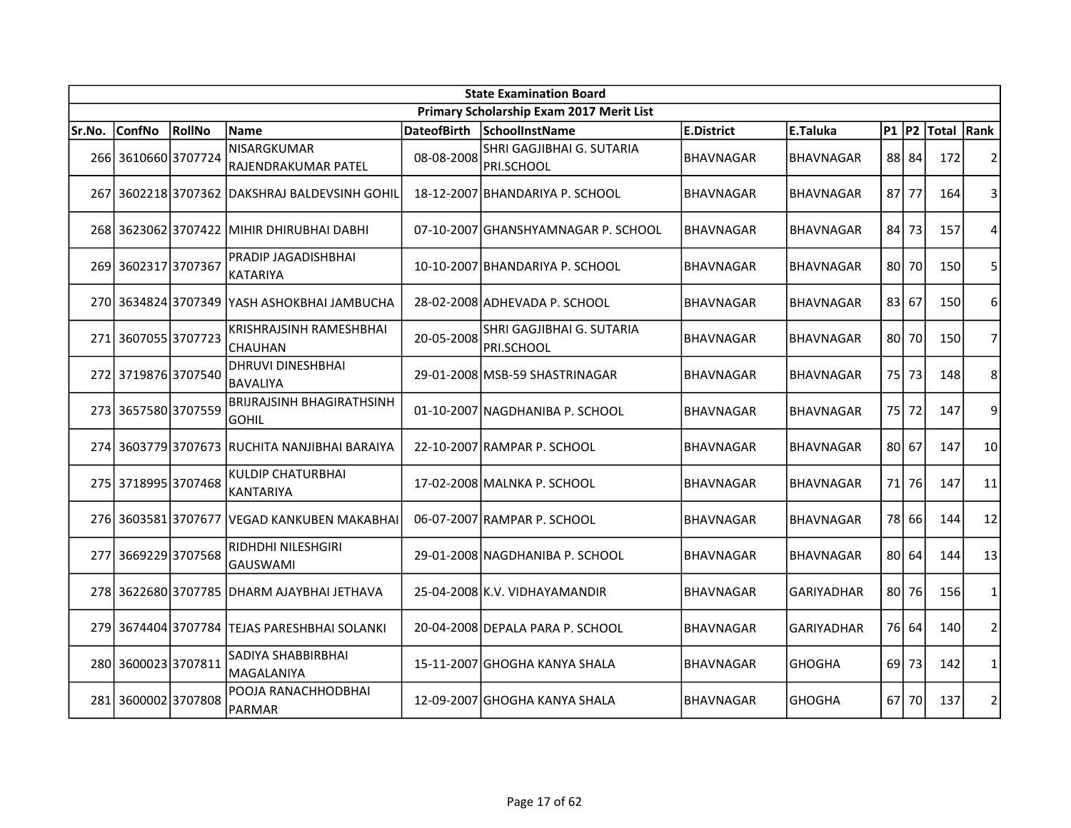| <b>State Examination Board</b> |                     |        |                                                  |                    |                                          |                  |                   |           |       |            |                |  |
|--------------------------------|---------------------|--------|--------------------------------------------------|--------------------|------------------------------------------|------------------|-------------------|-----------|-------|------------|----------------|--|
|                                |                     |        |                                                  |                    | Primary Scholarship Exam 2017 Merit List |                  |                   |           |       |            |                |  |
| Sr.No.                         | <b>ConfNo</b>       | RollNo | Name                                             | <b>DateofBirth</b> | SchoolInstName                           | E.District       | E.Taluka          | $P1$ $P2$ |       | Total Rank |                |  |
|                                | 266 3610660 3707724 |        | NISARGKUMAR<br>RAJENDRAKUMAR PATEL               | 08-08-2008         | SHRI GAGJIBHAI G. SUTARIA<br>PRI.SCHOOL  | BHAVNAGAR        | <b>BHAVNAGAR</b>  |           | 88 84 | 172        | 2              |  |
| 267                            |                     |        | 3602218 3707362 DAKSHRAJ BALDEVSINH GOHIL        |                    | 18-12-2007 BHANDARIYA P. SCHOOL          | <b>BHAVNAGAR</b> | BHAVNAGAR         |           | 87 77 | 164        | 3              |  |
|                                |                     |        | 268 3623062 3707422 MIHIR DHIRUBHAI DABHI        |                    | 07-10-2007 GHANSHYAMNAGAR P. SCHOOL      | <b>BHAVNAGAR</b> | BHAVNAGAR         | 84        | 73    | 157        | 4              |  |
|                                | 269 3602317 3707367 |        | PRADIP JAGADISHBHAI<br><b>KATARIYA</b>           |                    | 10-10-2007 BHANDARIYA P. SCHOOL          | <b>BHAVNAGAR</b> | <b>BHAVNAGAR</b>  |           | 80 70 | 150        | 5              |  |
|                                |                     |        | 270 3634824 3707349 YASH ASHOKBHAI JAMBUCHA      |                    | 28-02-2008 ADHEVADA P. SCHOOL            | <b>BHAVNAGAR</b> | <b>BHAVNAGAR</b>  |           | 83 67 | 150        | 6              |  |
| 271                            | 36070553707723      |        | KRISHRAJSINH RAMESHBHAI<br><b>CHAUHAN</b>        | 20-05-2008         | SHRI GAGJIBHAI G. SUTARIA<br>PRI.SCHOOL  | <b>BHAVNAGAR</b> | <b>BHAVNAGAR</b>  | 80 I      | 70    | 150        | 7              |  |
|                                | 272 3719876 3707540 |        | <b>DHRUVI DINESHBHAI</b><br><b>BAVALIYA</b>      |                    | 29-01-2008 MSB-59 SHASTRINAGAR           | BHAVNAGAR        | <b>BHAVNAGAR</b>  | 75        | 73    | 148        | 8              |  |
|                                | 273 3657580 3707559 |        | <b>BRIJRAJSINH BHAGIRATHSINH</b><br><b>GOHIL</b> |                    | 01-10-2007 NAGDHANIBA P. SCHOOL          | <b>BHAVNAGAR</b> | <b>BHAVNAGAR</b>  |           | 75 72 | 147        | 9              |  |
|                                |                     |        | 274 3603779 3707673 RUCHITA NANJIBHAI BARAIYA    |                    | 22-10-2007 RAMPAR P. SCHOOL              | <b>BHAVNAGAR</b> | <b>BHAVNAGAR</b>  | 80        | 67    | 147        | 10             |  |
|                                | 275 3718995 3707468 |        | <b>KULDIP CHATURBHAI</b><br>KANTARIYA            |                    | 17-02-2008 MALNKA P. SCHOOL              | <b>BHAVNAGAR</b> | BHAVNAGAR         | 71        | 76    | 147        | 11             |  |
|                                |                     |        | 276 3603581 3707677 VEGAD KANKUBEN MAKABHAI      |                    | 06-07-2007 RAMPAR P. SCHOOL              | BHAVNAGAR        | <b>BHAVNAGAR</b>  | 78        | 66    | 144        | 12             |  |
| 277                            | 36692293707568      |        | RIDHDHI NILESHGIRI<br>GAUSWAMI                   |                    | 29-01-2008 NAGDHANIBA P. SCHOOL          | <b>BHAVNAGAR</b> | <b>BHAVNAGAR</b>  | 801       | 64    | 144        | 13             |  |
|                                |                     |        | 278 3622680 3707785 DHARM AJAYBHAI JETHAVA       |                    | 25-04-2008 K.V. VIDHAYAMANDIR            | BHAVNAGAR        | <b>GARIYADHAR</b> | 80 I      | 76    | 156        | 1              |  |
|                                | 279 3674404 3707784 |        | ITEJAS PARESHBHAI SOLANKI                        |                    | 20-04-2008 DEPALA PARA P. SCHOOL         | <b>BHAVNAGAR</b> | GARIYADHAR        |           | 76 64 | 140        | $\overline{2}$ |  |
| 280l                           | 36000233707811      |        | SADIYA SHABBIRBHAI<br>MAGALANIYA                 |                    | 15-11-2007 GHOGHA KANYA SHALA            | <b>BHAVNAGAR</b> | <b>GHOGHA</b>     | 69        | 73    | 142        | 1              |  |
|                                | 281 3600002 3707808 |        | POOJA RANACHHODBHAI<br>PARMAR                    |                    | 12-09-2007 GHOGHA KANYA SHALA            | <b>BHAVNAGAR</b> | <b>GHOGHA</b>     | 67 I      | 70    | 137        | $\overline{2}$ |  |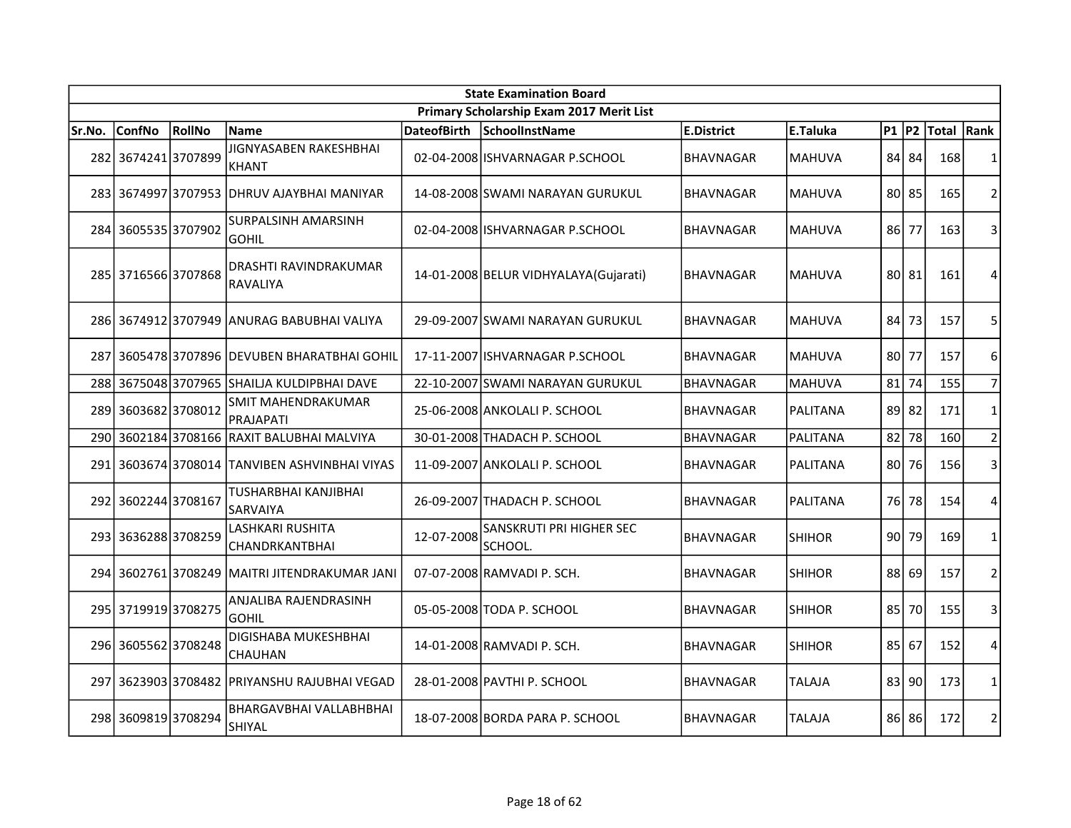| <b>State Examination Board</b> |                     |        |                                                 |                    |                                          |                   |               |           |       |             |                |  |
|--------------------------------|---------------------|--------|-------------------------------------------------|--------------------|------------------------------------------|-------------------|---------------|-----------|-------|-------------|----------------|--|
|                                |                     |        |                                                 |                    | Primary Scholarship Exam 2017 Merit List |                   |               |           |       |             |                |  |
| Sr.No.                         | <b>ConfNo</b>       | RollNo | <b>Name</b>                                     | <b>DateofBirth</b> | SchoolInstName                           | <b>E.District</b> | E.Taluka      | $P1$ $P2$ |       | Total  Rank |                |  |
|                                | 282 3674241 3707899 |        | JIGNYASABEN RAKESHBHAI<br>KHANT                 |                    | 02-04-2008 ISHVARNAGAR P.SCHOOL          | <b>BHAVNAGAR</b>  | <b>MAHUVA</b> | 84        | 84    | 168         | $\mathbf{1}$   |  |
|                                |                     |        | 283 3674997 3707953 DHRUV AJAYBHAI MANIYAR      |                    | 14-08-2008 SWAMI NARAYAN GURUKUL         | <b>BHAVNAGAR</b>  | <b>MAHUVA</b> |           | 80 85 | 165         | $\overline{2}$ |  |
|                                | 284 3605535 3707902 |        | SURPALSINH AMARSINH<br><b>GOHIL</b>             |                    | 02-04-2008   ISHVARNAGAR P.SCHOOL        | <b>BHAVNAGAR</b>  | <b>MAHUVA</b> | 86        | 77    | 163         | 3              |  |
|                                | 285 3716566 3707868 |        | DRASHTI RAVINDRAKUMAR<br><b>RAVALIYA</b>        |                    | 14-01-2008 BELUR VIDHYALAYA (Gujarati)   | <b>BHAVNAGAR</b>  | <b>MAHUVA</b> |           | 80 81 | 161         | 4              |  |
|                                |                     |        | 286 3674912 3707949 ANURAG BABUBHAI VALIYA      |                    | 29-09-2007 SWAMI NARAYAN GURUKUL         | <b>BHAVNAGAR</b>  | <b>MAHUVA</b> | 84        | 73    | 157         | 5              |  |
|                                |                     |        | 287 3605478 3707896 DEVUBEN BHARATBHAI GOHIL    |                    | 17-11-2007 ISHVARNAGAR P.SCHOOL          | <b>BHAVNAGAR</b>  | <b>MAHUVA</b> | 80        | 77    | 157         | 6              |  |
|                                | 288 3675048 3707965 |        | SHAILJA KULDIPBHAI DAVE                         |                    | 22-10-2007 SWAMI NARAYAN GURUKUL         | <b>BHAVNAGAR</b>  | MAHUVA        | 81        | 74    | 155         | $\overline{7}$ |  |
|                                | 289 3603682 3708012 |        | SMIT MAHENDRAKUMAR<br>PRAJAPATI                 |                    | 25-06-2008 ANKOLALI P. SCHOOL            | <b>BHAVNAGAR</b>  | PALITANA      | 89        | 82    | 171         | $\mathbf{1}$   |  |
|                                | 290 3602184 3708166 |        | RAXIT BALUBHAI MALVIYA                          |                    | 30-01-2008 THADACH P. SCHOOL             | BHAVNAGAR         | PALITANA      | 82        | 78    | 160         | $\overline{2}$ |  |
|                                |                     |        | 291 3603674 3708014 TANVIBEN ASHVINBHAI VIYAS   |                    | 11-09-2007 ANKOLALI P. SCHOOL            | <b>BHAVNAGAR</b>  | PALITANA      | 80 l      | 76    | 156         | $\overline{3}$ |  |
|                                | 292 3602244 3708167 |        | TUSHARBHAI KANJIBHAI<br>SARVAIYA                |                    | 26-09-2007 THADACH P. SCHOOL             | <b>BHAVNAGAR</b>  | PALITANA      | 76        | 78    | 154         | $\overline{4}$ |  |
|                                | 293 3636288 3708259 |        | LASHKARI RUSHITA<br>CHANDRKANTBHAI              | 12-07-2008         | SANSKRUTI PRI HIGHER SEC<br>SCHOOL.      | <b>BHAVNAGAR</b>  | <b>SHIHOR</b> | 90 l      | 79    | 169         | 1              |  |
|                                | 294 3602761 3708249 |        | MAITRI JITENDRAKUMAR JANI                       |                    | 07-07-2008 RAMVADI P. SCH.               | <b>BHAVNAGAR</b>  | <b>SHIHOR</b> | 88        | 69    | 157         | $\overline{2}$ |  |
|                                | 295 3719919 3708275 |        | ANJALIBA RAJENDRASINH<br><b>GOHIL</b>           |                    | 05-05-2008 TODA P. SCHOOL                | <b>BHAVNAGAR</b>  | <b>SHIHOR</b> | 85 I      | 70    | 155         | 3              |  |
|                                | 296 3605562 3708248 |        | DIGISHABA MUKESHBHAI<br><b>CHAUHAN</b>          |                    | 14-01-2008 RAMVADI P. SCH.               | <b>BHAVNAGAR</b>  | <b>SHIHOR</b> | 85        | 67    | 152         | 4              |  |
|                                | 297 3623903 3708482 |        | <b>PRIYANSHU RAJUBHAI VEGAD</b>                 |                    | 28-01-2008 PAVTHI P. SCHOOL              | <b>BHAVNAGAR</b>  | TALAJA        | 83        | 90    | 173         | $\mathbf{1}$   |  |
|                                | 298 3609819 3708294 |        | <b>BHARGAVBHAI VALLABHBHAI</b><br><b>SHIYAL</b> |                    | 18-07-2008 BORDA PARA P. SCHOOL          | <b>BHAVNAGAR</b>  | <b>TALAJA</b> |           | 86 86 | 172         | $\overline{2}$ |  |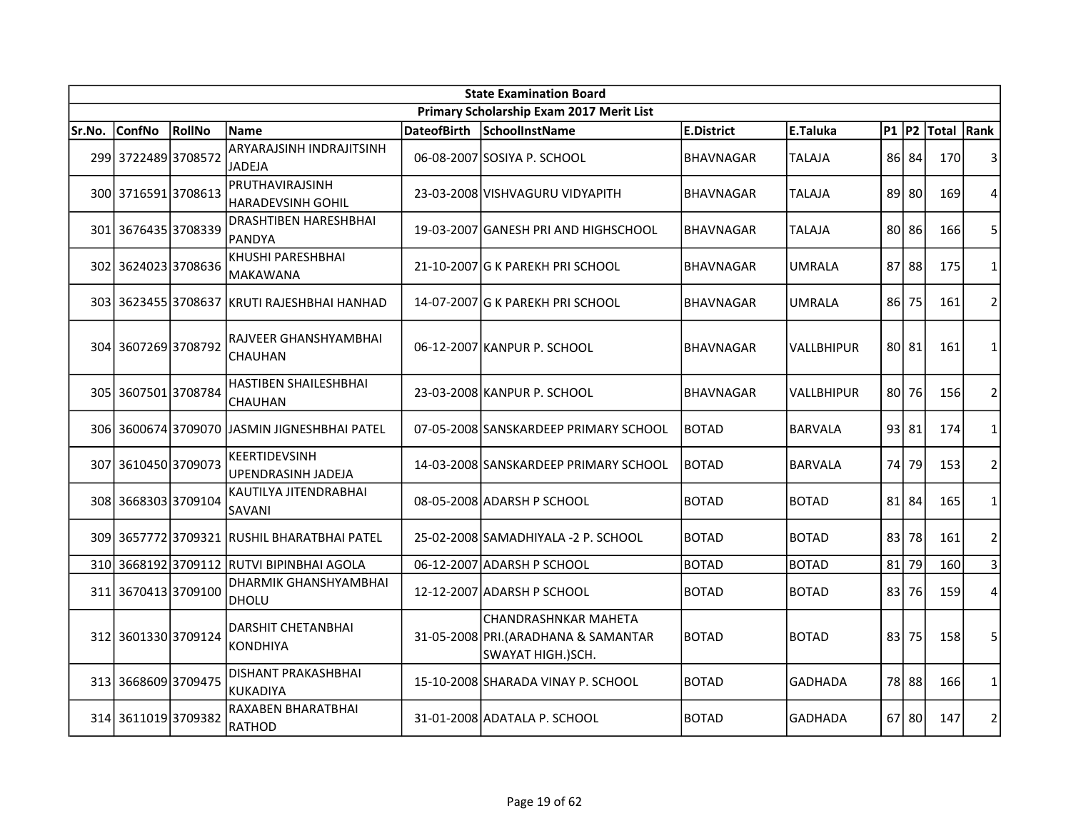| <b>State Examination Board</b> |                     |        |                                              |                    |                                                                                          |                   |                |           |         |             |                |  |
|--------------------------------|---------------------|--------|----------------------------------------------|--------------------|------------------------------------------------------------------------------------------|-------------------|----------------|-----------|---------|-------------|----------------|--|
|                                |                     |        |                                              |                    | Primary Scholarship Exam 2017 Merit List                                                 |                   |                |           |         |             |                |  |
| Sr.No.                         | <b>ConfNo</b>       | RollNo | <b>Name</b>                                  | <b>DateofBirth</b> | SchoolInstName                                                                           | <b>E.District</b> | E.Taluka       | $P1$ $P2$ |         | Total  Rank |                |  |
|                                | 299 3722489 3708572 |        | ARYARAJSINH INDRAJITSINH<br><b>JADEJA</b>    |                    | 06-08-2007 SOSIYA P. SCHOOL                                                              | <b>BHAVNAGAR</b>  | <b>TALAJA</b>  | 86        | 84      | 170         | 3              |  |
|                                | 300 3716591 3708613 |        | PRUTHAVIRAJSINH<br>HARADEVSINH GOHIL         |                    | 23-03-2008 VISHVAGURU VIDYAPITH                                                          | <b>BHAVNAGAR</b>  | <b>TALAJA</b>  |           | 89 80   | 169         | 4              |  |
|                                | 301 3676435 3708339 |        | DRASHTIBEN HARESHBHAI<br>PANDYA              |                    | 19-03-2007 GANESH PRI AND HIGHSCHOOL                                                     | <b>BHAVNAGAR</b>  | <b>TALAJA</b>  | 80 l      | 86      | 166         | 5              |  |
|                                | 302 3624023 3708636 |        | KHUSHI PARESHBHAI<br><b>MAKAWANA</b>         |                    | 21-10-2007 G K PAREKH PRI SCHOOL                                                         | <b>BHAVNAGAR</b>  | UMRALA         | 87        | 88      | 175         | 1              |  |
|                                |                     |        | 303 3623455 3708637 KRUTI RAJESHBHAI HANHAD  |                    | 14-07-2007 G K PAREKH PRI SCHOOL                                                         | <b>BHAVNAGAR</b>  | <b>UMRALA</b>  | 86        | 75      | 161         | $\overline{2}$ |  |
|                                | 304 3607269 3708792 |        | RAJVEER GHANSHYAMBHAI<br><b>CHAUHAN</b>      |                    | 06-12-2007 KANPUR P. SCHOOL                                                              | <b>BHAVNAGAR</b>  | VALLBHIPUR     |           | 80 81   | 161         | $\mathbf{1}$   |  |
| 305l                           | 36075013708784      |        | HASTIBEN SHAILESHBHAI<br><b>CHAUHAN</b>      |                    | 23-03-2008 KANPUR P. SCHOOL                                                              | BHAVNAGAR         | VALLBHIPUR     | 80        | 76      | 156         | $\overline{2}$ |  |
|                                |                     |        | 306 3600674 3709070 JASMIN JIGNESHBHAI PATEL |                    | 07-05-2008 SANSKARDEEP PRIMARY SCHOOL                                                    | <b>BOTAD</b>      | <b>BARVALA</b> |           | 93 81   | 174         | $\mathbf{1}$   |  |
|                                | 307 3610450 3709073 |        | KEERTIDEVSINH<br><b>UPENDRASINH JADEJA</b>   |                    | 14-03-2008 SANSKARDEEP PRIMARY SCHOOL                                                    | <b>BOTAD</b>      | <b>BARVALA</b> | 74        | 79      | 153         | $\overline{2}$ |  |
|                                | 308 3668303 3709104 |        | KAUTILYA JITENDRABHAI<br>SAVANI              |                    | 08-05-2008 ADARSH P SCHOOL                                                               | BOTAD             | <b>BOTAD</b>   |           | $81$ 84 | 165         | $\mathbf{1}$   |  |
|                                |                     |        | 309 3657772 3709321 RUSHIL BHARATBHAI PATEL  |                    | 25-02-2008 SAMADHIYALA - 2 P. SCHOOL                                                     | <b>BOTAD</b>      | <b>BOTAD</b>   | 83 l      | 78      | 161         | $\overline{2}$ |  |
| 310                            |                     |        | 3668192 3709112 RUTVI BIPINBHAI AGOLA        |                    | 06-12-2007 ADARSH P SCHOOL                                                               | <b>BOTAD</b>      | <b>BOTAD</b>   | 81        | 79      | 160         | $\mathbf{3}$   |  |
|                                | 311 3670413 3709100 |        | DHARMIK GHANSHYAMBHAI<br><b>DHOLU</b>        |                    | 12-12-2007 ADARSH P SCHOOL                                                               | <b>BOTAD</b>      | <b>BOTAD</b>   | 83        | 76      | 159         | $\overline{4}$ |  |
|                                | 312 3601330 3709124 |        | <b>DARSHIT CHETANBHAI</b><br><b>KONDHIYA</b> |                    | <b>CHANDRASHNKAR MAHETA</b><br>31-05-2008 PRI. (ARADHANA & SAMANTAR<br>SWAYAT HIGH.)SCH. | <b>BOTAD</b>      | <b>BOTAD</b>   | 83        | 75      | 158         | 5              |  |
|                                | 313 3668609 3709475 |        | <b>DISHANT PRAKASHBHAI</b><br>KUKADIYA       |                    | 15-10-2008 SHARADA VINAY P. SCHOOL                                                       | <b>BOTAD</b>      | <b>GADHADA</b> |           | 78 88   | 166         | $\mathbf{1}$   |  |
|                                | 314 3611019 3709382 |        | RAXABEN BHARATBHAI<br>RATHOD                 |                    | 31-01-2008 ADATALA P. SCHOOL                                                             | <b>BOTAD</b>      | <b>GADHADA</b> |           | 67 80   | 147         | $\overline{2}$ |  |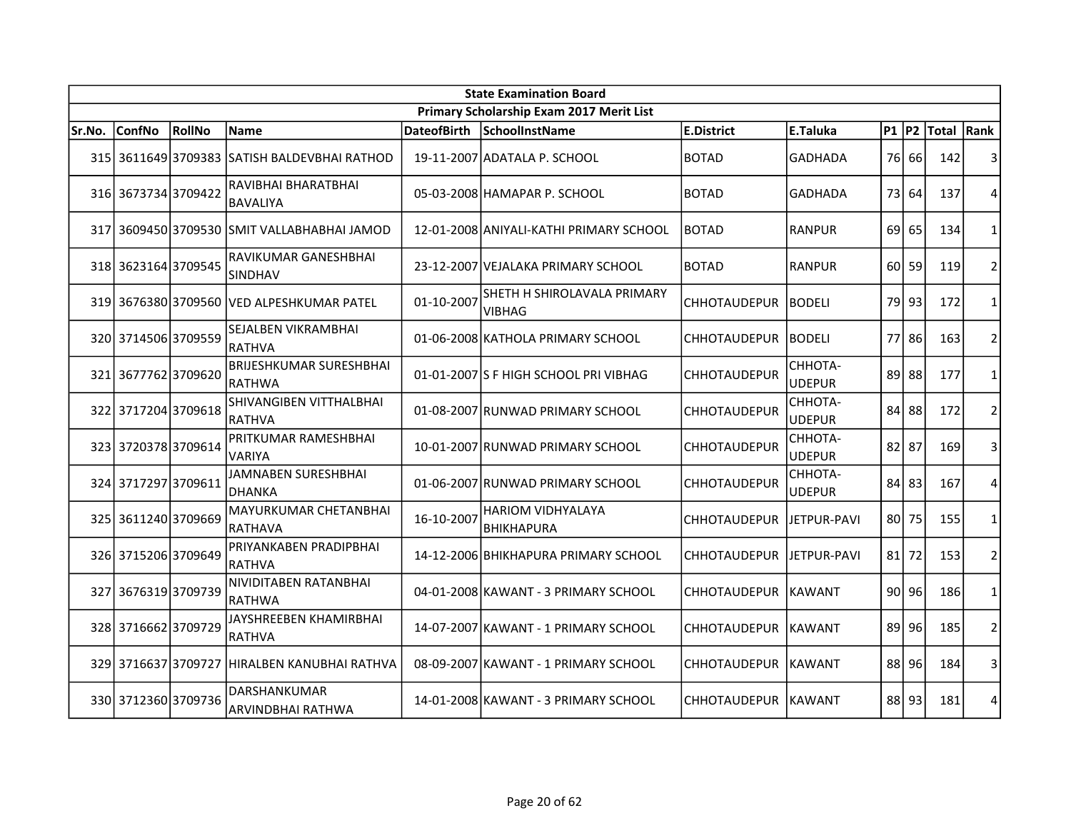|        | <b>State Examination Board</b> |        |                                              |                    |                                               |                      |                          |         |       |            |                |  |  |
|--------|--------------------------------|--------|----------------------------------------------|--------------------|-----------------------------------------------|----------------------|--------------------------|---------|-------|------------|----------------|--|--|
|        |                                |        |                                              |                    | Primary Scholarship Exam 2017 Merit List      |                      |                          |         |       |            |                |  |  |
| Sr.No. | <b>ConfNo</b>                  | RollNo | Name                                         | <b>DateofBirth</b> | SchoolInstName                                | E.District           | E.Taluka                 | $P1$ P2 |       | Total Rank |                |  |  |
|        |                                |        | 315 3611649 3709383 SATISH BALDEVBHAI RATHOD |                    | 19-11-2007 ADATALA P. SCHOOL                  | <b>BOTAD</b>         | <b>GADHADA</b>           | 76 I    | 66    | 142        | 3              |  |  |
|        | 316 3673734 3709422            |        | RAVIBHAI BHARATBHAI<br><b>BAVALIYA</b>       |                    | 05-03-2008 HAMAPAR P. SCHOOL                  | <b>BOTAD</b>         | <b>GADHADA</b>           | 73 I    | 64    | 137        | 4              |  |  |
|        |                                |        | 317 3609450 3709530 SMIT VALLABHABHAI JAMOD  |                    | 12-01-2008 ANIYALI-KATHI PRIMARY SCHOOL       | <b>BOTAD</b>         | <b>RANPUR</b>            | 69      | 65    | 134        | $\mathbf{1}$   |  |  |
|        | 318 3623164 3709545            |        | RAVIKUMAR GANESHBHAI<br><b>SINDHAV</b>       |                    | 23-12-2007 VEJALAKA PRIMARY SCHOOL            | <b>BOTAD</b>         | <b>RANPUR</b>            | 60 l    | 59    | 119        | $\overline{2}$ |  |  |
|        |                                |        | 319 3676380 3709560 VED ALPESHKUMAR PATEL    | 01-10-2007         | SHETH H SHIROLAVALA PRIMARY<br><b>VIBHAG</b>  | <b>CHHOTAUDEPUR</b>  | <b>BODELI</b>            |         | 79 93 | 172        | 1              |  |  |
|        | 320 3714506 3709559            |        | SEJALBEN VIKRAMBHAI<br>RATHVA                |                    | 01-06-2008 KATHOLA PRIMARY SCHOOL             | <b>CHHOTAUDEPUR</b>  | <b>BODELI</b>            | 77      | 86    | 163        | $\overline{2}$ |  |  |
|        | 321 3677762 3709620            |        | <b>BRIJESHKUMAR SURESHBHAI</b><br>RATHWA     |                    | 01-01-2007 S F HIGH SCHOOL PRI VIBHAG         | <b>CHHOTAUDEPUR</b>  | СННОТА-<br><b>UDEPUR</b> | 89      | 88    | 177        | $\mathbf{1}$   |  |  |
|        | 322 3717204 3709618            |        | SHIVANGIBEN VITTHALBHAI<br><b>RATHVA</b>     |                    | 01-08-2007 RUNWAD PRIMARY SCHOOL              | <b>CHHOTAUDEPUR</b>  | СННОТА-<br><b>UDEPUR</b> | 84      | 88    | 172        | $\overline{2}$ |  |  |
|        | 323 3720378 3709614            |        | PRITKUMAR RAMESHBHAI<br>VARIYA               |                    | 10-01-2007 RUNWAD PRIMARY SCHOOL              | <b>CHHOTAUDEPUR</b>  | CHHOTA-<br><b>UDEPUR</b> | 82      | 87    | 169        | 3              |  |  |
|        | 324 3717297 3709611            |        | JAMNABEN SURESHBHAI<br><b>DHANKA</b>         |                    | 01-06-2007 RUNWAD PRIMARY SCHOOL              | <b>CHHOTAUDEPUR</b>  | CHHOTA-<br><b>UDEPUR</b> | 84      | 83    | 167        | 4              |  |  |
|        | 325 3611240 3709669            |        | <b>MAYURKUMAR CHETANBHAI</b><br>RATHAVA      | 16-10-2007         | <b>HARIOM VIDHYALAYA</b><br><b>BHIKHAPURA</b> | <b>CHHOTAUDEPUR</b>  | <b>JETPUR-PAVI</b>       | 80      | 75    | 155        | $\mathbf{1}$   |  |  |
|        | 326 3715206 3709649            |        | PRIYANKABEN PRADIPBHAI<br><b>RATHVA</b>      |                    | 14-12-2006 BHIKHAPURA PRIMARY SCHOOL          | <b>CHHOTAUDEPUR</b>  | JETPUR-PAVI              | 81      | 72    | 153        | $\overline{2}$ |  |  |
|        | 327 3676319 3709739            |        | NIVIDITABEN RATANBHAI<br><b>RATHWA</b>       |                    | 04-01-2008 KAWANT - 3 PRIMARY SCHOOL          | CHHOTAUDEPUR IKAWANT |                          | 90 l    | 96    | 186        | 1              |  |  |
|        | 328 3716662 3709729            |        | JAYSHREEBEN KHAMIRBHAI<br>RATHVA             |                    | 14-07-2007 KAWANT - 1 PRIMARY SCHOOL          | CHHOTAUDEPUR         | <b>KAWANT</b>            | 89 l    | 96    | 185        | $\overline{2}$ |  |  |
|        | 329 3716637 3709727            |        | IHIRALBEN KANUBHAI RATHVA                    |                    | 08-09-2007 KAWANT - 1 PRIMARY SCHOOL          | <b>CHHOTAUDEPUR</b>  | <b>KAWANT</b>            | 88      | 96    | 184        | 3              |  |  |
|        | 330 3712360 3709736            |        | <b>DARSHANKUMAR</b><br>ARVINDBHAI RATHWA     |                    | 14-01-2008 KAWANT - 3 PRIMARY SCHOOL          | <b>CHHOTAUDEPUR</b>  | IKAWANT                  |         | 88 93 | 181        | 4              |  |  |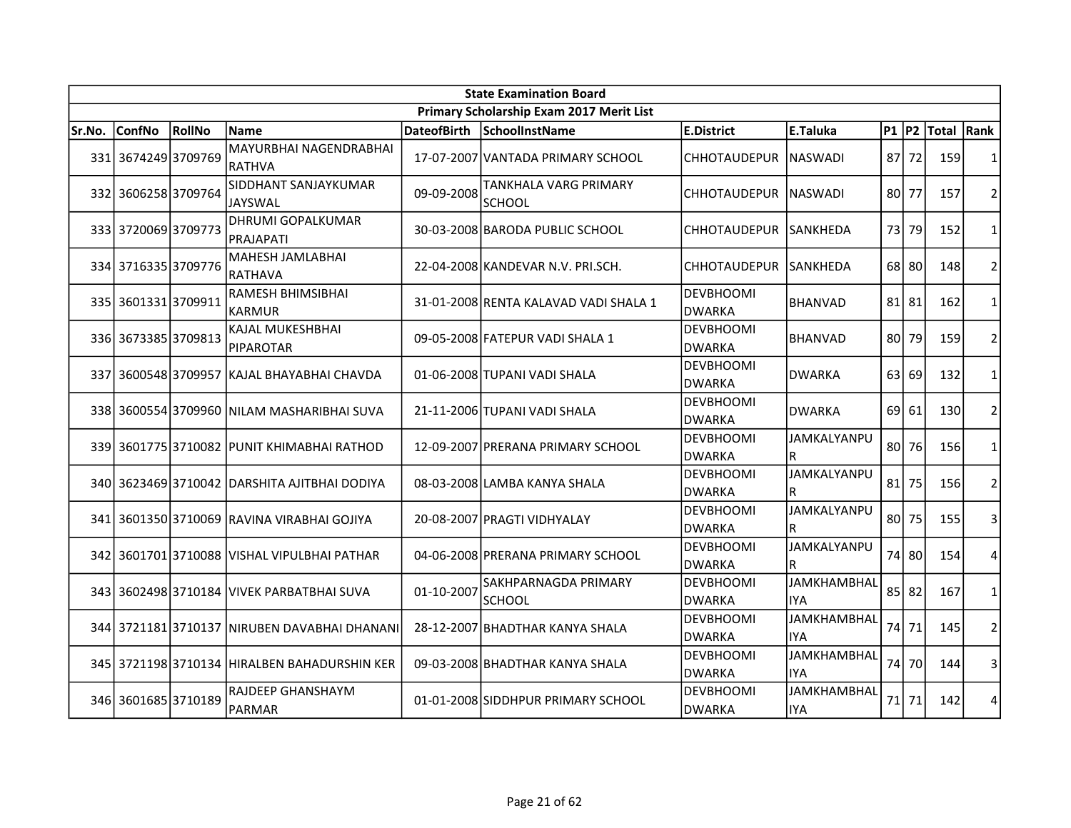| <b>State Examination Board</b> |                     |        |                                              |                    |                                          |                                   |                                  |           |             |            |                |
|--------------------------------|---------------------|--------|----------------------------------------------|--------------------|------------------------------------------|-----------------------------------|----------------------------------|-----------|-------------|------------|----------------|
|                                |                     |        |                                              |                    | Primary Scholarship Exam 2017 Merit List |                                   |                                  |           |             |            |                |
| Sr.No.                         | <b>ConfNo</b>       | RollNo | <b>Name</b>                                  | <b>DateofBirth</b> | SchoolInstName                           | <b>E.District</b>                 | <b>E.Taluka</b>                  | $P1$ $P2$ |             | Total Rank |                |
|                                | 331 3674249 3709769 |        | MAYURBHAI NAGENDRABHAI<br><b>RATHVA</b>      |                    | 17-07-2007 VANTADA PRIMARY SCHOOL        | <b>CHHOTAUDEPUR</b>               | <b>INASWADI</b>                  | 871       | 72          | 159        | 1              |
|                                | 332 3606258 3709764 |        | SIDDHANT SANJAYKUMAR<br><b>JAYSWAL</b>       | 09-09-2008         | TANKHALA VARG PRIMARY<br><b>SCHOOL</b>   | CHHOTAUDEPUR                      | <b>NASWADI</b>                   | 80 l      | 77          | 157        | $\overline{2}$ |
|                                | 333 3720069 3709773 |        | <b>DHRUMI GOPALKUMAR</b><br>PRAJAPATI        |                    | 30-03-2008 BARODA PUBLIC SCHOOL          | <b>CHHOTAUDEPUR</b>               | lSANKHEDA                        | 73        | 79          | 152        | $\mathbf{1}$   |
|                                | 334 3716335 3709776 |        | MAHESH JAMLABHAI<br><b>RATHAVA</b>           |                    | 22-04-2008 KANDEVAR N.V. PRI.SCH.        | <b>CHHOTAUDEPUR</b>               | ISANKHEDA                        |           | 68 80       | 148        | $\overline{2}$ |
|                                | 335 3601331 3709911 |        | <b>RAMESH BHIMSIBHAI</b><br><b>KARMUR</b>    |                    | 31-01-2008 RENTA KALAVAD VADI SHALA 1    | <b>DEVBHOOMI</b><br><b>DWARKA</b> | <b>BHANVAD</b>                   |           | $81$   $81$ | 162        | $\mathbf{1}$   |
|                                | 336 3673385 3709813 |        | KAJAL MUKESHBHAI<br><b>PIPAROTAR</b>         |                    | 09-05-2008 FATEPUR VADI SHALA 1          | <b>DEVBHOOMI</b><br><b>DWARKA</b> | <b>BHANVAD</b>                   | 801       | 79          | 159        | $\overline{2}$ |
|                                |                     |        | 337 3600548 3709957 KAJAL BHAYABHAI CHAVDA   |                    | 01-06-2008 TUPANI VADI SHALA             | <b>DEVBHOOMI</b><br><b>DWARKA</b> | <b>DWARKA</b>                    | 63        | 69          | 132        | $\mathbf{1}$   |
|                                |                     |        | 338 3600554 3709960 NILAM MASHARIBHAI SUVA   |                    | 21-11-2006 TUPANI VADI SHALA             | <b>DEVBHOOMI</b><br><b>DWARKA</b> | DWARKA                           | 69        | 61          | 130        | $\overline{2}$ |
|                                |                     |        | 339 3601775 3710082 PUNIT KHIMABHAI RATHOD   |                    | 12-09-2007 PRERANA PRIMARY SCHOOL        | <b>DEVBHOOMI</b><br><b>DWARKA</b> | JAMKALYANPU<br>R                 | 80        | 76          | 156        | $\mathbf{1}$   |
|                                |                     |        | 340 3623469 3710042 DARSHITA AJITBHAI DODIYA |                    | 08-03-2008 LAMBA KANYA SHALA             | <b>DEVBHOOMI</b><br><b>DWARKA</b> | JAMKALYANPU<br>R                 | 81        | 75          | 156        | $\overline{2}$ |
|                                |                     |        | 341 3601350 3710069 RAVINA VIRABHAI GOJIYA   |                    | 20-08-2007 PRAGTI VIDHYALAY              | <b>DEVBHOOMI</b><br><b>DWARKA</b> | JAMKALYANPU<br>lR.               | 80        | 75          | 155        | 3              |
|                                |                     |        | 342 3601701 3710088 VISHAL VIPULBHAI PATHAR  |                    | 04-06-2008 PRERANA PRIMARY SCHOOL        | <b>DEVBHOOMI</b><br><b>DWARKA</b> | JAMKALYANPU<br>R                 | 74        | 80          | 154        | 4              |
|                                |                     |        | 343 3602498 3710184 VIVEK PARBATBHAI SUVA    | 01-10-2007         | SAKHPARNAGDA PRIMARY<br><b>SCHOOL</b>    | <b>DEVBHOOMI</b><br><b>DWARKA</b> | JAMKHAMBHAL<br><b>IYA</b>        |           | 85 82       | 167        | $\mathbf{1}$   |
|                                |                     |        | 344 3721181 3710137 NIRUBEN DAVABHAI DHANANI |                    | 28-12-2007 BHADTHAR KANYA SHALA          | <b>DEVBHOOMI</b><br><b>DWARKA</b> | <b>JAMKHAMBHAL</b><br><b>IYA</b> | 74        | 71          | 145        | $\overline{2}$ |
|                                |                     |        | 345 3721198 3710134 HIRALBEN BAHADURSHIN KER |                    | 09-03-2008 BHADTHAR KANYA SHALA          | <b>DEVBHOOMI</b><br><b>DWARKA</b> | <b>JAMKHAMBHAL</b><br><b>IYA</b> | 74        | 70          | 144        | 3              |
|                                | 346 3601685 3710189 |        | <b>RAJDEEP GHANSHAYM</b><br>PARMAR           |                    | 01-01-2008 SIDDHPUR PRIMARY SCHOOL       | <b>DEVBHOOMI</b><br><b>DWARKA</b> | <b>JAMKHAMBHAL</b><br><b>IYA</b> | 71 I      | 71          | 142        | 4              |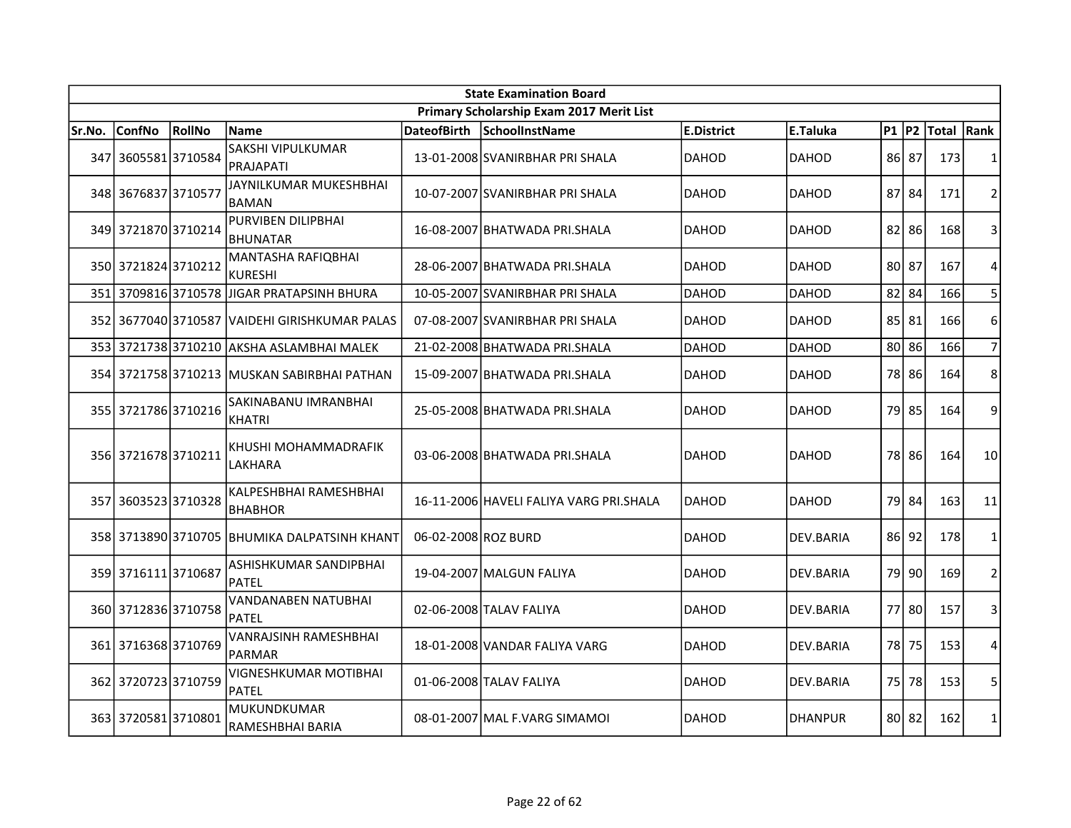|        | <b>State Examination Board</b> |        |                                               |                     |                                          |              |                |           |           |             |                |  |  |
|--------|--------------------------------|--------|-----------------------------------------------|---------------------|------------------------------------------|--------------|----------------|-----------|-----------|-------------|----------------|--|--|
|        |                                |        |                                               |                     | Primary Scholarship Exam 2017 Merit List |              |                |           |           |             |                |  |  |
| Sr.No. | <b>ConfNo</b>                  | RollNo | <b>Name</b>                                   | <b>DateofBirth</b>  | SchoolInstName                           | E.District   | E.Taluka       | $P1$ $P2$ |           | Total  Rank |                |  |  |
|        | 347 3605581 3710584            |        | SAKSHI VIPULKUMAR<br><b>PRAJAPATI</b>         |                     | 13-01-2008 SVANIRBHAR PRI SHALA          | <b>DAHOD</b> | <b>DAHOD</b>   |           | 86 87     | 173         | $\mathbf{1}$   |  |  |
|        | 348 3676837 3710577            |        | JAYNILKUMAR MUKESHBHAI<br><b>BAMAN</b>        |                     | 10-07-2007 SVANIRBHAR PRI SHALA          | <b>DAHOD</b> | <b>DAHOD</b>   |           | 87 84     | 171         | $\overline{2}$ |  |  |
|        | 349 3721870 3710214            |        | PURVIBEN DILIPBHAI<br><b>BHUNATAR</b>         |                     | 16-08-2007 BHATWADA PRI.SHALA            | <b>DAHOD</b> | <b>DAHOD</b>   | 82        | 86        | 168         | 3              |  |  |
|        | 350 3721824 3710212            |        | MANTASHA RAFIQBHAI<br><b>KURESHI</b>          |                     | 28-06-2007 BHATWADA PRI.SHALA            | <b>DAHOD</b> | <b>DAHOD</b>   | 80 87     |           | 167         | $\overline{4}$ |  |  |
|        | 351 3709816 3710578            |        | IJIGAR PRATAPSINH BHURA                       |                     | 10-05-2007 SVANIRBHAR PRI SHALA          | <b>DAHOD</b> | <b>DAHOD</b>   |           | $82$ 84   | 166         | 5              |  |  |
|        |                                |        | 352 3677040 3710587 VAIDEHI GIRISHKUMAR PALAS |                     | 07-08-2007 SVANIRBHAR PRI SHALA          | <b>DAHOD</b> | <b>DAHOD</b>   | 85        | 81        | 166         | 6              |  |  |
|        |                                |        | 353 3721738 3710210 AKSHA ASLAMBHAI MALEK     |                     | 21-02-2008 BHATWADA PRI.SHALA            | DAHOD        | DAHOD          | 80        | 86        | 166         | $\overline{7}$ |  |  |
|        |                                |        | 354 3721758 3710213 IMUSKAN SABIRBHAI PATHAN  |                     | 15-09-2007 BHATWADA PRI.SHALA            | <b>DAHOD</b> | DAHOD          |           | 78 86     | 164         | 8              |  |  |
|        | 355 3721786 3710216            |        | SAKINABANU IMRANBHAI<br>KHATRI                |                     | 25-05-2008 BHATWADA PRI.SHALA            | DAHOD        | <b>DAHOD</b>   |           | 79 85     | 164         | 9              |  |  |
|        | 356 3721678 3710211            |        | KHUSHI MOHAMMADRAFIK<br>LAKHARA               |                     | 03-06-2008 BHATWADA PRI.SHALA            | <b>DAHOD</b> | <b>DAHOD</b>   |           | 78 86     | 164         | 10             |  |  |
|        | 357 3603523 3710328            |        | KALPESHBHAI RAMESHBHAI<br><b>BHABHOR</b>      |                     | 16-11-2006 HAVELI FALIYA VARG PRI.SHALA  | <b>DAHOD</b> | <b>DAHOD</b>   |           | 79 84     | 163         | 11             |  |  |
|        |                                |        | 358 3713890 3710705 BHUMIKA DALPATSINH KHANT  | 06-02-2008 ROZ BURD |                                          | <b>DAHOD</b> | DEV.BARIA      |           | 86 92     | 178         | $\mathbf{1}$   |  |  |
|        | 359 3716111 3710687            |        | ASHISHKUMAR SANDIPBHAI<br><b>PATEL</b>        |                     | 19-04-2007 MALGUN FALIYA                 | <b>DAHOD</b> | DEV.BARIA      | 79 l      | 90        | 169         | 2              |  |  |
|        | 360 3712836 3710758            |        | VANDANABEN NATUBHAI<br><b>PATEL</b>           |                     | 02-06-2008 TALAV FALIYA                  | <b>DAHOD</b> | DEV.BARIA      |           | 77 80     | 157         | 3              |  |  |
|        | 361 3716368 3710769            |        | VANRAJSINH RAMESHBHAI<br><b>PARMAR</b>        |                     | 18-01-2008 VANDAR FALIYA VARG            | <b>DAHOD</b> | DEV.BARIA      | 78 I      | 75        | 153         | 4              |  |  |
|        | 362 3720723 3710759            |        | VIGNESHKUMAR MOTIBHAI<br>PATEL                |                     | 01-06-2008 TALAV FALIYA                  | <b>DAHOD</b> | DEV.BARIA      | 75        | 78        | 153         | 5              |  |  |
|        | 363 3720581 3710801            |        | <b>MUKUNDKUMAR</b><br>RAMESHBHAI BARIA        |                     | 08-01-2007 MAL F.VARG SIMAMOI            | <b>DAHOD</b> | <b>DHANPUR</b> |           | $80$   82 | 162         | $\mathbf{1}$   |  |  |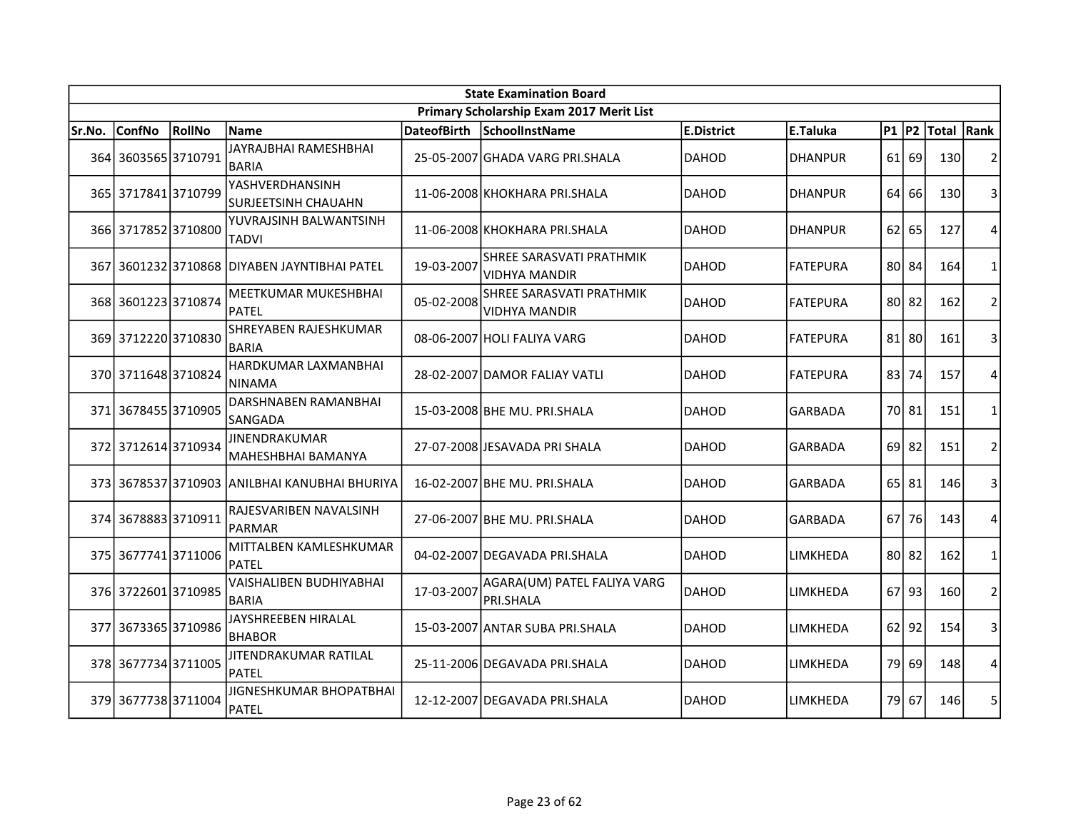| <b>State Examination Board</b> |                     |        |                                                     |                    |                                                  |              |                 |           |           |            |                |  |
|--------------------------------|---------------------|--------|-----------------------------------------------------|--------------------|--------------------------------------------------|--------------|-----------------|-----------|-----------|------------|----------------|--|
|                                |                     |        |                                                     |                    | Primary Scholarship Exam 2017 Merit List         |              |                 |           |           |            |                |  |
| Sr.No.                         | <b>ConfNo</b>       | RollNo | Name                                                | <b>DateofBirth</b> | SchoolInstName                                   | E.District   | E.Taluka        | $P1$ $P2$ |           | Total Rank |                |  |
|                                | 364 3603565 3710791 |        | JAYRAJBHAI RAMESHBHAI<br><b>BARIA</b>               |                    | 25-05-2007 GHADA VARG PRI.SHALA                  | <b>DAHOD</b> | <b>DHANPUR</b>  | 61 I      | 69        | 130        | $\overline{2}$ |  |
|                                | 365 3717841 3710799 |        | YASHVERDHANSINH<br><b>SURJEETSINH CHAUAHN</b>       |                    | 11-06-2008 KHOKHARA PRI.SHALA                    | <b>DAHOD</b> | <b>DHANPUR</b>  | 64        | 66        | 130        | 3              |  |
|                                | 366 3717852 3710800 |        | YUVRAJSINH BALWANTSINH<br><b>TADVI</b>              |                    | 11-06-2008 KHOKHARA PRI.SHALA                    | <b>DAHOD</b> | <b>DHANPUR</b>  | 62        | 65        | 127        | 4              |  |
|                                |                     |        | 367 3601232 3710868 DIYABEN JAYNTIBHAI PATEL        | 19-03-2007         | SHREE SARASVATI PRATHMIK<br><b>VIDHYA MANDIR</b> | DAHOD        | <b>FATEPURA</b> |           | 80 84     | 164        | $\mathbf{1}$   |  |
|                                | 368 3601223 3710874 |        | <b>MEETKUMAR MUKESHBHAI</b><br><b>PATEL</b>         | 05-02-2008         | SHREE SARASVATI PRATHMIK<br><b>VIDHYA MANDIR</b> | <b>DAHOD</b> | <b>FATEPURA</b> |           | 80 82     | 162        | $\overline{2}$ |  |
|                                | 369 3712220 3710830 |        | SHREYABEN RAJESHKUMAR<br><b>BARIA</b>               |                    | 08-06-2007 HOLI FALIYA VARG                      | <b>DAHOD</b> | <b>FATEPURA</b> |           | $81$ 80   | 161        | 3              |  |
|                                | 370 3711648 3710824 |        | HARDKUMAR LAXMANBHAI<br><b>NINAMA</b>               |                    | 28-02-2007 DAMOR FALIAY VATLI                    | DAHOD        | FATEPURA        | 83        | 74        | 157        | 4              |  |
|                                | 371 3678455 3710905 |        | DARSHNABEN RAMANBHAI<br>SANGADA                     |                    | 15-03-2008 BHE MU. PRI.SHALA                     | <b>DAHOD</b> | <b>GARBADA</b>  |           | 70 81     | 151        | $\mathbf{1}$   |  |
|                                | 372 3712614 3710934 |        | JINENDRAKUMAR<br>MAHESHBHAI BAMANYA                 |                    | 27-07-2008 JESAVADA PRI SHALA                    | <b>DAHOD</b> | <b>GARBADA</b>  | 69        | 82        | 151        | $\overline{2}$ |  |
|                                |                     |        | 373   3678537   3710903   ANILBHAI KANUBHAI BHURIYA |                    | 16-02-2007 BHE MU. PRI.SHALA                     | <b>DAHOD</b> | GARBADA         |           | 65 81     | 146        | 3              |  |
|                                | 374 3678883 3710911 |        | RAJESVARIBEN NAVALSINH<br>PARMAR                    |                    | 27-06-2007 BHE MU. PRI.SHALA                     | DAHOD        | <b>GARBADA</b>  | 67        | 76        | 143        | $\overline{4}$ |  |
|                                | 375 3677741 3711006 |        | MITTALBEN KAMLESHKUMAR<br>PATEL                     |                    | 04-02-2007 DEGAVADA PRI.SHALA                    | DAHOD        | LIMKHEDA        |           | 80 82     | 162        | $\mathbf{1}$   |  |
|                                | 376 3722601 3710985 |        | VAISHALIBEN BUDHIYABHAI<br><b>BARIA</b>             | 17-03-2007         | AGARA(UM) PATEL FALIYA VARG<br>PRI.SHALA         | DAHOD        | <b>LIMKHEDA</b> | 67 I      | 93        | 160        | $\overline{2}$ |  |
|                                | 377 3673365 3710986 |        | JAYSHREEBEN HIRALAL<br><b>BHABOR</b>                |                    | 15-03-2007 ANTAR SUBA PRI.SHALA                  | <b>DAHOD</b> | LIMKHEDA        |           | $62$   92 | 154        | 3              |  |
|                                | 378 3677734 3711005 |        | JITENDRAKUMAR RATILAL<br><b>PATEL</b>               |                    | 25-11-2006 DEGAVADA PRI.SHALA                    | <b>DAHOD</b> | LIMKHEDA        | 79        | 69        | 148        | 4              |  |
|                                | 379 3677738 3711004 |        | JIGNESHKUMAR BHOPATBHAI<br>PATEL                    |                    | 12-12-2007 DEGAVADA PRI.SHALA                    | <b>DAHOD</b> | LIMKHEDA        |           | 79 67     | 146        | 5              |  |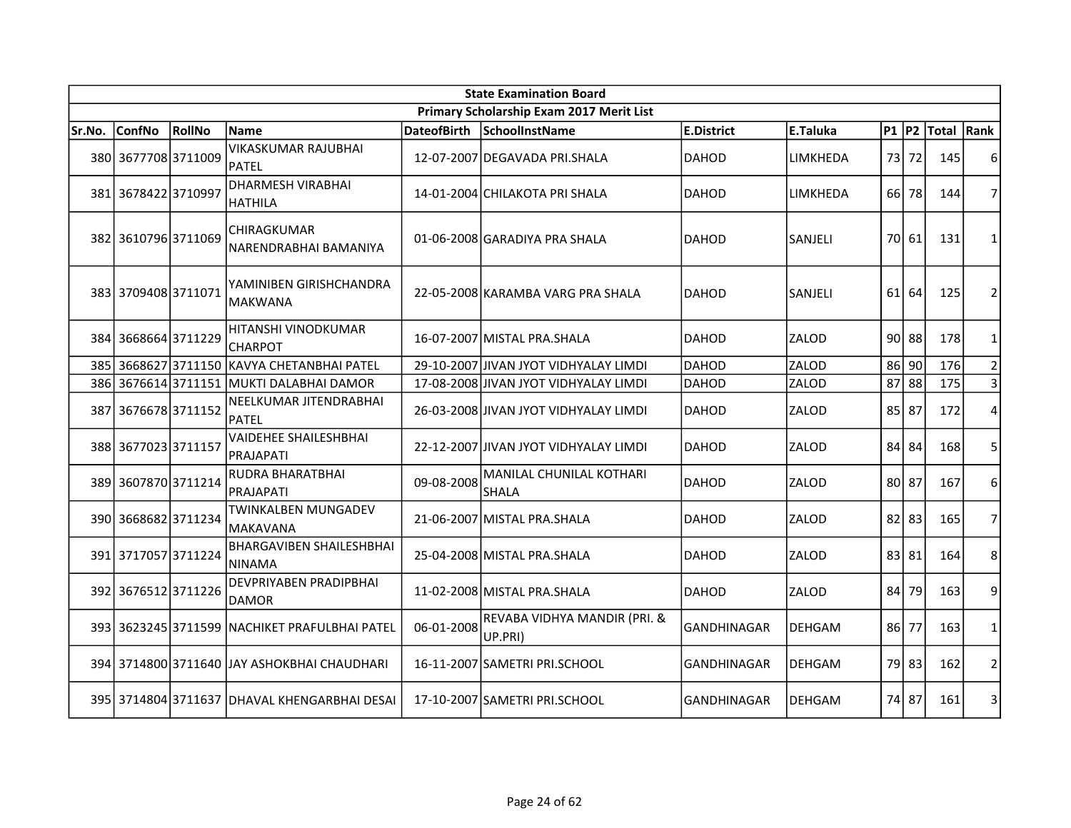| <b>State Examination Board</b> |                     |        |                                                  |                    |                                          |                    |               |           |         |            |                |  |
|--------------------------------|---------------------|--------|--------------------------------------------------|--------------------|------------------------------------------|--------------------|---------------|-----------|---------|------------|----------------|--|
|                                |                     |        |                                                  |                    | Primary Scholarship Exam 2017 Merit List |                    |               |           |         |            |                |  |
| Sr.No.                         | <b>ConfNo</b>       | RollNo | <b>Name</b>                                      | <b>DateofBirth</b> | SchoolInstName                           | E.District         | E.Taluka      | $P1$ $P2$ |         | Total Rank |                |  |
|                                | 380 3677708 3711009 |        | <b>VIKASKUMAR RAJUBHAI</b><br><b>PATEL</b>       |                    | 12-07-2007 DEGAVADA PRI.SHALA            | <b>DAHOD</b>       | LIMKHEDA      | 73        | 72      | 145        | 6              |  |
|                                | 381 3678422 3710997 |        | <b>DHARMESH VIRABHAI</b><br><b>HATHILA</b>       |                    | 14-01-2004 CHILAKOTA PRI SHALA           | <b>DAHOD</b>       | LIMKHEDA      | 66 I      | 78      | 144        | 7              |  |
|                                | 382 3610796 3711069 |        | CHIRAGKUMAR<br>NARENDRABHAI BAMANIYA             |                    | 01-06-2008 GARADIYA PRA SHALA            | DAHOD              | SANJELI       | 70I       | 61      | 131        | $\mathbf{1}$   |  |
|                                | 383 3709408 3711071 |        | YAMINIBEN GIRISHCHANDRA<br><b>MAKWANA</b>        |                    | 22-05-2008 KARAMBA VARG PRA SHALA        | DAHOD              | SANJELI       | 61        | 64      | 125        | 2              |  |
| 384I                           | 36686643711229      |        | HITANSHI VINODKUMAR<br><b>CHARPOT</b>            |                    | 16-07-2007 MISTAL PRA.SHALA              | <b>DAHOD</b>       | ZALOD         |           | $90$ 88 | 178        | 1              |  |
|                                |                     |        | 385 3668627 3711150 KAVYA CHETANBHAI PATEL       |                    | 29-10-2007 JIVAN JYOT VIDHYALAY LIMDI    | DAHOD              | ZALOD         | 86        | 90      | 176        | $\overline{2}$ |  |
|                                | 386 3676614 3711151 |        | MUKTI DALABHAI DAMOR                             |                    | 17-08-2008 JIVAN JYOT VIDHYALAY LIMDI    | DAHOD              | ZALOD         | 87        | 88      | 175        | 3              |  |
| 387                            | 36766783711152      |        | NEELKUMAR JITENDRABHAI<br>PATEL                  |                    | 26-03-2008 JIVAN JYOT VIDHYALAY LIMDI    | DAHOD              | ZALOD         | 85        | 87      | 172        | 4              |  |
|                                | 388 3677023 3711157 |        | <b>VAIDEHEE SHAILESHBHAI</b><br><b>PRAJAPATI</b> |                    | 22-12-2007 JJIVAN JYOT VIDHYALAY LIMDI   | DAHOD              | ZALOD         | 84        | 84      | 168        | 5              |  |
|                                | 389 3607870 3711214 |        | RUDRA BHARATBHAI<br><b>PRAJAPATI</b>             | 09-08-2008         | MANILAL CHUNILAL KOTHARI<br><b>SHALA</b> | DAHOD              | ZALOD         |           | 80 87   | 167        | 6              |  |
|                                | 390 3668682 3711234 |        | TWINKALBEN MUNGADEV<br>MAKAVANA                  |                    | 21-06-2007 MISTAL PRA.SHALA              | DAHOD              | ZALOD         | 82        | 83      | 165        | 7              |  |
|                                | 391 3717057 3711224 |        | <b>BHARGAVIBEN SHAILESHBHAI</b><br>NINAMA        |                    | 25-04-2008 MISTAL PRA.SHALA              | <b>DAHOD</b>       | ZALOD         |           | 83 81   | 164        | 8              |  |
|                                | 392 3676512 3711226 |        | DEVPRIYABEN PRADIPBHAI<br><b>DAMOR</b>           |                    | 11-02-2008 MISTAL PRA.SHALA              | DAHOD              | ZALOD         | 84        | 79      | 163        | 9              |  |
|                                |                     |        | 393 3623245 3711599 NACHIKET PRAFULBHAI PATEL    | 06-01-2008         | REVABA VIDHYA MANDIR (PRI. &<br>UP.PRI)  | <b>GANDHINAGAR</b> | <b>DEHGAM</b> | 861       | 77      | 163        | 1              |  |
|                                |                     |        | 394 3714800 3711640 JAY ASHOKBHAI CHAUDHARI      |                    | 16-11-2007 SAMETRI PRI.SCHOOL            | <b>GANDHINAGAR</b> | <b>DEHGAM</b> |           | 79 83   | 162        | $\overline{2}$ |  |
|                                |                     |        | 395 3714804 3711637 DHAVAL KHENGARBHAI DESAI     |                    | 17-10-2007 SAMETRI PRI.SCHOOL            | <b>GANDHINAGAR</b> | <b>DEHGAM</b> |           | 74 87   | 161        | 3              |  |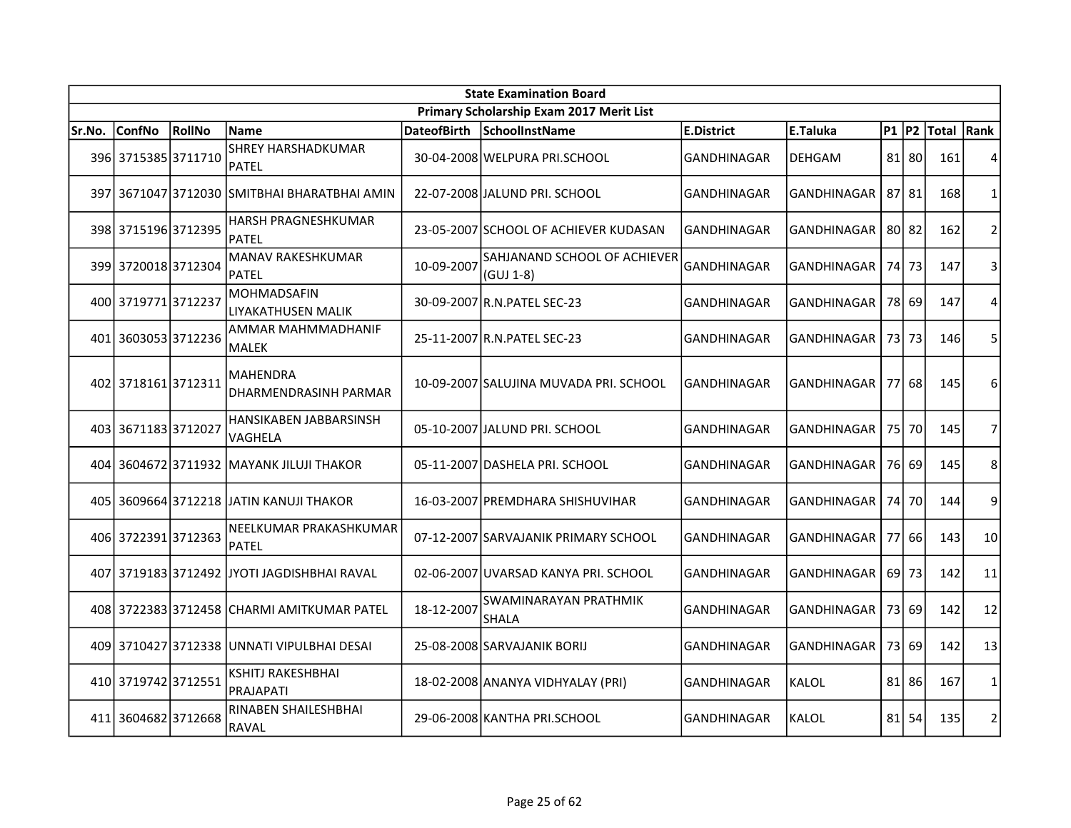|        | <b>State Examination Board</b> |        |                                              |                    |                                           |                    |                    |           |             |            |                 |  |  |
|--------|--------------------------------|--------|----------------------------------------------|--------------------|-------------------------------------------|--------------------|--------------------|-----------|-------------|------------|-----------------|--|--|
|        |                                |        |                                              |                    | Primary Scholarship Exam 2017 Merit List  |                    |                    |           |             |            |                 |  |  |
| Sr.No. | <b>ConfNo</b>                  | RollNo | <b>Name</b>                                  | <b>DateofBirth</b> | SchoolInstName                            | E.District         | E.Taluka           | $P1$ $P2$ |             | Total Rank |                 |  |  |
|        | 396 3715385 3711710            |        | <b>SHREY HARSHADKUMAR</b><br><b>PATEL</b>    |                    | 30-04-2008 WELPURA PRI.SCHOOL             | <b>GANDHINAGAR</b> | <b>DEHGAM</b>      |           | $81$   80   | 161        | 4               |  |  |
|        |                                |        | 397 3671047 3712030 SMITBHAI BHARATBHAI AMIN |                    | 22-07-2008 JALUND PRI. SCHOOL             | <b>GANDHINAGAR</b> | GANDHINAGAR        |           | $87$   $81$ | 168        | $\mathbf{1}$    |  |  |
|        | 398 3715196 3712395            |        | <b>HARSH PRAGNESHKUMAR</b><br><b>PATEL</b>   |                    | 23-05-2007 SCHOOL OF ACHIEVER KUDASAN     | <b>GANDHINAGAR</b> | GANDHINAGAR        |           | 80 82       | 162        | $\overline{2}$  |  |  |
|        | 399 3720018 3712304            |        | MANAV RAKESHKUMAR<br><b>PATEL</b>            | 10-09-2007         | SAHJANAND SCHOOL OF ACHIEVER<br>(GUJ 1-8) | GANDHINAGAR        | GANDHINAGAR        |           | 74 73       | 147        | 3               |  |  |
|        | 400 3719771 3712237            |        | <b>MOHMADSAFIN</b><br>LIYAKATHUSEN MALIK     |                    | 30-09-2007 R.N. PATEL SEC-23              | <b>GANDHINAGAR</b> | <b>GANDHINAGAR</b> |           | 78 69       | 147        | 4               |  |  |
|        | 401 3603053 3712236            |        | AMMAR MAHMMADHANIF<br>MALEK                  |                    | 25-11-2007 R.N. PATEL SEC-23              | GANDHINAGAR        | GANDHINAGAR        | 73 I      | 73          | 146        | 5               |  |  |
|        | 402 3718161 3712311            |        | <b>MAHENDRA</b><br>DHARMENDRASINH PARMAR     |                    | 10-09-2007 SALUJINA MUVADA PRI. SCHOOL    | <b>GANDHINAGAR</b> | <b>GANDHINAGAR</b> |           | 77 68       | 145        | 6               |  |  |
|        | 403 3671183 3712027            |        | HANSIKABEN JABBARSINSH<br>VAGHELA            |                    | 05-10-2007 JALUND PRI. SCHOOL             | <b>GANDHINAGAR</b> | <b>GANDHINAGAR</b> |           | 75 70       | 145        | $\overline{7}$  |  |  |
|        |                                |        | 404 3604672 3711932 MAYANK JILUJI THAKOR     |                    | 05-11-2007 DASHELA PRI. SCHOOL            | <b>GANDHINAGAR</b> | <b>GANDHINAGAR</b> |           | 76 69       | 145        | 8               |  |  |
|        |                                |        | 405 3609664 3712218 JATIN KANUJI THAKOR      |                    | 16-03-2007 PREMDHARA SHISHUVIHAR          | <b>GANDHINAGAR</b> | <b>GANDHINAGAR</b> | 74        | 70          | 144        | 9               |  |  |
|        | 406 3722391 3712363            |        | NEELKUMAR PRAKASHKUMAR<br><b>PATEL</b>       |                    | 07-12-2007 SARVAJANIK PRIMARY SCHOOL      | <b>GANDHINAGAR</b> | <b>GANDHINAGAR</b> | 77        | 66          | 143        | 10 <sup>1</sup> |  |  |
| 407    |                                |        | 3719183 3712492 JYOTI JAGDISHBHAI RAVAL      |                    | 02-06-2007 UVARSAD KANYA PRI. SCHOOL      | <b>GANDHINAGAR</b> | <b>GANDHINAGAR</b> | 69 I      | 73          | 142        | 11              |  |  |
|        |                                |        | 408 3722383 3712458 CHARMI AMITKUMAR PATEL   | 18-12-2007         | SWAMINARAYAN PRATHMIK<br>SHALA            | <b>GANDHINAGAR</b> | GANDHINAGAR        | 73 I      | 69          | 142        | 12              |  |  |
| 409    |                                |        | 3710427 3712338  UNNATI VIPULBHAI DESAI      |                    | 25-08-2008 SARVAJANIK BORIJ               | <b>GANDHINAGAR</b> | <b>GANDHINAGAR</b> | 73 I      | 69          | 142        | 13              |  |  |
|        | 410 3719742 3712551            |        | <b>KSHITJ RAKESHBHAI</b><br><b>PRAJAPATI</b> |                    | 18-02-2008 ANANYA VIDHYALAY (PRI)         | <b>GANDHINAGAR</b> | KALOL              | 81        | 86          | 167        | $\mathbf{1}$    |  |  |
|        | 411 3604682 3712668            |        | <b>RINABEN SHAILESHBHAI</b><br>RAVAL         |                    | 29-06-2008 KANTHA PRI.SCHOOL              | <b>GANDHINAGAR</b> | KALOL              | 81        | 54          | 135        | $\overline{2}$  |  |  |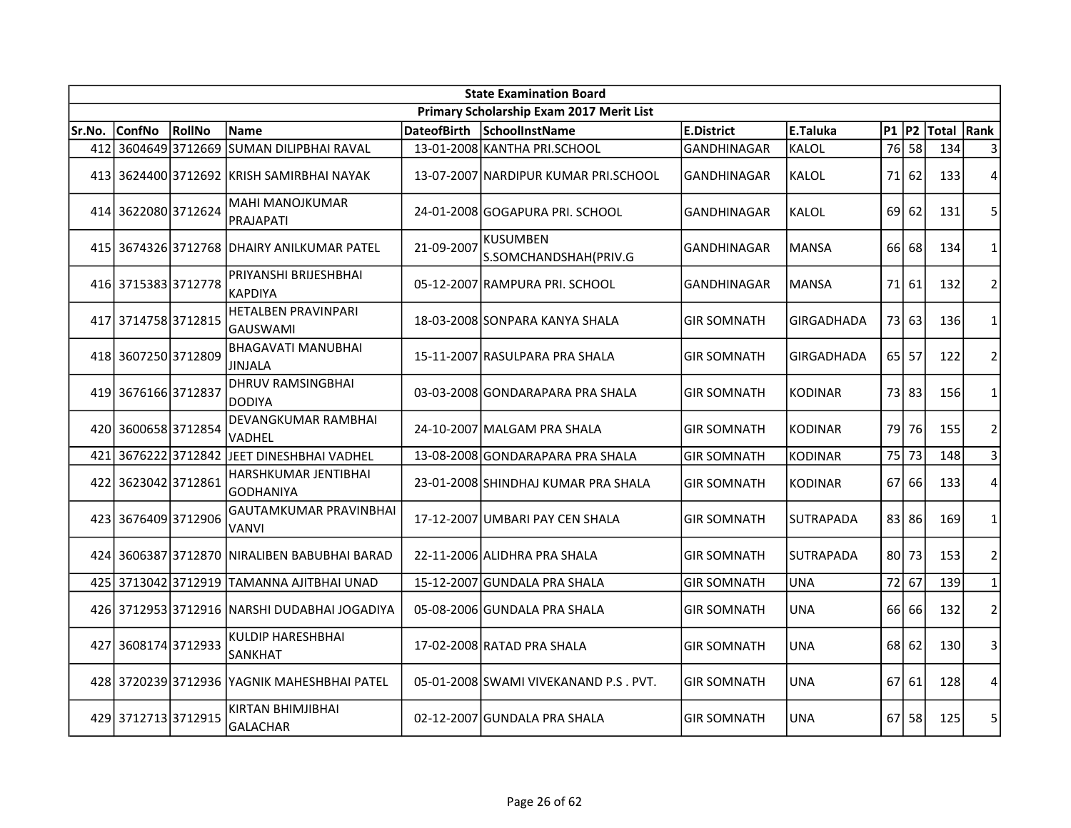|        | <b>State Examination Board</b> |        |                                               |                    |                                          |                    |                   |           |       |            |                |  |  |
|--------|--------------------------------|--------|-----------------------------------------------|--------------------|------------------------------------------|--------------------|-------------------|-----------|-------|------------|----------------|--|--|
|        |                                |        |                                               |                    | Primary Scholarship Exam 2017 Merit List |                    |                   |           |       |            |                |  |  |
| Sr.No. | <b>ConfNo</b>                  | RollNo | <b>Name</b>                                   | <b>DateofBirth</b> | <b>SchoolInstName</b>                    | <b>E.District</b>  | E.Taluka          | $P1$ $P2$ |       | Total Rank |                |  |  |
| 412    | 36046493712669                 |        | <b>SUMAN DILIPBHAI RAVAL</b>                  |                    | 13-01-2008 KANTHA PRI.SCHOOL             | <b>GANDHINAGAR</b> | <b>KALOL</b>      | 76        | 58    | 134        | 3              |  |  |
|        |                                |        | 413 3624400 3712692 KRISH SAMIRBHAI NAYAK     |                    | 13-07-2007 NARDIPUR KUMAR PRI.SCHOOL     | <b>GANDHINAGAR</b> | <b>KALOL</b>      | 71 I      | 62    | 133        | 4              |  |  |
|        | 414 3622080 3712624            |        | <b>MAHI MANOJKUMAR</b><br><b>PRAJAPATI</b>    |                    | 24-01-2008 GOGAPURA PRI. SCHOOL          | <b>GANDHINAGAR</b> | KALOL             | 69        | 62    | 131        | 5              |  |  |
|        |                                |        | 415 3674326 3712768 DHAIRY ANILKUMAR PATEL    | 21-09-2007         | <b>KUSUMBEN</b><br>S.SOMCHANDSHAH(PRIV.G | GANDHINAGAR        | <b>MANSA</b>      | 66 l      | 68    | 134        | 1              |  |  |
|        | 416 3715383 3712778            |        | PRIYANSHI BRIJESHBHAI<br><b>KAPDIYA</b>       |                    | 05-12-2007 RAMPURA PRI. SCHOOL           | <b>GANDHINAGAR</b> | <b>MANSA</b>      | 71        | 61    | 132        | $\overline{2}$ |  |  |
|        | 417 3714758 3712815            |        | HETALBEN PRAVINPARI<br>GAUSWAMI               |                    | 18-03-2008 SONPARA KANYA SHALA           | <b>GIR SOMNATH</b> | <b>GIRGADHADA</b> | 73        | 63    | 136        | $\mathbf{1}$   |  |  |
|        | 418 3607250 3712809            |        | <b>BHAGAVATI MANUBHAI</b><br><b>JINJALA</b>   |                    | 15-11-2007 RASULPARA PRA SHALA           | <b>GIR SOMNATH</b> | <b>GIRGADHADA</b> | 65        | 57    | 122        | $\overline{2}$ |  |  |
|        | 419 3676166 3712837            |        | <b>DHRUV RAMSINGBHAI</b><br><b>DODIYA</b>     |                    | 03-03-2008 GONDARAPARA PRA SHALA         | <b>GIR SOMNATH</b> | <b>KODINAR</b>    |           | 73 83 | 156        | $\mathbf{1}$   |  |  |
|        | 420 3600658 3712854            |        | <b>DEVANGKUMAR RAMBHAI</b><br>VADHEL          |                    | 24-10-2007 MALGAM PRA SHALA              | <b>GIR SOMNATH</b> | <b>KODINAR</b>    | 79        | 76    | 155        | $\overline{2}$ |  |  |
|        | 421 3676222 3712842            |        | JEET DINESHBHAI VADHEL                        |                    | 13-08-2008 GONDARAPARA PRA SHALA         | <b>GIR SOMNATH</b> | <b>KODINAR</b>    |           | 75 73 | 148        | $\overline{3}$ |  |  |
|        | 422 3623042 3712861            |        | HARSHKUMAR JENTIBHAI<br><b>GODHANIYA</b>      |                    | 23-01-2008 SHINDHAJ KUMAR PRA SHALA      | <b>GIR SOMNATH</b> | <b>KODINAR</b>    | 67 I      | 66    | 133        | $\overline{4}$ |  |  |
|        | 423 3676409 3712906            |        | <b>GAUTAMKUMAR PRAVINBHAI</b><br>VANVI        |                    | 17-12-2007 UMBARI PAY CEN SHALA          | <b>GIR SOMNATH</b> | <b>SUTRAPADA</b>  |           | 83 86 | 169        | $\mathbf{1}$   |  |  |
|        |                                |        | 424 3606387 3712870 NIRALIBEN BABUBHAI BARAD  |                    | 22-11-2006 ALIDHRA PRA SHALA             | <b>GIR SOMNATH</b> | <b>SUTRAPADA</b>  | 80 l      | 73    | 153        | $\overline{2}$ |  |  |
|        | 425 3713042 3712919            |        | ITAMANNA AJITBHAI UNAD                        |                    | 15-12-2007 GUNDALA PRA SHALA             | <b>GIR SOMNATH</b> | <b>UNA</b>        | 72        | 67    | 139        | $\mathbf{1}$   |  |  |
|        |                                |        | 426 3712953 3712916 INARSHI DUDABHAI JOGADIYA |                    | 05-08-2006 GUNDALA PRA SHALA             | <b>GIR SOMNATH</b> | <b>UNA</b>        | 66        | 66    | 132        | $\overline{2}$ |  |  |
| 427    | 36081743712933                 |        | <b>KULDIP HARESHBHAI</b><br>SANKHAT           |                    | 17-02-2008 RATAD PRA SHALA               | <b>GIR SOMNATH</b> | UNA               | 68        | 62    | 130        | 3              |  |  |
|        |                                |        | 428 3720239 3712936 YAGNIK MAHESHBHAI PATEL   |                    | 05-01-2008 SWAMI VIVEKANAND P.S. PVT.    | <b>GIR SOMNATH</b> | <b>UNA</b>        | 67        | 61    | 128        | 4              |  |  |
|        | 429 3712713 3712915            |        | KIRTAN BHIMJIBHAI<br><b>GALACHAR</b>          |                    | 02-12-2007 GUNDALA PRA SHALA             | <b>GIR SOMNATH</b> | <b>UNA</b>        | 671       | 58    | 125        | 5              |  |  |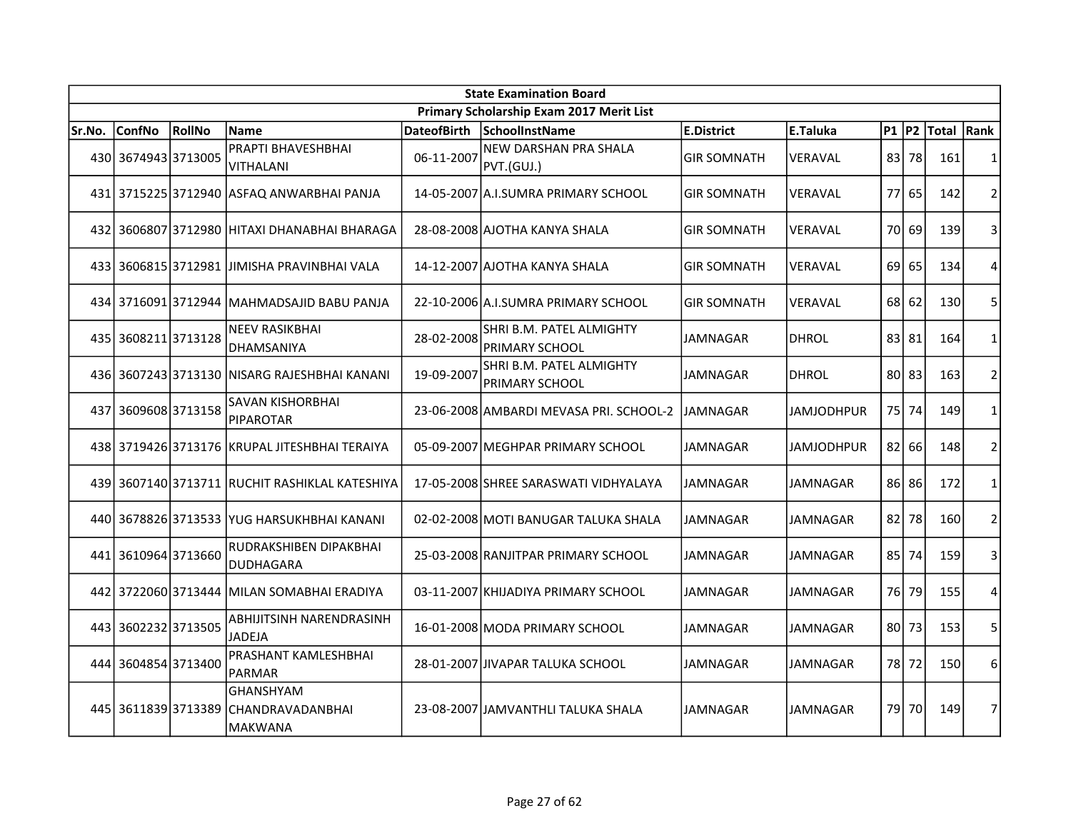|        | <b>State Examination Board</b> |        |                                                        |                    |                                                   |                    |                 |           |       |             |                |  |  |
|--------|--------------------------------|--------|--------------------------------------------------------|--------------------|---------------------------------------------------|--------------------|-----------------|-----------|-------|-------------|----------------|--|--|
|        |                                |        |                                                        |                    | Primary Scholarship Exam 2017 Merit List          |                    |                 |           |       |             |                |  |  |
| Sr.No. | <b>ConfNo</b>                  | RollNo | <b>Name</b>                                            | <b>DateofBirth</b> | SchoolInstName                                    | E.District         | E.Taluka        | $P1$ $P2$ |       | Total  Rank |                |  |  |
|        | 430 3674943 3713005            |        | PRAPTI BHAVESHBHAI<br>VITHALANI                        | 06-11-2007         | NEW DARSHAN PRA SHALA<br>PVT.(GUJ.)               | <b>GIR SOMNATH</b> | VERAVAL         | 83        | 78    | 161         | $\mathbf{1}$   |  |  |
|        |                                |        | 431 3715225 3712940 ASFAQ ANWARBHAI PANJA              |                    | 14-05-2007 A.I.SUMRA PRIMARY SCHOOL               | <b>GIR SOMNATH</b> | VERAVAL         | 77        | 65    | 142         | $\overline{2}$ |  |  |
|        |                                |        | 432 3606807 3712980 HITAXI DHANABHAI BHARAGA           |                    | 28-08-2008 AJOTHA KANYA SHALA                     | <b>GIR SOMNATH</b> | VERAVAL         | 70I       | 69    | 139         | 3              |  |  |
|        |                                |        | 433 3606815 3712981 JJIMISHA PRAVINBHAI VALA           |                    | 14-12-2007 AJOTHA KANYA SHALA                     | <b>GIR SOMNATH</b> | VERAVAL         | 69        | 65    | 134         | 4              |  |  |
|        |                                |        | 434 3716091 3712944 MAHMADSAJID BABU PANJA             |                    | 22-10-2006 A.I.SUMRA PRIMARY SCHOOL               | <b>GIR SOMNATH</b> | VERAVAL         | 68        | 62    | 130         | 5              |  |  |
|        | 435 3608211 3713128            |        | <b>NEEV RASIKBHAI</b><br>DHAMSANIYA                    | 28-02-2008         | SHRI B.M. PATEL ALMIGHTY<br><b>PRIMARY SCHOOL</b> | <b>JAMNAGAR</b>    | <b>DHROL</b>    | 83        | 81    | 164         | $\mathbf 1$    |  |  |
|        |                                |        | 436 3607243 3713130 NISARG RAJESHBHAI KANANI           | 19-09-2007         | SHRI B.M. PATEL ALMIGHTY<br><b>PRIMARY SCHOOL</b> | <b>JAMNAGAR</b>    | <b>DHROL</b>    | $80$   83 |       | 163         | $\overline{2}$ |  |  |
| 437    | 3609608 3713158                |        | SAVAN KISHORBHAI<br><b>PIPAROTAR</b>                   |                    | 23-06-2008 AMBARDI MEVASA PRI. SCHOOL-2           | <b>JAMNAGAR</b>    | JAMJODHPUR      | 75        | 74    | 149         | $\mathbf{1}$   |  |  |
|        |                                |        | 438 3719426 3713176 KRUPAL JITESHBHAI TERAIYA          |                    | 05-09-2007 MEGHPAR PRIMARY SCHOOL                 | <b>JAMNAGAR</b>    | JAMJODHPUR      |           | 82 66 | 148         | $\overline{2}$ |  |  |
|        |                                |        | 439 3607140 3713711 RUCHIT RASHIKLAL KATESHIYA         |                    | 17-05-2008 SHREE SARASWATI VIDHYALAYA             | <b>JAMNAGAR</b>    | JAMNAGAR        |           | 86 86 | 172         | $\mathbf{1}$   |  |  |
|        |                                |        | 440 3678826 3713533 YUG HARSUKHBHAI KANANI             |                    | 02-02-2008 MOTI BANUGAR TALUKA SHALA              | <b>JAMNAGAR</b>    | <b>JAMNAGAR</b> | 82        | 78    | 160         | $\overline{2}$ |  |  |
|        | 441 3610964 3713660            |        | RUDRAKSHIBEN DIPAKBHAI<br>DUDHAGARA                    |                    | 25-03-2008 RANJITPAR PRIMARY SCHOOL               | JAMNAGAR           | JAMNAGAR        | 85        | 74    | 159         | 3              |  |  |
|        |                                |        | 442 3722060 3713444 MILAN SOMABHAI ERADIYA             |                    | 03-11-2007 KHIJADIYA PRIMARY SCHOOL               | <b>JAMNAGAR</b>    | JAMNAGAR        | 76 I      | 79    | 155         | 4              |  |  |
| 443    | 36022323713505                 |        | <b>ABHIJITSINH NARENDRASINH</b><br><b>JADEJA</b>       |                    | 16-01-2008 MODA PRIMARY SCHOOL                    | <b>JAMNAGAR</b>    | JAMNAGAR        | 80 I      | 73    | 153         | 5              |  |  |
| 4441   | 36048543713400                 |        | PRASHANT KAMLESHBHAI<br>PARMAR                         |                    | 28-01-2007 JJIVAPAR TALUKA SCHOOL                 | JAMNAGAR           | JAMNAGAR        | 78 I      | 72    | 150         | 6              |  |  |
|        | 445 3611839 3713389            |        | <b>GHANSHYAM</b><br><b>CHANDRAVADANBHAI</b><br>MAKWANA |                    | 23-08-2007 JJAMVANTHLI TALUKA SHALA               | <b>JAMNAGAR</b>    | JAMNAGAR        | 79 l      | 70    | 149         | 7              |  |  |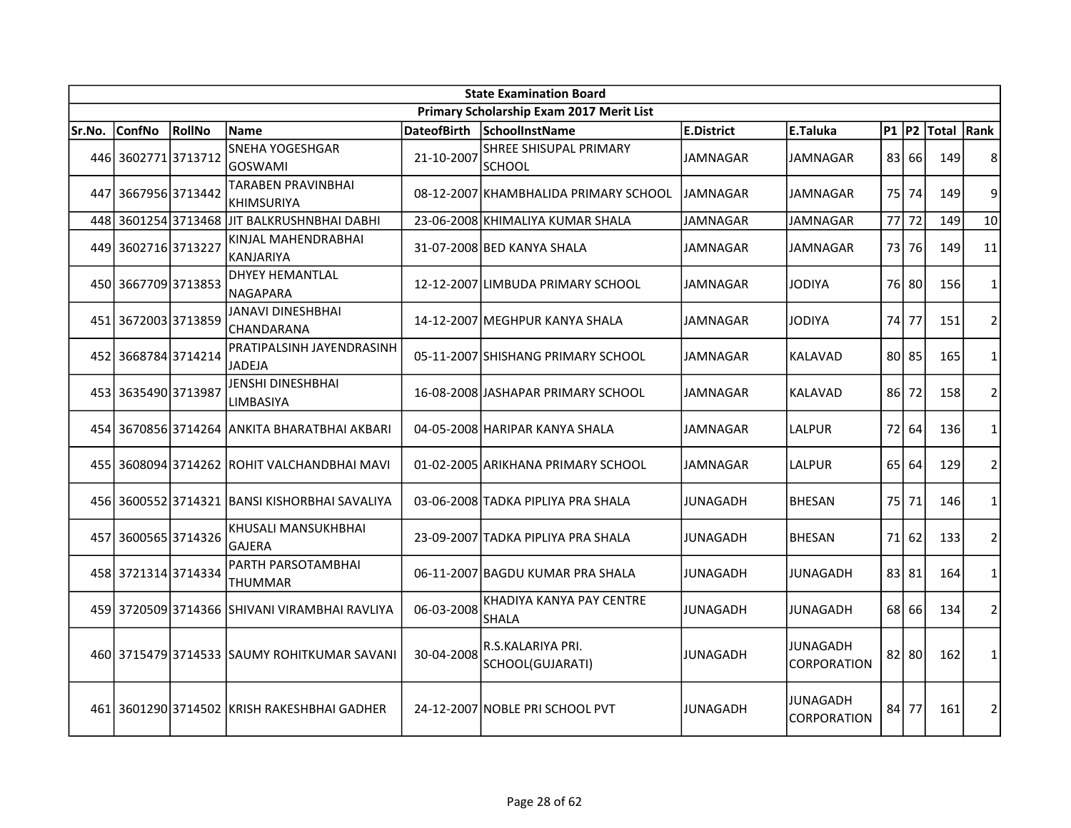|        | <b>State Examination Board</b> |        |                                               |                    |                                          |                 |                                |           |       |             |                |  |  |
|--------|--------------------------------|--------|-----------------------------------------------|--------------------|------------------------------------------|-----------------|--------------------------------|-----------|-------|-------------|----------------|--|--|
|        |                                |        |                                               |                    | Primary Scholarship Exam 2017 Merit List |                 |                                |           |       |             |                |  |  |
| Sr.No. | <b>ConfNo</b>                  | RollNo | <b>Name</b>                                   | <b>DateofBirth</b> | SchoolInstName                           | E.District      | E.Taluka                       | $P1$ $P2$ |       | Total  Rank |                |  |  |
|        | 446 3602771 3713712            |        | SNEHA YOGESHGAR<br><b>GOSWAMI</b>             | 21-10-2007         | SHREE SHISUPAL PRIMARY<br><b>SCHOOL</b>  | JAMNAGAR        | <b>JAMNAGAR</b>                | 83        | 66    | 149         | 8              |  |  |
|        | 447 3667956 3713442            |        | TARABEN PRAVINBHAI<br><b>KHIMSURIYA</b>       |                    | 08-12-2007 KHAMBHALIDA PRIMARY SCHOOL    | IJAMNAGAR       | JAMNAGAR                       | 75        | 74    | 149         | 9              |  |  |
| 448    |                                |        | 3601254 3713468 JIT BALKRUSHNBHAI DABHI       |                    | 23-06-2008 KHIMALIYA KUMAR SHALA         | JAMNAGAR        | JAMNAGAR                       | 77        | 72    | 149         | 10             |  |  |
|        | 449 3602716 3713227            |        | KINJAL MAHENDRABHAI<br>KANJARIYA              |                    | 31-07-2008 BED KANYA SHALA               | JAMNAGAR        | JAMNAGAR                       | 73        | 76    | 149         | 11             |  |  |
|        | 450 3667709 3713853            |        | DHYEY HEMANTLAL<br><b>NAGAPARA</b>            |                    | 12-12-2007 LIMBUDA PRIMARY SCHOOL        | <b>JAMNAGAR</b> | <b>JODIYA</b>                  |           | 76 80 | 156         | 1              |  |  |
|        | 451 3672003 3713859            |        | JANAVI DINESHBHAI<br>CHANDARANA               |                    | 14-12-2007 MEGHPUR KANYA SHALA           | <b>JAMNAGAR</b> | JODIYA                         | 74        | 77    | 151         | $\overline{2}$ |  |  |
|        | 452 3668784 3714214            |        | PRATIPALSINH JAYENDRASINH<br><b>JADEJA</b>    |                    | 05-11-2007 SHISHANG PRIMARY SCHOOL       | <b>JAMNAGAR</b> | <b>KALAVAD</b>                 |           | 80 85 | 165         | $\mathbf{1}$   |  |  |
|        | 453 3635490 3713987            |        | JENSHI DINESHBHAI<br><b>LIMBASIYA</b>         |                    | 16-08-2008 JASHAPAR PRIMARY SCHOOL       | <b>JAMNAGAR</b> | <b>KALAVAD</b>                 | 86        | 72    | 158         | $\overline{2}$ |  |  |
|        |                                |        | 454 3670856 3714264 ANKITA BHARATBHAI AKBARI  |                    | 04-05-2008 HARIPAR KANYA SHALA           | <b>JAMNAGAR</b> | LALPUR                         | 72        | 64    | 136         | $\mathbf{1}$   |  |  |
|        |                                |        | 455 3608094 3714262 ROHIT VALCHANDBHAI MAVI   |                    | 01-02-2005 ARIKHANA PRIMARY SCHOOL       | <b>JAMNAGAR</b> | LALPUR                         | 65        | 64    | 129         | $\overline{2}$ |  |  |
|        |                                |        | 456 3600552 3714321 BANSI KISHORBHAI SAVALIYA |                    | 03-06-2008 TADKA PIPLIYA PRA SHALA       | JUNAGADH        | <b>BHESAN</b>                  | 75        | 71    | 146         | $\mathbf{1}$   |  |  |
| 457    | 3600565 3714326                |        | KHUSALI MANSUKHBHAI<br><b>GAJERA</b>          |                    | 23-09-2007 TADKA PIPLIYA PRA SHALA       | JUNAGADH        | <b>BHESAN</b>                  | 71        | 62    | 133         | $\overline{2}$ |  |  |
|        | 458 3721314 3714334            |        | PARTH PARSOTAMBHAI<br>THUMMAR                 |                    | 06-11-2007 BAGDU KUMAR PRA SHALA         | <b>JUNAGADH</b> | JUNAGADH                       |           | 83 81 | 164         | 1              |  |  |
|        |                                |        | 459 3720509 3714366 SHIVANI VIRAMBHAI RAVLIYA | 06-03-2008         | KHADIYA KANYA PAY CENTRE<br>SHALA        | <b>JUNAGADH</b> | JUNAGADH                       | 68        | 66    | 134         | $\overline{2}$ |  |  |
|        |                                |        | 460 3715479 3714533 SAUMY ROHITKUMAR SAVANI   | 30-04-2008         | R.S.KALARIYA PRI.<br>SCHOOL(GUJARATI)    | JUNAGADH        | JUNAGADH<br><b>CORPORATION</b> | 82        | 80    | 162         | $\mathbf{1}$   |  |  |
|        |                                |        | 461 3601290 3714502 KRISH RAKESHBHAI GADHER   |                    | 24-12-2007 NOBLE PRI SCHOOL PVT          | JUNAGADH        | JUNAGADH<br><b>CORPORATION</b> | 84 l      | 77    | 161         | $\overline{2}$ |  |  |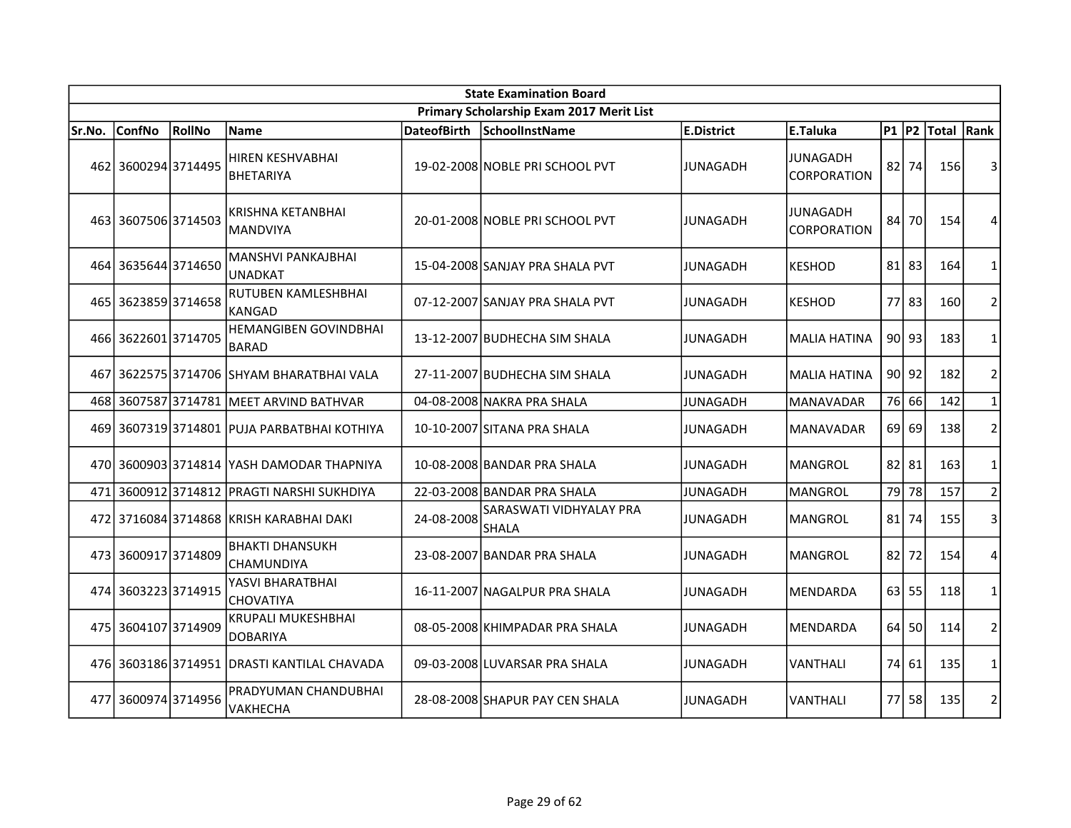|        | <b>State Examination Board</b> |        |                                              |                    |                                          |                   |                                       |           |             |            |                |  |  |
|--------|--------------------------------|--------|----------------------------------------------|--------------------|------------------------------------------|-------------------|---------------------------------------|-----------|-------------|------------|----------------|--|--|
|        |                                |        |                                              |                    | Primary Scholarship Exam 2017 Merit List |                   |                                       |           |             |            |                |  |  |
| Sr.No. | <b>ConfNo</b>                  | RollNo | <b>Name</b>                                  | <b>DateofBirth</b> | SchoolInstName                           | <b>E.District</b> | E.Taluka                              | $P1$ $P2$ |             | Total Rank |                |  |  |
| 462    | 3600294 3714495                |        | HIREN KESHVABHAI<br><b>BHETARIYA</b>         |                    | 19-02-2008 NOBLE PRI SCHOOL PVT          | JUNAGADH          | <b>JUNAGADH</b><br><b>CORPORATION</b> | 82        | 74          | 156        | 3              |  |  |
|        | 463 3607506 3714503            |        | <b>KRISHNA KETANBHAI</b><br><b>MANDVIYA</b>  |                    | 20-01-2008 NOBLE PRI SCHOOL PVT          | JUNAGADH          | JUNAGADH<br><b>CORPORATION</b>        | 84        | 70          | 154        | 4              |  |  |
|        | 464 3635644 3714650            |        | <b>MANSHVI PANKAJBHAI</b><br><b>UNADKAT</b>  |                    | 15-04-2008 SANJAY PRA SHALA PVT          | JUNAGADH          | <b>KESHOD</b>                         |           | $81$   83   | 164        | 1              |  |  |
|        | 465 3623859 3714658            |        | RUTUBEN KAMLESHBHAI<br>KANGAD                |                    | 07-12-2007 SANJAY PRA SHALA PVT          | JUNAGADH          | <b>KESHOD</b>                         |           | 77 83       | 160        | $\overline{2}$ |  |  |
|        | 466 3622601 3714705            |        | <b>HEMANGIBEN GOVINDBHAI</b><br><b>BARAD</b> |                    | 13-12-2007 BUDHECHA SIM SHALA            | <b>JUNAGADH</b>   | MALIA HATINA                          |           | $90$ 93     | 183        | 1              |  |  |
| 467    |                                |        | 3622575 3714706  SHYAM BHARATBHAI VALA       |                    | 27-11-2007 BUDHECHA SIM SHALA            | <b>JUNAGADH</b>   | <b>MALIA HATINA</b>                   |           | $90$ 92     | 182        | $\overline{2}$ |  |  |
| 468    |                                |        | 3607587 3714781 MEET ARVIND BATHVAR          |                    | 04-08-2008 NAKRA PRA SHALA               | <b>JUNAGADH</b>   | <b>MANAVADAR</b>                      |           | 76 66       | 142        | $\mathbf{1}$   |  |  |
|        |                                |        | 469 3607319 3714801 PUJA PARBATBHAI KOTHIYA  |                    | 10-10-2007 SITANA PRA SHALA              | JUNAGADH          | <b>MANAVADAR</b>                      | 69 l      | 69          | 138        | $\overline{2}$ |  |  |
|        |                                |        | 470 3600903 3714814 YASH DAMODAR THAPNIYA    |                    | 10-08-2008 BANDAR PRA SHALA              | JUNAGADH          | <b>MANGROL</b>                        |           | $82$   $81$ | 163        | $\mathbf{1}$   |  |  |
| 471    | 36009123714812                 |        | PRAGTI NARSHI SUKHDIYA                       |                    | 22-03-2008 BANDAR PRA SHALA              | <b>JUNAGADH</b>   | <b>MANGROL</b>                        | 79        | 78          | 157        | $\overline{2}$ |  |  |
|        |                                |        | 472 3716084 3714868 KRISH KARABHAI DAKI      | 24-08-2008         | SARASWATI VIDHYALAY PRA<br><b>SHALA</b>  | <b>JUNAGADH</b>   | <b>MANGROL</b>                        | 81        | 74          | 155        | 3              |  |  |
|        | 473 3600917 3714809            |        | <b>BHAKTI DHANSUKH</b><br><b>CHAMUNDIYA</b>  |                    | 23-08-2007 BANDAR PRA SHALA              | <b>JUNAGADH</b>   | <b>MANGROL</b>                        | 82        | 72          | 154        | 4              |  |  |
|        | 474 3603223 3714915            |        | YASVI BHARATBHAI<br><b>CHOVATIYA</b>         |                    | 16-11-2007 NAGALPUR PRA SHALA            | <b>JUNAGADH</b>   | <b>MENDARDA</b>                       | 63        | 55          | 118        | $\mathbf{1}$   |  |  |
|        | 475 3604107 3714909            |        | KRUPALI MUKESHBHAI<br><b>DOBARIYA</b>        |                    | 08-05-2008 KHIMPADAR PRA SHALA           | <b>JUNAGADH</b>   | <b>MENDARDA</b>                       | 64 l      | 50          | 114        | $\overline{2}$ |  |  |
|        |                                |        | 476 3603186 3714951 DRASTI KANTILAL CHAVADA  |                    | 09-03-2008 LUVARSAR PRA SHALA            | <b>JUNAGADH</b>   | VANTHALI                              | 74        | 61          | 135        | 1              |  |  |
| 477    | 36009743714956                 |        | PRADYUMAN CHANDUBHAI<br>VAKHECHA             |                    | 28-08-2008 SHAPUR PAY CEN SHALA          | <b>JUNAGADH</b>   | VANTHALI                              | 771       | 58          | 135        | $\overline{2}$ |  |  |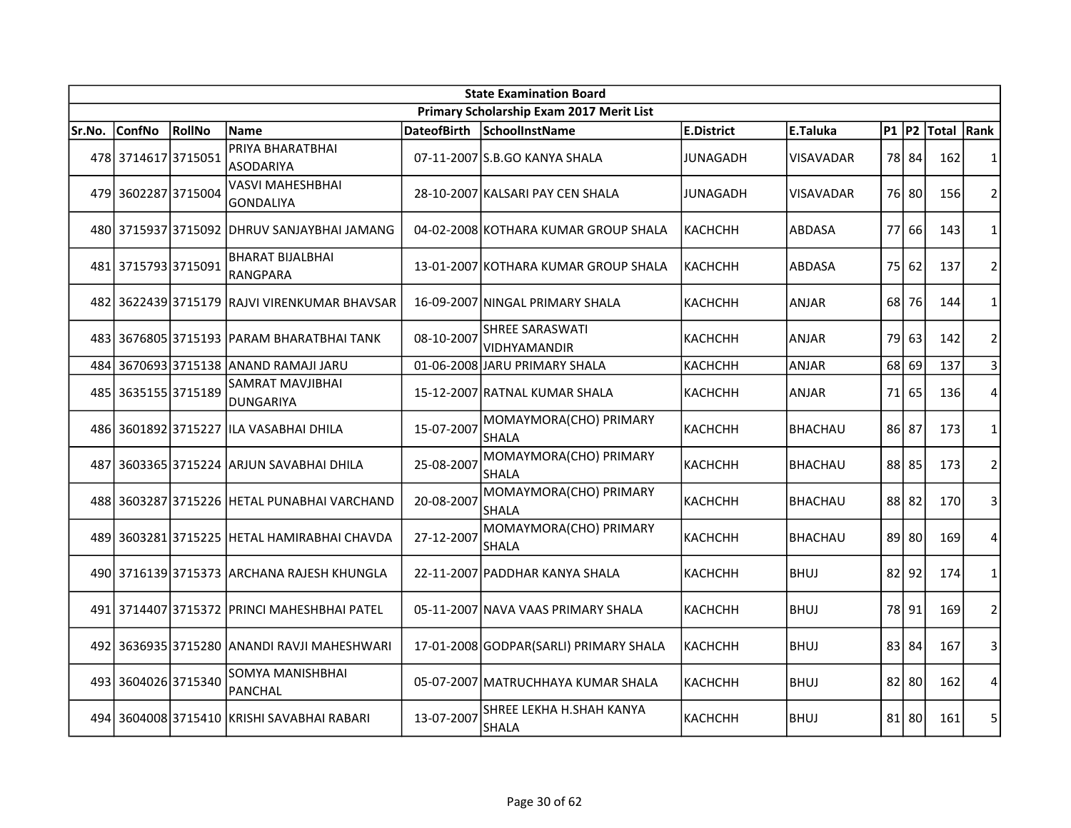| <b>State Examination Board</b> |                     |        |                                             |                    |                                               |                |                  |           |         |             |                |  |
|--------------------------------|---------------------|--------|---------------------------------------------|--------------------|-----------------------------------------------|----------------|------------------|-----------|---------|-------------|----------------|--|
|                                |                     |        |                                             |                    | Primary Scholarship Exam 2017 Merit List      |                |                  |           |         |             |                |  |
| Sr.No.                         | <b>ConfNo</b>       | RollNo | <b>Name</b>                                 | <b>DateofBirth</b> | SchoolInstName                                | E.District     | E.Taluka         | $P1$ $P2$ |         | Total  Rank |                |  |
|                                | 478 3714617 3715051 |        | PRIYA BHARATBHAI<br><b>ASODARIYA</b>        |                    | 07-11-2007 S.B.GO KANYA SHALA                 | JUNAGADH       | <b>VISAVADAR</b> |           | 78 84   | 162         | $\mathbf{1}$   |  |
|                                | 479 3602287 3715004 |        | <b>VASVI MAHESHBHAI</b><br><b>GONDALIYA</b> |                    | 28-10-2007 KALSARI PAY CEN SHALA              | JUNAGADH       | VISAVADAR        |           | 76 80   | 156         | $\overline{2}$ |  |
|                                |                     |        | 480 3715937 3715092 DHRUV SANJAYBHAI JAMANG |                    | 04-02-2008 KOTHARA KUMAR GROUP SHALA          | KACHCHH        | ABDASA           | 77        | 66      | 143         | $\mathbf{1}$   |  |
|                                | 481 3715793 3715091 |        | <b>BHARAT BIJALBHAI</b><br>RANGPARA         |                    | 13-01-2007 KOTHARA KUMAR GROUP SHALA          | KACHCHH        | ABDASA           | 75        | 62      | 137         | $\overline{2}$ |  |
| 482                            |                     |        | 362243913715179 RAJVI VIRENKUMAR BHAVSAR    |                    | 16-09-2007 NINGAL PRIMARY SHALA               | KACHCHH        | <b>ANJAR</b>     | 68        | 76      | 144         | 1              |  |
|                                |                     |        | 483 3676805 3715193 PARAM BHARATBHAI TANK   | 08-10-2007         | <b>SHREE SARASWATI</b><br><b>VIDHYAMANDIR</b> | <b>KACHCHH</b> | <b>ANJAR</b>     | 79        | 63      | 142         | $\overline{2}$ |  |
| 484                            |                     |        | 3670693 3715138 ANAND RAMAJI JARU           |                    | 01-06-2008 JARU PRIMARY SHALA                 | каснснн        | <b>ANJAR</b>     | 68        | 69      | 137         | 3              |  |
|                                | 485 3635155 3715189 |        | SAMRAT MAVJIBHAI<br><b>DUNGARIYA</b>        |                    | 15-12-2007 RATNAL KUMAR SHALA                 | KACHCHH        | <b>ANJAR</b>     | 71        | 65      | 136         | 4              |  |
|                                |                     |        | 486 3601892 3715227 ILA VASABHAI DHILA      | 15-07-2007         | MOMAYMORA(CHO) PRIMARY<br><b>SHALA</b>        | КАСНСНН        | <b>BHACHAU</b>   | 86 87     |         | 173         | $\mathbf{1}$   |  |
| 487                            |                     |        | 3603365 3715224 ARJUN SAVABHAI DHILA        | 25-08-2007         | MOMAYMORA(CHO) PRIMARY<br><b>SHALA</b>        | КАСНСНН        | <b>BHACHAU</b>   |           | 88 85   | 173         | $\overline{2}$ |  |
|                                |                     |        | 488 3603287 3715226 HETAL PUNABHAI VARCHAND | 20-08-2007         | MOMAYMORA(CHO) PRIMARY<br><b>SHALA</b>        | КАСНСНН        | <b>BHACHAU</b>   |           | 88 82   | 170         | 3              |  |
|                                |                     |        | 489 3603281 3715225 HETAL HAMIRABHAI CHAVDA | 27-12-2007         | MOMAYMORA(CHO) PRIMARY<br>SHALA               | <b>KACHCHH</b> | <b>BHACHAU</b>   |           | 89 80   | 169         | 4              |  |
|                                |                     |        | 490 3716139 3715373 ARCHANA RAJESH KHUNGLA  |                    | 22-11-2007 PADDHAR KANYA SHALA                | KACHCHH        | <b>BHUJ</b>      | 82 I      | 92      | 174         | 1              |  |
|                                |                     |        | 491 3714407 3715372 PRINCI MAHESHBHAI PATEL |                    | 05-11-2007 NAVA VAAS PRIMARY SHALA            | KACHCHH        | <b>BHUJ</b>      | 78 I      | 91      | 169         | 2              |  |
| 492                            |                     |        | 3636935 3715280 ANANDI RAVJI MAHESHWARI     |                    | 17-01-2008 GODPAR(SARLI) PRIMARY SHALA        | <b>KACHCHH</b> | <b>BHUJ</b>      | 83        | 84      | 167         | 3              |  |
| 493                            | 36040263715340      |        | SOMYA MANISHBHAI<br>PANCHAL                 |                    | 05-07-2007 MATRUCHHAYA KUMAR SHALA            | KACHCHH        | <b>BHUJ</b>      | 82        | 80      | 162         | 4              |  |
|                                |                     |        | 494 3604008 3715410 KRISHI SAVABHAI RABARI  | 13-07-2007         | SHREE LEKHA H.SHAH KANYA<br>SHALA             | KACHCHH        | <b>BHUJ</b>      |           | $81$ 80 | 161         | 5              |  |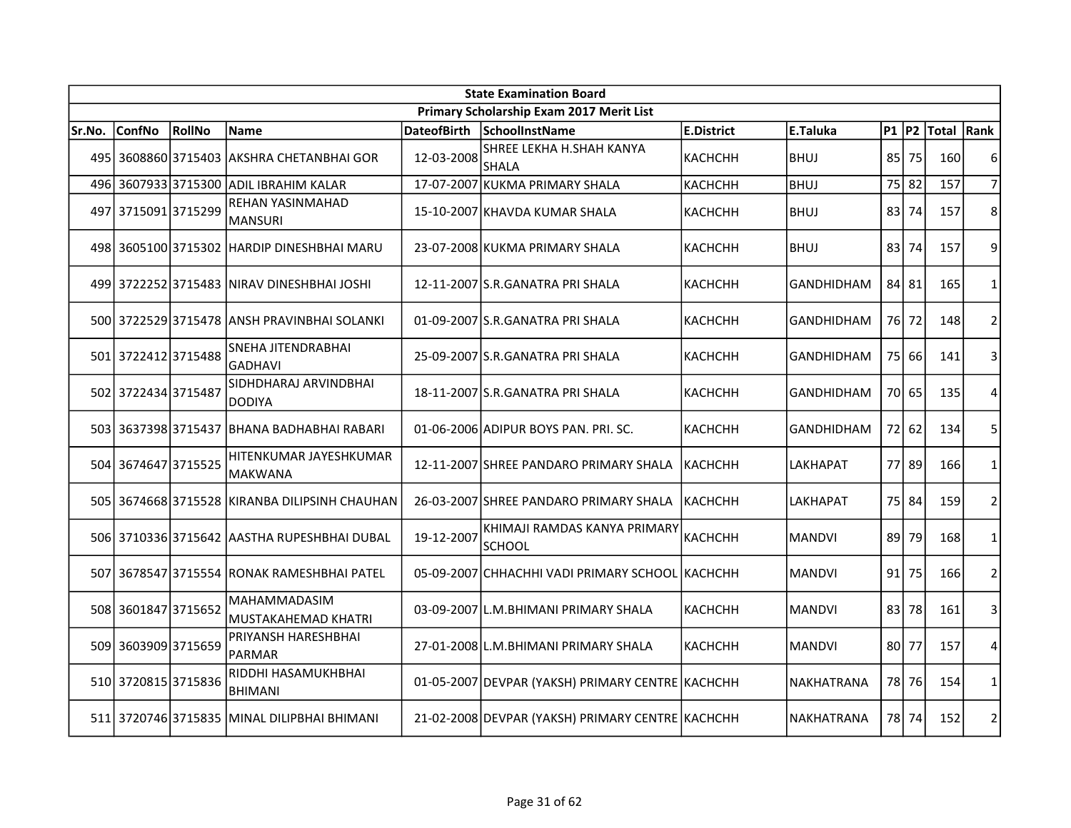|        | <b>State Examination Board</b> |               |                                               |                    |                                                  |                |                   |           |       |             |                |  |  |
|--------|--------------------------------|---------------|-----------------------------------------------|--------------------|--------------------------------------------------|----------------|-------------------|-----------|-------|-------------|----------------|--|--|
|        |                                |               |                                               |                    | Primary Scholarship Exam 2017 Merit List         |                |                   |           |       |             |                |  |  |
| Sr.No. | <b>ConfNo</b>                  | <b>RollNo</b> | <b>Name</b>                                   | <b>DateofBirth</b> | SchoolInstName                                   | E.District     | E.Taluka          | $P1$ $P2$ |       | Total  Rank |                |  |  |
|        | 495 3608860 3715403            |               | <b>AKSHRA CHETANBHAI GOR</b>                  | 12-03-2008         | SHREE LEKHA H.SHAH KANYA<br><b>SHALA</b>         | <b>KACHCHH</b> | <b>BHUJ</b>       | 85        | 75    | 160         | 6              |  |  |
|        | 496 3607933 3715300            |               | <b>ADIL IBRAHIM KALAR</b>                     |                    | 17-07-2007 KUKMA PRIMARY SHALA                   | КАСНСНН        | <b>BHUJ</b>       | 75        | 82    | 157         | $\overline{7}$ |  |  |
|        | 497 3715091 3715299            |               | REHAN YASINMAHAD<br><b>MANSURI</b>            |                    | 15-10-2007 KHAVDA KUMAR SHALA                    | <b>KACHCHH</b> | <b>BHUJ</b>       | 83        | 74    | 157         | 8              |  |  |
|        |                                |               | 498 3605100 3715302 HARDIP DINESHBHAI MARU    |                    | 23-07-2008 KUKMA PRIMARY SHALA                   | <b>KACHCHH</b> | <b>BHUJ</b>       | 83        | 74    | 157         | 9              |  |  |
|        |                                |               | 499 3722252 3715483 NIRAV DINESHBHAI JOSHI    |                    | 12-11-2007 S.R.GANATRA PRI SHALA                 | <b>KACHCHH</b> | <b>GANDHIDHAM</b> | 84 81     |       | 165         | 1              |  |  |
|        |                                |               | 500 3722529 3715478 ANSH PRAVINBHAI SOLANKI   |                    | 01-09-2007 S.R.GANATRA PRI SHALA                 | <b>KACHCHH</b> | <b>GANDHIDHAM</b> | 76        | 72    | 148         | $\overline{2}$ |  |  |
|        | 501 3722412 3715488            |               | SNEHA JITENDRABHAI<br><b>GADHAVI</b>          |                    | 25-09-2007 S.R.GANATRA PRI SHALA                 | <b>KACHCHH</b> | <b>GANDHIDHAM</b> | 75        | 66    | 141         | 3              |  |  |
|        | 502 3722434 3715487            |               | SIDHDHARAJ ARVINDBHAI<br><b>DODIYA</b>        |                    | 18-11-2007 S.R.GANATRA PRI SHALA                 | <b>КАСНСНН</b> | GANDHIDHAM        |           | 70 65 | 135         | 4              |  |  |
|        |                                |               | 503 3637398 3715437 BHANA BADHABHAI RABARI    |                    | 01-06-2006 ADIPUR BOYS PAN. PRI. SC.             | <b>КАСНСНН</b> | <b>GANDHIDHAM</b> |           | 72 62 | 134         | 5              |  |  |
|        | 504 3674647 3715525            |               | HITENKUMAR JAYESHKUMAR<br><b>MAKWANA</b>      |                    | 12-11-2007 SHREE PANDARO PRIMARY SHALA           | Ікаснснн       | <b>LAKHAPAT</b>   |           | 77 89 | 166         | $\mathbf{1}$   |  |  |
|        |                                |               | 505 3674668 3715528 KIRANBA DILIPSINH CHAUHAN |                    | 26-03-2007 SHREE PANDARO PRIMARY SHALA           | KACHCHH        | LAKHAPAT          |           | 75 84 | 159         | $\overline{2}$ |  |  |
|        |                                |               | 506 3710336 3715642 AASTHA RUPESHBHAI DUBAL   | 19-12-2007         | KHIMAJI RAMDAS KANYA PRIMARY<br><b>SCHOOL</b>    | <b>КАСНСНН</b> | <b>MANDVI</b>     | 89 l      | 79    | 168         | 1              |  |  |
| 507    |                                |               | 3678547 3715554 RONAK RAMESHBHAI PATEL        |                    | 05-09-2007 CHHACHHI VADI PRIMARY SCHOOL KACHCHH  |                | <b>MANDVI</b>     | 91        | 75    | 166         | $\overline{2}$ |  |  |
|        | 508 3601847 3715652            |               | <b>MAHAMMADASIM</b><br>MUSTAKAHEMAD KHATRI    |                    | 03-09-2007 L.M.BHIMANI PRIMARY SHALA             | <b>KACHCHH</b> | <b>MANDVI</b>     | 83 I      | 78    | 161         | 3              |  |  |
|        | 509 3603909 3715659            |               | PRIYANSH HARESHBHAI<br><b>PARMAR</b>          |                    | 27-01-2008 L.M.BHIMANI PRIMARY SHALA             | <b>КАСНСНН</b> | <b>MANDVI</b>     | 80        | 77    | 157         | 4              |  |  |
|        | 510 3720815 3715836            |               | RIDDHI HASAMUKHBHAI<br><b>BHIMANI</b>         |                    | 01-05-2007 DEVPAR (YAKSH) PRIMARY CENTRE KACHCHH |                | NAKHATRANA        |           | 78 76 | 154         | $\mathbf{1}$   |  |  |
|        |                                |               | 511 3720746 3715835 MINAL DILIPBHAI BHIMANI   |                    | 21-02-2008 DEVPAR (YAKSH) PRIMARY CENTRE KACHCHH |                | <b>NAKHATRANA</b> |           | 78 74 | 152         | $\overline{2}$ |  |  |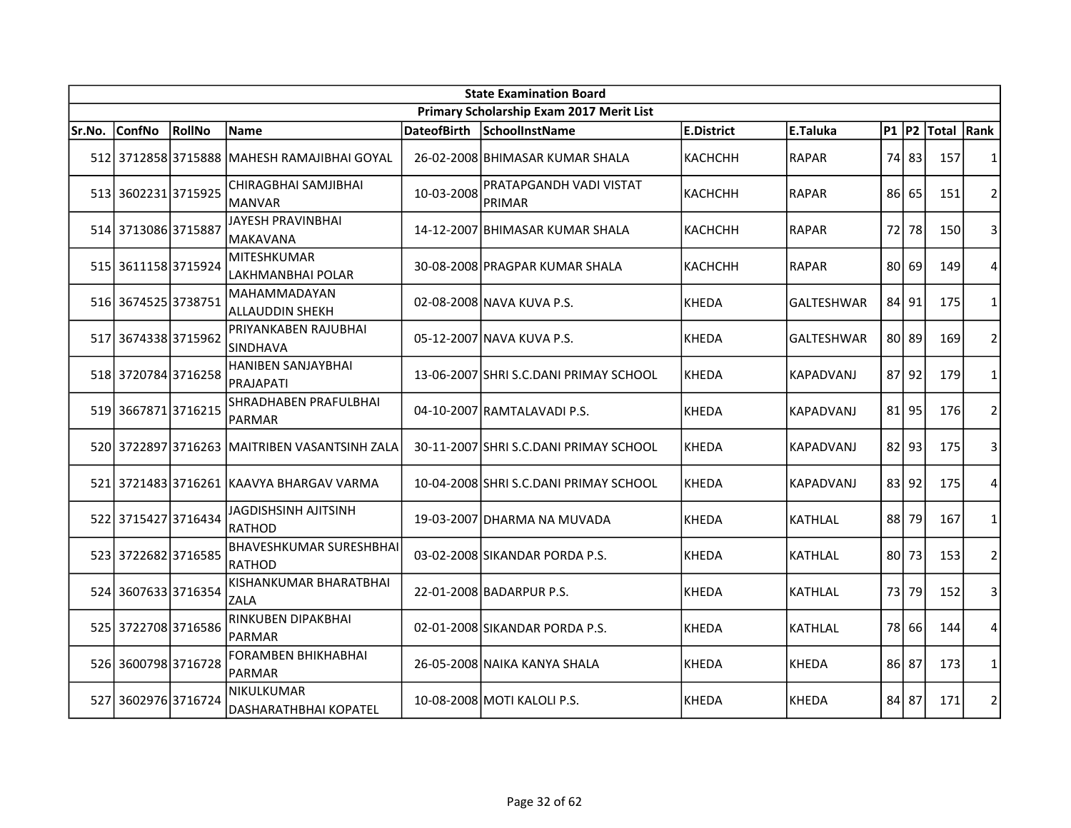|        | <b>State Examination Board</b> |        |                                               |                    |                                          |                   |                   |           |           |            |                |  |
|--------|--------------------------------|--------|-----------------------------------------------|--------------------|------------------------------------------|-------------------|-------------------|-----------|-----------|------------|----------------|--|
|        |                                |        |                                               |                    | Primary Scholarship Exam 2017 Merit List |                   |                   |           |           |            |                |  |
| Sr.No. | <b>ConfNo</b>                  | RollNo | <b>Name</b>                                   | <b>DateofBirth</b> | SchoolInstName                           | <b>E.District</b> | E.Taluka          | $P1$ $P2$ |           | Total Rank |                |  |
|        |                                |        | 512 3712858 3715888 MAHESH RAMAJIBHAI GOYAL   |                    | 26-02-2008 BHIMASAR KUMAR SHALA          | <b>KACHCHH</b>    | <b>RAPAR</b>      | 74        | 83        | 157        | 1              |  |
|        | 513 3602231 3715925            |        | CHIRAGBHAI SAMJIBHAI<br>MANVAR                | 10-03-2008         | <b>PRATAPGANDH VADI VISTAT</b><br>PRIMAR | КАСНСНН           | <b>RAPAR</b>      | 86        | 65        | 151        | $\overline{2}$ |  |
|        | 514 3713086 3715887            |        | JAYESH PRAVINBHAI<br>MAKAVANA                 |                    | 14-12-2007 BHIMASAR KUMAR SHALA          | KACHCHH           | <b>RAPAR</b>      | 72        | 78        | 150        | 3              |  |
|        | 515 3611158 3715924            |        | MITESHKUMAR<br>LAKHMANBHAI POLAR              |                    | 30-08-2008 PRAGPAR KUMAR SHALA           | KACHCHH           | <b>RAPAR</b>      | 80        | 69        | 149        | $\overline{4}$ |  |
|        | 516 3674525 3738751            |        | MAHAMMADAYAN<br><b>ALLAUDDIN SHEKH</b>        |                    | 02-08-2008 NAVA KUVA P.S.                | KHEDA             | <b>GALTESHWAR</b> | 84 l      | 91        | 175        | 1              |  |
| 517    | 36743383715962                 |        | PRIYANKABEN RAJUBHAI<br><b>SINDHAVA</b>       |                    | 05-12-2007 NAVA KUVA P.S.                | KHEDA             | <b>GALTESHWAR</b> |           | 80 89     | 169        | $\overline{2}$ |  |
|        | 518 3720784 3716258            |        | <b>HANIBEN SANJAYBHAI</b><br>PRAJAPATI        |                    | 13-06-2007 SHRI S.C.DANI PRIMAY SCHOOL   | KHEDA             | KAPADVANJ         |           | 87 92     | 179        | $\mathbf{1}$   |  |
|        | 519 3667871 3716215            |        | SHRADHABEN PRAFULBHAI<br>PARMAR               |                    | 04-10-2007 RAMTALAVADI P.S.              | KHEDA             | <b>KAPADVANJ</b>  |           | 81 95     | 176        | $\overline{2}$ |  |
|        |                                |        | 520 3722897 3716263 MAITRIBEN VASANTSINH ZALA |                    | 30-11-2007 SHRI S.C.DANI PRIMAY SCHOOL   | <b>KHEDA</b>      | <b>KAPADVANJ</b>  |           | $82$   93 | 175        | 3              |  |
|        |                                |        | 521 3721483 3716261 KAAVYA BHARGAV VARMA      |                    | 10-04-2008 SHRI S.C.DANI PRIMAY SCHOOL   | KHEDA             | <b>KAPADVANJ</b>  | 83        | 92        | 175        | 4              |  |
|        | 522 3715427 3716434            |        | <b>JAGDISHSINH AJITSINH</b><br>RATHOD         |                    | 19-03-2007 DHARMA NA MUVADA              | KHEDA             | KATHLAL           | 88        | 79        | 167        | 1              |  |
|        | 523 3722682 3716585            |        | <b>BHAVESHKUMAR SURESHBHAI</b><br>RATHOD      |                    | 03-02-2008 SIKANDAR PORDA P.S.           | KHEDA             | <b>KATHLAL</b>    |           | 80 73     | 153        | $\overline{2}$ |  |
|        | 524 3607633 3716354            |        | KISHANKUMAR BHARATBHAI<br>ZALA                |                    | 22-01-2008 BADARPUR P.S.                 | KHEDA             | KATHLAL           | 73        | 79        | 152        | 3              |  |
|        | 525 3722708 3716586            |        | RINKUBEN DIPAKBHAI<br>PARMAR                  |                    | 02-01-2008 SIKANDAR PORDA P.S.           | KHEDA             | <b>KATHLAL</b>    |           | 78 66     | 144        | 4              |  |
|        | 526 3600798 3716728            |        | FORAMBEN BHIKHABHAI<br>PARMAR                 |                    | 26-05-2008 NAIKA KANYA SHALA             | KHEDA             | KHEDA             | 86        | 87        | 173        | $\mathbf{1}$   |  |
| 527    | 3602976 3716724                |        | <b>NIKULKUMAR</b><br>DASHARATHBHAI KOPATEL    |                    | 10-08-2008 MOTI KALOLI P.S.              | KHEDA             | <b>KHEDA</b>      | 84 l      | 87        | 171        | $\overline{2}$ |  |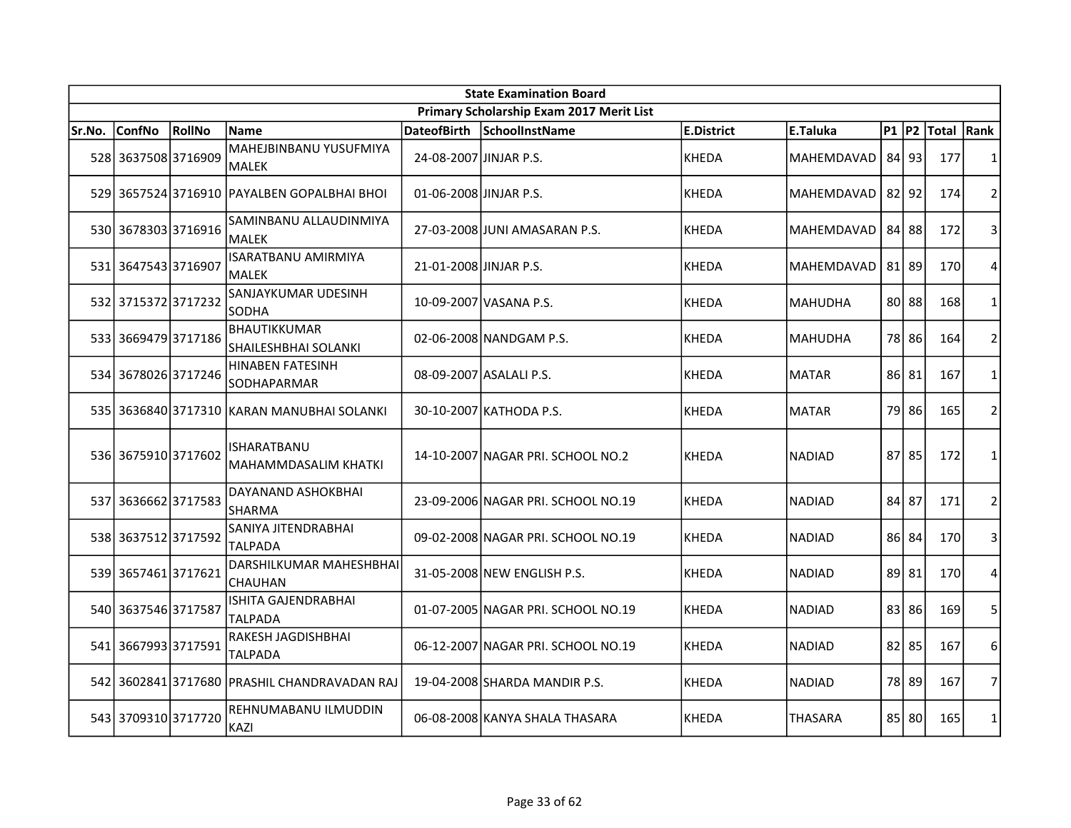|        | <b>State Examination Board</b> |        |                                                   |                         |                                          |              |                   |           |           |             |                |  |  |
|--------|--------------------------------|--------|---------------------------------------------------|-------------------------|------------------------------------------|--------------|-------------------|-----------|-----------|-------------|----------------|--|--|
|        |                                |        |                                                   |                         | Primary Scholarship Exam 2017 Merit List |              |                   |           |           |             |                |  |  |
| Sr.No. | <b>ConfNo</b>                  | RollNo | <b>Name</b>                                       | <b>DateofBirth</b>      | SchoolInstName                           | E.District   | E.Taluka          | $P1$ $P2$ |           | Total  Rank |                |  |  |
|        | 528 3637508 3716909            |        | MAHEJBINBANU YUSUFMIYA<br><b>MALEK</b>            | 24-08-2007 JINJAR P.S.  |                                          | KHEDA        | <b>MAHEMDAVAD</b> | 841       | 93        | 177         | 1              |  |  |
|        |                                |        | 529 3657524 3716910 PAYALBEN GOPALBHAI BHOI       | 01-06-2008 JJINJAR P.S. |                                          | <b>KHEDA</b> | MAHEMDAVAD        | $82$   92 |           | 174         | $\overline{2}$ |  |  |
|        | 530 3678303 3716916            |        | SAMINBANU ALLAUDINMIYA<br><b>MALEK</b>            |                         | 27-03-2008 JUNI AMASARAN P.S.            | KHEDA        | MAHEMDAVAD        |           | 84 88     | 172         | 3              |  |  |
|        | 531 3647543 3716907            |        | ISARATBANU AMIRMIYA<br>MALEK                      | 21-01-2008 JINJAR P.S.  |                                          | KHEDA        | MAHEMDAVAD        | 81 89     |           | 170         | 4              |  |  |
|        | 532 3715372 3717232            |        | SANJAYKUMAR UDESINH<br><b>SODHA</b>               |                         | 10-09-2007 VASANA P.S.                   | <b>KHEDA</b> | <b>MAHUDHA</b>    |           | 80 88     | 168         | 1              |  |  |
|        | 533 3669479 3717186            |        | BHAUTIKKUMAR<br>SHAILESHBHAI SOLANKI              |                         | 02-06-2008 NANDGAM P.S.                  | KHEDA        | <b>MAHUDHA</b>    |           | 78 86     | 164         | $\overline{2}$ |  |  |
|        | 534 3678026 3717246            |        | HINABEN FATESINH<br>SODHAPARMAR                   |                         | 08-09-2007 ASALALI P.S.                  | KHEDA        | <b>MATAR</b>      |           | 86 81     | 167         | $\mathbf{1}$   |  |  |
|        |                                |        | 535 3636840 3717310 KARAN MANUBHAI SOLANKI        |                         | 30-10-2007 КАТНОDА P.S.                  | KHEDA        | <b>MATAR</b>      | 79        | 86        | 165         | $\overline{2}$ |  |  |
|        | 536 3675910 3717602            |        | <b>ISHARATBANU</b><br><b>MAHAMMDASALIM KHATKI</b> |                         | 14-10-2007 NAGAR PRI. SCHOOL NO.2        | KHEDA        | <b>NADIAD</b>     |           | 87 85     | 172         | $\mathbf{1}$   |  |  |
|        | 537 3636662 3717583            |        | DAYANAND ASHOKBHAI<br><b>SHARMA</b>               |                         | 23-09-2006 NAGAR PRI. SCHOOL NO.19       | KHEDA        | <b>NADIAD</b>     |           | 84 87     | 171         | 2              |  |  |
|        | 538 3637512 3717592            |        | SANIYA JITENDRABHAI<br><b>TALPADA</b>             |                         | 09-02-2008 NAGAR PRI. SCHOOL NO.19       | KHEDA        | <b>NADIAD</b>     |           | 86 84     | 170         | 3              |  |  |
|        | 539 3657461 3717621            |        | DARSHILKUMAR MAHESHBHAI<br><b>CHAUHAN</b>         |                         | 31-05-2008 NEW ENGLISH P.S.              | KHEDA        | <b>NADIAD</b>     |           | 89 81     | 170         | 4              |  |  |
|        | 540 3637546 3717587            |        | ISHITA GAJENDRABHAI<br>TALPADA                    |                         | 01-07-2005 NAGAR PRI. SCHOOL NO.19       | KHEDA        | <b>NADIAD</b>     |           | 83 86     | 169         | 5              |  |  |
|        | 541 3667993 3717591            |        | RAKESH JAGDISHBHAI<br><b>TALPADA</b>              |                         | 06-12-2007 NAGAR PRI. SCHOOL NO.19       | <b>KHEDA</b> | <b>NADIAD</b>     | 82 l      | 85        | 167         | 6              |  |  |
|        |                                |        | 542 3602841 3717680 PRASHIL CHANDRAVADAN RAJ      |                         | 19-04-2008 SHARDA MANDIR P.S.            | KHEDA        | <b>NADIAD</b>     | 78        | 89        | 167         | $\overline{7}$ |  |  |
|        | 543 3709310 3717720            |        | REHNUMABANU ILMUDDIN<br>KAZI                      |                         | 06-08-2008 KANYA SHALA THASARA           | <b>KHEDA</b> | THASARA           |           | $85$   80 | 165         | $\mathbf{1}$   |  |  |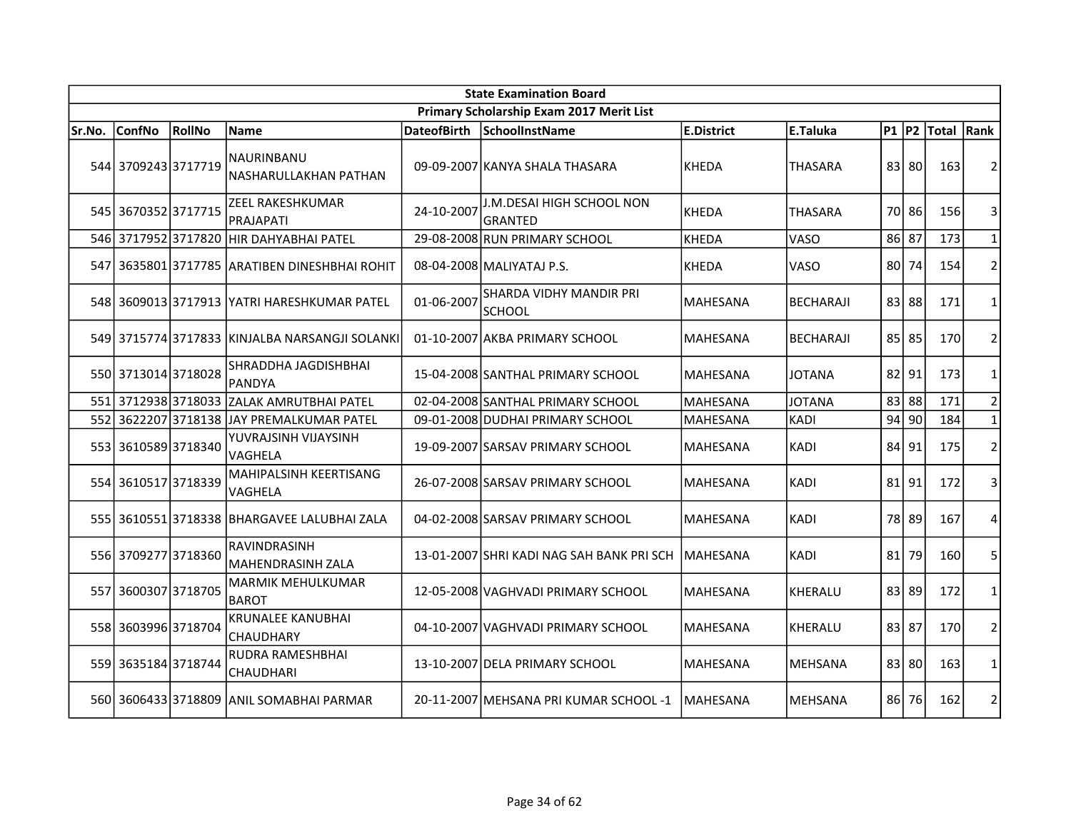|        | <b>State Examination Board</b> |               |                                                |                    |                                           |                  |                  |           |           |            |                |  |  |
|--------|--------------------------------|---------------|------------------------------------------------|--------------------|-------------------------------------------|------------------|------------------|-----------|-----------|------------|----------------|--|--|
|        |                                |               |                                                |                    | Primary Scholarship Exam 2017 Merit List  |                  |                  |           |           |            |                |  |  |
| Sr.No. | <b>ConfNo</b>                  | <b>RollNo</b> | Name                                           | <b>DateofBirth</b> | SchoolInstName                            | E.District       | E.Taluka         | $P1$ P2   |           | Total Rank |                |  |  |
|        | 544 3709243 3717719            |               | NAURINBANU<br>NASHARULLAKHAN PATHAN            |                    | 09-09-2007 KANYA SHALA THASARA            | <b>KHEDA</b>     | <b>THASARA</b>   |           | 83 80     | 163        | $\overline{2}$ |  |  |
|        | 545 3670352 3717715            |               | <b>ZEEL RAKESHKUMAR</b><br>PRAJAPATI           | 24-10-2007         | J.M.DESAI HIGH SCHOOL NON<br>GRANTED      | KHEDA            | <b>THASARA</b>   | 70        | 86        | 156        | 3              |  |  |
|        | 546 3717952 3717820            |               | lнır dahyaвнаі Patel                           |                    | 29-08-2008 RUN PRIMARY SCHOOL             | <b>KHEDA</b>     | VASO             | 86 87     |           | 173        | $\mathbf{1}$   |  |  |
|        |                                |               | 547 3635801 3717785 ARATIBEN DINESHBHAI ROHIT  |                    | 08-04-2008 MALIYATAJ P.S.                 | <b>KHEDA</b>     | VASO             | 80        | 74        | 154        | $\overline{2}$ |  |  |
|        |                                |               | 548 3609013 3717913 YATRI HARESHKUMAR PATEL    | 01-06-2007         | SHARDA VIDHY MANDIR PRI<br><b>SCHOOL</b>  | <b>MAHESANA</b>  | BECHARAJI        |           | 83 88     | 171        | 1              |  |  |
|        |                                |               | 549 3715774 3717833 KINJALBA NARSANGJI SOLANKI |                    | 01-10-2007 AKBA PRIMARY SCHOOL            | <b>MAHESANA</b>  | <b>BECHARAJI</b> |           | $85$   85 | 170        | $\overline{2}$ |  |  |
|        | 550 3713014 3718028            |               | SHRADDHA JAGDISHBHAI<br><b>PANDYA</b>          |                    | 15-04-2008 SANTHAL PRIMARY SCHOOL         | MAHESANA         | <b>JOTANA</b>    | $82$   91 |           | 173        | $\mathbf{1}$   |  |  |
|        | 551 3712938 3718033            |               | <b>ZALAK AMRUTBHAI PATEL</b>                   |                    | 02-04-2008 SANTHAL PRIMARY SCHOOL         | MAHESANA         | <b>JOTANA</b>    |           | 83 88     | 171        | $\overline{2}$ |  |  |
| 552    |                                |               | 3622207 3718138 JAY PREMALKUMAR PATEL          |                    | 09-01-2008 DUDHAI PRIMARY SCHOOL          | MAHESANA         | <b>KADI</b>      | 94        | 90        | 184        | $\mathbf 1$    |  |  |
|        | 553 3610589 3718340            |               | YUVRAJSINH VIJAYSINH<br>VAGHELA                |                    | 19-09-2007 SARSAV PRIMARY SCHOOL          | MAHESANA         | <b>KADI</b>      | 84        | 91        | 175        | $\overline{2}$ |  |  |
|        | 554 3610517 3718339            |               | MAHIPALSINH KEERTISANG<br>VAGHELA              |                    | 26-07-2008 SARSAV PRIMARY SCHOOL          | <b>MAHESANA</b>  | KADI             | 81        | 91        | 172        | 3              |  |  |
|        |                                |               | 555 3610551 3718338 BHARGAVEE LALUBHAI ZALA    |                    | 04-02-2008 SARSAV PRIMARY SCHOOL          | MAHESANA         | <b>KADI</b>      | 78        | 89        | 167        | 4              |  |  |
|        | 556 3709277 3718360            |               | RAVINDRASINH<br>MAHENDRASINH ZALA              |                    | 13-01-2007 SHRI KADI NAG SAH BANK PRI SCH | <b>IMAHESANA</b> | <b>KADI</b>      | 81        | 79        | 160        | 5              |  |  |
|        | 557 3600307 3718705            |               | <b>MARMIK MEHULKUMAR</b><br><b>BAROT</b>       |                    | 12-05-2008 VAGHVADI PRIMARY SCHOOL        | MAHESANA         | KHERALU          |           | 83 89     | 172        | 1              |  |  |
|        | 558 3603996 3718704            |               | <b>KRUNALEE KANUBHAI</b><br><b>CHAUDHARY</b>   |                    | 04-10-2007 VAGHVADI PRIMARY SCHOOL        | <b>MAHESANA</b>  | <b>KHERALU</b>   | 83 87     |           | 170        | $\overline{2}$ |  |  |
|        | 559 3635184 3718744            |               | RUDRA RAMESHBHAI<br><b>CHAUDHARI</b>           |                    | 13-10-2007 DELA PRIMARY SCHOOL            | <b>MAHESANA</b>  | <b>MEHSANA</b>   |           | 83 80     | 163        | 1              |  |  |
|        |                                |               | 560 3606433 3718809 ANIL SOMABHAI PARMAR       |                    | 20-11-2007   MEHSANA PRI KUMAR SCHOOL -1  | <b>IMAHESANA</b> | <b>MEHSANA</b>   | 86        | 76        | 162        | $\overline{2}$ |  |  |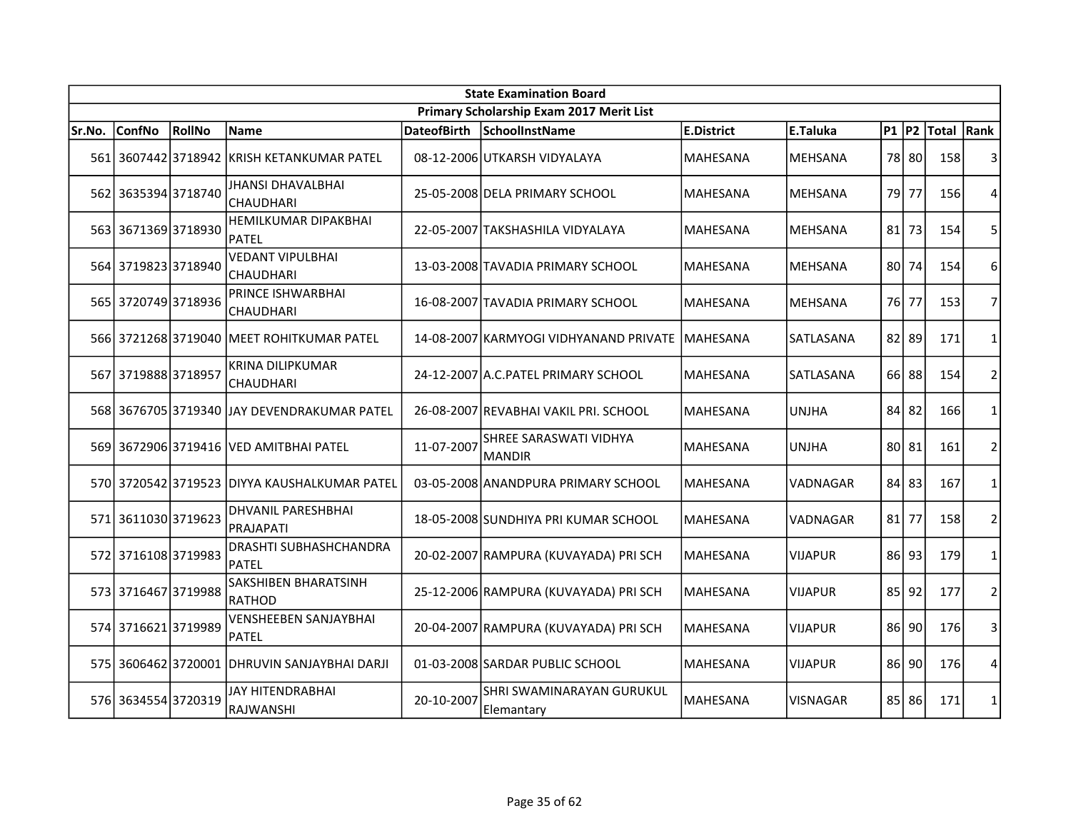|        | <b>State Examination Board</b> |        |                                              |                    |                                          |                   |                 |                 |       |            |                |  |  |
|--------|--------------------------------|--------|----------------------------------------------|--------------------|------------------------------------------|-------------------|-----------------|-----------------|-------|------------|----------------|--|--|
|        |                                |        |                                              |                    | Primary Scholarship Exam 2017 Merit List |                   |                 |                 |       |            |                |  |  |
| Sr.No. | <b>ConfNo</b>                  | RollNo | <b>Name</b>                                  | <b>DateofBirth</b> | SchoolInstName                           | <b>E.District</b> | E.Taluka        | $P1$ $P2$       |       | Total Rank |                |  |  |
|        | 561 3607442 3718942            |        | IKRISH KETANKUMAR PATEL                      |                    | 08-12-2006 UTKARSH VIDYALAYA             | <b>MAHESANA</b>   | <b>MEHSANA</b>  |                 | 78 80 | 158        | 3              |  |  |
|        | 562 3635394 3718740            |        | JHANSI DHAVALBHAI<br><b>CHAUDHARI</b>        |                    | 25-05-2008 DELA PRIMARY SCHOOL           | MAHESANA          | <b>MEHSANA</b>  | 79              | 77    | 156        | 4              |  |  |
|        | 563 3671369 3718930            |        | HEMILKUMAR DIPAKBHAI<br>PATEL                |                    | 22-05-2007 TAKSHASHILA VIDYALAYA         | MAHESANA          | <b>MEHSANA</b>  | 81              | 73    | 154        | 5              |  |  |
|        | 564 3719823 3718940            |        | <b>VEDANT VIPULBHAI</b><br>CHAUDHARI         |                    | 13-03-2008 TAVADIA PRIMARY SCHOOL        | MAHESANA          | <b>MEHSANA</b>  |                 | 80 74 | 154        | 6              |  |  |
|        | 565 3720749 3718936            |        | PRINCE ISHWARBHAI<br><b>CHAUDHARI</b>        |                    | 16-08-2007 TAVADIA PRIMARY SCHOOL        | <b>MAHESANA</b>   | <b>MEHSANA</b>  | 76 I            | 77    | 153        | $\overline{7}$ |  |  |
|        |                                |        | 566 3721268 3719040 MEET ROHITKUMAR PATEL    |                    | 14-08-2007 KARMYOGI VIDHYANAND PRIVATE   | <b>IMAHESANA</b>  | SATLASANA       |                 | 82 89 | 171        | 1              |  |  |
| 567    | 3719888 3718957                |        | <b>KRINA DILIPKUMAR</b><br><b>CHAUDHARI</b>  |                    | 24-12-2007 A.C. PATEL PRIMARY SCHOOL     | <b>MAHESANA</b>   | SATLASANA       |                 | 66 88 | 154        | $\overline{2}$ |  |  |
|        |                                |        | 568 3676705 3719340 JAY DEVENDRAKUMAR PATEL  |                    | 26-08-2007 REVABHAI VAKIL PRI. SCHOOL    | <b>MAHESANA</b>   | <b>UNJHA</b>    | 84              | 82    | 166        | $\mathbf{1}$   |  |  |
|        |                                |        | 569 3672906 3719416 VED AMITBHAI PATEL       | 11-07-2007         | SHREE SARASWATI VIDHYA<br><b>MANDIR</b>  | <b>MAHESANA</b>   | <b>UNJHA</b>    |                 | 80 81 | 161        | $\mathbf 2$    |  |  |
|        |                                |        | 570 3720542 3719523 DIYYA KAUSHALKUMAR PATEL |                    | 03-05-2008 ANANDPURA PRIMARY SCHOOL      | MAHESANA          | VADNAGAR        | 84              | 83    | 167        | $\mathbf{1}$   |  |  |
|        | 571 3611030 3719623            |        | <b>DHVANIL PARESHBHAI</b><br>PRAJAPATI       |                    | 18-05-2008 SUNDHIYA PRI KUMAR SCHOOL     | <b>MAHESANA</b>   | VADNAGAR        | 81              | 77    | 158        | $\overline{2}$ |  |  |
|        | 572 3716108 3719983            |        | <b>DRASHTI SUBHASHCHANDRA</b><br>PATEL       |                    | 20-02-2007 RAMPURA (KUVAYADA) PRI SCH    | MAHESANA          | <b>VIJAPUR</b>  | 86              | 93    | 179        | $\mathbf{1}$   |  |  |
|        | 573 3716467 3719988            |        | <b>SAKSHIBEN BHARATSINH</b><br><b>RATHOD</b> |                    | 25-12-2006 RAMPURA (KUVAYADA) PRI SCH    | MAHESANA          | <b>VIJAPUR</b>  | 85 <sup>1</sup> | 92    | 177        | $\overline{2}$ |  |  |
|        | 574 3716621 3719989            |        | <b>VENSHEEBEN SANJAYBHAI</b><br><b>PATEL</b> |                    | 20-04-2007 RAMPURA (KUVAYADA) PRI SCH    | MAHESANA          | <b>VIJAPUR</b>  |                 | 86 90 | 176        | 3              |  |  |
|        |                                |        | 575 3606462 3720001 DHRUVIN SANJAYBHAI DARJI |                    | 01-03-2008 SARDAR PUBLIC SCHOOL          | <b>MAHESANA</b>   | <b>VIJAPUR</b>  | 86 I            | 90    | 176        | 4              |  |  |
|        | 576 3634554 3720319            |        | JAY HITENDRABHAI<br>RAJWANSHI                | 20-10-2007         | SHRI SWAMINARAYAN GURUKUL<br>Elemantary  | lMAHESANA         | <b>VISNAGAR</b> |                 | 85 86 | 171        | $\mathbf{1}$   |  |  |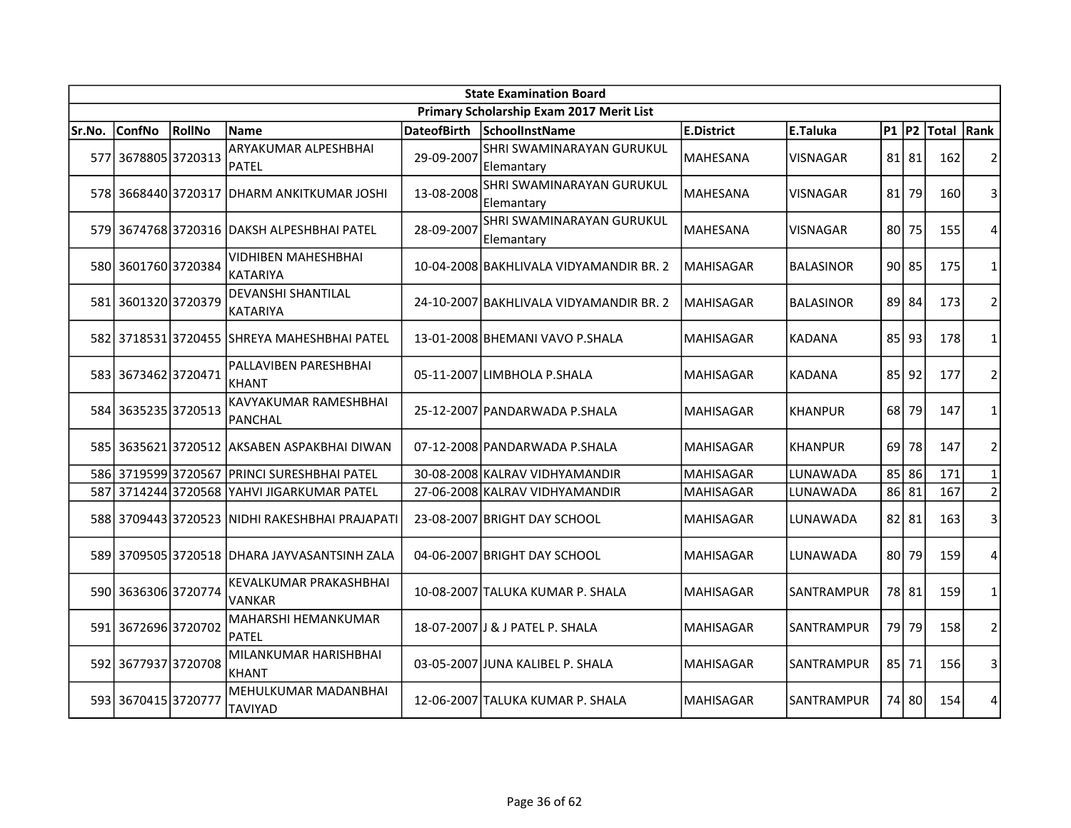|        | <b>State Examination Board</b> |        |                                                |                    |                                          |                  |                  |           |             |            |                |  |
|--------|--------------------------------|--------|------------------------------------------------|--------------------|------------------------------------------|------------------|------------------|-----------|-------------|------------|----------------|--|
|        |                                |        |                                                |                    | Primary Scholarship Exam 2017 Merit List |                  |                  |           |             |            |                |  |
| Sr.No. | <b>ConfNo</b>                  | RollNo | <b>Name</b>                                    | <b>DateofBirth</b> | SchoolInstName                           | E.District       | E.Taluka         | $P1$ $P2$ |             | Total Rank |                |  |
|        | 577 3678805 3720313            |        | ARYAKUMAR ALPESHBHAI<br><b>PATEL</b>           | 29-09-2007         | SHRI SWAMINARAYAN GURUKUL<br> Elemantary | MAHESANA         | VISNAGAR         |           | $81$   $81$ | 162        | 2              |  |
|        |                                |        | 578 3668440 3720317 DHARM ANKITKUMAR JOSHI     | 13-08-2008         | SHRI SWAMINARAYAN GURUKUL<br>Elemantary  | <b>MAHESANA</b>  | VISNAGAR         | 81        | 79          | 160        | 3              |  |
|        |                                |        | 579 3674768 3720316 DAKSH ALPESHBHAI PATEL     | 28-09-2007         | SHRI SWAMINARAYAN GURUKUL<br>Elemantary  | MAHESANA         | VISNAGAR         | 80        | 75          | 155        | 4              |  |
|        | 580 3601760 3720384            |        | <b>VIDHIBEN MAHESHBHAI</b><br><b>KATARIYA</b>  |                    | 10-04-2008 BAKHLIVALA VIDYAMANDIR BR. 2  | MAHISAGAR        | <b>BALASINOR</b> |           | $90$   85   | 175        | $\mathbf{1}$   |  |
|        | 581 3601320 3720379            |        | <b>DEVANSHI SHANTILAL</b><br><b>KATARIYA</b>   |                    | 24-10-2007 BAKHLIVALA VIDYAMANDIR BR. 2  | <b>MAHISAGAR</b> | <b>BALASINOR</b> |           | 89 84       | 173        | $\overline{2}$ |  |
| 582    |                                |        | 3718531 3720455  SHREYA MAHESHBHAI PATEL       |                    | 13-01-2008 BHEMANI VAVO P.SHALA          | <b>MAHISAGAR</b> | KADANA           | 85        | 93          | 178        | 1              |  |
|        | 583 3673462 3720471            |        | PALLAVIBEN PARESHBHAI<br><b>KHANT</b>          |                    | 05-11-2007 LIMBHOLA P.SHALA              | MAHISAGAR        | <b>KADANA</b>    | 85        | 92          | 177        | $\overline{2}$ |  |
|        | 584 3635235 3720513            |        | KAVYAKUMAR RAMESHBHAI<br>PANCHAL               |                    | 25-12-2007 PANDARWADA P.SHALA            | <b>MAHISAGAR</b> | <b>KHANPUR</b>   | 68        | 79          | 147        | $\mathbf{1}$   |  |
|        |                                |        | 585 3635621 3720512 AKSABEN ASPAKBHAI DIWAN    |                    | 07-12-2008 PANDARWADA P.SHALA            | MAHISAGAR        | <b>KHANPUR</b>   | 69        | 78          | 147        | $\overline{2}$ |  |
|        | 586 3719599 3720567            |        | <b>PRINCI SURESHBHAI PATEL</b>                 |                    | 30-08-2008 KALRAV VIDHYAMANDIR           | MAHISAGAR        | LUNAWADA         | 85        | 86          | 171        | $\mathbf{1}$   |  |
| 587    | 3714244 3720568                |        | YAHVI JIGARKUMAR PATEL                         |                    | 27-06-2008 KALRAV VIDHYAMANDIR           | MAHISAGAR        | LUNAWADA         |           | 86 81       | 167        | $\overline{2}$ |  |
|        |                                |        | 588 3709443 3720523 NIDHI RAKESHBHAI PRAJAPATI |                    | 23-08-2007 BRIGHT DAY SCHOOL             | MAHISAGAR        | LUNAWADA         | 82        | 81          | 163        | 3              |  |
|        |                                |        | 589 3709505 3720518 DHARA JAYVASANTSINH ZALA   |                    | 04-06-2007 BRIGHT DAY SCHOOL             | MAHISAGAR        | LUNAWADA         | 80        | 79          | 159        | 4              |  |
|        | 590 3636306 3720774            |        | KEVALKUMAR PRAKASHBHAI<br><b>VANKAR</b>        |                    | 10-08-2007 TALUKA KUMAR P. SHALA         | MAHISAGAR        | SANTRAMPUR       |           | 78 81       | 159        | 1              |  |
|        | 591 3672696 3720702            |        | MAHARSHI HEMANKUMAR<br><b>PATEL</b>            |                    | 18-07-2007 J & J PATEL P. SHALA          | MAHISAGAR        | SANTRAMPUR       | 79        | 79          | 158        | $\overline{2}$ |  |
| 592    | 3677937 3720708                |        | MILANKUMAR HARISHBHAI<br><b>KHANT</b>          |                    | 03-05-2007 JUNA KALIBEL P. SHALA         | <b>MAHISAGAR</b> | SANTRAMPUR       | 85        | 71          | 156        | 3              |  |
|        | 593 3670415 3720777            |        | MEHULKUMAR MADANBHAI<br><b>TAVIYAD</b>         |                    | 12-06-2007 TALUKA KUMAR P. SHALA         | <b>MAHISAGAR</b> | SANTRAMPUR       |           | 74 80       | 154        | 4              |  |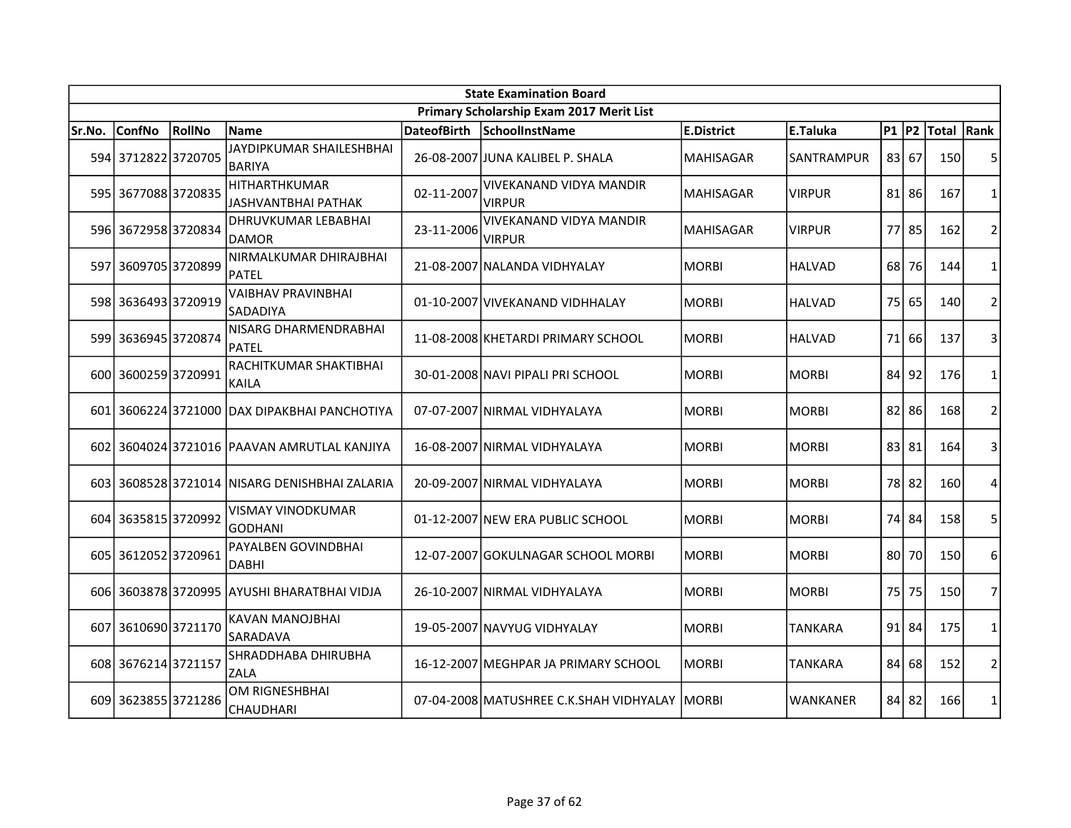| <b>State Examination Board</b> |                     |        |                                               |                    |                                                 |                   |                |           |           |            |                |  |
|--------------------------------|---------------------|--------|-----------------------------------------------|--------------------|-------------------------------------------------|-------------------|----------------|-----------|-----------|------------|----------------|--|
|                                |                     |        |                                               |                    | Primary Scholarship Exam 2017 Merit List        |                   |                |           |           |            |                |  |
| Sr.No.                         | <b>ConfNo</b>       | RollNo | <b>Name</b>                                   | <b>DateofBirth</b> | SchoolInstName                                  | <b>E.District</b> | E.Taluka       | $P1$ $P2$ |           | Total Rank |                |  |
|                                | 594 3712822 3720705 |        | JAYDIPKUMAR SHAILESHBHAI<br><b>BARIYA</b>     |                    | 26-08-2007 JUNA KALIBEL P. SHALA                | <b>MAHISAGAR</b>  | SANTRAMPUR     | 83        | 67        | 150        | 5              |  |
|                                | 595 3677088 3720835 |        | HITHARTHKUMAR<br>JASHVANTBHAI PATHAK          | 02-11-2007         | VIVEKANAND VIDYA MANDIR<br><b>VIRPUR</b>        | <b>MAHISAGAR</b>  | <b>VIRPUR</b>  | 81        | 86        | 167        | 1              |  |
|                                | 596 3672958 3720834 |        | <b>DHRUVKUMAR LEBABHAI</b><br>DAMOR           | 23-11-2006         | <b>VIVEKANAND VIDYA MANDIR</b><br><b>VIRPUR</b> | MAHISAGAR         | <b>VIRPUR</b>  | 77        | 85        | 162        | $\overline{2}$ |  |
|                                | 597 3609705 3720899 |        | NIRMALKUMAR DHIRAJBHAI<br><b>PATEL</b>        |                    | 21-08-2007 NALANDA VIDHYALAY                    | <b>MORBI</b>      | <b>HALVAD</b>  | 68        | 76        | 144        | 1              |  |
|                                | 598 3636493 3720919 |        | <b>VAIBHAV PRAVINBHAI</b><br>SADADIYA         |                    | 01-10-2007 VIVEKANAND VIDHHALAY                 | <b>MORBI</b>      | <b>HALVAD</b>  | 75 l      | 65        | 140        | $\overline{2}$ |  |
|                                | 599 3636945 3720874 |        | NISARG DHARMENDRABHAI<br><b>PATEL</b>         |                    | 11-08-2008 KHETARDI PRIMARY SCHOOL              | <b>MORBI</b>      | <b>HALVAD</b>  | 71        | 66        | 137        | 3              |  |
|                                | 600 3600259 3720991 |        | RACHITKUMAR SHAKTIBHAI<br><b>KAILA</b>        |                    | 30-01-2008 NAVI PIPALI PRI SCHOOL               | MORBI             | <b>MORBI</b>   | 84        | 92        | 176        | $\mathbf{1}$   |  |
|                                |                     |        | 601 3606224 3721000 DAX DIPAKBHAI PANCHOTIYA  |                    | 07-07-2007 NIRMAL VIDHYALAYA                    | <b>MORBI</b>      | MORBI          | 82        | 86        | 168        | $\overline{2}$ |  |
|                                |                     |        | 602 3604024 3721016 PAAVAN AMRUTLAL KANJIYA   |                    | 16-08-2007 NIRMAL VIDHYALAYA                    | <b>MORBI</b>      | MORBI          | 83        | 81        | 164        | 3              |  |
|                                |                     |        | 603 3608528 3721014 NISARG DENISHBHAI ZALARIA |                    | 20-09-2007 NIRMAL VIDHYALAYA                    | <b>MORBI</b>      | MORBI          | 78        | 82        | 160        | 4              |  |
|                                | 604 3635815 3720992 |        | <b>VISMAY VINODKUMAR</b><br><b>GODHANI</b>    |                    | 01-12-2007 NEW ERA PUBLIC SCHOOL                | MORBI             | MORBI          | 74        | 84        | 158        | 5              |  |
|                                | 605 3612052 3720961 |        | PAYALBEN GOVINDBHAI<br><b>DABHI</b>           |                    | 12-07-2007 GOKULNAGAR SCHOOL MORBI              | MORBI             | MORBI          | 801       | 70        | 150        | 6              |  |
|                                |                     |        | 606 3603878 3720995 AYUSHI BHARATBHAI VIDJA   |                    | 26-10-2007 NIRMAL VIDHYALAYA                    | IMORBI            | MORBI          | 75        | 75        | 150        | $\overline{7}$ |  |
|                                | 607 3610690 3721170 |        | <b>KAVAN MANOJBHAI</b><br>SARADAVA            |                    | 19-05-2007 NAVYUG VIDHYALAY                     | <b>MORBI</b>      | <b>TANKARA</b> |           | $91$   84 | 175        | $\mathbf{1}$   |  |
|                                | 608 3676214 3721157 |        | SHRADDHABA DHIRUBHA<br>ZALA                   |                    | 16-12-2007 MEGHPAR JA PRIMARY SCHOOL            | MORBI             | TANKARA        | 84        | 68        | 152        | $\overline{2}$ |  |
|                                | 609 3623855 3721286 |        | <b>OM RIGNESHBHAI</b><br><b>CHAUDHARI</b>     |                    | 07-04-2008 MATUSHREE C.K.SHAH VIDHYALAY MORBI   |                   | WANKANER       | 84        | 82        | 166        | $\mathbf{1}$   |  |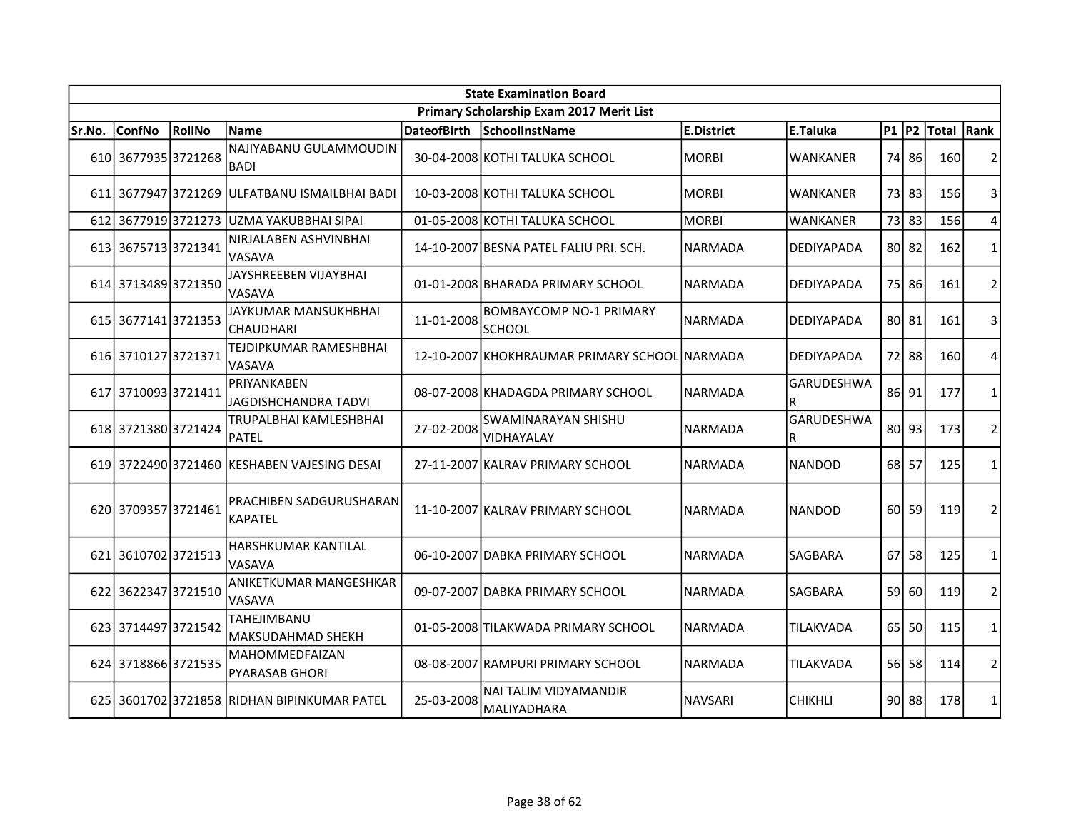| <b>State Examination Board</b> |                     |        |                                               |                    |                                                 |                |                        |           |       |            |                |  |
|--------------------------------|---------------------|--------|-----------------------------------------------|--------------------|-------------------------------------------------|----------------|------------------------|-----------|-------|------------|----------------|--|
|                                |                     |        |                                               |                    | Primary Scholarship Exam 2017 Merit List        |                |                        |           |       |            |                |  |
| Sr.No.                         | <b>ConfNo</b>       | RollNo | <b>Name</b>                                   | <b>DateofBirth</b> | SchoolInstName                                  | E.District     | E.Taluka               | $P1$ $P2$ |       | Total Rank |                |  |
|                                | 610 3677935 3721268 |        | NAJIYABANU GULAMMOUDIN<br><b>BADI</b>         |                    | 30-04-2008 KOTHI TALUKA SCHOOL                  | MORBI          | <b>WANKANER</b>        | 74 I      | 86    | 160        | 2              |  |
|                                |                     |        | 611 3677947 3721269 ULFATBANU ISMAILBHAI BADI |                    | 10-03-2008 KOTHI TALUKA SCHOOL                  | <b>MORBI</b>   | WANKANER               |           | 73 83 | 156        | 3              |  |
| 612                            | 36779193721273      |        | UZMA YAKUBBHAI SIPAI                          |                    | 01-05-2008 KOTHI TALUKA SCHOOL                  | MORBI          | WANKANER               | 73        | 83    | 156        | 4              |  |
|                                | 613 3675713 3721341 |        | NIRJALABEN ASHVINBHAI<br>VASAVA               |                    | 14-10-2007 BESNA PATEL FALIU PRI. SCH.          | NARMADA        | DEDIYAPADA             |           | 80 82 | 162        | $\mathbf{1}$   |  |
|                                | 614 3713489 3721350 |        | JAYSHREEBEN VIJAYBHAI<br>VASAVA               |                    | 01-01-2008 BHARADA PRIMARY SCHOOL               | <b>NARMADA</b> | DEDIYAPADA             |           | 75 86 | 161        | $\overline{2}$ |  |
|                                | 615 3677141 3721353 |        | JAYKUMAR MANSUKHBHAI<br><b>CHAUDHARI</b>      | 11-01-2008         | <b>BOMBAYCOMP NO-1 PRIMARY</b><br><b>SCHOOL</b> | NARMADA        | DEDIYAPADA             |           | 80 81 | 161        | 3              |  |
|                                | 616 3710127 3721371 |        | TEJDIPKUMAR RAMESHBHAI<br>VASAVA              |                    | 12-10-2007 KHOKHRAUMAR PRIMARY SCHOOL NARMADA   |                | DEDIYAPADA             |           | 72 88 | 160        | 4              |  |
| 617                            | 3710093 3721411     |        | PRIYANKABEN<br>JAGDISHCHANDRA TADVI           |                    | 08-07-2008 KHADAGDA PRIMARY SCHOOL              | <b>NARMADA</b> | <b>GARUDESHWA</b><br>R |           | 86 91 | 177        | $\mathbf{1}$   |  |
|                                | 618 3721380 3721424 |        | TRUPALBHAI KAMLESHBHAI<br>PATEL               | 27-02-2008         | SWAMINARAYAN SHISHU<br>VIDHAYALAY               | <b>NARMADA</b> | <b>GARUDESHWA</b><br>R | 80        | 93    | 173        | $\overline{2}$ |  |
|                                |                     |        | 619 3722490 3721460 KESHABEN VAJESING DESAI   |                    | 27-11-2007 KALRAV PRIMARY SCHOOL                | NARMADA        | NANDOD                 | 68        | 57    | 125        | 1              |  |
|                                | 620 3709357 3721461 |        | PRACHIBEN SADGURUSHARAN<br><b>KAPATEL</b>     |                    | 11-10-2007 KALRAV PRIMARY SCHOOL                | <b>NARMADA</b> | <b>NANDOD</b>          | 60 l      | 59    | 119        | $\overline{2}$ |  |
|                                | 621 3610702 3721513 |        | HARSHKUMAR KANTILAL<br>VASAVA                 |                    | 06-10-2007 DABKA PRIMARY SCHOOL                 | <b>NARMADA</b> | SAGBARA                | 67        | 58    | 125        | 1              |  |
|                                | 622 3622347 3721510 |        | ANIKETKUMAR MANGESHKAR<br>VASAVA              |                    | 09-07-2007 DABKA PRIMARY SCHOOL                 | <b>NARMADA</b> | <b>SAGBARA</b>         | 59        | 60    | 119        | $\overline{2}$ |  |
|                                | 623 3714497 3721542 |        | TAHEJIMBANU<br><b>MAKSUDAHMAD SHEKH</b>       |                    | 01-05-2008 TILAKWADA PRIMARY SCHOOL             | <b>NARMADA</b> | <b>TILAKVADA</b>       | 65 l      | 50    | 115        | $\mathbf{1}$   |  |
|                                | 624 3718866 3721535 |        | MAHOMMEDFAIZAN<br><b>PYARASAB GHORI</b>       |                    | 08-08-2007 RAMPURI PRIMARY SCHOOL               | <b>NARMADA</b> | TILAKVADA              | 56 I      | 58    | 114        | $\overline{2}$ |  |
|                                |                     |        | 625 3601702 3721858 RIDHAN BIPINKUMAR PATEL   | 25-03-2008         | NAI TALIM VIDYAMANDIR<br>MALIYADHARA            | <b>NAVSARI</b> | <b>CHIKHLI</b>         |           | 90 88 | 178        | $\mathbf{1}$   |  |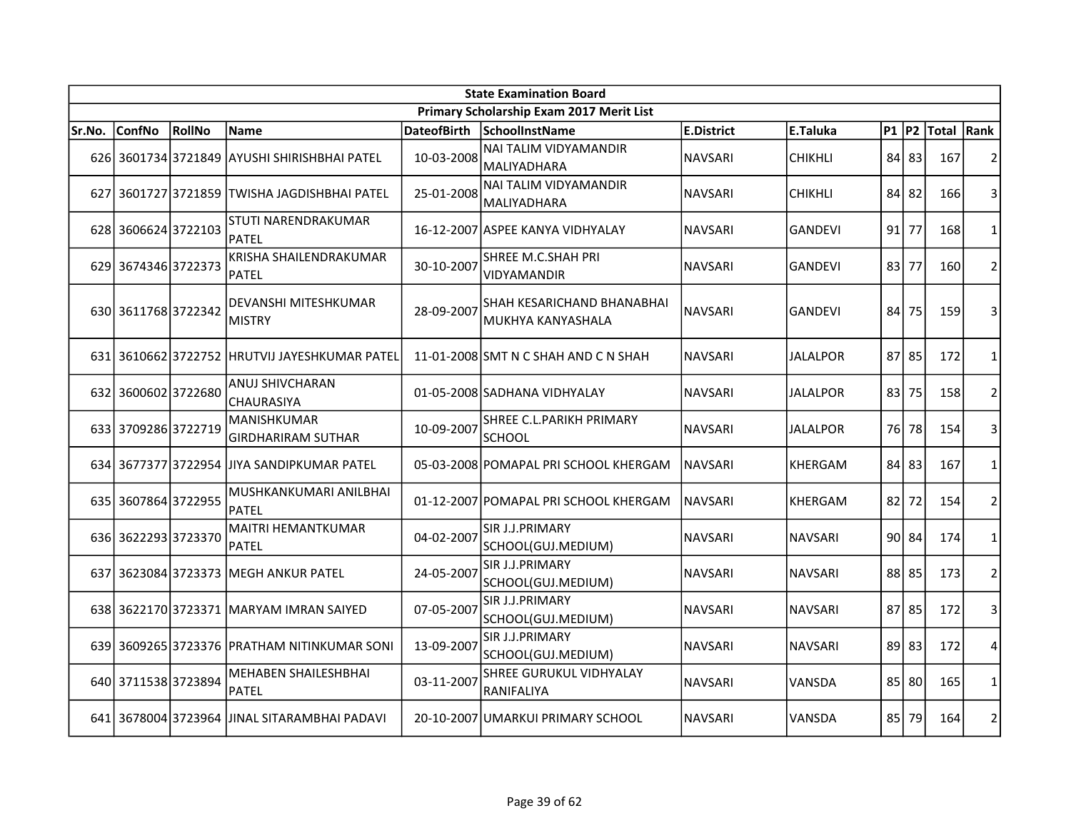|        | <b>State Examination Board</b> |        |                                                 |                    |                                                  |                |                 |           |       |            |                |  |  |
|--------|--------------------------------|--------|-------------------------------------------------|--------------------|--------------------------------------------------|----------------|-----------------|-----------|-------|------------|----------------|--|--|
|        |                                |        |                                                 |                    | Primary Scholarship Exam 2017 Merit List         |                |                 |           |       |            |                |  |  |
| Sr.No. | <b>ConfNo</b>                  | RollNo | <b>Name</b>                                     | <b>DateofBirth</b> | SchoolInstName                                   | E.District     | E.Taluka        | $P1$ $P2$ |       | Total Rank |                |  |  |
|        |                                |        | 626 3601734 3721849 AYUSHI SHIRISHBHAI PATEL    | 10-03-2008         | <b>NAI TALIM VIDYAMANDIR</b><br>MALIYADHARA      | <b>NAVSARI</b> | <b>CHIKHLI</b>  | 84 l      | 83    | 167        | $\overline{2}$ |  |  |
|        |                                |        | 627 3601727 3721859 TWISHA JAGDISHBHAI PATEL    | 25-01-2008         | NAI TALIM VIDYAMANDIR<br>MALIYADHARA             | <b>NAVSARI</b> | <b>CHIKHLI</b>  | 84        | 82    | 166        | 3              |  |  |
|        | 628 3606624 3722103            |        | STUTI NARENDRAKUMAR<br><b>PATEL</b>             |                    | 16-12-2007 ASPEE KANYA VIDHYALAY                 | <b>NAVSARI</b> | <b>GANDEVI</b>  | 91 l      | 77    | 168        | 1              |  |  |
|        | 629 3674346 3722373            |        | KRISHA SHAILENDRAKUMAR<br><b>PATEL</b>          | 30-10-2007         | SHREE M.C.SHAH PRI<br><b>VIDYAMANDIR</b>         | NAVSARI        | GANDEVI         | 83        | 77    | 160        | $\overline{2}$ |  |  |
|        | 630 3611768 3722342            |        | DEVANSHI MITESHKUMAR<br>MISTRY                  | 28-09-2007         | SHAH KESARICHAND BHANABHAI<br>lMUKHYA KANYASHALA | NAVSARI        | <b>GANDEVI</b>  | 84        | 75    | 159        | 3              |  |  |
|        |                                |        | 631 3610662 3722752 HRUTVIJ JAYESHKUMAR PATEL   |                    | 11-01-2008 SMT N C SHAH AND C N SHAH             | <b>NAVSARI</b> | <b>JALALPOR</b> | 87        | 85    | 172        | $\mathbf{1}$   |  |  |
| 632    | 3600602 3722680                |        | <b>ANUJ SHIVCHARAN</b><br><b>CHAURASIYA</b>     |                    | 01-05-2008 SADHANA VIDHYALAY                     | <b>NAVSARI</b> | <b>JALALPOR</b> | 83        | 75    | 158        | $\overline{2}$ |  |  |
|        | 633 3709286 3722719            |        | <b>MANISHKUMAR</b><br><b>GIRDHARIRAM SUTHAR</b> | 10-09-2007         | SHREE C.L.PARIKH PRIMARY<br><b>SCHOOL</b>        | NAVSARI        | <b>JALALPOR</b> | 76        | 78    | 154        | 3              |  |  |
|        |                                |        | 634 3677377 3722954 JJIYA SANDIPKUMAR PATEL     |                    | 05-03-2008 POMAPAL PRI SCHOOL KHERGAM            | INAVSARI       | <b>KHERGAM</b>  | 84 83     |       | 167        | 1              |  |  |
|        | 635 3607864 3722955            |        | MUSHKANKUMARI ANILBHAI<br><b>PATEL</b>          |                    | 01-12-2007 POMAPAL PRI SCHOOL KHERGAM            | <b>NAVSARI</b> | KHERGAM         | 821       | 72    | 154        | $\overline{2}$ |  |  |
|        | 636 3622293 3723370            |        | MAITRI HEMANTKUMAR<br><b>PATEL</b>              | 04-02-2007         | SIR J.J.PRIMARY<br>SCHOOL(GUJ.MEDIUM)            | <b>NAVSARI</b> | <b>NAVSARI</b>  |           | 90 84 | 174        | 1              |  |  |
| 637    |                                |        | 3623084 3723373 MEGH ANKUR PATEL                | 24-05-2007         | SIR J.J.PRIMARY<br>SCHOOL(GUJ.MEDIUM)            | <b>NAVSARI</b> | <b>NAVSARI</b>  |           | 88 85 | 173        | $\overline{2}$ |  |  |
|        |                                |        | 638 3622170 3723371 MARYAM IMRAN SAIYED         | 07-05-2007         | SIR J.J.PRIMARY<br>SCHOOL(GUJ.MEDIUM)            | <b>NAVSARI</b> | <b>NAVSARI</b>  | 87 85     |       | 172        | 3              |  |  |
|        |                                |        | 639 3609265 3723376 PRATHAM NITINKUMAR SONI     | 13-09-2007         | SIR J.J.PRIMARY<br>SCHOOL(GUJ.MEDIUM)            | <b>NAVSARI</b> | <b>NAVSARI</b>  | 89        | 83    | 172        | 4              |  |  |
|        | 640 3711538 3723894            |        | <b>MEHABEN SHAILESHBHAI</b><br>PATEL            | 03-11-2007         | <b>SHREE GURUKUL VIDHYALAY</b><br>RANIFALIYA     | <b>NAVSARI</b> | VANSDA          | 85        | 80    | 165        | $\mathbf{1}$   |  |  |
|        |                                |        | 641 3678004 3723964 JJINAL SITARAMBHAI PADAVI   |                    | 20-10-2007 UMARKUI PRIMARY SCHOOL                | <b>NAVSARI</b> | VANSDA          | 85 I      | 79    | 164        | $\overline{2}$ |  |  |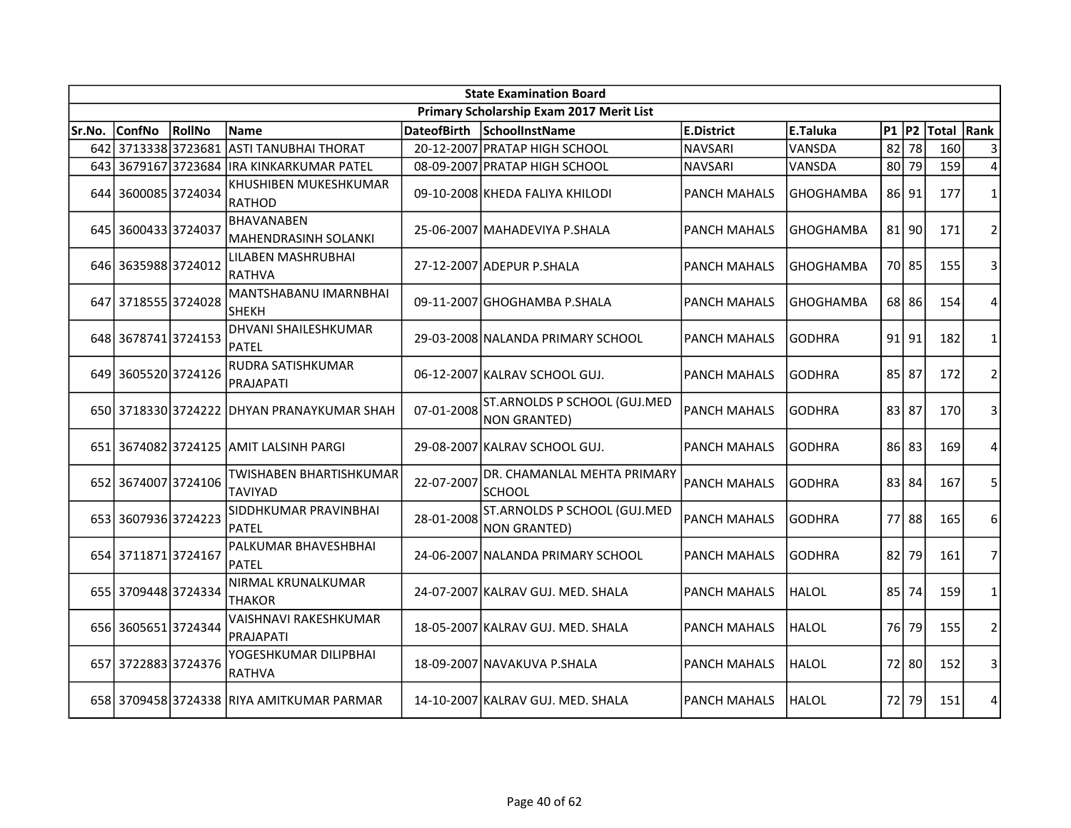| <b>State Examination Board</b> |                     |        |                                           |                    |                                                     |                     |                  |           |           |            |                |  |  |
|--------------------------------|---------------------|--------|-------------------------------------------|--------------------|-----------------------------------------------------|---------------------|------------------|-----------|-----------|------------|----------------|--|--|
|                                |                     |        |                                           |                    | Primary Scholarship Exam 2017 Merit List            |                     |                  |           |           |            |                |  |  |
| Sr.No.                         | <b>ConfNo</b>       | RollNo | <b>Name</b>                               | <b>DateofBirth</b> | SchoolInstName                                      | <b>E.District</b>   | E.Taluka         | $P1$ $P2$ |           | Total Rank |                |  |  |
|                                | 642 3713338 3723681 |        | <b>ASTI TANUBHAI THORAT</b>               |                    | 20-12-2007 PRATAP HIGH SCHOOL                       | <b>NAVSARI</b>      | VANSDA           | 82        | 78        | 160        | 3              |  |  |
|                                | 643 3679167 3723684 |        | <b>IRA KINKARKUMAR PATEL</b>              |                    | 08-09-2007 PRATAP HIGH SCHOOL                       | <b>NAVSARI</b>      | VANSDA           | 80        | 79        | 159        | $\overline{4}$ |  |  |
|                                | 644 3600085 3724034 |        | KHUSHIBEN MUKESHKUMAR<br><b>RATHOD</b>    |                    | 09-10-2008 KHEDA FALIYA KHILODI                     | <b>PANCH MAHALS</b> | <b>GHOGHAMBA</b> | 86        | 91        | 177        | $\mathbf{1}$   |  |  |
|                                | 645 3600433 3724037 |        | BHAVANABEN<br><b>MAHENDRASINH SOLANKI</b> |                    | 25-06-2007 MAHADEVIYA P.SHALA                       | <b>PANCH MAHALS</b> | <b>GHOGHAMBA</b> |           | $81$   90 | 171        | $\overline{2}$ |  |  |
|                                | 646 3635988 3724012 |        | LILABEN MASHRUBHAI<br><b>RATHVA</b>       |                    | 27-12-2007 ADEPUR P.SHALA                           | <b>PANCH MAHALS</b> | <b>GHOGHAMBA</b> |           | 70 85     | 155        | 3              |  |  |
|                                | 647 3718555 3724028 |        | MANTSHABANU IMARNBHAI<br>SHEKH            |                    | 09-11-2007 GHOGHAMBA P.SHALA                        | <b>PANCH MAHALS</b> | <b>GHOGHAMBA</b> |           | 68 86     | 154        | $\overline{4}$ |  |  |
|                                | 648 3678741 3724153 |        | DHVANI SHAILESHKUMAR<br><b>PATEL</b>      |                    | 29-03-2008 NALANDA PRIMARY SCHOOL                   | <b>PANCH MAHALS</b> | <b>GODHRA</b>    |           | $91$ 91   | 182        | 1              |  |  |
|                                | 649 3605520 3724126 |        | RUDRA SATISHKUMAR<br>PRAJAPATI            |                    | 06-12-2007 KALRAV SCHOOL GUJ.                       | <b>PANCH MAHALS</b> | <b>GODHRA</b>    | 85 87     |           | 172        | $\overline{2}$ |  |  |
|                                | 650 3718330 3724222 |        | IDHYAN PRANAYKUMAR SHAH                   | 07-01-2008         | ST.ARNOLDS P SCHOOL (GUJ.MED<br>NON GRANTED)        | <b>PANCH MAHALS</b> | <b>GODHRA</b>    | 83 87     |           | 170        | 3              |  |  |
|                                |                     |        | 651 3674082 3724125 AMIT LALSINH PARGI    |                    | 29-08-2007 KALRAV SCHOOL GUJ.                       | <b>PANCH MAHALS</b> | <b>GODHRA</b>    | 86        | 83        | 169        | $\overline{4}$ |  |  |
|                                | 652 3674007 3724106 |        | TWISHABEN BHARTISHKUMAR<br><b>TAVIYAD</b> | 22-07-2007         | DR. CHAMANLAL MEHTA PRIMARY<br><b>SCHOOL</b>        | <b>PANCH MAHALS</b> | <b>GODHRA</b>    |           | 83 84     | 167        | 5              |  |  |
|                                | 653 3607936 3724223 |        | SIDDHKUMAR PRAVINBHAI<br>PATEL            | 28-01-2008         | ST.ARNOLDS P SCHOOL (GUJ.MED<br><b>NON GRANTED)</b> | <b>PANCH MAHALS</b> | <b>GODHRA</b>    | 77        | 88        | 165        | 6              |  |  |
|                                | 654 3711871 3724167 |        | PALKUMAR BHAVESHBHAI<br><b>PATEL</b>      |                    | 24-06-2007 NALANDA PRIMARY SCHOOL                   | <b>PANCH MAHALS</b> | <b>GODHRA</b>    | 82        | 79        | 161        | $\overline{7}$ |  |  |
|                                | 655 3709448 3724334 |        | NIRMAL KRUNALKUMAR<br>THAKOR              |                    | 24-07-2007 KALRAV GUJ. MED. SHALA                   | <b>PANCH MAHALS</b> | <b>HALOL</b>     | 85        | 74        | 159        | $\mathbf{1}$   |  |  |
|                                | 656 3605651 3724344 |        | VAISHNAVI RAKESHKUMAR<br>PRAJAPATI        |                    | 18-05-2007 KALRAV GUJ. MED. SHALA                   | <b>PANCH MAHALS</b> | <b>HALOL</b>     | 76        | 79        | 155        | $\overline{2}$ |  |  |
|                                | 657 3722883 3724376 |        | YOGESHKUMAR DILIPBHAI<br>RATHVA           |                    | 18-09-2007 NAVAKUVA P.SHALA                         | <b>PANCH MAHALS</b> | <b>HALOL</b>     | 72        | 80        | 152        | 3              |  |  |
|                                |                     |        | 658 3709458 3724338 RIYA AMITKUMAR PARMAR |                    | 14-10-2007 KALRAV GUJ. MED. SHALA                   | <b>PANCH MAHALS</b> | <b>HALOL</b>     |           | 72 79     | 151        | 4              |  |  |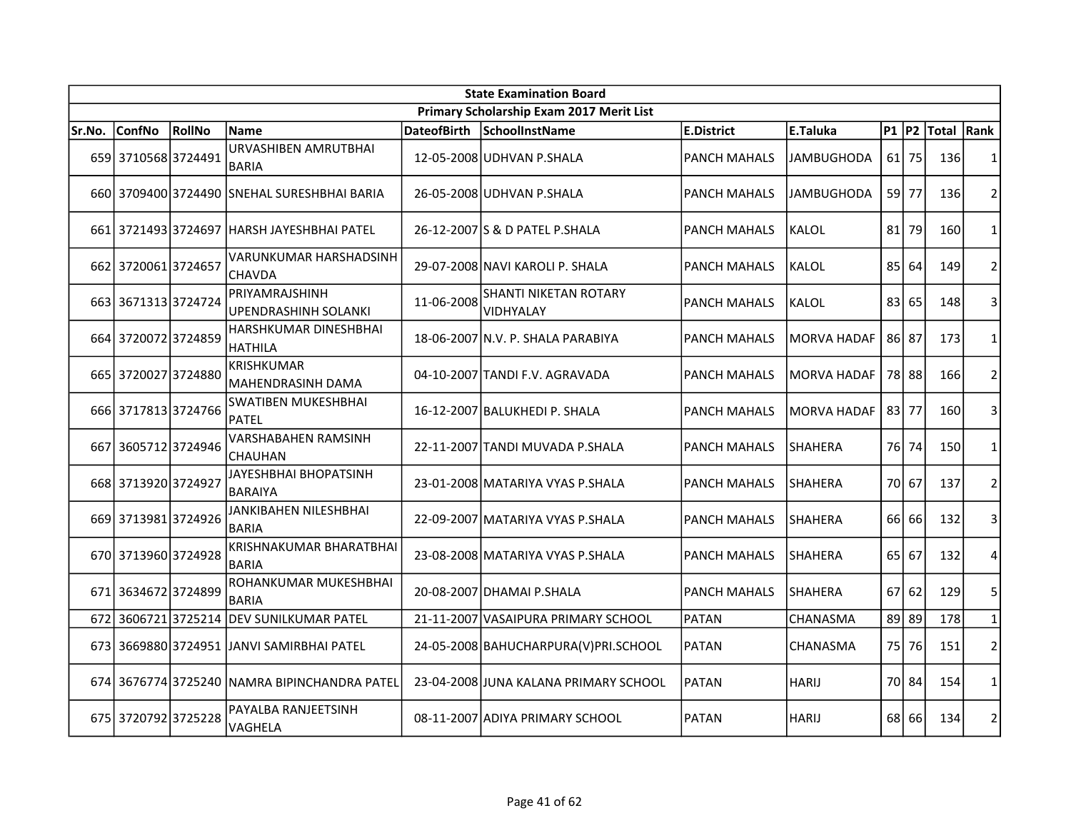| <b>State Examination Board</b> |                     |                |                                               |                    |                                          |                     |                    |           |         |            |                |  |
|--------------------------------|---------------------|----------------|-----------------------------------------------|--------------------|------------------------------------------|---------------------|--------------------|-----------|---------|------------|----------------|--|
|                                |                     |                |                                               |                    | Primary Scholarship Exam 2017 Merit List |                     |                    |           |         |            |                |  |
| Sr.No.                         | <b>ConfNo</b>       | RollNo         | <b>Name</b>                                   | <b>DateofBirth</b> | SchoolInstName                           | E.District          | E.Taluka           | $P1$ $P2$ |         | Total Rank |                |  |
|                                | 659 3710568 3724491 |                | URVASHIBEN AMRUTBHAI<br><b>BARIA</b>          |                    | 12-05-2008 UDHVAN P.SHALA                | <b>PANCH MAHALS</b> | <b>JAMBUGHODA</b>  | 61        | 75      | 136        | $\mathbf{1}$   |  |
|                                |                     |                | 660 3709400 3724490 SNEHAL SURESHBHAI BARIA   |                    | 26-05-2008 UDHVAN P.SHALA                | <b>PANCH MAHALS</b> | <b>JAMBUGHODA</b>  |           | 59 77   | 136        | $\overline{2}$ |  |
|                                |                     |                | 661 3721493 3724697 HARSH JAYESHBHAI PATEL    |                    | 26-12-2007 S & D PATEL P.SHALA           | <b>PANCH MAHALS</b> | KALOL              | 81        | 79      | 160        | $\mathbf{1}$   |  |
|                                | 662 3720061 3724657 |                | VARUNKUMAR HARSHADSINH<br><b>CHAVDA</b>       |                    | 29-07-2008 NAVI KAROLI P. SHALA          | <b>PANCH MAHALS</b> | KALOL              | 85        | 64      | 149        | $\overline{2}$ |  |
|                                | 663 3671313 3724724 |                | PRIYAMRAJSHINH<br><b>UPENDRASHINH SOLANKI</b> | 11-06-2008         | SHANTI NIKETAN ROTARY<br>VIDHYALAY       | <b>PANCH MAHALS</b> | KALOL              | 83        | 65      | 148        | 3              |  |
|                                | 664 3720072 3724859 |                | HARSHKUMAR DINESHBHAI<br><b>HATHILA</b>       |                    | 18-06-2007 N.V. P. SHALA PARABIYA        | <b>PANCH MAHALS</b> | <b>MORVA HADAF</b> | 86 87     |         | 173        | $\mathbf{1}$   |  |
|                                | 665 3720027 3724880 |                | KRISHKUMAR<br>MAHENDRASINH DAMA               |                    | 04-10-2007 TANDI F.V. AGRAVADA           | <b>PANCH MAHALS</b> | <b>MORVA HADAF</b> |           | 78 88   | 166        | $\overline{2}$ |  |
|                                | 666 3717813 3724766 |                | <b>SWATIBEN MUKESHBHAI</b><br><b>PATEL</b>    |                    | 16-12-2007 BALUKHEDI P. SHALA            | <b>PANCH MAHALS</b> | <b>MORVA HADAF</b> |           | 83 77   | 160        | 3              |  |
| 667                            | 36057123724946      |                | <b>VARSHABAHEN RAMSINH</b><br>CHAUHAN         |                    | 22-11-2007 TANDI MUVADA P.SHALA          | <b>PANCH MAHALS</b> | <b>SHAHERA</b>     |           | 76 74   | 150        | 1              |  |
|                                | 668 3713920 3724927 |                | JAYESHBHAI BHOPATSINH<br><b>BARAIYA</b>       |                    | 23-01-2008 MATARIYA VYAS P.SHALA         | <b>PANCH MAHALS</b> | <b>SHAHERA</b>     |           | 70 67   | 137        | $\overline{2}$ |  |
|                                | 669 3713981 3724926 |                | JANKIBAHEN NILESHBHAI<br><b>BARIA</b>         |                    | 22-09-2007 MATARIYA VYAS P.SHALA         | <b>PANCH MAHALS</b> | <b>SHAHERA</b>     | 66        | 66      | 132        | 3              |  |
|                                | 670 3713960 3724928 |                | KRISHNAKUMAR BHARATBHAI<br><b>BARIA</b>       |                    | 23-08-2008 MATARIYA VYAS P.SHALA         | <b>PANCH MAHALS</b> | <b>SHAHERA</b>     | 65 l      | 67      | 132        | 4              |  |
|                                | 671 3634672 3724899 |                | ROHANKUMAR MUKESHBHAI<br><b>BARIA</b>         |                    | 20-08-2007 DHAMAI P.SHALA                | <b>PANCH MAHALS</b> | <b>SHAHERA</b>     |           | $67$ 62 | 129        | 5              |  |
| 672                            |                     | 36067213725214 | <b>DEV SUNILKUMAR PATEL</b>                   |                    | 21-11-2007 VASAIPURA PRIMARY SCHOOL      | PATAN               | <b>CHANASMA</b>    | 89        | 89      | 178        | $\mathbf 1$    |  |
|                                |                     |                | 673 3669880 3724951 JANVI SAMIRBHAI PATEL     |                    | 24-05-2008 BAHUCHARPURA(V) PRI.SCHOOL    | <b>PATAN</b>        | CHANASMA           | 75 l      | 76      | 151        | $\overline{2}$ |  |
|                                |                     |                | 674 3676774 3725240 NAMRA BIPINCHANDRA PATEL  |                    | 23-04-2008 JUNA KALANA PRIMARY SCHOOL    | PATAN               | <b>HARIJ</b>       | 70 I      | 84      | 154        | $\mathbf{1}$   |  |
|                                | 675 3720792 3725228 |                | PAYALBA RANJEETSINH<br>VAGHELA                |                    | 08-11-2007 ADIYA PRIMARY SCHOOL          | <b>PATAN</b>        | <b>HARIJ</b>       | 68 I      | 66      | 134        | $\overline{2}$ |  |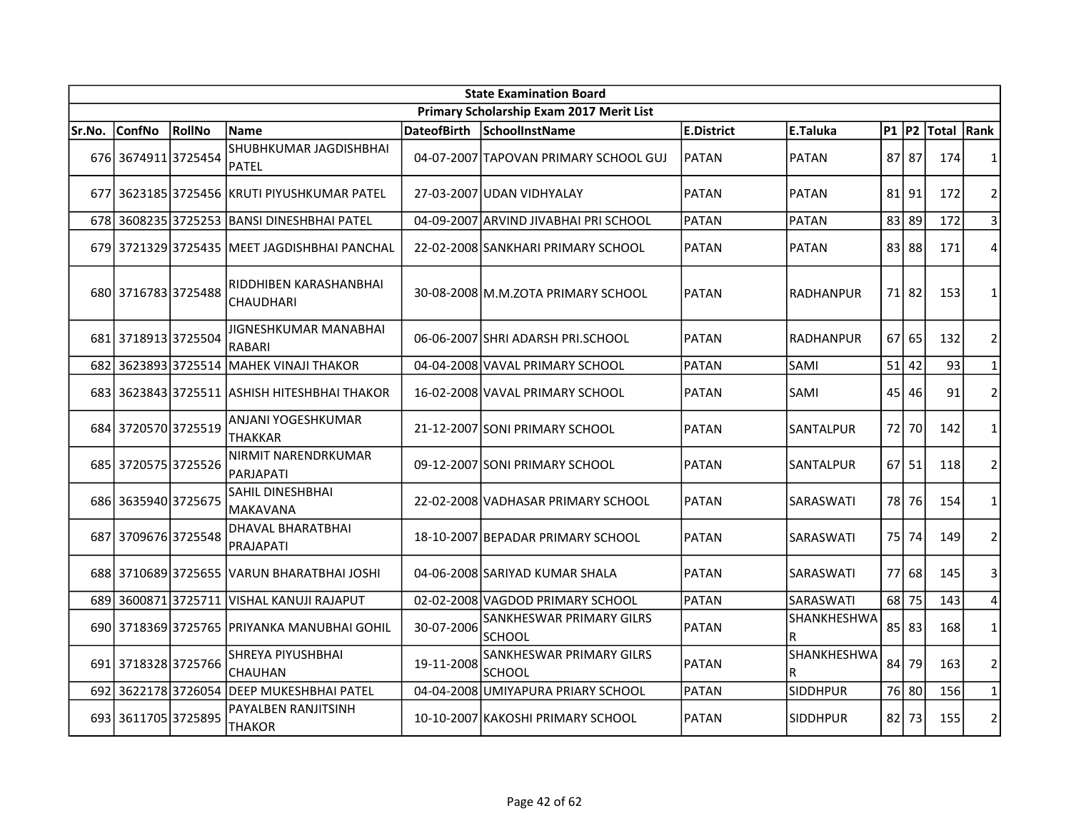|        | <b>State Examination Board</b> |        |                                              |                    |                                           |              |                  |           |           |            |                |  |  |
|--------|--------------------------------|--------|----------------------------------------------|--------------------|-------------------------------------------|--------------|------------------|-----------|-----------|------------|----------------|--|--|
|        |                                |        |                                              |                    | Primary Scholarship Exam 2017 Merit List  |              |                  |           |           |            |                |  |  |
| Sr.No. | <b>ConfNo</b>                  | RollNo | <b>Name</b>                                  | <b>DateofBirth</b> | SchoolInstName                            | E.District   | E.Taluka         | $P1$ $P2$ |           | Total Rank |                |  |  |
|        | 676 3674911 3725454            |        | SHUBHKUMAR JAGDISHBHAI<br><b>PATEL</b>       |                    | 04-07-2007 TAPOVAN PRIMARY SCHOOL GUJ     | IPATAN       | <b>PATAN</b>     | 87 87     |           | 174        | 1              |  |  |
|        |                                |        | 677 3623185 3725456 KRUTI PIYUSHKUMAR PATEL  |                    | 27-03-2007 JUDAN VIDHYALAY                | PATAN        | PATAN            | $81$   91 |           | 172        | $\overline{2}$ |  |  |
|        |                                |        | 678 3608235 3725253 BANSI DINESHBHAI PATEL   |                    | 04-09-2007 ARVIND JIVABHAI PRI SCHOOL     | PATAN        | <b>PATAN</b>     | 83        | 89        | 172        | 3              |  |  |
|        |                                |        | 679 3721329 3725435 MEET JAGDISHBHAI PANCHAL |                    | 22-02-2008 SANKHARI PRIMARY SCHOOL        | PATAN        | <b>PATAN</b>     | 83 88     |           | 171        | 4              |  |  |
|        | 680 3716783 3725488            |        | RIDDHIBEN KARASHANBHAI<br><b>CHAUDHARI</b>   |                    | 30-08-2008 M.M.ZOTA PRIMARY SCHOOL        | <b>PATAN</b> | <b>RADHANPUR</b> | 71 82     |           | 153        | 1              |  |  |
|        | 681 3718913 3725504            |        | JIGNESHKUMAR MANABHAI<br><b>RABARI</b>       |                    | 06-06-2007 SHRI ADARSH PRI.SCHOOL         | PATAN        | <b>RADHANPUR</b> | 67        | 65        | 132        | $\overline{2}$ |  |  |
| 682    | 36238933725514                 |        | <b>MAHEK VINAJI THAKOR</b>                   |                    | 04-04-2008 VAVAL PRIMARY SCHOOL           | PATAN        | SAMI             | 51        | 42        | 93         | $\mathbf{1}$   |  |  |
|        |                                |        | 683 3623843 3725511 ASHISH HITESHBHAI THAKOR |                    | 16-02-2008 VAVAL PRIMARY SCHOOL           | PATAN        | SAMI             | 45        | 46        | 91         | $\overline{2}$ |  |  |
|        | 684 3720570 3725519            |        | ANJANI YOGESHKUMAR<br><b>THAKKAR</b>         |                    | 21-12-2007 SONI PRIMARY SCHOOL            | <b>PATAN</b> | SANTALPUR        | 72        | 70        | 142        | $\mathbf{1}$   |  |  |
|        | 685 3720575 3725526            |        | NIRMIT NARENDRKUMAR<br>PARJAPATI             |                    | 09-12-2007 SONI PRIMARY SCHOOL            | PATAN        | SANTALPUR        |           | $67$   51 | 118        | $\overline{2}$ |  |  |
|        | 686 3635940 3725675            |        | SAHIL DINESHBHAI<br><b>MAKAVANA</b>          |                    | 22-02-2008 VADHASAR PRIMARY SCHOOL        | PATAN        | SARASWATI        | 78        | 76        | 154        | $\mathbf{1}$   |  |  |
| 687    | 3709676 3725548                |        | DHAVAL BHARATBHAI<br><b>PRAJAPATI</b>        |                    | 18-10-2007 BEPADAR PRIMARY SCHOOL         | PATAN        | SARASWATI        | 75        | 74        | 149        | $\overline{2}$ |  |  |
|        |                                |        | 688 3710689 3725655 VARUN BHARATBHAI JOSHI   |                    | 04-06-2008 SARIYAD KUMAR SHALA            | PATAN        | SARASWATI        | 77        | 68        | 145        | 3              |  |  |
|        |                                |        | 689 3600871 3725711 VISHAL KANUJI RAJAPUT    |                    | 02-02-2008 VAGDOD PRIMARY SCHOOL          | PATAN        | SARASWATI        | 68        | 75        | 143        | 4              |  |  |
|        |                                |        | 690 3718369 3725765 PRIYANKA MANUBHAI GOHIL  | 30-07-2006         | SANKHESWAR PRIMARY GILRS<br><b>SCHOOL</b> | PATAN        | SHANKHESHWA<br>R | $85$   83 |           | 168        | $\mathbf{1}$   |  |  |
|        | 691 3718328 3725766            |        | SHREYA PIYUSHBHAI<br><b>CHAUHAN</b>          | 19-11-2008         | SANKHESWAR PRIMARY GILRS<br><b>SCHOOL</b> | <b>PATAN</b> | SHANKHESHWA<br>R | 84        | 79        | 163        | $\overline{2}$ |  |  |
| 692    | 36221783726054                 |        | <b>DEEP MUKESHBHAI PATEL</b>                 |                    | 04-04-2008 UMIYAPURA PRIARY SCHOOL        | PATAN        | <b>SIDDHPUR</b>  | 76 80     |           | 156        | $\mathbf{1}$   |  |  |
|        | 693 3611705 3725895            |        | PAYALBEN RANJITSINH<br><b>THAKOR</b>         |                    | 10-10-2007 KAKOSHI PRIMARY SCHOOL         | <b>PATAN</b> | <b>SIDDHPUR</b>  | 821       | 73        | 155        | $\overline{2}$ |  |  |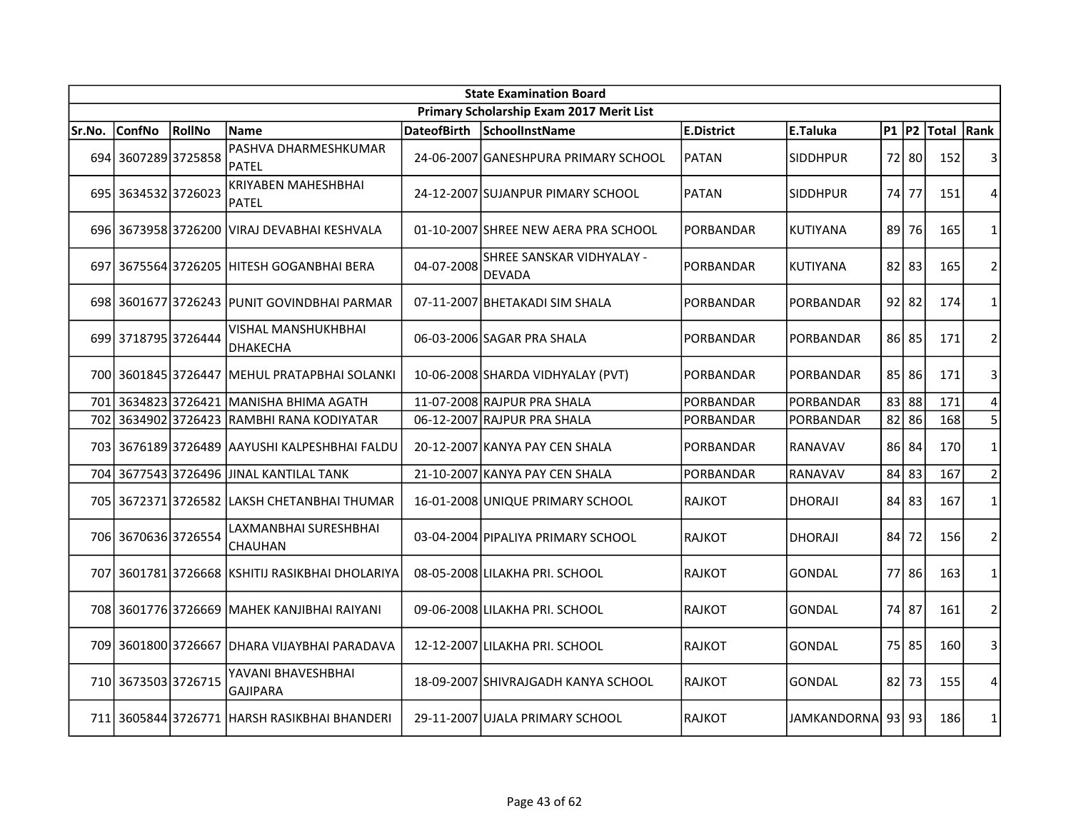|        | <b>State Examination Board</b> |                 |                                               |                    |                                            |                   |                   |           |       |            |                |  |  |
|--------|--------------------------------|-----------------|-----------------------------------------------|--------------------|--------------------------------------------|-------------------|-------------------|-----------|-------|------------|----------------|--|--|
|        |                                |                 |                                               |                    | Primary Scholarship Exam 2017 Merit List   |                   |                   |           |       |            |                |  |  |
| Sr.No. | <b>ConfNo</b>                  | RollNo          | <b>Name</b>                                   | <b>DateofBirth</b> | SchoolInstName                             | <b>E.District</b> | E.Taluka          | $P1$ $P2$ |       | Total Rank |                |  |  |
|        | 694 3607289 3725858            |                 | PASHVA DHARMESHKUMAR<br><b>PATEL</b>          |                    | 24-06-2007 GANESHPURA PRIMARY SCHOOL       | PATAN             | <b>SIDDHPUR</b>   |           | 72 80 | 152        | 3              |  |  |
|        | 695 3634532 3726023            |                 | <b>KRIYABEN MAHESHBHAI</b><br><b>PATEL</b>    |                    | 24-12-2007 SUJANPUR PIMARY SCHOOL          | <b>PATAN</b>      | <b>SIDDHPUR</b>   | 74        | 77    | 151        | 4              |  |  |
|        |                                |                 | 696 3673958 3726200 VIRAJ DEVABHAI KESHVALA   |                    | 01-10-2007 SHREE NEW AERA PRA SCHOOL       | PORBANDAR         | <b>KUTIYANA</b>   | 89 l      | 76    | 165        | 1              |  |  |
| 697    |                                |                 | 3675564 3726205   HITESH GOGANBHAI BERA       | 04-07-2008         | SHREE SANSKAR VIDHYALAY -<br><b>DEVADA</b> | PORBANDAR         | KUTIYANA          | $82$   83 |       | 165        | $\overline{2}$ |  |  |
|        |                                |                 | 698 3601677 3726243 PUNIT GOVINDBHAI PARMAR   |                    | 07-11-2007 BHETAKADI SIM SHALA             | PORBANDAR         | PORBANDAR         | $92$ 82   |       | 174        | 1              |  |  |
|        | 699 3718795 3726444            |                 | <b>VISHAL MANSHUKHBHAI</b><br><b>DHAKECHA</b> |                    | 06-03-2006 SAGAR PRA SHALA                 | <b>PORBANDAR</b>  | <b>PORBANDAR</b>  | 86 85     |       | 171        | $\overline{2}$ |  |  |
|        |                                |                 | 700 3601845 3726447 MEHUL PRATAPBHAI SOLANKI  |                    | 10-06-2008 SHARDA VIDHYALAY (PVT)          | PORBANDAR         | PORBANDAR         |           | 85 86 | 171        | 3              |  |  |
| 701    | 36348233726421                 |                 | MANISHA BHIMA AGATH                           |                    | 11-07-2008 RAJPUR PRA SHALA                | PORBANDAR         | PORBANDAR         | 83        | 88    | 171        | 4              |  |  |
| 702    |                                | 3634902 3726423 | RAMBHI RANA KODIYATAR                         |                    | 06-12-2007 RAJPUR PRA SHALA                | PORBANDAR         | PORBANDAR         | 82        | 86    | 168        | 5              |  |  |
|        | 703 3676189 3726489            |                 | IAAYUSHI KALPESHBHAI FALDU                    |                    | 20-12-2007 KANYA PAY CEN SHALA             | <b>PORBANDAR</b>  | RANAVAV           | 86 84     |       | 170        | $\mathbf{1}$   |  |  |
|        |                                |                 | 704 3677543 3726496 JJINAL KANTILAL TANK      |                    | 21-10-2007 KANYA PAY CEN SHALA             | PORBANDAR         | <b>RANAVAV</b>    | 84 83     |       | 167        | $\overline{2}$ |  |  |
|        |                                |                 | 705 3672371 3726582 LAKSH CHETANBHAI THUMAR   |                    | 16-01-2008 UNIQUE PRIMARY SCHOOL           | <b>RAJKOT</b>     | DHORAJI           | $84$ 83   |       | 167        | $\mathbf{1}$   |  |  |
|        | 706 3670636 3726554            |                 | LAXMANBHAI SURESHBHAI<br>CHAUHAN              |                    | 03-04-2004 PIPALIYA PRIMARY SCHOOL         | <b>RAJKOT</b>     | <b>DHORAJI</b>    | 84 l      | 72    | 156        | $\overline{2}$ |  |  |
| 707    |                                |                 | 3601781 3726668 KSHITIJ RASIKBHAI DHOLARIYA   |                    | 08-05-2008 LILAKHA PRI. SCHOOL             | <b>RAJKOT</b>     | <b>GONDAL</b>     |           | 77 86 | 163        | 1              |  |  |
|        | 708 3601776 3726669            |                 | İMAHEK KANJIBHAI RAIYANI                      |                    | 09-06-2008 LILAKHA PRI. SCHOOL             | <b>RAJKOT</b>     | <b>GONDAL</b>     | 74 87     |       | 161        | $\overline{2}$ |  |  |
|        |                                |                 | 709 3601800 3726667 DHARA VIJAYBHAI PARADAVA  |                    | 12-12-2007 LILAKHA PRI. SCHOOL             | <b>RAJKOT</b>     | <b>GONDAL</b>     | 75 85     |       | 160        | 3              |  |  |
|        | 710 3673503 3726715            |                 | YAVANI BHAVESHBHAI<br>GAJIPARA                |                    | 18-09-2007 SHIVRAJGADH KANYA SCHOOL        | <b>RAJKOT</b>     | <b>GONDAL</b>     | 82        | 73    | 155        | 4              |  |  |
|        |                                |                 | 711 3605844 3726771 HARSH RASIKBHAI BHANDERI  |                    | 29-11-2007 UJALA PRIMARY SCHOOL            | <b>RAJKOT</b>     | JAMKANDORNA 93 93 |           |       | 186        | $\mathbf{1}$   |  |  |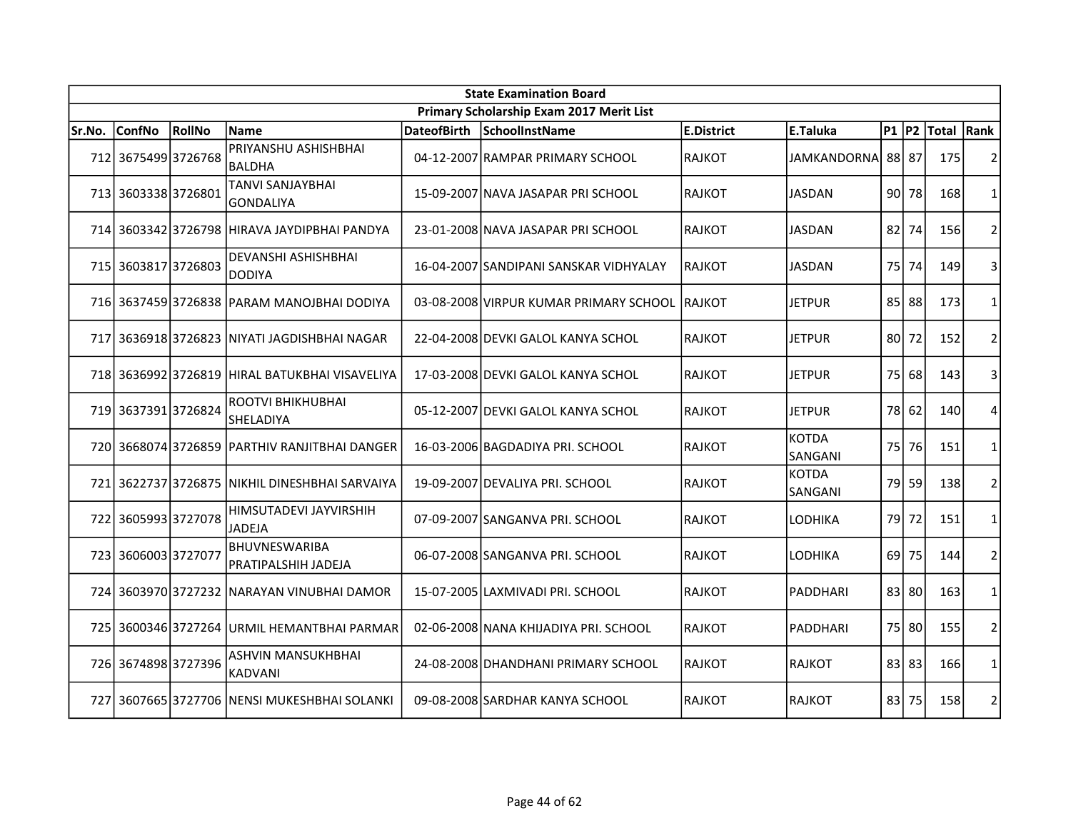| <b>State Examination Board</b> |                     |        |                                                |                    |                                               |                   |                         |                 |       |            |                |  |
|--------------------------------|---------------------|--------|------------------------------------------------|--------------------|-----------------------------------------------|-------------------|-------------------------|-----------------|-------|------------|----------------|--|
|                                |                     |        |                                                |                    | Primary Scholarship Exam 2017 Merit List      |                   |                         |                 |       |            |                |  |
| Sr.No.                         | <b>ConfNo</b>       | RollNo | Name                                           | <b>DateofBirth</b> | SchoolInstName                                | <b>E.District</b> | <b>E.Taluka</b>         | $P1$ $P2$       |       | Total Rank |                |  |
|                                | 712 3675499 3726768 |        | PRIYANSHU ASHISHBHAI<br><b>BALDHA</b>          |                    | 04-12-2007 RAMPAR PRIMARY SCHOOL              | RAJKOT            | JAMKANDORNA 88 87       |                 |       | 175        | $\overline{2}$ |  |
|                                | 713 3603338 3726801 |        | <b>TANVI SANJAYBHAI</b><br>GONDALIYA           |                    | 15-09-2007 NAVA JASAPAR PRI SCHOOL            | <b>RAJKOT</b>     | JASDAN                  | 90 <sup>1</sup> | 78    | 168        | 1              |  |
|                                |                     |        | 714 3603342 3726798 HIRAVA JAYDIPBHAI PANDYA   |                    | 23-01-2008 NAVA JASAPAR PRI SCHOOL            | RAJKOT            | JASDAN                  | 82              | 74    | 156        | $\overline{2}$ |  |
|                                | 715 3603817 3726803 |        | DEVANSHI ASHISHBHAI<br><b>DODIYA</b>           |                    | 16-04-2007 SANDIPANI SANSKAR VIDHYALAY        | IRAJKOT           | JASDAN                  | 75 I            | 74    | 149        | 3              |  |
|                                |                     |        | 716 3637459 3726838 PARAM MANOJBHAI DODIYA     |                    | 03-08-2008 VIRPUR KUMAR PRIMARY SCHOOL RAJKOT |                   | JETPUR                  |                 | 85 88 | 173        | 1              |  |
| 717                            |                     |        | 3636918 3726823   NIYATI JAGDISHBHAI NAGAR     |                    | 22-04-2008 DEVKI GALOL KANYA SCHOL            | <b>RAJKOT</b>     | JETPUR                  | 80 I            | 72    | 152        | $\overline{2}$ |  |
|                                |                     |        | 718 3636992 3726819 HIRAL BATUKBHAI VISAVELIYA |                    | 17-03-2008 DEVKI GALOL KANYA SCHOL            | <b>RAJKOT</b>     | JETPUR                  | 75              | 68    | 143        | 3              |  |
|                                | 719 3637391 3726824 |        | ROOTVI BHIKHUBHAI<br>SHELADIYA                 |                    | 05-12-2007 DEVKI GALOL KANYA SCHOL            | <b>RAJKOT</b>     | <b>JETPUR</b>           | 78              | 62    | 140        | 4              |  |
|                                |                     |        | 720 3668074 3726859 PARTHIV RANJITBHAI DANGER  |                    | 16-03-2006 BAGDADIYA PRI. SCHOOL              | RAJKOT            | <b>KOTDA</b><br>SANGANI | 75              | 76    | 151        | $\mathbf{1}$   |  |
|                                |                     |        | 721 3622737 3726875 NIKHIL DINESHBHAI SARVAIYA |                    | 19-09-2007 DEVALIYA PRI. SCHOOL               | <b>RAJKOT</b>     | <b>KOTDA</b><br>SANGANI | 79              | 59    | 138        | $\overline{2}$ |  |
| 722                            | 3605993 3727078     |        | HIMSUTADEVI JAYVIRSHIH<br><b>JADEJA</b>        |                    | 07-09-2007 SANGANVA PRI. SCHOOL               | RAJKOT            | LODHIKA                 | 79              | 72    | 151        | $\mathbf{1}$   |  |
|                                | 723 3606003 3727077 |        | <b>BHUVNESWARIBA</b><br>PRATIPALSHIH JADEJA    |                    | 06-07-2008 SANGANVA PRI. SCHOOL               | RAJKOT            | LODHIKA                 | 69              | 75    | 144        | $\overline{2}$ |  |
|                                |                     |        | 724 3603970 3727232 NARAYAN VINUBHAI DAMOR     |                    | 15-07-2005 LAXMIVADI PRI. SCHOOL              | RAJKOT            | PADDHARI                |                 | 83 80 | 163        | $\mathbf{1}$   |  |
|                                |                     |        | 725 3600346 3727264 URMIL HEMANTBHAI PARMAR    |                    | 02-06-2008 NANA KHIJADIYA PRI. SCHOOL         | RAJKOT            | <b>PADDHARI</b>         |                 | 75 80 | 155        | $\overline{2}$ |  |
|                                | 726 3674898 3727396 |        | ASHVIN MANSUKHBHAI<br><b>KADVANI</b>           |                    | 24-08-2008 DHANDHANI PRIMARY SCHOOL           | <b>RAJKOT</b>     | <b>RAJKOT</b>           |                 | 83 83 | 166        | 1              |  |
|                                |                     |        | 727 3607665 3727706 NENSI MUKESHBHAI SOLANKI   |                    | 09-08-2008 SARDHAR KANYA SCHOOL               | <b>RAJKOT</b>     | <b>RAJKOT</b>           | 83              | 75    | 158        | $\overline{2}$ |  |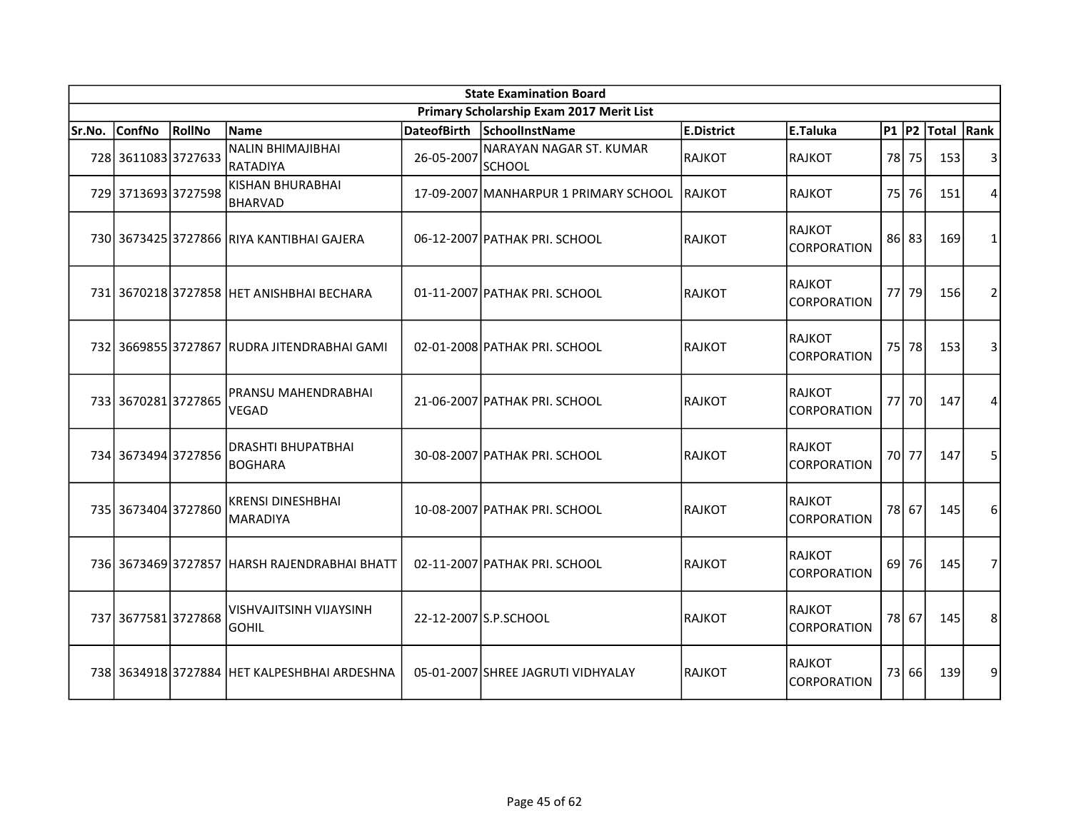| <b>State Examination Board</b> |                     |        |                                                |                    |                                          |                   |                               |           |       |            |                |  |
|--------------------------------|---------------------|--------|------------------------------------------------|--------------------|------------------------------------------|-------------------|-------------------------------|-----------|-------|------------|----------------|--|
|                                |                     |        |                                                |                    | Primary Scholarship Exam 2017 Merit List |                   |                               |           |       |            |                |  |
| Sr.No.                         | <b>ConfNo</b>       | RollNo | Name                                           | <b>DateofBirth</b> | SchoolInstName                           | <b>E.District</b> | E.Taluka                      | $P1$ $P2$ |       | Total Rank |                |  |
|                                | 728 3611083 3727633 |        | <b>NALIN BHIMAJIBHAI</b><br>RATADIYA           | 26-05-2007         | NARAYAN NAGAR ST. KUMAR<br><b>SCHOOL</b> | RAJKOT            | RAJKOT                        | 78        | 75    | 153        | 3              |  |
|                                | 729 3713693 3727598 |        | KISHAN BHURABHAI<br><b>BHARVAD</b>             |                    | 17-09-2007 MANHARPUR 1 PRIMARY SCHOOL    | <b>RAJKOT</b>     | RAJKOT                        | 75 l      | 76    | 151        | $\overline{4}$ |  |
|                                |                     |        | 730 3673425 3727866 RIYA KANTIBHAI GAJERA      |                    | 06-12-2007 PATHAK PRI. SCHOOL            | <b>RAJKOT</b>     | RAJKOT<br><b>CORPORATION</b>  |           | 86 83 | 169        | $\mathbf{1}$   |  |
|                                |                     |        | 731 3670218 3727858 HET ANISHBHAI BECHARA      |                    | 01-11-2007 PATHAK PRI. SCHOOL            | RAJKOT            | RAJKOT<br><b>CORPORATION</b>  |           | 77 79 | 156        | $\overline{2}$ |  |
|                                |                     |        | 732 3669855 3727867 RUDRA JITENDRABHAI GAMI    |                    | 02-01-2008 PATHAK PRI. SCHOOL            | <b>RAJKOT</b>     | RAJKOT<br><b>CORPORATION</b>  | 75        | 78    | 153        | 3              |  |
|                                | 733 3670281 3727865 |        | PRANSU MAHENDRABHAI<br>VEGAD                   |                    | 21-06-2007 PATHAK PRI. SCHOOL            | RAJKOT            | RAJKOT<br><b>CORPORATION</b>  | 77        | 70    | 147        | 4              |  |
|                                | 734 3673494 3727856 |        | <b>DRASHTI BHUPATBHAI</b><br><b>BOGHARA</b>    |                    | 30-08-2007 PATHAK PRI. SCHOOL            | <b>RAJKOT</b>     | RAJKOT<br><b>CORPORATION</b>  |           | 70 77 | 147        | 5              |  |
|                                | 735 3673404 3727860 |        | <b>KRENSI DINESHBHAI</b><br><b>MARADIYA</b>    |                    | 10-08-2007 PATHAK PRI. SCHOOL            | RAJKOT            | IRAJKOT<br><b>CORPORATION</b> |           | 78 67 | 145        | 6              |  |
|                                |                     |        | 736 3673469 3727857 HARSH RAJENDRABHAI BHATT   |                    | 02-11-2007 PATHAK PRI. SCHOOL            | RAJKOT            | RAJKOT<br><b>CORPORATION</b>  | 69        | 76    | 145        | $\overline{7}$ |  |
|                                | 737 3677581 3727868 |        | <b>VISHVAJITSINH VIJAYSINH</b><br><b>GOHIL</b> |                    | 22-12-2007 S.P.SCHOOL                    | RAJKOT            | IRAJKOT<br><b>CORPORATION</b> |           | 78 67 | 145        | 8              |  |
|                                |                     |        | 738 3634918 3727884 HET KALPESHBHAI ARDESHNA   |                    | 05-01-2007 SHREE JAGRUTI VIDHYALAY       | <b>RAJKOT</b>     | RAJKOT<br><b>CORPORATION</b>  | 73        | 66    | 139        | 9              |  |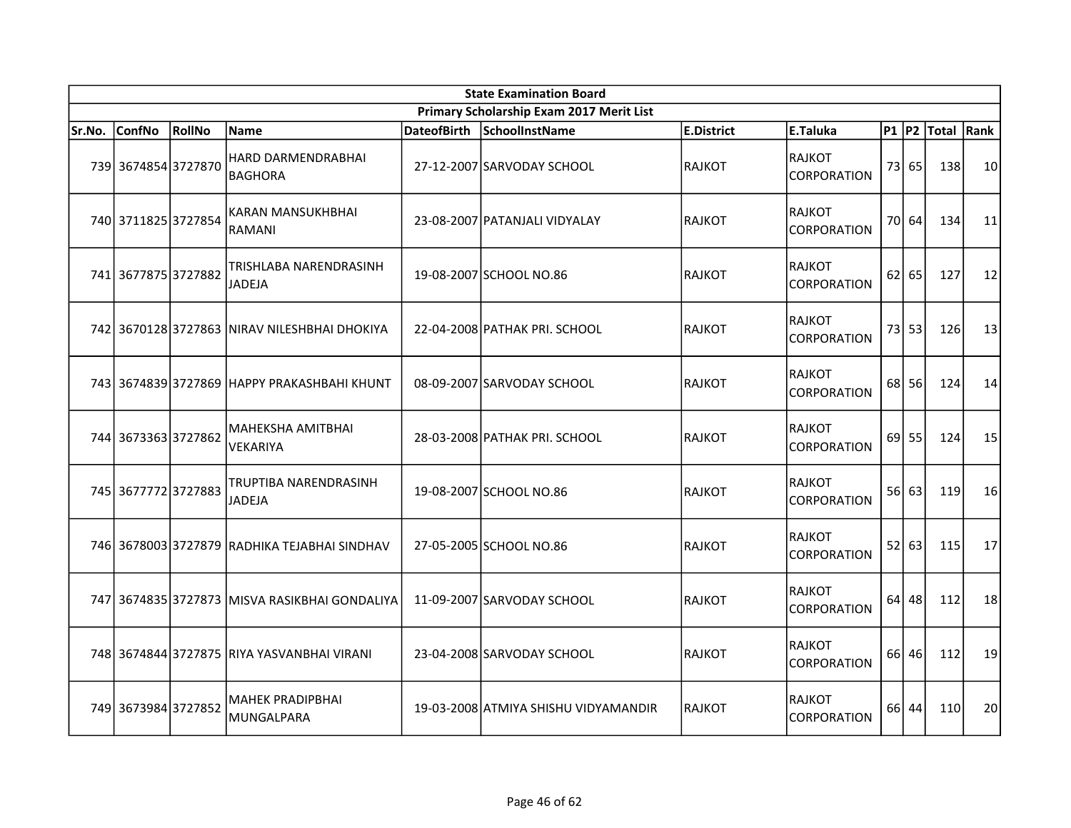|        | <b>State Examination Board</b> |        |                                               |  |                                          |                   |                                            |    |         |             |      |  |  |
|--------|--------------------------------|--------|-----------------------------------------------|--|------------------------------------------|-------------------|--------------------------------------------|----|---------|-------------|------|--|--|
|        |                                |        |                                               |  | Primary Scholarship Exam 2017 Merit List |                   |                                            |    |         |             |      |  |  |
| Sr.No. | ConfNo                         | RollNo | <b>Name</b>                                   |  | DateofBirth SchoolInstName               | <b>E.District</b> | E.Taluka                                   |    |         | P1 P2 Total | Rank |  |  |
|        | 739 3674854 3727870            |        | HARD DARMENDRABHAI<br><b>BAGHORA</b>          |  | 27-12-2007 SARVODAY SCHOOL               | <b>RAJKOT</b>     | <b>RAJKOT</b><br><b>CORPORATION</b>        |    | 73 65   | 138         | 10   |  |  |
|        | 740 3711825 3727854            |        | KARAN MANSUKHBHAI<br>RAMANI                   |  | 23-08-2007 PATANJALI VIDYALAY            | <b>RAJKOT</b>     | RAJKOT<br><b>CORPORATION</b>               |    | 70 64   | 134         | 11   |  |  |
|        | 741 3677875 3727882            |        | TRISHLABA NARENDRASINH<br><b>JADEJA</b>       |  | 19-08-2007 SCHOOL NO.86                  | <b>RAJKOT</b>     | <b>RAJKOT</b><br><b>CORPORATION</b>        |    | $62$ 65 | 127         | 12   |  |  |
|        |                                |        | 742 3670128 3727863 NIRAV NILESHBHAI DHOKIYA  |  | 22-04-2008 PATHAK PRI. SCHOOL            | <b>RAJKOT</b>     | <b>RAJKOT</b><br><b>CORPORATION</b>        |    | $73$ 53 | 126         | 13   |  |  |
|        |                                |        | 743 3674839 3727869 HAPPY PRAKASHBAHI KHUNT   |  | 08-09-2007 SARVODAY SCHOOL               | <b>RAJKOT</b>     | RAJKOT<br>CORPORATION                      |    | 68 56   | 124         | 14   |  |  |
|        | 744 3673363 3727862            |        | <b>MAHEKSHA AMITBHAI</b><br>VEKARIYA          |  | 28-03-2008 PATHAK PRI. SCHOOL            | <b>RAJKOT</b>     | <b>RAJKOT</b><br><b>CORPORATION</b>        |    | $69$ 55 | 124         | 15   |  |  |
|        | 745 3677772 3727883            |        | TRUPTIBA NARENDRASINH<br>JADEJA               |  | 19-08-2007 SCHOOL NO.86                  | <b>RAJKOT</b>     | <b>RAJKOT</b><br>CORPORATION               |    | $56$ 63 | 119         | 16   |  |  |
|        |                                |        | 746 3678003 3727879 RADHIKA TEJABHAI SINDHAV  |  | 27-05-2005 SCHOOL NO.86                  | <b>RAJKOT</b>     | RAJKOT<br><b>CORPORATION</b>               |    | 52 63   | 115         | 17   |  |  |
|        |                                |        | 747 3674835 3727873 MISVA RASIKBHAI GONDALIYA |  | 11-09-2007 SARVODAY SCHOOL               | <b>RAJKOT</b>     | <b>RAJKOT</b><br><b>CORPORATION</b>        | 64 | 48      | 112         | 18   |  |  |
|        |                                |        | 748 3674844 3727875 RIYA YASVANBHAI VIRANI    |  | 23-04-2008 SARVODAY SCHOOL               | <b>RAJKOT</b>     | <b>RAJKOT</b><br>CORPORATION               |    | 66 46   | 112         | 19   |  |  |
|        | 749 3673984 3727852            |        | MAHEK PRADIPBHAI<br><b>MUNGALPARA</b>         |  | 19-03-2008 ATMIYA SHISHU VIDYAMANDIR     | <b>RAJKOT</b>     | <b>RAJKOT</b><br><i><b>CORPORATION</b></i> |    | 66 44   | 110         | 20   |  |  |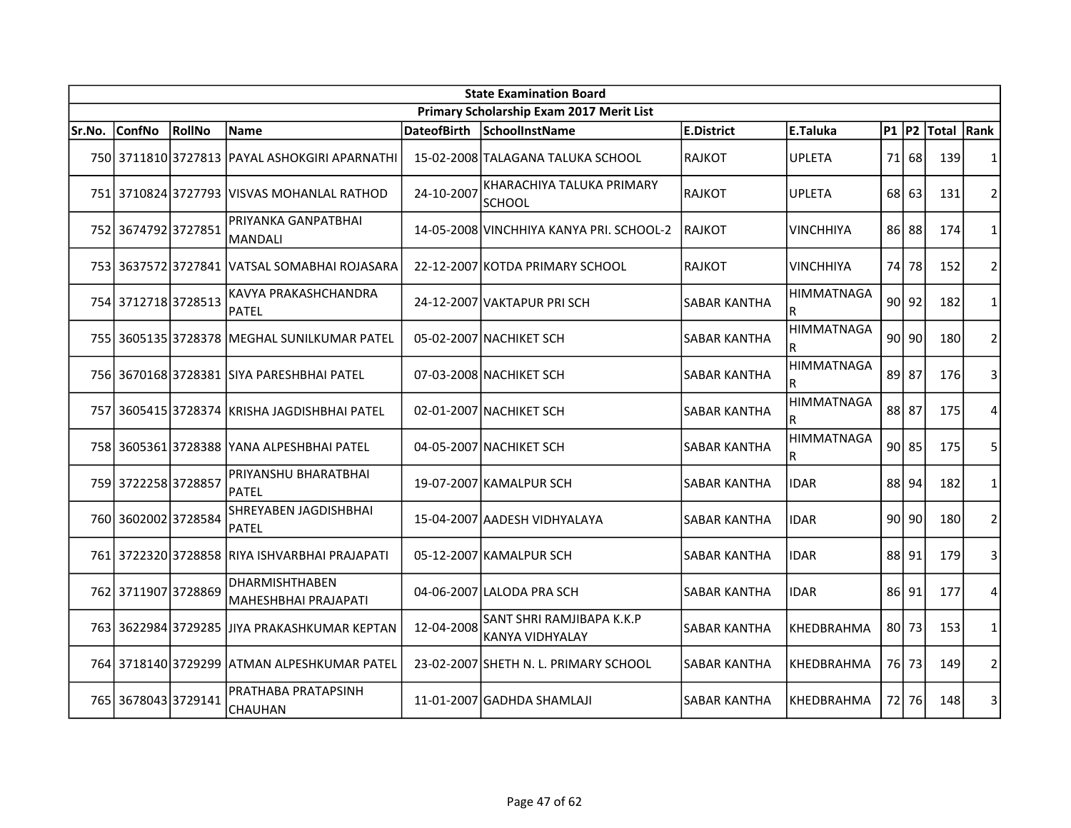|        | <b>State Examination Board</b> |               |                                               |                    |                                              |                     |                        |           |           |            |                |  |  |
|--------|--------------------------------|---------------|-----------------------------------------------|--------------------|----------------------------------------------|---------------------|------------------------|-----------|-----------|------------|----------------|--|--|
|        |                                |               |                                               |                    | Primary Scholarship Exam 2017 Merit List     |                     |                        |           |           |            |                |  |  |
| Sr.No. | <b>ConfNo</b>                  | <b>RollNo</b> | Name                                          | <b>DateofBirth</b> | SchoolInstName                               | <b>E.District</b>   | E.Taluka               | $P1$ $P2$ |           | Total Rank |                |  |  |
|        |                                |               | 750 3711810 3727813 PAYAL ASHOKGIRI APARNATHI |                    | 15-02-2008 TALAGANA TALUKA SCHOOL            | <b>RAJKOT</b>       | <b>UPLETA</b>          | 71        | 68        | 139        | 1              |  |  |
|        |                                |               | 751 3710824 3727793 VISVAS MOHANLAL RATHOD    | 24-10-2007         | KHARACHIYA TALUKA PRIMARY<br><b>SCHOOL</b>   | <b>RAJKOT</b>       | <b>UPLETA</b>          | 68        | 63        | 131        | $\overline{2}$ |  |  |
|        | 752 3674792 3727851            |               | PRIYANKA GANPATBHAI<br><b>MANDALI</b>         |                    | 14-05-2008 VINCHHIYA KANYA PRI. SCHOOL-2     | RAJKOT              | <b>VINCHHIYA</b>       |           | 86 88     | 174        | 1              |  |  |
|        |                                |               | 753 3637572 3727841 VATSAL SOMABHAI ROJASARA  |                    | 22-12-2007 KOTDA PRIMARY SCHOOL              | <b>RAJKOT</b>       | <b>VINCHHIYA</b>       | 74        | 78        | 152        | $\overline{2}$ |  |  |
|        | 754 3712718 3728513            |               | KAVYA PRAKASHCHANDRA<br><b>PATEL</b>          |                    | 24-12-2007 VAKTAPUR PRISCH                   | <b>SABAR KANTHA</b> | <b>HIMMATNAGA</b><br>R |           | $90$ 92   | 182        | 1              |  |  |
|        |                                |               | 755 3605135 3728378 MEGHAL SUNILKUMAR PATEL   |                    | 05-02-2007 NACHIKET SCH                      | <b>SABAR KANTHA</b> | <b>HIMMATNAGA</b><br>R |           | $90$ 90   | 180        | $\overline{2}$ |  |  |
|        |                                |               | 756 3670168 3728381 SIYA PARESHBHAI PATEL     |                    | 07-03-2008 NACHIKET SCH                      | <b>SABAR KANTHA</b> | <b>HIMMATNAGA</b><br>R | 89        | 87        | 176        | 3              |  |  |
|        |                                |               | 757 3605415 3728374 KRISHA JAGDISHBHAI PATEL  |                    | 02-01-2007 NACHIKET SCH                      | SABAR KANTHA        | <b>HIMMATNAGA</b><br>R |           | 88 87     | 175        | 4              |  |  |
|        |                                |               | 758 3605361 3728388 YANA ALPESHBHAI PATEL     |                    | 04-05-2007 NACHIKET SCH                      | <b>SABAR KANTHA</b> | <b>HIMMATNAGA</b><br>R |           | $90$   85 | 175        | 5              |  |  |
|        | 759 3722258 3728857            |               | PRIYANSHU BHARATBHAI<br><b>PATEL</b>          |                    | 19-07-2007 KAMALPUR SCH                      | SABAR KANTHA        | <b>IDAR</b>            | 88        | 94        | 182        | 1              |  |  |
|        | 760 3602002 3728584            |               | SHREYABEN JAGDISHBHAI<br><b>PATEL</b>         |                    | 15-04-2007 AADESH VIDHYALAYA                 | <b>SABAR KANTHA</b> | <b>IDAR</b>            | 90        | 90        | 180        | $\overline{2}$ |  |  |
|        |                                |               | 761 3722320 3728858 RIYA ISHVARBHAI PRAJAPATI |                    | 05-12-2007 KAMALPUR SCH                      | <b>SABAR KANTHA</b> | <b>IDAR</b>            | 88        | 91        | 179        | 3              |  |  |
|        | 762 3711907 3728869            |               | <b>DHARMISHTHABEN</b><br>MAHESHBHAI PRAJAPATI |                    | 04-06-2007 LALODA PRA SCH                    | <b>SABAR KANTHA</b> | <b>IDAR</b>            | 86 I      | 91        | 177        | 4              |  |  |
|        | 763 3622984 3729285            |               | JIYA PRAKASHKUMAR KEPTAN                      | 12-04-2008         | SANT SHRI RAMJIBAPA K.K.P<br>KANYA VIDHYALAY | <b>SABAR KANTHA</b> | KHEDBRAHMA             | 80        | 73        | 153        | 1              |  |  |
|        | 764 3718140 3729299            |               | ATMAN ALPESHKUMAR PATEL                       |                    | 23-02-2007 SHETH N. L. PRIMARY SCHOOL        | <b>SABAR KANTHA</b> | KHEDBRAHMA             |           | 76 73     | 149        | $\overline{2}$ |  |  |
|        | 765 3678043 3729141            |               | PRATHABA PRATAPSINH<br>CHAUHAN                |                    | 11-01-2007 GADHDA SHAMLAJI                   | <b>SABAR KANTHA</b> | KHEDBRAHMA             |           | 72 76     | 148        | 3              |  |  |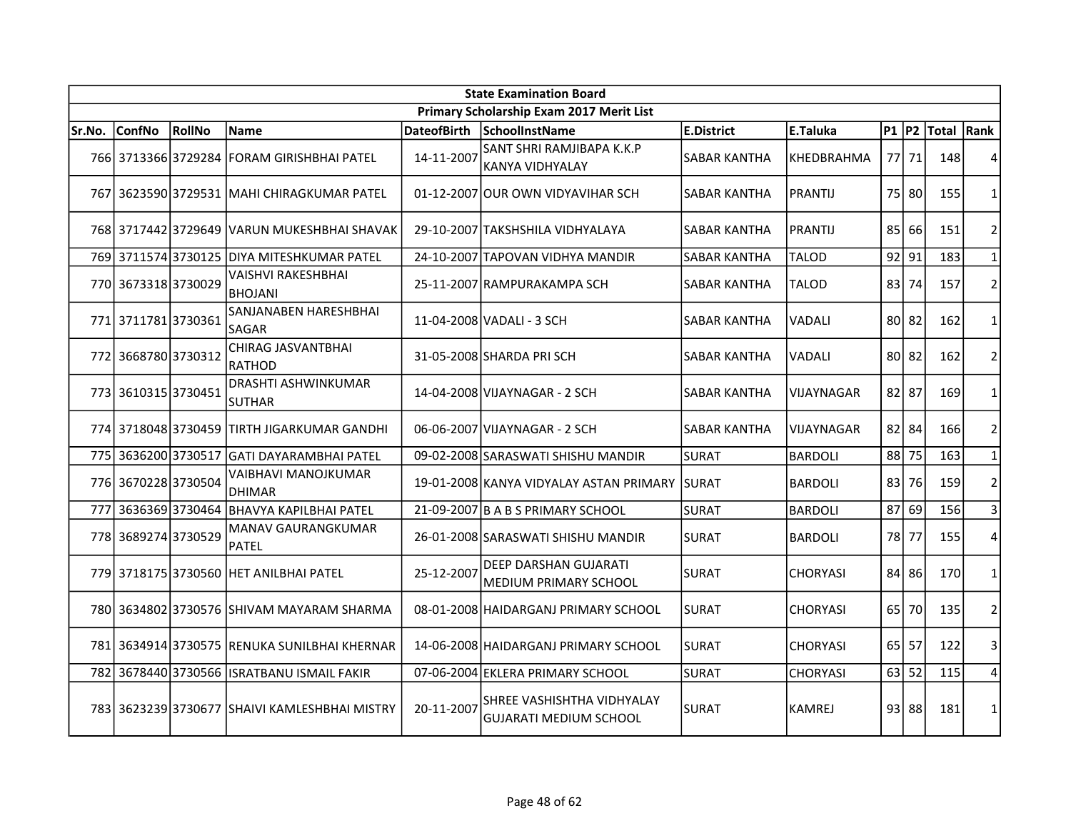|        | <b>State Examination Board</b> |        |                                               |                    |                                                       |                     |                 |           |         |            |                |  |  |
|--------|--------------------------------|--------|-----------------------------------------------|--------------------|-------------------------------------------------------|---------------------|-----------------|-----------|---------|------------|----------------|--|--|
|        |                                |        |                                               |                    | Primary Scholarship Exam 2017 Merit List              |                     |                 |           |         |            |                |  |  |
| Sr.No. | <b>ConfNo</b>                  | RollNo | <b>Name</b>                                   | <b>DateofBirth</b> | SchoolInstName                                        | E.District          | E.Taluka        | $P1$ $P2$ |         | Total Rank |                |  |  |
|        |                                |        | 766 3713366 3729284 FORAM GIRISHBHAI PATEL    | 14-11-2007         | SANT SHRI RAMJIBAPA K.K.P<br>KANYA VIDHYALAY          | <b>SABAR KANTHA</b> | KHEDBRAHMA      |           | 77 71   | 148        | 4              |  |  |
|        |                                |        | 767 3623590 3729531 MAHI CHIRAGKUMAR PATEL    |                    | 01-12-2007 OUR OWN VIDYAVIHAR SCH                     | <b>SABAR KANTHA</b> | PRANTIJ         |           | 75 80   | 155        | $\mathbf{1}$   |  |  |
|        |                                |        | 768 3717442 3729649 VARUN MUKESHBHAI SHAVAK   |                    | 29-10-2007 TAKSHSHILA VIDHYALAYA                      | <b>SABAR KANTHA</b> | <b>PRANTIJ</b>  | 85 l      | 66      | 151        | $\overline{2}$ |  |  |
| 769    | 3711574 3730125                |        | DIYA MITESHKUMAR PATEL                        |                    | 24-10-2007 TAPOVAN VIDHYA MANDIR                      | <b>SABAR KANTHA</b> | <b>TALOD</b>    | 92        | 91      | 183        | $\mathbf 1$    |  |  |
|        | 770 3673318 3730029            |        | VAISHVI RAKESHBHAI<br><b>BHOJANI</b>          |                    | 25-11-2007 RAMPURAKAMPA SCH                           | <b>SABAR KANTHA</b> | TALOD           | 83        | 74      | 157        | $\overline{2}$ |  |  |
|        | 771 3711781 3730361            |        | SANJANABEN HARESHBHAI<br><b>SAGAR</b>         |                    | 11-04-2008 VADALI - 3 SCH                             | <b>SABAR KANTHA</b> | <b>VADALI</b>   | 80 l      | 82      | 162        | $\mathbf{1}$   |  |  |
| 772    | 36687803730312                 |        | CHIRAG JASVANTBHAI<br><b>RATHOD</b>           |                    | 31-05-2008 SHARDA PRISCH                              | <b>SABAR KANTHA</b> | <b>VADALI</b>   | 80        | 82      | 162        | $\overline{2}$ |  |  |
|        | 773 3610315 3730451            |        | <b>DRASHTI ASHWINKUMAR</b><br><b>SUTHAR</b>   |                    | 14-04-2008 VIJAYNAGAR - 2 SCH                         | <b>SABAR KANTHA</b> | VIJAYNAGAR      |           | 82 87   | 169        | $\mathbf{1}$   |  |  |
|        |                                |        | 774 3718048 3730459 TIRTH JIGARKUMAR GANDHI   |                    | 06-06-2007 VIJAYNAGAR - 2 SCH                         | <b>SABAR KANTHA</b> | VIJAYNAGAR      |           | 82 84   | 166        | $\overline{2}$ |  |  |
|        | 775 3636200 3730517            |        | İGATI DAYARAMBHAI PATEL                       |                    | 09-02-2008 SARASWATI SHISHU MANDIR                    | <b>SURAT</b>        | <b>BARDOLI</b>  |           | 88 75   | 163        | $\mathbf{1}$   |  |  |
|        | 776 3670228 3730504            |        | VAIBHAVI MANOJKUMAR<br><b>DHIMAR</b>          |                    | 19-01-2008 KANYA VIDYALAY ASTAN PRIMARY SURAT         |                     | <b>BARDOLI</b>  | 83        | 76      | 159        | $\overline{2}$ |  |  |
| 777    | 36363693730464                 |        | <b>BHAVYA KAPILBHAI PATEL</b>                 |                    | 21-09-2007 B A B S PRIMARY SCHOOL                     | SURAT               | <b>BARDOLI</b>  | 87        | 69      | 156        | $\overline{3}$ |  |  |
|        | 778 3689274 3730529            |        | MANAV GAURANGKUMAR<br><b>PATEL</b>            |                    | 26-01-2008 SARASWATI SHISHU MANDIR                    | ISURAT              | <b>BARDOLI</b>  |           | 78 77   | 155        | 4              |  |  |
|        |                                |        | 779 3718175 3730560 HET ANILBHAI PATEL        | 25-12-2007         | <b>DEEP DARSHAN GUJARATI</b><br>MEDIUM PRIMARY SCHOOL | <b>SURAT</b>        | <b>CHORYASI</b> |           | 84 86   | 170        | $\mathbf{1}$   |  |  |
|        |                                |        | 780 3634802 3730576 SHIVAM MAYARAM SHARMA     |                    | 08-01-2008 HAIDARGANJ PRIMARY SCHOOL                  | ISURAT              | <b>CHORYASI</b> | 65 l      | 70      | 135        | $\overline{2}$ |  |  |
|        |                                |        | 781 3634914 3730575 RENUKA SUNILBHAI KHERNAR  |                    | 14-06-2008 HAIDARGANJ PRIMARY SCHOOL                  | SURAT               | <b>CHORYASI</b> | 65        | 57      | 122        | 3              |  |  |
| 782    |                                |        | 3678440 3730566 ISRATBANU ISMAIL FAKIR        |                    | 07-06-2004 EKLERA PRIMARY SCHOOL                      | SURAT               | <b>CHORYASI</b> |           | $63$ 52 | 115        | 4              |  |  |
|        |                                |        | 783 3623239 3730677 SHAIVI KAMLESHBHAI MISTRY | 20-11-2007         | SHREE VASHISHTHA VIDHYALAY<br>lGUJARATI MEDIUM SCHOOL | <b>SURAT</b>        | <b>KAMREJ</b>   |           | 93 88   | 181        | $\mathbf{1}$   |  |  |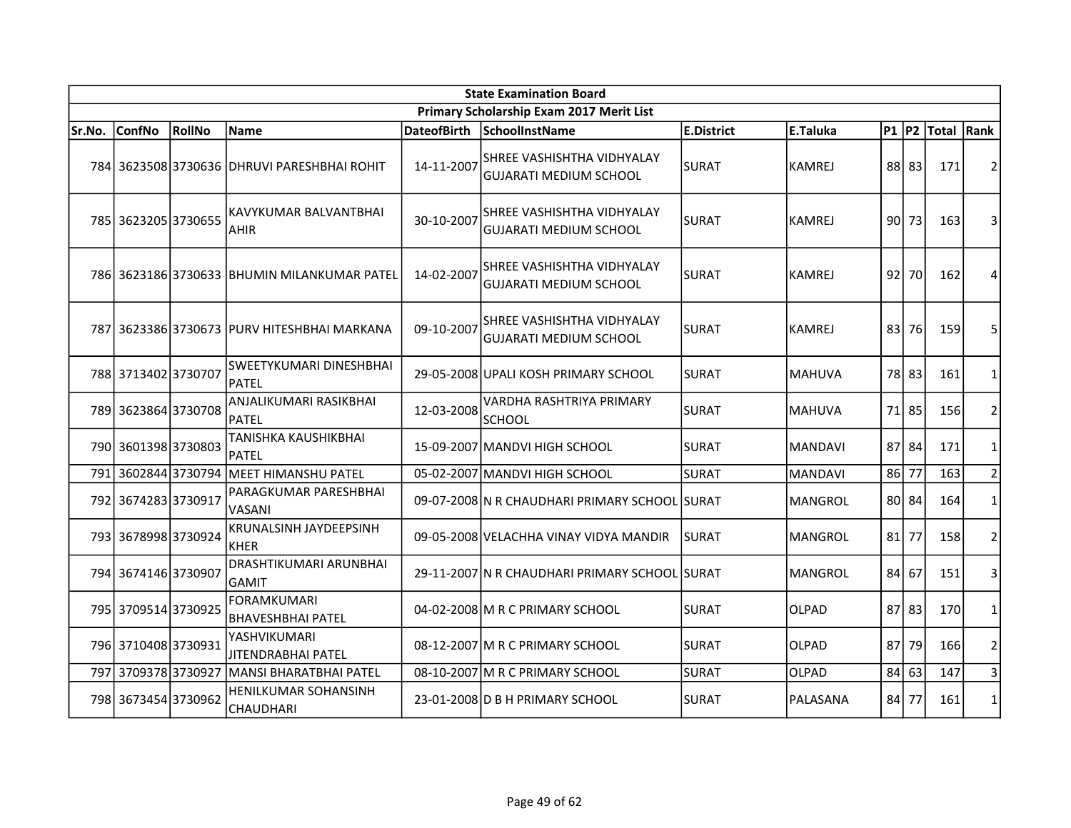| <b>State Examination Board</b> |                     |        |                                                |                    |                                                             |              |                |         |         |            |                |  |
|--------------------------------|---------------------|--------|------------------------------------------------|--------------------|-------------------------------------------------------------|--------------|----------------|---------|---------|------------|----------------|--|
|                                |                     |        |                                                |                    | Primary Scholarship Exam 2017 Merit List                    |              |                |         |         |            |                |  |
| Sr.No.                         | <b>ConfNo</b>       | RollNo | Name                                           | <b>DateofBirth</b> | SchoolInstName                                              | E.District   | E.Taluka       | $P1$ P2 |         | Total Rank |                |  |
|                                |                     |        | 784 3623508 3730636 DHRUVI PARESHBHAI ROHIT    | 14-11-2007         | SHREE VASHISHTHA VIDHYALAY<br>GUJARATI MEDIUM SCHOOL        | SURAT        | <b>KAMREJ</b>  |         | 88 83   | 171        | $\overline{2}$ |  |
|                                | 785 3623205 3730655 |        | KAVYKUMAR BALVANTBHAI<br><b>AHIR</b>           | 30-10-2007         | SHREE VASHISHTHA VIDHYALAY<br>GUJARATI MEDIUM SCHOOL        | <b>SURAT</b> | KAMREJ         | $90$ 73 |         | 163        | 3              |  |
|                                |                     |        | 786 3623186 3730633 BHUMIN MILANKUMAR PATEL    | 14-02-2007         | SHREE VASHISHTHA VIDHYALAY<br><b>GUJARATI MEDIUM SCHOOL</b> | <b>SURAT</b> | <b>KAMREJ</b>  | 92      | 70      | 162        | 4              |  |
| 787                            |                     |        | 3623386 3730673  PURV HITESHBHAI MARKANA       | 09-10-2007         | SHREE VASHISHTHA VIDHYALAY<br>GUJARATI MEDIUM SCHOOL        | SURAT        | <b>KAMREJ</b>  | 83      | 76      | 159        | 5              |  |
|                                | 788 3713402 3730707 |        | <b>SWEETYKUMARI DINESHBHAI</b><br>PATEL        |                    | 29-05-2008 UPALI KOSH PRIMARY SCHOOL                        | SURAT        | <b>MAHUVA</b>  | 78      | 83      | 161        | $\mathbf{1}$   |  |
|                                | 789 3623864 3730708 |        | ANJALIKUMARI RASIKBHAI<br>PATEL                | 12-03-2008         | VARDHA RASHTRIYA PRIMARY<br><b>SCHOOL</b>                   | <b>SURAT</b> | <b>MAHUVA</b>  | 71 85   |         | 156        | $\overline{2}$ |  |
|                                | 790 3601398 3730803 |        | TANISHKA KAUSHIKBHAI<br>PATEL                  |                    | 15-09-2007 MANDVI HIGH SCHOOL                               | <b>SURAT</b> | <b>MANDAVI</b> | 87 84   |         | 171        | $\mathbf{1}$   |  |
| 791                            | 36028443730794      |        | MEET HIMANSHU PATEL                            |                    | 05-02-2007 MANDVI HIGH SCHOOL                               | SURAT        | <b>MANDAVI</b> | 86      | 77      | 163        | $\overline{2}$ |  |
| 792                            | 36742833730917      |        | PARAGKUMAR PARESHBHAI<br>VASANI                |                    | 09-07-2008 N R CHAUDHARI PRIMARY SCHOOL SURAT               |              | <b>MANGROL</b> | 80 84   |         | 164        | 1              |  |
|                                | 793 3678998 3730924 |        | KRUNALSINH JAYDEEPSINH<br>KHER                 |                    | 09-05-2008 VELACHHA VINAY VIDYA MANDIR                      | SURAT        | <b>MANGROL</b> | 81      | 77      | 158        | $\overline{2}$ |  |
|                                | 794 3674146 3730907 |        | DRASHTIKUMARI ARUNBHAI<br>GAMIT                |                    | 29-11-2007 N R CHAUDHARI PRIMARY SCHOOL SURAT               |              | MANGROL        | 84      | 67      | 151        | 3              |  |
|                                | 795 3709514 3730925 |        | <b>FORAMKUMARI</b><br><b>BHAVESHBHAI PATEL</b> |                    | 04-02-2008 M R C PRIMARY SCHOOL                             | <b>SURAT</b> | <b>OLPAD</b>   |         | $87$ 83 | 170        | 1              |  |
|                                | 796 3710408 3730931 |        | YASHVIKUMARI<br>JITENDRABHAI PATEL             |                    | 08-12-2007 M R C PRIMARY SCHOOL                             | <b>SURAT</b> | <b>OLPAD</b>   | 87      | 79      | 166        | $\overline{2}$ |  |
| 797                            | 37093783730927      |        | MANSI BHARATBHAI PATEL                         |                    | 08-10-2007 M R C PRIMARY SCHOOL                             | <b>SURAT</b> | <b>OLPAD</b>   | 84      | 63      | 147        | 3              |  |
|                                | 798 3673454 3730962 |        | HENILKUMAR SOHANSINH<br><b>CHAUDHARI</b>       |                    | 23-01-2008 D B H PRIMARY SCHOOL                             | <b>SURAT</b> | PALASANA       | 84 l    | 77      | 161        | $\mathbf{1}$   |  |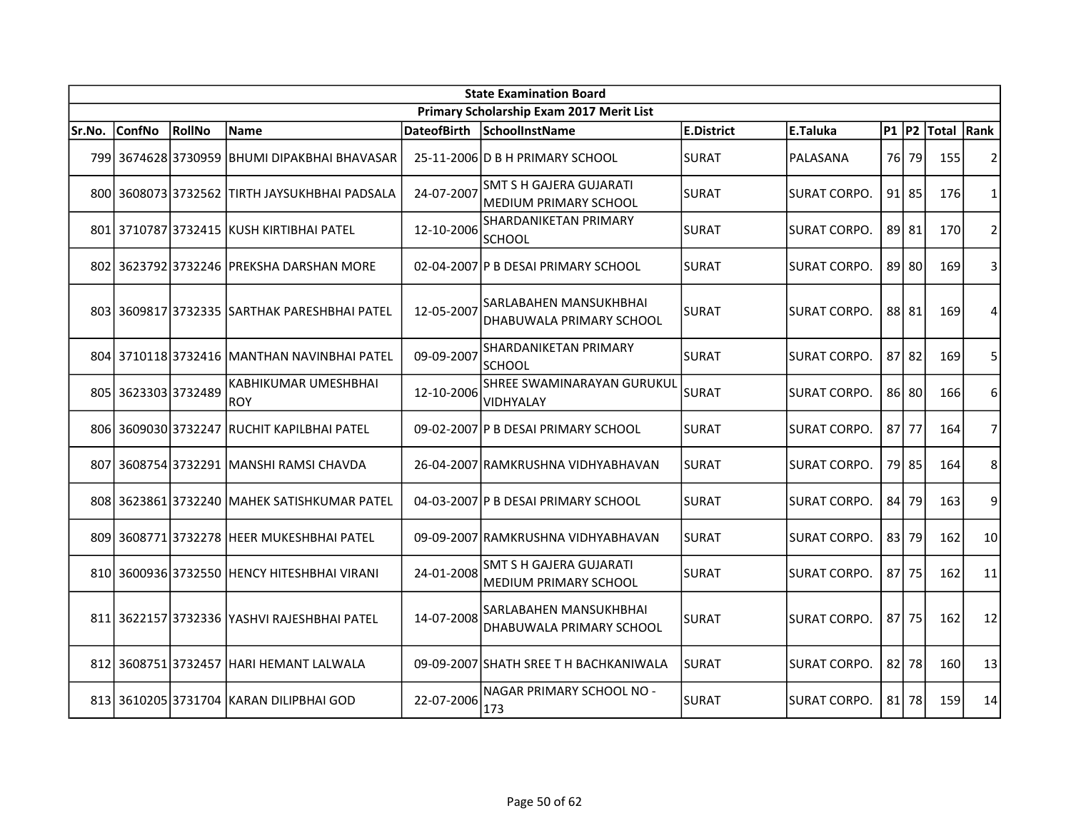| <b>State Examination Board</b> |                     |        |                                               |                    |                                                                |                   |                     |         |           |            |                |  |
|--------------------------------|---------------------|--------|-----------------------------------------------|--------------------|----------------------------------------------------------------|-------------------|---------------------|---------|-----------|------------|----------------|--|
|                                |                     |        |                                               |                    | Primary Scholarship Exam 2017 Merit List                       |                   |                     |         |           |            |                |  |
| Sr.No.                         | <b>ConfNo</b>       | RollNo | Name                                          | <b>DateofBirth</b> | SchoolInstName                                                 | <b>E.District</b> | E.Taluka            | $P1$ P2 |           | Total Rank |                |  |
|                                |                     |        | 799 3674628 3730959 BHUMI DIPAKBHAI BHAVASAR  |                    | 25-11-2006 D B H PRIMARY SCHOOL                                | <b>SURAT</b>      | PALASANA            | 76      | 79        | 155        | 2              |  |
|                                |                     |        | 800 3608073 3732562 TIRTH JAYSUKHBHAI PADSALA | 24-07-2007         | <b>SMT S H GAJERA GUJARATI</b><br>MEDIUM PRIMARY SCHOOL        | <b>SURAT</b>      | SURAT CORPO.        |         | $91$   85 | 176        | 1              |  |
|                                |                     |        | 801 3710787 3732415 KUSH KIRTIBHAI PATEL      | 12-10-2006         | SHARDANIKETAN PRIMARY<br><b>SCHOOL</b>                         | SURAT             | <b>SURAT CORPO.</b> |         | 89 81     | 170        | $\overline{2}$ |  |
|                                |                     |        | 802 3623792 3732246 PREKSHA DARSHAN MORE      |                    | 02-04-2007 P B DESAI PRIMARY SCHOOL                            | SURAT             | SURAT CORPO.        |         | 89 80     | 169        | 3              |  |
|                                |                     |        | 803 3609817 3732335 SARTHAK PARESHBHAI PATEL  | 12-05-2007         | SARLABAHEN MANSUKHBHAI<br>DHABUWALA PRIMARY SCHOOL             | <b>SURAT</b>      | SURAT CORPO.        |         | 88 81     | 169        | 4              |  |
|                                |                     |        | 804 3710118 3732416 MANTHAN NAVINBHAI PATEL   | 09-09-2007         | SHARDANIKETAN PRIMARY<br><b>SCHOOL</b>                         | <b>SURAT</b>      | SURAT CORPO.        |         | 87 82     | 169        | 5              |  |
|                                | 805 3623303 3732489 |        | KABHIKUMAR UMESHBHAI<br><b>ROY</b>            | 12-10-2006         | <b>SHREE SWAMINARAYAN GURUKUL</b><br><b>VIDHYALAY</b>          | <b>SURAT</b>      | <b>SURAT CORPO.</b> |         | 86 80     | 166        | 6              |  |
|                                |                     |        | 806 3609030 3732247 RUCHIT KAPILBHAI PATEL    |                    | 09-02-2007 P B DESAI PRIMARY SCHOOL                            | ISURAT            | SURAT CORPO.        |         | 87 77     | 164        | $\overline{7}$ |  |
|                                |                     |        | 807 3608754 3732291 MANSHI RAMSI CHAVDA       |                    | 26-04-2007 RAMKRUSHNA VIDHYABHAVAN                             | ISURAT            | SURAT CORPO.        |         | 79 85     | 164        | 8              |  |
|                                |                     |        | 808 3623861 3732240 MAHEK SATISHKUMAR PATEL   |                    | 04-03-2007   P B DESAI PRIMARY SCHOOL                          | <b>SURAT</b>      | SURAT CORPO.        | 84      | 79        | 163        | 9              |  |
|                                |                     |        | 809 3608771 3732278 HEER MUKESHBHAI PATEL     |                    | 09-09-2007 RAMKRUSHNA VIDHYABHAVAN                             | <b>SURAT</b>      | SURAT CORPO.        | 83      | 79        | 162        | 10             |  |
|                                |                     |        | 810 3600936 3732550 HENCY HITESHBHAI VIRANI   | 24-01-2008         | <b>SMT S H GAJERA GUJARATI</b><br><b>MEDIUM PRIMARY SCHOOL</b> | SURAT             | <b>SURAT CORPO.</b> |         | 87 75     | 162        | 11             |  |
|                                |                     |        | 811 3622157 3732336 YASHVI RAJESHBHAI PATEL   | 14-07-2008         | <b>SARLABAHEN MANSUKHBHAI</b><br>DHABUWALA PRIMARY SCHOOL      | <b>SURAT</b>      | SURAT CORPO.        |         | 87 75     | 162        | 12             |  |
| 812                            |                     |        | 3608751 3732457 HARI HEMANT LALWALA           |                    | 09-09-2007 SHATH SREE T H BACHKANIWALA                         | SURAT             | SURAT CORPO.        | 821     | 78        | 160        | 13             |  |
|                                |                     |        | 813 3610205 3731704 KARAN DILIPBHAI GOD       | 22-07-2006         | NAGAR PRIMARY SCHOOL NO -<br>173                               | SURAT             | SURAT CORPO.        |         | $81$ 78   | 159        | 14             |  |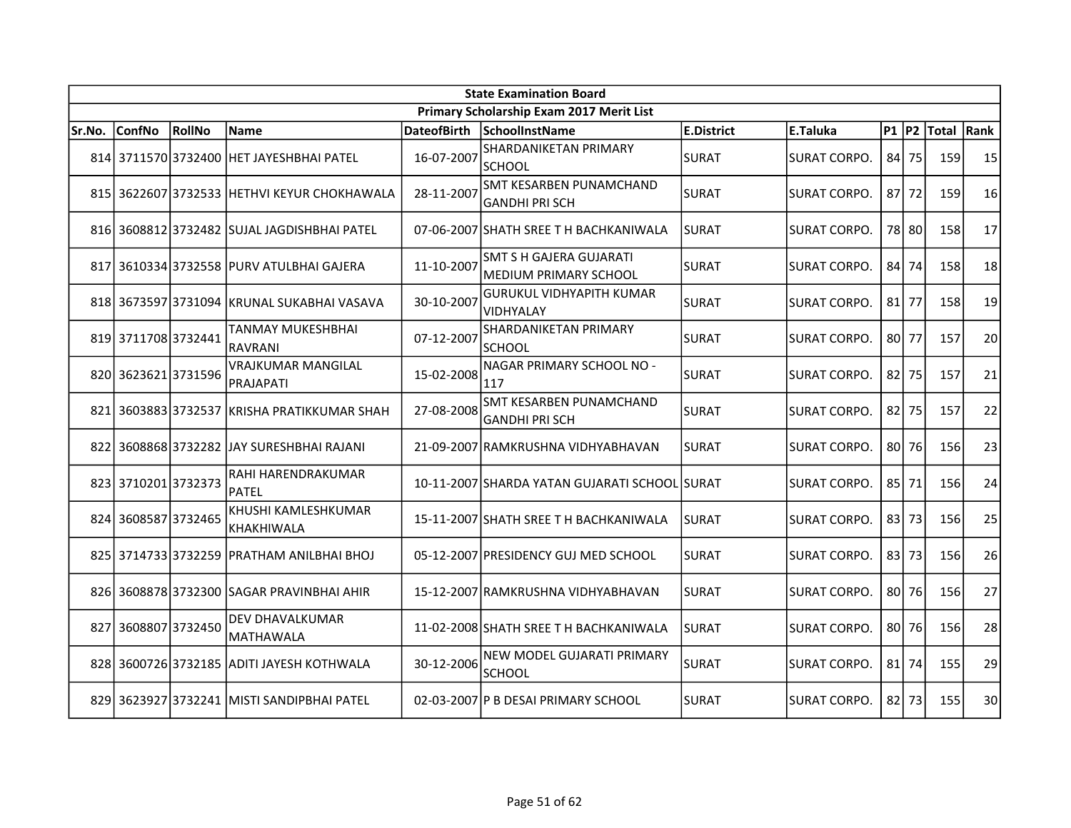|        | <b>State Examination Board</b> |        |                                             |             |                                                  |              |                     |        |           |            |    |  |  |
|--------|--------------------------------|--------|---------------------------------------------|-------------|--------------------------------------------------|--------------|---------------------|--------|-----------|------------|----|--|--|
|        |                                |        |                                             |             | Primary Scholarship Exam 2017 Merit List         |              |                     |        |           |            |    |  |  |
| Sr.No. | <b>ConfNo</b>                  | RollNo | Name                                        | DateofBirth | SchoolInstName                                   | E.District   | E.Taluka            | P1  P2 |           | Total Rank |    |  |  |
|        |                                |        | 814 3711570 3732400 HET JAYESHBHAI PATEL    | 16-07-2007  | SHARDANIKETAN PRIMARY<br><b>SCHOOL</b>           | <b>SURAT</b> | SURAT CORPO.        |        | $84$ 75   | 159        | 15 |  |  |
|        |                                |        | 815 3622607 3732533 HETHVI KEYUR CHOKHAWALA | 28-11-2007  | SMT KESARBEN PUNAMCHAND<br>GANDHI PRI SCH        | SURAT        | SURAT CORPO.        |        | $87$ 72   | 159        | 16 |  |  |
|        |                                |        | 816 3608812 3732482 SUJAL JAGDISHBHAI PATEL |             | 07-06-2007 SHATH SREE T H BACHKANIWALA           | <b>SURAT</b> | <b>SURAT CORPO.</b> |        | 78 80     | 158        | 17 |  |  |
|        |                                |        | 817 3610334 3732558 PURV ATULBHAI GAJERA    | 11-10-2007  | SMT S H GAJERA GUJARATI<br>MEDIUM PRIMARY SCHOOL | SURAT        | <b>SURAT CORPO.</b> |        | 84 74     | 158        | 18 |  |  |
|        |                                |        | 818 3673597 3731094 KRUNAL SUKABHAI VASAVA  | 30-10-2007  | <b>GURUKUL VIDHYAPITH KUMAR</b><br>VIDHYALAY     | <b>SURAT</b> | <b>SURAT CORPO.</b> |        | $81$ 77   | 158        | 19 |  |  |
|        | 819 3711708 3732441            |        | TANMAY MUKESHBHAI<br><b>RAVRANI</b>         | 07-12-2007  | <b>SHARDANIKETAN PRIMARY</b><br><b>SCHOOL</b>    | <b>SURAT</b> | SURAT CORPO.        |        | 80 77     | 157        | 20 |  |  |
|        | 820 3623621 3731596            |        | <b>VRAJKUMAR MANGILAL</b><br>PRAJAPATI      | 15-02-2008  | NAGAR PRIMARY SCHOOL NO -<br>117                 | SURAT        | <b>SURAT CORPO.</b> |        | $82$ 75   | 157        | 21 |  |  |
|        | 821 3603883 3732537            |        | KRISHA PRATIKKUMAR SHAH                     | 27-08-2008  | SMT KESARBEN PUNAMCHAND<br>GANDHI PRI SCH        | SURAT        | <b>SURAT CORPO.</b> |        | $82$ 75   | 157        | 22 |  |  |
|        |                                |        | 822 3608868 3732282 JAY SURESHBHAI RAJANI   |             | 21-09-2007 RAMKRUSHNA VIDHYABHAVAN               | <b>SURAT</b> | <b>SURAT CORPO.</b> |        | 80 76     | 156        | 23 |  |  |
|        | 823 3710201 3732373            |        | RAHI HARENDRAKUMAR<br>PATEL                 |             | 10-11-2007 SHARDA YATAN GUJARATI SCHOOL SURAT    |              | <b>SURAT CORPO.</b> |        | 85 71     | 156        | 24 |  |  |
| 8241   | 3608587 3732465                |        | KHUSHI KAMLESHKUMAR<br>KHAKHIWALA           |             | 15-11-2007 SHATH SREE TH BACHKANIWALA            | <b>SURAT</b> | <b>SURAT CORPO.</b> |        | $83$ 73   | 156        | 25 |  |  |
|        |                                |        | 825 3714733 3732259 PRATHAM ANILBHAI BHOJ   |             | 05-12-2007 PRESIDENCY GUJ MED SCHOOL             | <b>SURAT</b> | SURAT CORPO.        |        | 83 73     | 156        | 26 |  |  |
|        |                                |        | 826 3608878 3732300 SAGAR PRAVINBHAI AHIR   |             | 15-12-2007 RAMKRUSHNA VIDHYABHAVAN               | <b>SURAT</b> | <b>SURAT CORPO.</b> |        | 80 76     | 156        | 27 |  |  |
| 827    | 3608807 3732450                |        | <b>DEV DHAVALKUMAR</b><br>IMATHAWALA        |             | 11-02-2008 SHATH SREE TH BACHKANIWALA            | <b>SURAT</b> | <b>SURAT CORPO.</b> |        | 80 76     | 156        | 28 |  |  |
|        |                                |        | 828 3600726 3732185 ADITI JAYESH KOTHWALA   | 30-12-2006  | NEW MODEL GUJARATI PRIMARY<br>ISCHOOL            | SURAT        | <b>SURAT CORPO.</b> |        | $81$   74 | 155        | 29 |  |  |
|        |                                |        | 829 3623927 3732241 MISTI SANDIPBHAI PATEL  |             | 02-03-2007 P B DESAI PRIMARY SCHOOL              | <b>SURAT</b> | SURAT CORPO.        |        | $82$   73 | 155        | 30 |  |  |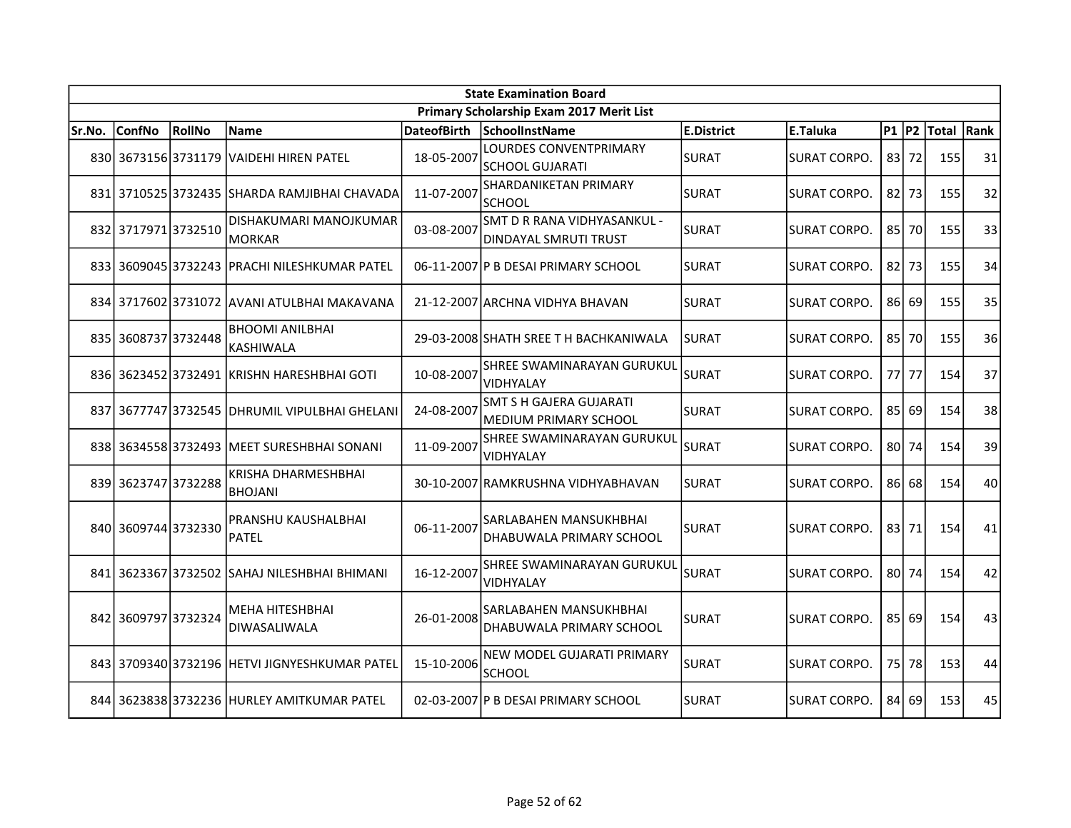|        | <b>State Examination Board</b> |        |                                               |                    |                                                      |                   |                     |        |         |            |    |  |  |
|--------|--------------------------------|--------|-----------------------------------------------|--------------------|------------------------------------------------------|-------------------|---------------------|--------|---------|------------|----|--|--|
|        |                                |        |                                               |                    | Primary Scholarship Exam 2017 Merit List             |                   |                     |        |         |            |    |  |  |
| Sr.No. | <b>ConfNo</b>                  | RollNo | Name                                          | <b>DateofBirth</b> | SchoolInstName                                       | <b>E.District</b> | <b>E.Taluka</b>     | P1  P2 |         | Total Rank |    |  |  |
|        |                                |        | 830 3673156 3731179 VAIDEHI HIREN PATEL       | 18-05-2007         | LOURDES CONVENTPRIMARY<br>SCHOOL GUJARATI            | <b>SURAT</b>      | SURAT CORPO.        |        | $83$ 72 | 155        | 31 |  |  |
|        |                                |        | 831 3710525 3732435 SHARDA RAMJIBHAI CHAVADA  | 11-07-2007         | SHARDANIKETAN PRIMARY<br>ISCHOOL                     | <b>SURAT</b>      | SURAT CORPO.        |        | $82$ 73 | 155        | 32 |  |  |
|        | 832 3717971 3732510            |        | DISHAKUMARI MANOJKUMAR<br><b>MORKAR</b>       | 03-08-2007         | SMT D R RANA VIDHYASANKUL -<br>DINDAYAL SMRUTI TRUST | <b>SURAT</b>      | SURAT CORPO.        |        | 85 70   | 155        | 33 |  |  |
|        |                                |        | 833 3609045 3732243 PRACHI NILESHKUMAR PATEL  |                    | 06-11-2007 P B DESAI PRIMARY SCHOOL                  | <b>SURAT</b>      | <b>SURAT CORPO.</b> |        | $82$ 73 | 155        | 34 |  |  |
|        |                                |        | 834 3717602 3731072 AVANI ATULBHAI MAKAVANA   |                    | 21-12-2007 ARCHNA VIDHYA BHAVAN                      | <b>SURAT</b>      | SURAT CORPO.        |        | 86 69   | 155        | 35 |  |  |
|        | 835 3608737 3732448            |        | <b>BHOOMI ANILBHAI</b><br><b>KASHIWALA</b>    |                    | 29-03-2008 SHATH SREE T H BACHKANIWALA               | ISURAT            | <b>SURAT CORPO.</b> |        | 85 70   | 155        | 36 |  |  |
|        |                                |        | 836 3623452 3732491 KRISHN HARESHBHAI GOTI    | 10-08-2007         | SHREE SWAMINARAYAN GURUKUL<br><b>VIDHYALAY</b>       | SURAT             | <b>SURAT CORPO.</b> |        | 77 77   | 154        | 37 |  |  |
| 837    | 3677747 3732545                |        | <b>DHRUMIL VIPULBHAI GHELANI</b>              | 24-08-2007         | SMT S H GAJERA GUJARATI<br>MEDIUM PRIMARY SCHOOL     | SURAT             | <b>SURAT CORPO.</b> |        | 85 69   | 154        | 38 |  |  |
|        |                                |        | 838 3634558 3732493 MEET SURESHBHAI SONANI    | 11-09-2007         | SHREE SWAMINARAYAN GURUKUL<br>VIDHYALAY              | <b>SURAT</b>      | SURAT CORPO.        |        | 80 74   | 154        | 39 |  |  |
|        | 839 3623747 3732288            |        | KRISHA DHARMESHBHAI<br><b>BHOJANI</b>         |                    | 30-10-2007 RAMKRUSHNA VIDHYABHAVAN                   | SURAT             | <b>SURAT CORPO.</b> |        | $86$ 68 | 154        | 40 |  |  |
|        | 840 3609744 3732330            |        | PRANSHU KAUSHALBHAI<br>PATEL                  | 06-11-2007         | SARLABAHEN MANSUKHBHAI<br>DHABUWALA PRIMARY SCHOOL   | SURAT             | <b>SURAT CORPO.</b> |        | 83 71   | 154        | 41 |  |  |
|        |                                |        | 841 3623367 3732502 SAHAJ NILESHBHAI BHIMANI  | 16-12-2007         | SHREE SWAMINARAYAN GURUKUL<br>VIDHYALAY              | <b>SURAT</b>      | <b>SURAT CORPO.</b> |        | 80 74   | 154        | 42 |  |  |
|        | 842 3609797 3732324            |        | <b>MEHA HITESHBHAI</b><br>DIWASALIWALA        | 26-01-2008         | SARLABAHEN MANSUKHBHAI<br>DHABUWALA PRIMARY SCHOOL   | <b>SURAT</b>      | ISURAT CORPO.       |        | $85$ 69 | 154        | 43 |  |  |
|        |                                |        | 843 3709340 3732196 HETVI JIGNYESHKUMAR PATEL | 15-10-2006         | NEW MODEL GUJARATI PRIMARY<br><b>SCHOOL</b>          | SURAT             | <b>SURAT CORPO.</b> |        | 75 78   | 153        | 44 |  |  |
|        |                                |        | 844 3623838 3732236 HURLEY AMITKUMAR PATEL    |                    | 02-03-2007 P B DESAI PRIMARY SCHOOL                  | ISURAT            | <b>SURAT CORPO.</b> |        | 84 69   | 153        | 45 |  |  |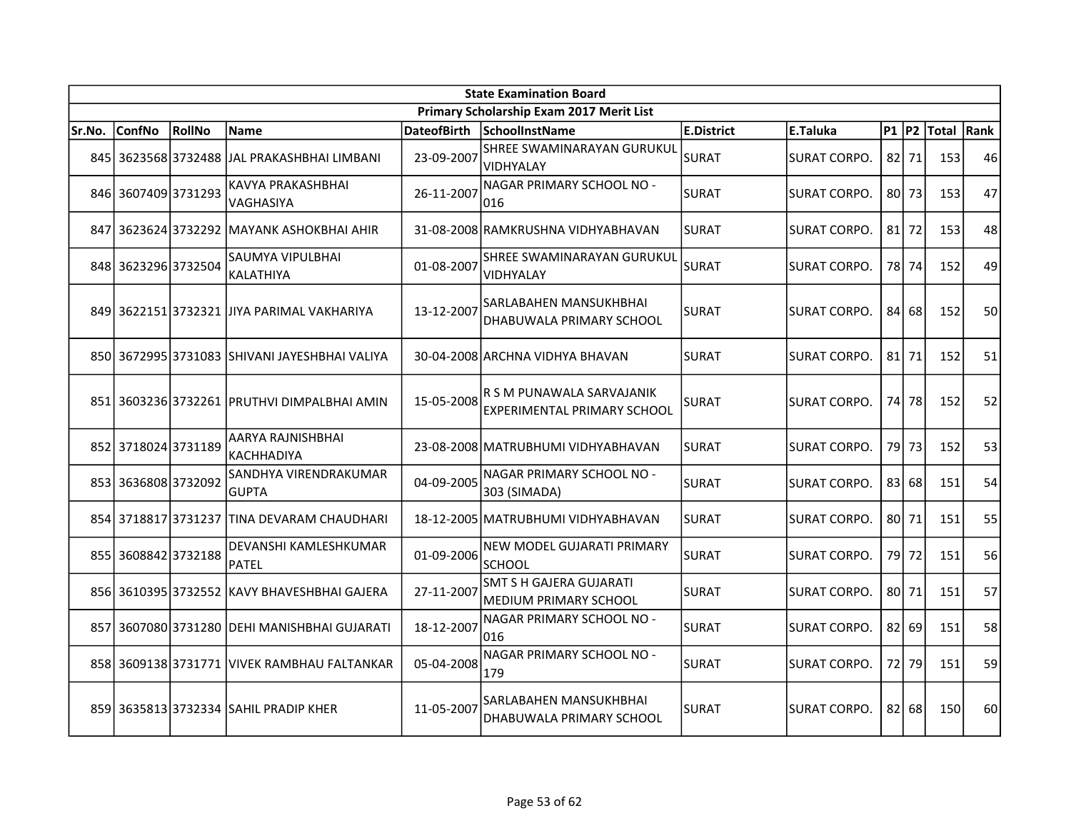|        | <b>State Examination Board</b> |        |                                               |            |                                                          |                   |                     |        |         |            |    |  |  |
|--------|--------------------------------|--------|-----------------------------------------------|------------|----------------------------------------------------------|-------------------|---------------------|--------|---------|------------|----|--|--|
|        |                                |        |                                               |            | Primary Scholarship Exam 2017 Merit List                 |                   |                     |        |         |            |    |  |  |
| Sr.No. | <b>ConfNo</b>                  | RollNo | Name                                          |            | DateofBirth SchoolInstName                               | <b>E.District</b> | E.Taluka            | P1  P2 |         | Total Rank |    |  |  |
|        |                                |        | 845 3623568 3732488 JAL PRAKASHBHAI LIMBANI   | 23-09-2007 | SHREE SWAMINARAYAN GURUKUL<br>VIDHYALAY                  | <b>SURAT</b>      | <b>SURAT CORPO.</b> |        | $82$ 71 | 153        | 46 |  |  |
|        | 846 3607409 3731293            |        | KAVYA PRAKASHBHAI<br><b>VAGHASIYA</b>         | 26-11-2007 | NAGAR PRIMARY SCHOOL NO -<br>016                         | <b>SURAT</b>      | <b>SURAT CORPO.</b> |        | 80 73   | 153        | 47 |  |  |
| 847    |                                |        | 3623624 3732292 MAYANK ASHOKBHAI AHIR         |            | 31-08-2008 RAMKRUSHNA VIDHYABHAVAN                       | <b>SURAT</b>      | <b>SURAT CORPO.</b> |        | $81$ 72 | 153        | 48 |  |  |
|        | 848 3623296 3732504            |        | SAUMYA VIPULBHAI<br>KALATHIYA                 | 01-08-2007 | SHREE SWAMINARAYAN GURUKUL<br><b>NIDHYALAY</b>           | <b>SURAT</b>      | <b>SURAT CORPO.</b> |        | 78 74   | 152        | 49 |  |  |
|        |                                |        | 849 3622151 3732321 JJIYA PARIMAL VAKHARIYA   | 13-12-2007 | ISARLABAHEN MANSUKHBHAI<br>DHABUWALA PRIMARY SCHOOL      | SURAT             | <b>SURAT CORPO.</b> | 84     | 68      | 152        | 50 |  |  |
|        |                                |        | 850 3672995 3731083 SHIVANI JAYESHBHAI VALIYA |            | 30-04-2008 ARCHNA VIDHYA BHAVAN                          | <b>SURAT</b>      | <b>SURAT CORPO.</b> |        | $81$ 71 | 152        | 51 |  |  |
|        | 851 3603236 3732261            |        | IPRUTHVI DIMPALBHAI AMIN                      | 15-05-2008 | R S M PUNAWALA SARVAJANIK<br>EXPERIMENTAL PRIMARY SCHOOL | <b>SURAT</b>      | <b>SURAT CORPO.</b> |        | 74 78   | 152        | 52 |  |  |
|        | 852 3718024 3731189            |        | AARYA RAJNISHBHAI<br><b>KACHHADIYA</b>        |            | 23-08-2008 MATRUBHUMI VIDHYABHAVAN                       | <b>SURAT</b>      | SURAT CORPO.        |        | 79 73   | 152        | 53 |  |  |
|        | 853 3636808 3732092            |        | SANDHYA VIRENDRAKUMAR<br><b>GUPTA</b>         | 04-09-2005 | NAGAR PRIMARY SCHOOL NO -<br>303 (SIMADA)                | SURAT             | <b>SURAT CORPO.</b> |        | 83 68   | 151        | 54 |  |  |
|        | 854 3718817 3731237            |        | ITINA DEVARAM CHAUDHARI                       |            | 18-12-2005 MATRUBHUMI VIDHYABHAVAN                       | <b>SURAT</b>      | SURAT CORPO.        |        | 80 71   | 151        | 55 |  |  |
| 855    | 3608842 3732188                |        | DEVANSHI KAMLESHKUMAR<br><b>PATEL</b>         | 01-09-2006 | NEW MODEL GUJARATI PRIMARY<br><b>SCHOOL</b>              | SURAT             | <b>SURAT CORPO.</b> |        | 79 72   | 151        | 56 |  |  |
|        |                                |        | 856 3610395 3732552 KAVY BHAVESHBHAI GAJERA   | 27-11-2007 | SMT S H GAJERA GUJARATI<br>MEDIUM PRIMARY SCHOOL         | <b>SURAT</b>      | SURAT CORPO.        |        | 80 71   | 151        | 57 |  |  |
|        |                                |        | 857 3607080 3731280 DEHI MANISHBHAI GUJARATI  | 18-12-2007 | NAGAR PRIMARY SCHOOL NO -<br>1016                        | SURAT             | <b>SURAT CORPO.</b> |        | 82 69   | 151        | 58 |  |  |
|        | 858 3609138 3731771            |        | <u>IVIVEK RAMBHAU FALTANKAR</u>               | 05-04-2008 | NAGAR PRIMARY SCHOOL NO -<br>179                         | <b>SURAT</b>      | <b>SURAT CORPO.</b> |        | 72 79   | 151        | 59 |  |  |
|        |                                |        | 859 3635813 3732334 SAHIL PRADIP KHER         | 11-05-2007 | SARLABAHEN MANSUKHBHAI<br>IDHABUWALA PRIMARY SCHOOL      | SURAT             | SURAT CORPO.        |        | 82 68   | 150        | 60 |  |  |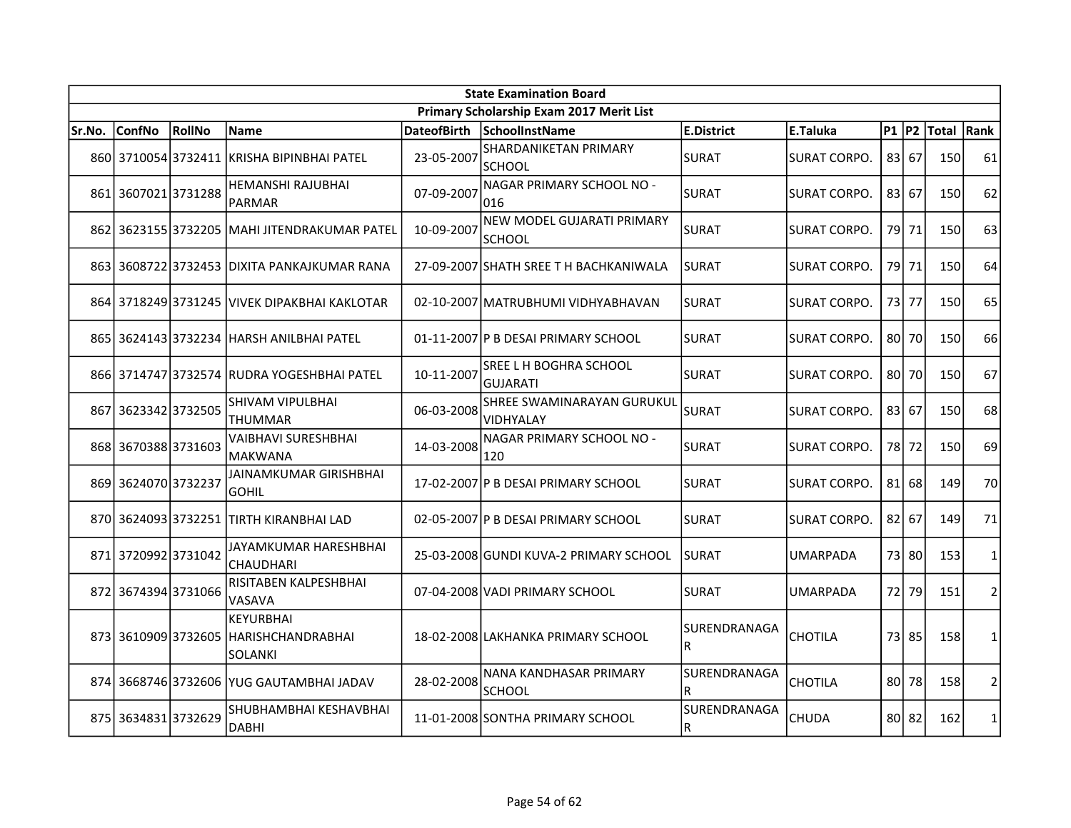|        | <b>State Examination Board</b> |               |                                                         |                    |                                                |                            |                     |                 |         |             |                |  |  |  |
|--------|--------------------------------|---------------|---------------------------------------------------------|--------------------|------------------------------------------------|----------------------------|---------------------|-----------------|---------|-------------|----------------|--|--|--|
|        |                                |               |                                                         |                    | Primary Scholarship Exam 2017 Merit List       |                            |                     |                 |         |             |                |  |  |  |
| Sr.No. | <b>ConfNo</b>                  | <b>RollNo</b> | <b>Name</b>                                             | <b>DateofBirth</b> | SchoolInstName                                 | <b>E.District</b>          | E.Taluka            | $P1$ $P2$       |         | Total  Rank |                |  |  |  |
|        |                                |               | 860 3710054 3732411 KRISHA BIPINBHAI PATEL              | 23-05-2007         | SHARDANIKETAN PRIMARY<br><b>SCHOOL</b>         | <b>SURAT</b>               | <b>SURAT CORPO.</b> | 83              | 67      | 150         | 61             |  |  |  |
|        | 861 3607021 3731288            |               | <b>HEMANSHI RAJUBHAI</b><br><b>PARMAR</b>               | 07-09-2007         | NAGAR PRIMARY SCHOOL NO -<br>016               | <b>SURAT</b>               | SURAT CORPO.        |                 | 83 67   | 150         | 62             |  |  |  |
|        |                                |               | 862 3623155 3732205 MAHI JITENDRAKUMAR PATEL            | 10-09-2007         | NEW MODEL GUJARATI PRIMARY<br><b>SCHOOL</b>    | <b>SURAT</b>               | SURAT CORPO.        | 79              | 71      | 150         | 63             |  |  |  |
|        |                                |               | 863   3608722   3732453   DIXITA PANKAJKUMAR RANA       |                    | 27-09-2007 SHATH SREE T H BACHKANIWALA         | <b>SURAT</b>               | SURAT CORPO.        | 791             | 71      | 150         | 64             |  |  |  |
|        |                                |               | 864 3718249 3731245 VIVEK DIPAKBHAI KAKLOTAR            |                    | 02-10-2007 MATRUBHUMI VIDHYABHAVAN             | <b>SURAT</b>               | SURAT CORPO.        | 73              | 77      | 150         | 65             |  |  |  |
|        |                                |               | 865 3624143 3732234 HARSH ANILBHAI PATEL                |                    | 01-11-2007 P B DESAI PRIMARY SCHOOL            | <b>SURAT</b>               | SURAT CORPO.        | 80 <sup>1</sup> | 70      | 150         | 66             |  |  |  |
|        |                                |               | 866 3714747 3732574 RUDRA YOGESHBHAI PATEL              | 10-11-2007         | SREE L H BOGHRA SCHOOL<br><b>GUJARATI</b>      | SURAT                      | SURAT CORPO.        | 80              | 70      | 150         | 67             |  |  |  |
| 867    | 3623342 3732505                |               | SHIVAM VIPULBHAI<br><b>THUMMAR</b>                      | 06-03-2008         | SHREE SWAMINARAYAN GURUKUL<br><b>VIDHYALAY</b> | SURAT                      | SURAT CORPO.        | 83 67           |         | 150         | 68             |  |  |  |
|        | 868 3670388 3731603            |               | <b>VAIBHAVI SURESHBHAI</b><br><b>MAKWANA</b>            | 14-03-2008         | NAGAR PRIMARY SCHOOL NO -<br>120               | SURAT                      | <b>SURAT CORPO.</b> |                 | 78 72   | 150         | 69             |  |  |  |
|        | 869 3624070 3732237            |               | JAINAMKUMAR GIRISHBHAI<br><b>GOHIL</b>                  |                    | 17-02-2007 P B DESAI PRIMARY SCHOOL            | <b>SURAT</b>               | SURAT CORPO.        |                 | $81$ 68 | 149         | 70             |  |  |  |
|        | 870 3624093 3732251            |               | <b>ITIRTH KIRANBHAI LAD</b>                             |                    | 02-05-2007 P B DESAI PRIMARY SCHOOL            | <b>SURAT</b>               | <b>SURAT CORPO.</b> |                 | 82 67   | 149         | 71             |  |  |  |
| 871    | 3720992 3731042                |               | JAYAMKUMAR HARESHBHAI<br><b>CHAUDHARI</b>               |                    | 25-03-2008 GUNDI KUVA-2 PRIMARY SCHOOL         | SURAT                      | UMARPADA            |                 | 73 80   | 153         | 1              |  |  |  |
|        | 872 3674394 3731066            |               | RISITABEN KALPESHBHAI<br>VASAVA                         |                    | 07-04-2008 VADI PRIMARY SCHOOL                 | <b>SURAT</b>               | UMARPADA            | 72 l            | 79      | 151         | $\overline{2}$ |  |  |  |
|        | 873 3610909 3732605            |               | <b>KEYURBHAI</b><br><b>HARISHCHANDRABHAI</b><br>SOLANKI |                    | 18-02-2008 LAKHANKA PRIMARY SCHOOL             | <b>SURENDRANAGA</b><br>lR. | CHOTILA             | <b>731</b>      | 85      | 158         | $\mathbf{1}$   |  |  |  |
|        |                                |               | 874 3668746 3732606 YUG GAUTAMBHAI JADAV                | 28-02-2008         | NANA KANDHASAR PRIMARY<br><b>SCHOOL</b>        | SURENDRANAGA<br>R          | <b>CHOTILA</b>      | 80 l            | 78      | 158         | $\overline{2}$ |  |  |  |
|        | 875 3634831 3732629            |               | SHUBHAMBHAI KESHAVBHAI<br><b>DABHI</b>                  |                    | 11-01-2008 SONTHA PRIMARY SCHOOL               | SURENDRANAGA<br>${\sf R}$  | <b>CHUDA</b>        |                 | 80 82   | 162         | $\mathbf{1}$   |  |  |  |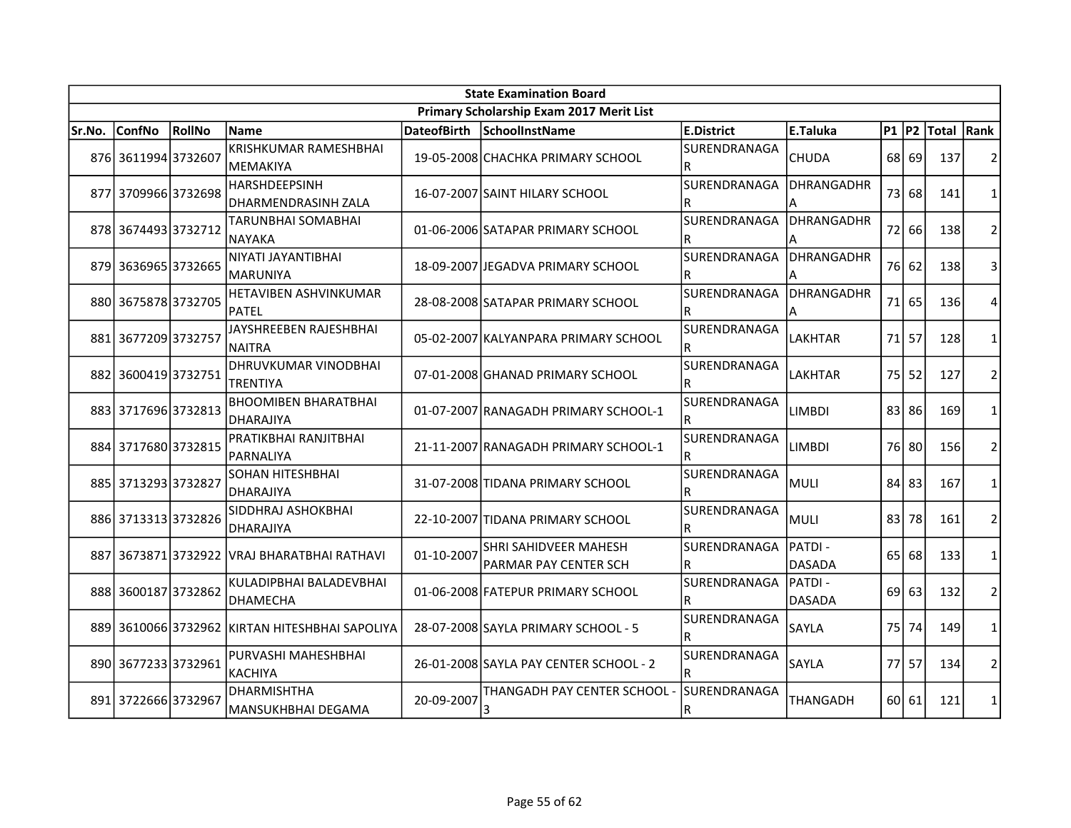| <b>State Examination Board</b> |                     |        |                                                 |                    |                                                |                            |                           |           |       |            |                |
|--------------------------------|---------------------|--------|-------------------------------------------------|--------------------|------------------------------------------------|----------------------------|---------------------------|-----------|-------|------------|----------------|
|                                |                     |        |                                                 |                    | Primary Scholarship Exam 2017 Merit List       |                            |                           |           |       |            |                |
| Sr.No.                         | <b>ConfNo</b>       | RollNo | Name                                            | <b>DateofBirth</b> | SchoolInstName                                 | <b>E.District</b>          | E.Taluka                  | <b>P1</b> | P2    | Total Rank |                |
|                                | 876 3611994 3732607 |        | <b>KRISHKUMAR RAMESHBHAI</b><br><b>MEMAKIYA</b> |                    | 19-05-2008 CHACHKA PRIMARY SCHOOL              | SURENDRANAGA<br>R          | <b>CHUDA</b>              | 68        | 69    | 137        | 2              |
| 877                            | 3709966 3732698     |        | <b>HARSHDEEPSINH</b><br>DHARMENDRASINH ZALA     |                    | 16-07-2007 SAINT HILARY SCHOOL                 | <b>SURENDRANAGA</b><br>IR. | DHRANGADHR<br>А           | 73        | 68    | 141        | 1              |
|                                | 878 3674493 3732712 |        | <b>TARUNBHAI SOMABHAI</b><br>NAYAKA             |                    | 01-06-2006 SATAPAR PRIMARY SCHOOL              | lsurendranaga<br>R         | <b>DHRANGADHR</b><br>А    | 72        | 66    | 138        | $\overline{2}$ |
|                                | 879 3636965 3732665 |        | NIYATI JAYANTIBHAI<br><b>MARUNIYA</b>           |                    | 18-09-2007 JEGADVA PRIMARY SCHOOL              | SURENDRANAGA<br>R          | <b>DHRANGADHR</b><br>A    | 76I       | 62    | 138        | 3              |
|                                | 880 3675878 3732705 |        | HETAVIBEN ASHVINKUMAR<br><b>PATEL</b>           |                    | 28-08-2008 SATAPAR PRIMARY SCHOOL              | SURENDRANAGA<br>lR.        | DHRANGADHR<br>А           | 71        | 65    | 136        | 4              |
|                                | 881 3677209 3732757 |        | JAYSHREEBEN RAJESHBHAI<br><b>NAITRA</b>         |                    | 05-02-2007 KALYANPARA PRIMARY SCHOOL           | SURENDRANAGA<br>R          | <b>LAKHTAR</b>            | 71        | 57    | 128        | $\mathbf{1}$   |
| 882                            | 36004193732751      |        | DHRUVKUMAR VINODBHAI<br><b>TRENTIYA</b>         |                    | 07-01-2008 GHANAD PRIMARY SCHOOL               | SURENDRANAGA<br>R          | LAKHTAR                   | 75        | 52    | 127        | $\overline{2}$ |
|                                | 883 3717696 3732813 |        | <b>BHOOMIBEN BHARATBHAI</b><br>DHARAJIYA        |                    | 01-07-2007 RANAGADH PRIMARY SCHOOL-1           | SURENDRANAGA<br>R          | <b>LIMBDI</b>             | 83        | 86    | 169        | 1              |
|                                | 884 3717680 3732815 |        | PRATIKBHAI RANJITBHAI<br>PARNALIYA              |                    | 21-11-2007 RANAGADH PRIMARY SCHOOL-1           | SURENDRANAGA<br>R          | <b>LIMBDI</b>             |           | 76 80 | 156        | $\overline{2}$ |
|                                | 885 3713293 3732827 |        | SOHAN HITESHBHAI<br><b>DHARAJIYA</b>            |                    | 31-07-2008 TIDANA PRIMARY SCHOOL               | SURENDRANAGA<br>lR.        | <b>MULI</b>               | 84        | 83    | 167        | $\mathbf{1}$   |
|                                | 886 3713313 3732826 |        | SIDDHRAJ ASHOKBHAI<br><b>DHARAJIYA</b>          |                    | 22-10-2007 TIDANA PRIMARY SCHOOL               | SURENDRANAGA<br>lR.        | <b>MULI</b>               | 83        | 78    | 161        | $\overline{2}$ |
| 887                            |                     |        | 3673871 3732922 VRAJ BHARATBHAI RATHAVI         | 01-10-2007         | SHRI SAHIDVEER MAHESH<br>PARMAR PAY CENTER SCH | SURENDRANAGA<br>R          | IPATDI -<br><b>DASADA</b> | 65        | 68    | 133        | $\mathbf{1}$   |
|                                | 888 3600187 3732862 |        | KULADIPBHAI BALADEVBHAI<br><b>DHAMECHA</b>      |                    | 01-06-2008 FATEPUR PRIMARY SCHOOL              | SURENDRANAGA<br>lR.        | IPATDI -<br><b>DASADA</b> | 69        | 63    | 132        | $\overline{2}$ |
| 889                            |                     |        | 3610066 3732962 KIRTAN HITESHBHAI SAPOLIYA      |                    | 28-07-2008 SAYLA PRIMARY SCHOOL - 5            | SURENDRANAGA               | SAYLA                     | 75        | 74    | 149        | $\mathbf{1}$   |
|                                | 890 3677233 3732961 |        | PURVASHI MAHESHBHAI<br>KACHIYA                  |                    | 26-01-2008 SAYLA PAY CENTER SCHOOL - 2         | SURENDRANAGA<br>R          | <b>SAYLA</b>              | 77        | 57    | 134        | $\overline{2}$ |
|                                | 891 3722666 3732967 |        | DHARMISHTHA<br>MANSUKHBHAI DEGAMA               | 20-09-2007         | THANGADH PAY CENTER SCHOOL -<br>3              | ISURENDRANAGA<br>R         | THANGADH                  | 60 l      | 61    | 121        | 1              |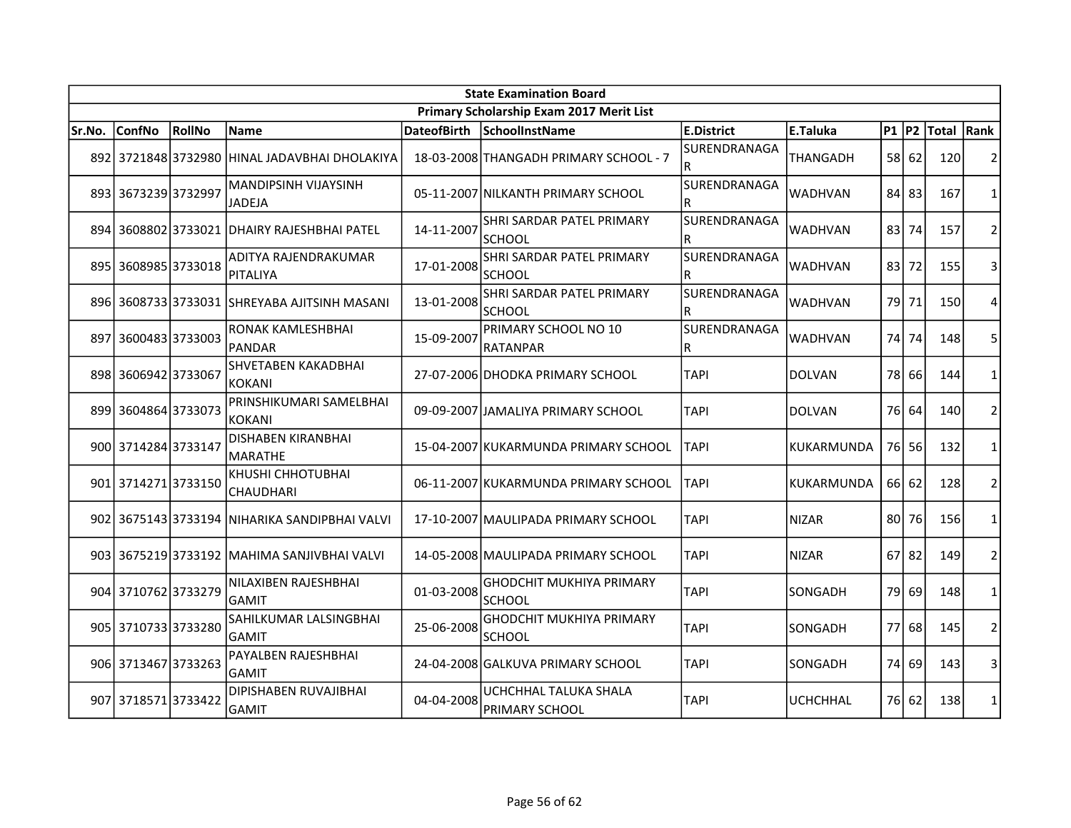| <b>State Examination Board</b> |                     |        |                                               |                    |                                                  |                            |                 |           |       |            |                |  |
|--------------------------------|---------------------|--------|-----------------------------------------------|--------------------|--------------------------------------------------|----------------------------|-----------------|-----------|-------|------------|----------------|--|
|                                |                     |        |                                               |                    | Primary Scholarship Exam 2017 Merit List         |                            |                 |           |       |            |                |  |
| Sr.No.                         | <b>ConfNo</b>       | RollNo | Name                                          | <b>DateofBirth</b> | SchoolInstName                                   | E.District                 | E.Taluka        | $P1$ $P2$ |       | Total Rank |                |  |
| 892                            |                     |        | 3721848 3732980 HINAL JADAVBHAI DHOLAKIYA     |                    | 18-03-2008 THANGADH PRIMARY SCHOOL - 7           | SURENDRANAGA<br>lR.        | <b>THANGADH</b> | 58        | 62    | 120        | $\overline{2}$ |  |
| 893                            | 36732393732997      |        | <b>MANDIPSINH VIJAYSINH</b><br>JADEJA         |                    | 05-11-2007 NILKANTH PRIMARY SCHOOL               | SURENDRANAGA<br>R          | WADHVAN         | 84        | 83    | 167        | 1              |  |
| 894                            |                     |        | 3608802 3733021 DHAIRY RAJESHBHAI PATEL       | 14-11-2007         | SHRI SARDAR PATEL PRIMARY<br><b>SCHOOL</b>       | <b>SURENDRANAGA</b><br>lR. | <b>WADHVAN</b>  | 83        | 74    | 157        | $\overline{2}$ |  |
|                                | 895 3608985 3733018 |        | ADITYA RAJENDRAKUMAR<br><b>PITALIYA</b>       | 17-01-2008         | SHRI SARDAR PATEL PRIMARY<br><b>SCHOOL</b>       | SURENDRANAGA<br>R          | WADHVAN         | 83 I      | 72    | 155        | 3              |  |
|                                |                     |        | 896 3608733 3733031 SHREYABA AJITSINH MASANI  | 13-01-2008         | SHRI SARDAR PATEL PRIMARY<br><b>SCHOOL</b>       | SURENDRANAGA<br>R          | <b>WADHVAN</b>  | 79        | 71    | 150        | 4              |  |
| 897                            | 3600483 3733003     |        | RONAK KAMLESHBHAI<br><b>PANDAR</b>            | 15-09-2007         | PRIMARY SCHOOL NO 10<br><b>RATANPAR</b>          | SURENDRANAGA<br>R          | WADHVAN         | 74        | 74    | 148        | 5              |  |
|                                | 898 3606942 3733067 |        | SHVETABEN KAKADBHAI<br>KOKANI                 |                    | 27-07-2006 DHODKA PRIMARY SCHOOL                 | <b>TAPI</b>                | <b>DOLVAN</b>   | 78        | 66    | 144        | $\mathbf{1}$   |  |
| 899                            | 3604864 3733073     |        | PRINSHIKUMARI SAMELBHAI<br><b>KOKANI</b>      |                    | 09-09-2007 JJAMALIYA PRIMARY SCHOOL              | <b>TAPI</b>                | <b>DOLVAN</b>   | 76        | 64    | 140        | $\overline{2}$ |  |
|                                | 900 3714284 3733147 |        | <b>DISHABEN KIRANBHAI</b><br>MARATHE          |                    | 15-04-2007 KUKARMUNDA PRIMARY SCHOOL             | ITAPI                      | KUKARMUNDA      |           | 76 56 | 132        | $\mathbf{1}$   |  |
|                                | 901 3714271 3733150 |        | KHUSHI CHHOTUBHAI<br><b>CHAUDHARI</b>         |                    | 06-11-2007 KUKARMUNDA PRIMARY SCHOOL             | <b>TAPI</b>                | KUKARMUNDA      | 66        | 62    | 128        | $\overline{2}$ |  |
|                                |                     |        | 902 3675143 3733194 NIHARIKA SANDIPBHAI VALVI |                    | 17-10-2007 MAULIPADA PRIMARY SCHOOL              | <b>TAPI</b>                | <b>NIZAR</b>    | 80        | 76    | 156        | 1              |  |
|                                |                     |        | 903 3675219 3733192 MAHIMA SANJIVBHAI VALVI   |                    | 14-05-2008 MAULIPADA PRIMARY SCHOOL              | <b>TAPI</b>                | <b>NIZAR</b>    | 67        | 82    | 149        | $\overline{2}$ |  |
|                                | 904 3710762 3733279 |        | NILAXIBEN RAJESHBHAI<br><b>GAMIT</b>          | 01-03-2008         | GHODCHIT MUKHIYA PRIMARY<br><b>SCHOOL</b>        | <b>TAPI</b>                | SONGADH         | 79        | 69    | 148        | $\mathbf{1}$   |  |
|                                | 905 3710733 3733280 |        | SAHILKUMAR LALSINGBHAI<br><b>GAMIT</b>        | 25-06-2008         | <b>GHODCHIT MUKHIYA PRIMARY</b><br><b>SCHOOL</b> | <b>TAPI</b>                | SONGADH         | 77        | 68    | 145        | $\overline{2}$ |  |
|                                | 906 3713467 3733263 |        | PAYALBEN RAJESHBHAI<br>GAMIT                  |                    | 24-04-2008 GALKUVA PRIMARY SCHOOL                | <b>TAPI</b>                | SONGADH         | 74        | 69    | 143        | 3              |  |
| 907                            | 37185713733422      |        | DIPISHABEN RUVAJIBHAI<br>GAMIT                | 04-04-2008         | UCHCHHAL TALUKA SHALA<br>PRIMARY SCHOOL          | <b>TAPI</b>                | <b>UCHCHHAL</b> | 76 I      | 62    | 138        | $\mathbf{1}$   |  |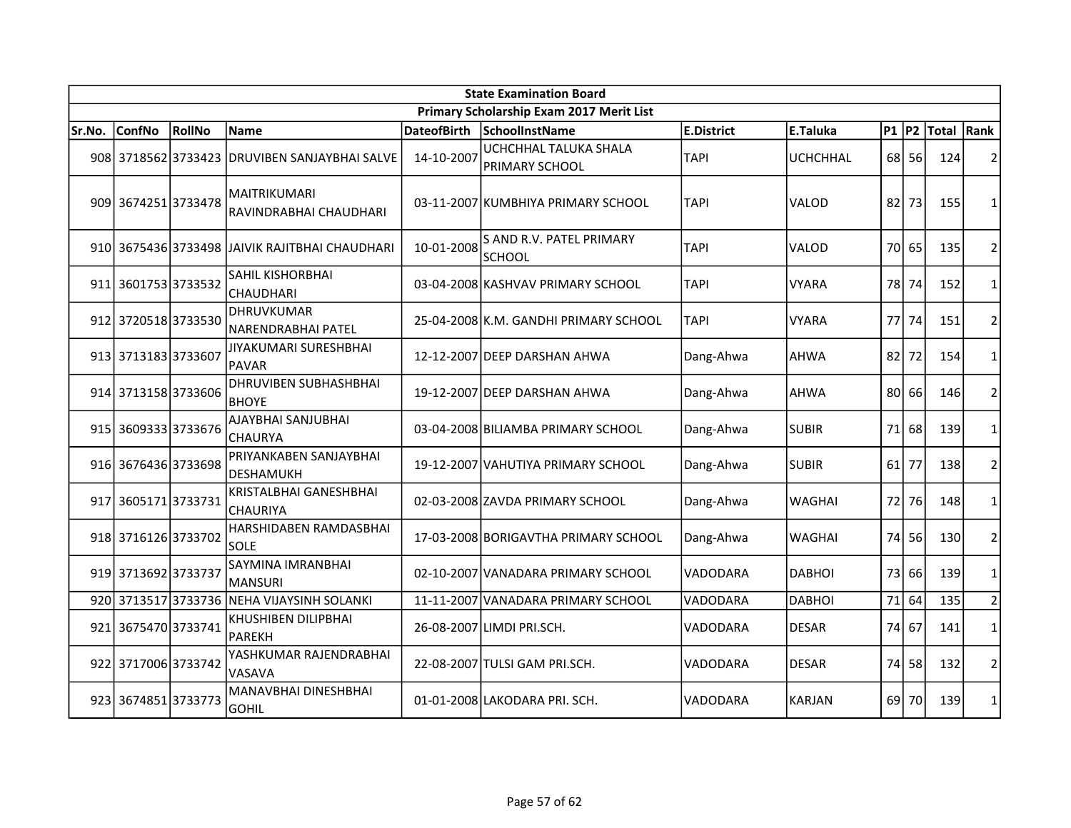|        | <b>State Examination Board</b> |        |                                                |                    |                                                  |                 |                 |           |    |            |                |  |  |
|--------|--------------------------------|--------|------------------------------------------------|--------------------|--------------------------------------------------|-----------------|-----------------|-----------|----|------------|----------------|--|--|
|        |                                |        |                                                |                    | Primary Scholarship Exam 2017 Merit List         |                 |                 |           |    |            |                |  |  |
| Sr.No. | <b>ConfNo</b>                  | RollNo | Name                                           | <b>DateofBirth</b> | SchoolInstName                                   | E.District      | E.Taluka        | $P1$ $P2$ |    | Total Rank |                |  |  |
|        |                                |        | 908 3718562 3733423 DRUVIBEN SANJAYBHAI SALVE  | 14-10-2007         | UCHCHHAL TALUKA SHALA<br>PRIMARY SCHOOL          | <b>TAPI</b>     | <b>UCHCHHAL</b> | 68 l      | 56 | 124        | 2              |  |  |
|        | 909 3674251 3733478            |        | <b>MAITRIKUMARI</b><br>RAVINDRABHAI CHAUDHARI  |                    | 03-11-2007 KUMBHIYA PRIMARY SCHOOL               | <b>TAPI</b>     | VALOD           | 82        | 73 | 155        | 1              |  |  |
|        |                                |        | 910 3675436 3733498 JAIVIK RAJITBHAI CHAUDHARI | 10-01-2008         | <b>S AND R.V. PATEL PRIMARY</b><br><b>SCHOOL</b> | <b>TAPI</b>     | VALOD           | 70        | 65 | 135        | $\overline{2}$ |  |  |
|        | 911 3601753 3733532            |        | SAHIL KISHORBHAI<br><b>CHAUDHARI</b>           |                    | 03-04-2008 KASHVAV PRIMARY SCHOOL                | <b>TAPI</b>     | <b>VYARA</b>    | 78        | 74 | 152        | $\mathbf{1}$   |  |  |
|        | 912 3720518 3733530            |        | <b>DHRUVKUMAR</b><br>NARENDRABHAI PATEL        |                    | 25-04-2008 K.M. GANDHI PRIMARY SCHOOL            | <b>TAPI</b>     | <b>VYARA</b>    | 77        | 74 | 151        | $\overline{2}$ |  |  |
|        | 913 3713183 3733607            |        | JIYAKUMARI SURESHBHAI<br>PAVAR                 |                    | 12-12-2007 DEEP DARSHAN AHWA                     | Dang-Ahwa       | <b>AHWA</b>     | 82        | 72 | 154        | $\mathbf{1}$   |  |  |
|        | 914 3713158 3733606            |        | <b>DHRUVIBEN SUBHASHBHAI</b><br><b>BHOYE</b>   |                    | 19-12-2007 DEEP DARSHAN AHWA                     | Dang-Ahwa       | <b>AHWA</b>     | 80        | 66 | 146        | $\overline{2}$ |  |  |
|        | 915 3609333 3733676            |        | AJAYBHAI SANJUBHAI<br><b>CHAURYA</b>           |                    | 03-04-2008 BILIAMBA PRIMARY SCHOOL               | Dang-Ahwa       | <b>SUBIR</b>    | 71        | 68 | 139        | $\mathbf{1}$   |  |  |
|        | 916 3676436 3733698            |        | PRIYANKABEN SANJAYBHAI<br><b>DESHAMUKH</b>     |                    | 19-12-2007 VAHUTIYA PRIMARY SCHOOL               | Dang-Ahwa       | <b>SUBIR</b>    | 61        | 77 | 138        | $\overline{2}$ |  |  |
| 917    | 36051713733731                 |        | KRISTALBHAI GANESHBHAI<br><b>CHAURIYA</b>      |                    | 02-03-2008 ZAVDA PRIMARY SCHOOL                  | Dang-Ahwa       | <b>WAGHAI</b>   | 72        | 76 | 148        | 1              |  |  |
|        | 918 3716126 3733702            |        | HARSHIDABEN RAMDASBHAI<br>SOLE                 |                    | 17-03-2008 BORIGAVTHA PRIMARY SCHOOL             | Dang-Ahwa       | WAGHAI          | 74        | 56 | 130        | $\overline{2}$ |  |  |
|        | 919 3713692 3733737            |        | SAYMINA IMRANBHAI<br><b>MANSURI</b>            |                    | 02-10-2007 VANADARA PRIMARY SCHOOL               | <b>VADODARA</b> | <b>DABHOI</b>   | 73        | 66 | 139        | $\mathbf{1}$   |  |  |
|        | 920 3713517 3733736            |        | NEHA VIJAYSINH SOLANKI                         |                    | 11-11-2007 VANADARA PRIMARY SCHOOL               | VADODARA        | <b>DABHOI</b>   | 71        | 64 | 135        | $\overline{2}$ |  |  |
|        | 921 3675470 3733741            |        | KHUSHIBEN DILIPBHAI<br><b>PAREKH</b>           |                    | 26-08-2007 LIMDI PRI.SCH.                        | VADODARA        | <b>DESAR</b>    | 74        | 67 | 141        | $\mathbf{1}$   |  |  |
|        | 922 3717006 3733742            |        | YASHKUMAR RAJENDRABHAI<br>VASAVA               |                    | 22-08-2007 TULSI GAM PRI.SCH.                    | VADODARA        | <b>DESAR</b>    | 74        | 58 | 132        | $\overline{2}$ |  |  |
|        | 923 3674851 3733773            |        | <b>MANAVBHAI DINESHBHAI</b><br><b>GOHIL</b>    |                    | 01-01-2008 LAKODARA PRI. SCH.                    | <b>VADODARA</b> | <b>KARJAN</b>   | 69        | 70 | 139        | $\mathbf{1}$   |  |  |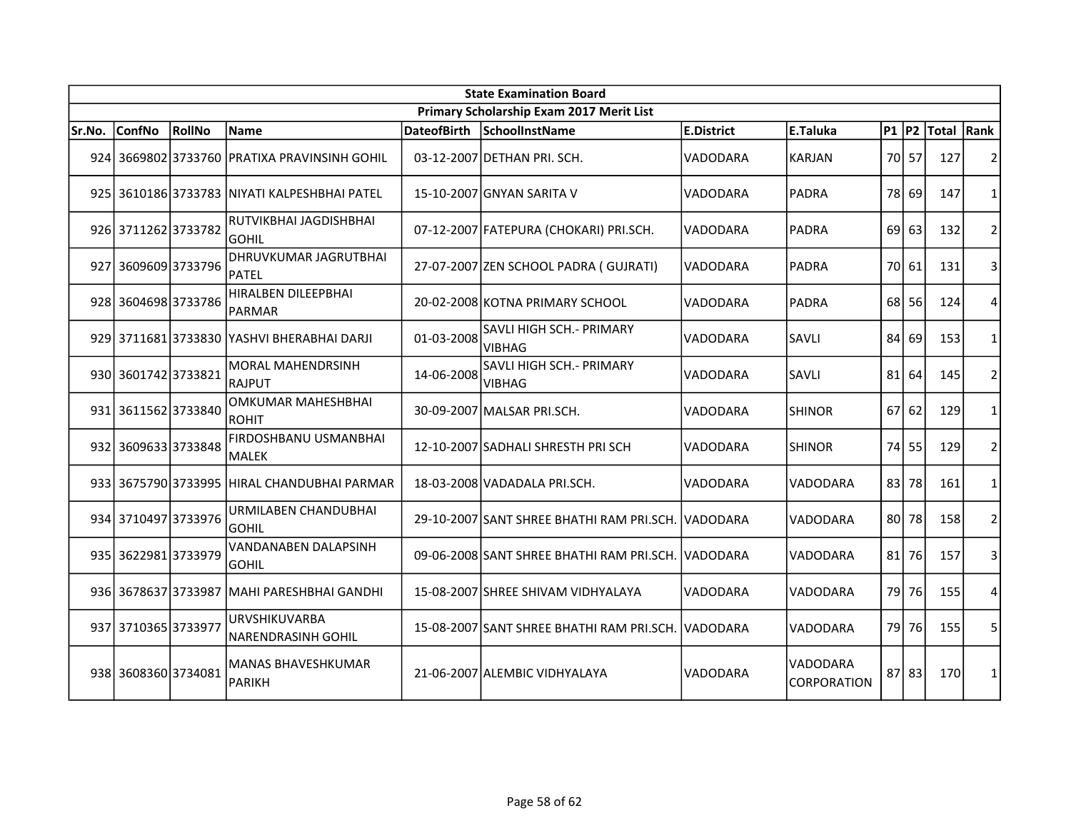| <b>State Examination Board</b> |                     |               |                                                   |                    |                                                    |                   |                                |              |         |            |                |  |
|--------------------------------|---------------------|---------------|---------------------------------------------------|--------------------|----------------------------------------------------|-------------------|--------------------------------|--------------|---------|------------|----------------|--|
|                                |                     |               |                                                   |                    | Primary Scholarship Exam 2017 Merit List           |                   |                                |              |         |            |                |  |
| Sr.No.                         | <b>ConfNo</b>       | <b>RollNo</b> | Name                                              | <b>DateofBirth</b> | SchoolInstName                                     | <b>E.District</b> | E.Taluka                       | <b>P1 P2</b> |         | Total Rank |                |  |
|                                |                     |               | 924 3669802 3733760 PRATIXA PRAVINSINH GOHIL      |                    | 03-12-2007 DETHAN PRI. SCH.                        | <b>VADODARA</b>   | <b>KARJAN</b>                  |              | 70 57   | 127        | 2              |  |
|                                |                     |               | 925 3610186 3733783 NIYATI KALPESHBHAI PATEL      |                    | 15-10-2007 GNYAN SARITA V                          | <b>VADODARA</b>   | <b>PADRA</b>                   | 78           | 69      | 147        | $\mathbf{1}$   |  |
|                                | 926 3711262 3733782 |               | RUTVIKBHAI JAGDISHBHAI<br><b>GOHIL</b>            |                    | 07-12-2007 FATEPURA (CHOKARI) PRI.SCH.             | VADODARA          | PADRA                          | 69           | 63      | 132        | $\overline{2}$ |  |
|                                | 927 3609609 3733796 |               | <b>DHRUVKUMAR JAGRUTBHAI</b><br>PATEL             |                    | 27-07-2007 ZEN SCHOOL PADRA (GUJRATI)              | VADODARA          | PADRA                          | 70 I         | 61      | 131        | 3              |  |
|                                | 928 3604698 3733786 |               | HIRALBEN DILEEPBHAI<br><b>PARMAR</b>              |                    | 20-02-2008 KOTNA PRIMARY SCHOOL                    | VADODARA          | PADRA                          | 68 l         | 56      | 124        | $\overline{4}$ |  |
|                                |                     |               | 929 3711681 3733830 YASHVI BHERABHAI DARJI        | 01-03-2008         | SAVLI HIGH SCH.- PRIMARY<br><b>VIBHAG</b>          | VADODARA          | SAVLI                          | 84           | 69      | 153        | $\mathbf{1}$   |  |
|                                | 930 3601742 3733821 |               | <b>MORAL MAHENDRSINH</b><br>RAJPUT                | 14-06-2008         | SAVLI HIGH SCH. - PRIMARY<br><b>VIBHAG</b>         | VADODARA          | SAVLI                          | 81           | 64      | 145        | $\overline{2}$ |  |
|                                | 931 3611562 3733840 |               | <b>OMKUMAR MAHESHBHAI</b><br><b>ROHIT</b>         |                    | 30-09-2007 MALSAR PRI.SCH.                         | VADODARA          | <b>SHINOR</b>                  | 67 I         | 62      | 129        | $\mathbf{1}$   |  |
|                                | 932 3609633 3733848 |               | FIRDOSHBANU USMANBHAI<br><b>MALEK</b>             |                    | 12-10-2007 SADHALI SHRESTH PRI SCH                 | VADODARA          | <b>SHINOR</b>                  | 74           | 55      | 129        | $\overline{2}$ |  |
|                                |                     |               | 933 3675790 3733995 HIRAL CHANDUBHAI PARMAR       |                    | 18-03-2008 VADADALA PRI.SCH.                       | VADODARA          | VADODARA                       | 83           | 78      | 161        | $\mathbf{1}$   |  |
|                                | 934 3710497 3733976 |               | URMILABEN CHANDUBHAI<br><b>GOHIL</b>              |                    | 29-10-2007 SANT SHREE BHATHI RAM PRI.SCH. VADODARA |                   | VADODARA                       | 80           | 78      | 158        | 2              |  |
|                                | 935 3622981 3733979 |               | VANDANABEN DALAPSINH<br><b>GOHIL</b>              |                    | 09-06-2008 SANT SHREE BHATHI RAM PRI.SCH. VADODARA |                   | VADODARA                       | 81           | 76      | 157        | 3              |  |
|                                | 936 3678637 3733987 |               | MAHI PARESHBHAI GANDHI                            |                    | 15-08-2007 SHREE SHIVAM VIDHYALAYA                 | VADODARA          | VADODARA                       | 79           | 76      | 155        | 4              |  |
|                                | 937 3710365 3733977 |               | <b>URVSHIKUVARBA</b><br><b>NARENDRASINH GOHIL</b> |                    | 15-08-2007 SANT SHREE BHATHI RAM PRI.SCH. VADODARA |                   | VADODARA                       | 79 l         | 76      | 155        | 5              |  |
|                                | 938 3608360 3734081 |               | <b>MANAS BHAVESHKUMAR</b><br>PARIKH               |                    | 21-06-2007 ALEMBIC VIDHYALAYA                      | VADODARA          | VADODARA<br><b>CORPORATION</b> |              | $87$ 83 | 170        | 1              |  |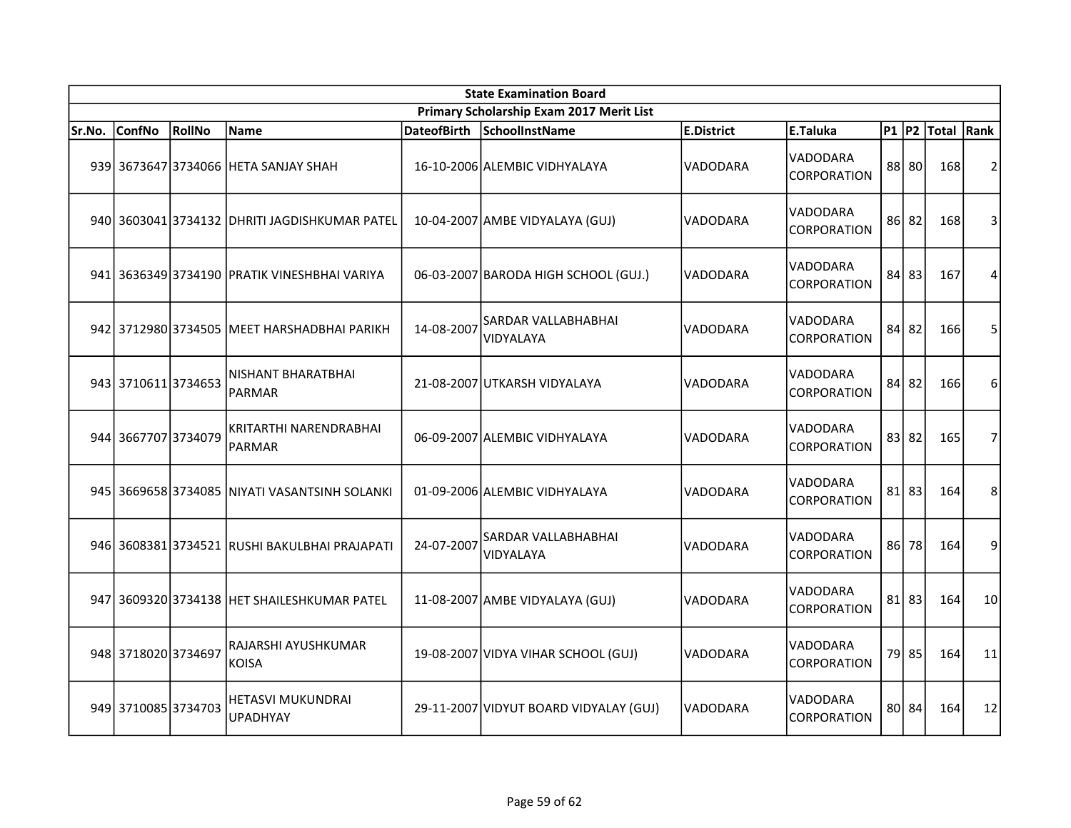|        | <b>State Examination Board</b> |        |                                               |                    |                                          |                   |                                       |           |           |            |                |  |  |
|--------|--------------------------------|--------|-----------------------------------------------|--------------------|------------------------------------------|-------------------|---------------------------------------|-----------|-----------|------------|----------------|--|--|
|        |                                |        |                                               |                    | Primary Scholarship Exam 2017 Merit List |                   |                                       |           |           |            |                |  |  |
| Sr.No. | <b>ConfNo</b>                  | RollNo | <b>Name</b>                                   | <b>DateofBirth</b> | SchoolInstName                           | <b>E.District</b> | E.Taluka                              | $P1$ $P2$ |           | Total Rank |                |  |  |
|        |                                |        | 939 3673647 3734066 HETA SANJAY SHAH          |                    | 16-10-2006 ALEMBIC VIDHYALAYA            | VADODARA          | VADODARA<br><b>CORPORATION</b>        |           | 88 80     | 168        | $\overline{2}$ |  |  |
|        |                                |        | 940 3603041 3734132 DHRITI JAGDISHKUMAR PATEL |                    | 10-04-2007 AMBE VIDYALAYA (GUJ)          | VADODARA          | VADODARA<br><b>CORPORATION</b>        |           | 86 82     | 168        | 3              |  |  |
|        |                                |        | 941 3636349 3734190 PRATIK VINESHBHAI VARIYA  |                    | 06-03-2007 BARODA HIGH SCHOOL (GUJ.)     | VADODARA          | VADODARA<br><b>CORPORATION</b>        |           | 84 83     | 167        | 4              |  |  |
|        | 942 3712980 3734505            |        | <b>IMEET HARSHADBHAI PARIKH</b>               | 14-08-2007         | SARDAR VALLABHABHAI<br>VIDYALAYA         | VADODARA          | VADODARA<br><b>CORPORATION</b>        | 84        | 82        | 166        | 5              |  |  |
|        | 943 3710611 3734653            |        | <b>NISHANT BHARATBHAI</b><br>PARMAR           |                    | 21-08-2007 UTKARSH VIDYALAYA             | <b>VADODARA</b>   | VADODARA<br><b>CORPORATION</b>        | 84 l      | 82        | 166        | 6              |  |  |
|        | 944 3667707 3734079            |        | KRITARTHI NARENDRABHAI<br><b>PARMAR</b>       |                    | 06-09-2007 ALEMBIC VIDHYALAYA            | VADODARA          | <b>VADODARA</b><br><b>CORPORATION</b> |           | 83 82     | 165        | 7              |  |  |
|        |                                |        | 945 3669658 3734085 NIYATI VASANTSINH SOLANKI |                    | 01-09-2006 ALEMBIC VIDHYALAYA            | VADODARA          | VADODARA<br><b>CORPORATION</b>        |           | $81$   83 | 164        | 8              |  |  |
|        |                                |        | 946 3608381 3734521 RUSHI BAKULBHAI PRAJAPATI | 24-07-2007         | SARDAR VALLABHABHAI<br><b>VIDYALAYA</b>  | VADODARA          | VADODARA<br><b>CORPORATION</b>        | 86        | 78        | 164        | 9              |  |  |
|        |                                |        | 947 3609320 3734138 HET SHAILESHKUMAR PATEL   |                    | 11-08-2007 AMBE VIDYALAYA (GUJ)          | <b>VADODARA</b>   | VADODARA<br><b>CORPORATION</b>        |           | $81$ 83   | 164        | 10             |  |  |
|        | 948 3718020 3734697            |        | RAJARSHI AYUSHKUMAR<br>KOISA                  |                    | 19-08-2007 VIDYA VIHAR SCHOOL (GUJ)      | VADODARA          | VADODARA<br><b>CORPORATION</b>        |           | 79 85     | 164        | 11             |  |  |
|        | 949 3710085 3734703            |        | <b>HETASVI MUKUNDRAI</b><br><b>UPADHYAY</b>   |                    | 29-11-2007 VIDYUT BOARD VIDYALAY (GUJ)   | <b>VADODARA</b>   | VADODARA<br><b>CORPORATION</b>        |           | 80 84     | 164        | 12             |  |  |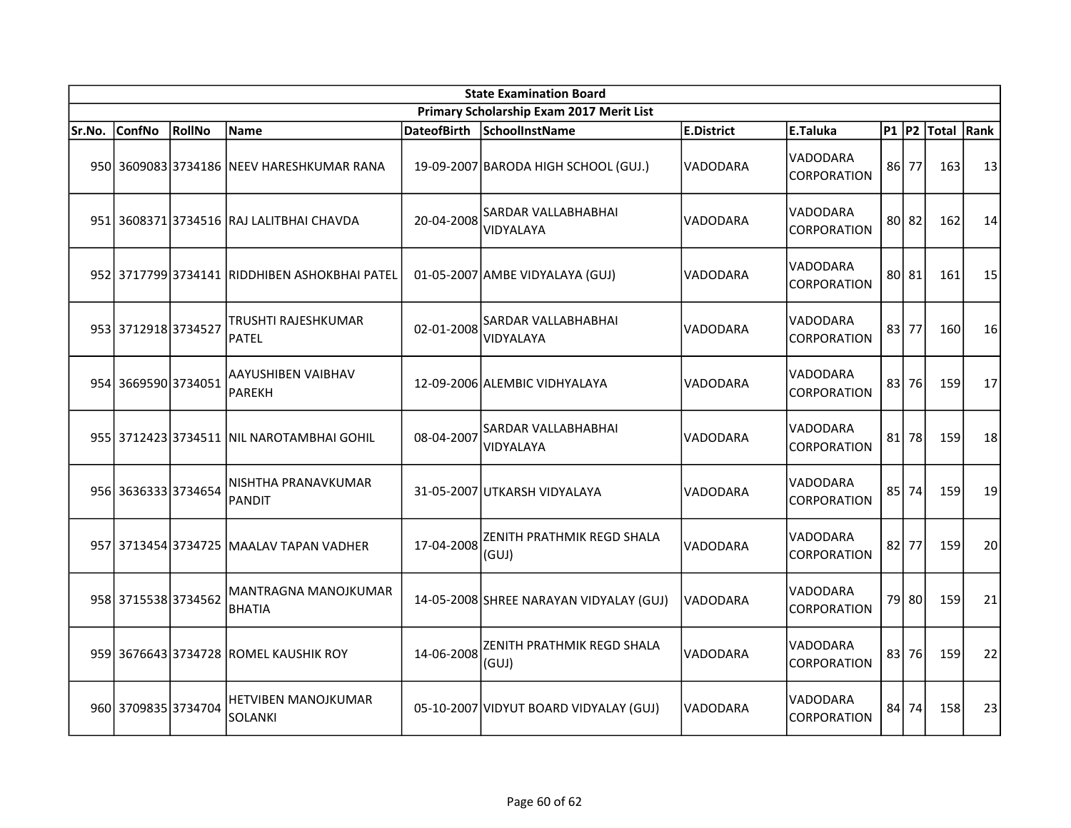|        | <b>State Examination Board</b> |        |                                               |                    |                                          |                   |                                       |      |           |             |        |  |
|--------|--------------------------------|--------|-----------------------------------------------|--------------------|------------------------------------------|-------------------|---------------------------------------|------|-----------|-------------|--------|--|
|        |                                |        |                                               |                    | Primary Scholarship Exam 2017 Merit List |                   |                                       |      |           |             |        |  |
| Sr.No. | <b>ConfNo</b>                  | RollNo | <b>Name</b>                                   | <b>DateofBirth</b> | SchoolInstName                           | <b>E.District</b> | E.Taluka                              |      |           | P1 P2 Total | Rank   |  |
|        |                                |        | 950 3609083 3734186 NEEV HARESHKUMAR RANA     |                    | 19-09-2007 BARODA HIGH SCHOOL (GUJ.)     | VADODARA          | <b>VADODARA</b><br><b>CORPORATION</b> |      | 86 77     | 163         | 13     |  |
|        |                                |        | 951 3608371 3734516 RAJ LALITBHAI CHAVDA      | 20-04-2008         | SARDAR VALLABHABHAI<br>VIDYALAYA         | VADODARA          | VADODARA<br><b>CORPORATION</b>        |      | $80$   82 | 162         | 14     |  |
|        |                                |        | 952 3717799 3734141 RIDDHIBEN ASHOKBHAI PATEL |                    | 01-05-2007 AMBE VIDYALAYA (GUJ)          | VADODARA          | VADODARA<br><b>CORPORATION</b>        |      | 80 81     | 161         | 15     |  |
|        | 953 3712918 3734527            |        | TRUSHTI RAJESHKUMAR<br>PATEL                  | 02-01-2008         | SARDAR VALLABHABHAI<br>VIDYALAYA         | VADODARA          | VADODARA<br><b>CORPORATION</b>        |      | 83 77     | 160         | 16     |  |
|        | 954 3669590 3734051            |        | AAYUSHIBEN VAIBHAV<br>PAREKH                  |                    | 12-09-2006 ALEMBIC VIDHYALAYA            | VADODARA          | VADODARA<br>CORPORATION               | 83   | 76        | 159         | 17     |  |
|        |                                |        | 955 3712423 3734511 NIL NAROTAMBHAI GOHIL     | 08-04-2007         | <b>SARDAR VALLABHABHAI</b><br>VIDYALAYA  | VADODARA          | VADODARA<br><b>CORPORATION</b>        | 81   | 78        | 159         | 18     |  |
|        | 956 3636333 3734654            |        | NISHTHA PRANAVKUMAR<br><b>PANDIT</b>          |                    | 31-05-2007 UTKARSH VIDYALAYA             | VADODARA          | <b>VADODARA</b><br><b>CORPORATION</b> |      | 85 74     | 159         | 19     |  |
|        |                                |        | 957 3713454 3734725 MAALAV TAPAN VADHER       | 17-04-2008         | ZENITH PRATHMIK REGD SHALA<br>(GUI)      | VADODARA          | VADODARA<br><b>CORPORATION</b>        | 82 l | 77        | 159         | 20     |  |
|        | 958 3715538 3734562            |        | <b>MANTRAGNA MANOJKUMAR</b><br><b>BHATIA</b>  |                    | 14-05-2008 SHREE NARAYAN VIDYALAY (GUJ)  | VADODARA          | VADODARA<br><b>CORPORATION</b>        |      | 79 80     | 159         | 21     |  |
|        |                                |        | 959 3676643 3734728 ROMEL KAUSHIK ROY         | 14-06-2008         | ZENITH PRATHMIK REGD SHALA<br>(GUJ)      | VADODARA          | VADODARA<br><b>CORPORATION</b>        |      | 83 76     | 159         | $22\,$ |  |
|        | 960 3709835 3734704            |        | HETVIBEN MANOJKUMAR<br>SOLANKI                |                    | 05-10-2007 VIDYUT BOARD VIDYALAY (GUJ)   | VADODARA          | VADODARA<br><i><b>CORPORATION</b></i> |      | 84 74     | 158         | 23     |  |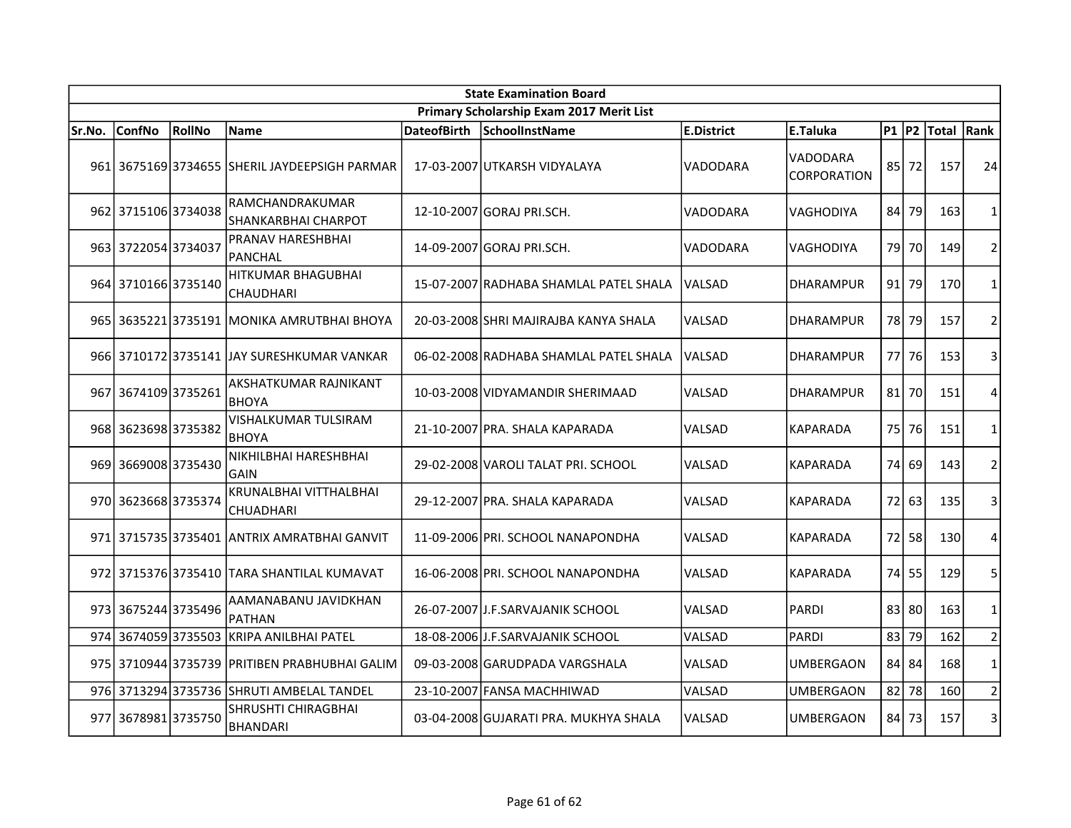| <b>State Examination Board</b>           |                     |        |                                               |                    |                                        |                   |                                |           |         |            |                |  |
|------------------------------------------|---------------------|--------|-----------------------------------------------|--------------------|----------------------------------------|-------------------|--------------------------------|-----------|---------|------------|----------------|--|
| Primary Scholarship Exam 2017 Merit List |                     |        |                                               |                    |                                        |                   |                                |           |         |            |                |  |
| Sr.No.                                   | <b>ConfNo</b>       | RollNo | <b>Name</b>                                   | <b>DateofBirth</b> | SchoolInstName                         | <b>E.District</b> | E.Taluka                       | $P1$ $P2$ |         | Total Rank |                |  |
|                                          |                     |        | 961 3675169 3734655 SHERIL JAYDEEPSIGH PARMAR |                    | 17-03-2007 UTKARSH VIDYALAYA           | <b>VADODARA</b>   | VADODARA<br><b>CORPORATION</b> | 85        | 72      | 157        | 24             |  |
|                                          | 962 3715106 3734038 |        | RAMCHANDRAKUMAR<br>SHANKARBHAI CHARPOT        |                    | 12-10-2007 GORAJ PRI.SCH.              | VADODARA          | VAGHODIYA                      | 84 l      | 79      | 163        | $\mathbf{1}$   |  |
|                                          | 963 3722054 3734037 |        | PRANAV HARESHBHAI<br><b>PANCHAL</b>           |                    | 14-09-2007 GORAJ PRI.SCH.              | <b>VADODARA</b>   | VAGHODIYA                      | 79 l      | 70      | 149        | $\overline{2}$ |  |
|                                          | 964 3710166 3735140 |        | HITKUMAR BHAGUBHAI<br>CHAUDHARI               |                    | 15-07-2007 RADHABA SHAMLAL PATEL SHALA | lVALSAD           | <b>DHARAMPUR</b>               | 91        | 79      | 170        | 1              |  |
|                                          |                     |        | 965 3635221 3735191 MONIKA AMRUTBHAI BHOYA    |                    | 20-03-2008 SHRI MAJIRAJBA KANYA SHALA  | VALSAD            | <b>DHARAMPUR</b>               | 78        | 79      | 157        | $\mathbf 2$    |  |
|                                          |                     |        | 966 3710172 3735141 JAY SURESHKUMAR VANKAR    |                    | 06-02-2008 RADHABA SHAMLAL PATEL SHALA | lvalsad           | <b>DHARAMPUR</b>               |           | 77 76   | 153        | 3              |  |
|                                          | 967 3674109 3735261 |        | AKSHATKUMAR RAJNIKANT<br><b>BHOYA</b>         |                    | 10-03-2008 VIDYAMANDIR SHERIMAAD       | VALSAD            | <b>DHARAMPUR</b>               |           | $81$ 70 | 151        | 4              |  |
|                                          | 968 3623698 3735382 |        | VISHALKUMAR TULSIRAM<br><b>BHOYA</b>          |                    | 21-10-2007 PRA. SHALA KAPARADA         | VALSAD            | <b>KAPARADA</b>                |           | 75 76   | 151        | $\mathbf{1}$   |  |
|                                          | 969 3669008 3735430 |        | NIKHILBHAI HARESHBHAI<br>GAIN                 |                    | 29-02-2008 VAROLI TALAT PRI. SCHOOL    | <b>VALSAD</b>     | KAPARADA                       |           | 74 69   | 143        | $\overline{2}$ |  |
|                                          | 970 3623668 3735374 |        | KRUNALBHAI VITTHALBHAI<br>CHUADHARI           |                    | 29-12-2007 PRA. SHALA KAPARADA         | VALSAD            | <b>KAPARADA</b>                |           | 72 63   | 135        | 3              |  |
|                                          |                     |        | 971 3715735 3735401 JANTRIX AMRATBHAI GANVIT  |                    | 11-09-2006 PRI. SCHOOL NANAPONDHA      | <b>VALSAD</b>     | <b>KAPARADA</b>                |           | 72 58   | 130        | 4              |  |
|                                          |                     |        | 972 3715376 3735410 TARA SHANTILAL KUMAVAT    |                    | 16-06-2008 PRI. SCHOOL NANAPONDHA      | <b>VALSAD</b>     | <b>KAPARADA</b>                |           | 74 55   | 129        | 5              |  |
|                                          | 973 3675244 3735496 |        | AAMANABANU JAVIDKHAN<br><b>PATHAN</b>         |                    | 26-07-2007 J.F.SARVAJANIK SCHOOL       | <b>VALSAD</b>     | <b>PARDI</b>                   |           | 83 80   | 163        | 1              |  |
|                                          | 974 3674059 3735503 |        | KRIPA ANILBHAI PATEL                          |                    | 18-08-2006 J.F.SARVAJANIK SCHOOL       | VALSAD            | <b>PARDI</b>                   | 83        | 79      | 162        | $\overline{2}$ |  |
|                                          |                     |        | 975 3710944 3735739 PRITIBEN PRABHUBHAI GALIM |                    | 09-03-2008 GARUDPADA VARGSHALA         | VALSAD            | <b>UMBERGAON</b>               | 84 l      | 84      | 168        | $\mathbf 1$    |  |
|                                          |                     |        | 976 3713294 3735736 SHRUTI AMBELAL TANDEL     |                    | 23-10-2007 FANSA MACHHIWAD             | VALSAD            | <b>UMBERGAON</b>               | 82        | 78      | 160        | $\overline{2}$ |  |
|                                          | 977 3678981 3735750 |        | SHRUSHTI CHIRAGBHAI<br><b>BHANDARI</b>        |                    | 03-04-2008 GUJARATI PRA. MUKHYA SHALA  | <b>VALSAD</b>     | UMBERGAON                      | 84        | 73      | 157        | 3              |  |